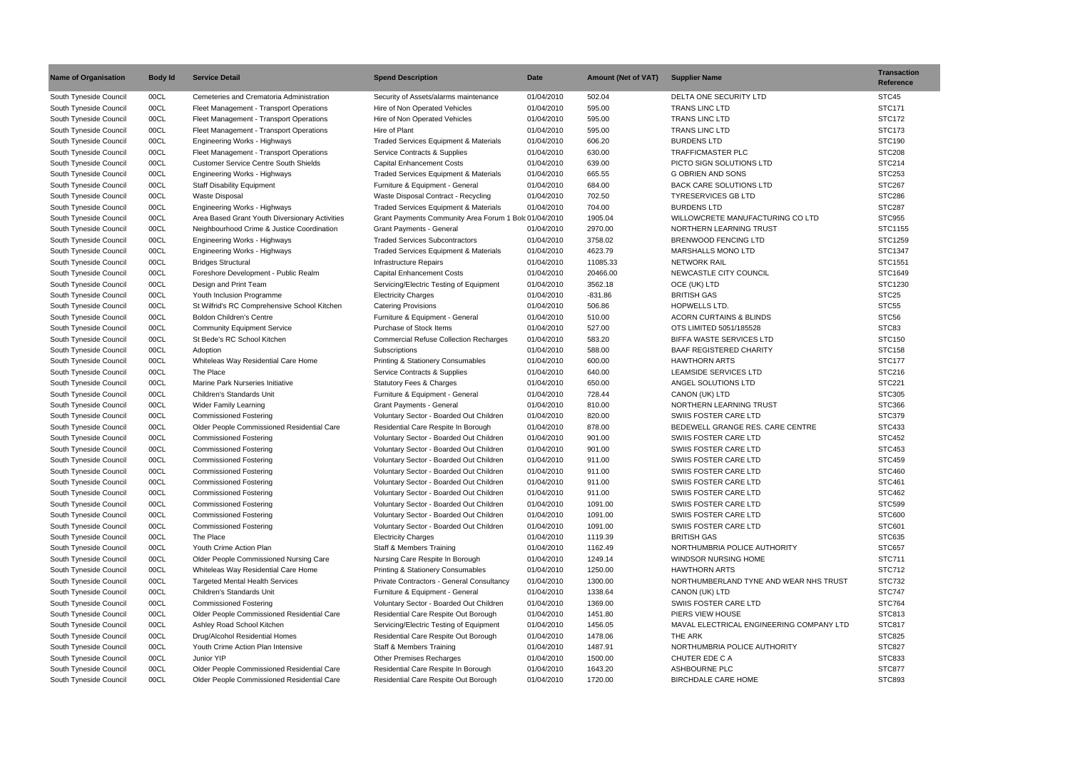| <b>Name of Organisation</b> | <b>Body Id</b> | <b>Service Detail</b>                          | <b>Spend Description</b>                              | <b>Date</b> | <b>Amount (Net of VAT)</b> | <b>Supplier Name</b>                     | <b>Transaction</b><br><b>Reference</b> |
|-----------------------------|----------------|------------------------------------------------|-------------------------------------------------------|-------------|----------------------------|------------------------------------------|----------------------------------------|
| South Tyneside Council      | 00CL           | Cemeteries and Crematoria Administration       | Security of Assets/alarms maintenance                 | 01/04/2010  | 502.04                     | DELTA ONE SECURITY LTD                   | STC45                                  |
| South Tyneside Council      | 00CL           | Fleet Management - Transport Operations        | Hire of Non Operated Vehicles                         | 01/04/2010  | 595.00                     | <b>TRANS LINC LTD</b>                    | <b>STC171</b>                          |
| South Tyneside Council      | 00CL           | Fleet Management - Transport Operations        | Hire of Non Operated Vehicles                         | 01/04/2010  | 595.00                     | <b>TRANS LINC LTD</b>                    | <b>STC172</b>                          |
| South Tyneside Council      | 00CL           | Fleet Management - Transport Operations        | Hire of Plant                                         | 01/04/2010  | 595.00                     | <b>TRANS LINC LTD</b>                    | <b>STC173</b>                          |
| South Tyneside Council      | 00CL           | Engineering Works - Highways                   | Traded Services Equipment & Materials                 | 01/04/2010  | 606.20                     | <b>BURDENS LTD</b>                       | <b>STC190</b>                          |
| South Tyneside Council      | 00CL           | Fleet Management - Transport Operations        | Service Contracts & Supplies                          | 01/04/2010  | 630.00                     | <b>TRAFFICMASTER PLC</b>                 | <b>STC208</b>                          |
| South Tyneside Council      | 00CL           | <b>Customer Service Centre South Shields</b>   | <b>Capital Enhancement Costs</b>                      | 01/04/2010  | 639.00                     | PICTO SIGN SOLUTIONS LTD                 | <b>STC214</b>                          |
| South Tyneside Council      | 00CL           | <b>Engineering Works - Highways</b>            | <b>Traded Services Equipment &amp; Materials</b>      | 01/04/2010  | 665.55                     | <b>G OBRIEN AND SONS</b>                 | <b>STC253</b>                          |
| South Tyneside Council      | 00CL           | <b>Staff Disability Equipment</b>              | Furniture & Equipment - General                       | 01/04/2010  | 684.00                     | <b>BACK CARE SOLUTIONS LTD</b>           | <b>STC267</b>                          |
| South Tyneside Council      | 00CL           | <b>Waste Disposal</b>                          | Waste Disposal Contract - Recycling                   | 01/04/2010  | 702.50                     | <b>TYRESERVICES GB LTD</b>               | <b>STC286</b>                          |
| South Tyneside Council      | 00CL           | <b>Engineering Works - Highways</b>            | Traded Services Equipment & Materials                 | 01/04/2010  | 704.00                     | <b>BURDENS LTD</b>                       | <b>STC287</b>                          |
| South Tyneside Council      | 00CL           | Area Based Grant Youth Diversionary Activities | Grant Payments Community Area Forum 1 Bolc 01/04/2010 |             | 1905.04                    | WILLOWCRETE MANUFACTURING CO LTD         | <b>STC955</b>                          |
| South Tyneside Council      | 00CL           | Neighbourhood Crime & Justice Coordination     | <b>Grant Payments - General</b>                       | 01/04/2010  | 2970.00                    | NORTHERN LEARNING TRUST                  | STC1155                                |
| South Tyneside Council      | 00CL           | Engineering Works - Highways                   | <b>Traded Services Subcontractors</b>                 | 01/04/2010  | 3758.02                    | <b>BRENWOOD FENCING LTD</b>              | STC1259                                |
| South Tyneside Council      | 00CL           | Engineering Works - Highways                   | <b>Traded Services Equipment &amp; Materials</b>      | 01/04/2010  | 4623.79                    | <b>MARSHALLS MONO LTD</b>                | STC1347                                |
| South Tyneside Council      | 00CL           | <b>Bridges Structural</b>                      | Infrastructure Repairs                                | 01/04/2010  | 11085.33                   | <b>NETWORK RAIL</b>                      | STC1551                                |
| South Tyneside Council      | 00CL           | Foreshore Development - Public Realm           | <b>Capital Enhancement Costs</b>                      | 01/04/2010  | 20466.00                   | NEWCASTLE CITY COUNCIL                   | STC1649                                |
| South Tyneside Council      | 00CL           | Design and Print Team                          | Servicing/Electric Testing of Equipment               | 01/04/2010  | 3562.18                    | OCE (UK) LTD                             | STC1230                                |
| South Tyneside Council      | 00CL           | Youth Inclusion Programme                      | <b>Electricity Charges</b>                            | 01/04/2010  | $-831.86$                  | <b>BRITISH GAS</b>                       | STC <sub>25</sub>                      |
| South Tyneside Council      | 00CL           | St Wilfrid's RC Comprehensive School Kitchen   | <b>Catering Provisions</b>                            | 01/04/2010  | 506.86                     | <b>HOPWELLS LTD.</b>                     | STC <sub>55</sub>                      |
| South Tyneside Council      | 00CL           | <b>Boldon Children's Centre</b>                | Furniture & Equipment - General                       | 01/04/2010  | 510.00                     | <b>ACORN CURTAINS &amp; BLINDS</b>       | STC56                                  |
|                             | 00CL           |                                                | Purchase of Stock Items                               | 01/04/2010  | 527.00                     | OTS LIMITED 5051/185528                  | STC83                                  |
| South Tyneside Council      |                | <b>Community Equipment Service</b>             |                                                       |             |                            |                                          |                                        |
| South Tyneside Council      | 00CL           | St Bede's RC School Kitchen                    | <b>Commercial Refuse Collection Recharges</b>         | 01/04/2010  | 583.20                     | <b>BIFFA WASTE SERVICES LTD</b>          | <b>STC150</b>                          |
| South Tyneside Council      | 00CL           | Adoption                                       | Subscriptions                                         | 01/04/2010  | 588.00                     | <b>BAAF REGISTERED CHARITY</b>           | <b>STC158</b>                          |
| South Tyneside Council      | 00CL           | Whiteleas Way Residential Care Home            | Printing & Stationery Consumables                     | 01/04/2010  | 600.00                     | <b>HAWTHORN ARTS</b>                     | <b>STC177</b>                          |
| South Tyneside Council      | 00CL           | The Place                                      | Service Contracts & Supplies                          | 01/04/2010  | 640.00                     | <b>LEAMSIDE SERVICES LTD</b>             | STC216                                 |
| South Tyneside Council      | 00CL           | Marine Park Nurseries Initiative               | <b>Statutory Fees &amp; Charges</b>                   | 01/04/2010  | 650.00                     | ANGEL SOLUTIONS LTD                      | <b>STC221</b>                          |
| South Tyneside Council      | 00CL           | <b>Children's Standards Unit</b>               | Furniture & Equipment - General                       | 01/04/2010  | 728.44                     | CANON (UK) LTD                           | <b>STC305</b>                          |
| South Tyneside Council      | 00CL           | Wider Family Learning                          | <b>Grant Payments - General</b>                       | 01/04/2010  | 810.00                     | NORTHERN LEARNING TRUST                  | <b>STC366</b>                          |
| South Tyneside Council      | 00CL           | <b>Commissioned Fostering</b>                  | Voluntary Sector - Boarded Out Children               | 01/04/2010  | 820.00                     | SWIIS FOSTER CARE LTD                    | STC379                                 |
| South Tyneside Council      | 00CL           | Older People Commissioned Residential Care     | Residential Care Respite In Borough                   | 01/04/2010  | 878.00                     | BEDEWELL GRANGE RES. CARE CENTRE         | STC433                                 |
| South Tyneside Council      | 00CL           | <b>Commissioned Fostering</b>                  | Voluntary Sector - Boarded Out Children               | 01/04/2010  | 901.00                     | SWIIS FOSTER CARE LTD                    | <b>STC452</b>                          |
| South Tyneside Council      | 00CL           | <b>Commissioned Fostering</b>                  | Voluntary Sector - Boarded Out Children               | 01/04/2010  | 901.00                     | SWIIS FOSTER CARE LTD                    | <b>STC453</b>                          |
| South Tyneside Council      | 00CL           | <b>Commissioned Fostering</b>                  | Voluntary Sector - Boarded Out Children               | 01/04/2010  | 911.00                     | SWIIS FOSTER CARE LTD                    | <b>STC459</b>                          |
| South Tyneside Council      | 00CL           | <b>Commissioned Fostering</b>                  | Voluntary Sector - Boarded Out Children               | 01/04/2010  | 911.00                     | SWIIS FOSTER CARE LTD                    | <b>STC460</b>                          |
| South Tyneside Council      | 00CL           | <b>Commissioned Fostering</b>                  | Voluntary Sector - Boarded Out Children               | 01/04/2010  | 911.00                     | SWIIS FOSTER CARE LTD                    | <b>STC461</b>                          |
| South Tyneside Council      | 00CL           | <b>Commissioned Fostering</b>                  | Voluntary Sector - Boarded Out Children               | 01/04/2010  | 911.00                     | SWIIS FOSTER CARE LTD                    | <b>STC462</b>                          |
| South Tyneside Council      | 00CL           | <b>Commissioned Fostering</b>                  | Voluntary Sector - Boarded Out Children               | 01/04/2010  | 1091.00                    | SWIIS FOSTER CARE LTD                    | <b>STC599</b>                          |
| South Tyneside Council      | 00CL           | <b>Commissioned Fostering</b>                  | Voluntary Sector - Boarded Out Children               | 01/04/2010  | 1091.00                    | SWIIS FOSTER CARE LTD                    | <b>STC600</b>                          |
| South Tyneside Council      | 00CL           | <b>Commissioned Fostering</b>                  | Voluntary Sector - Boarded Out Children               | 01/04/2010  | 1091.00                    | SWIIS FOSTER CARE LTD                    | <b>STC601</b>                          |
| South Tyneside Council      | 00CL           | The Place                                      | <b>Electricity Charges</b>                            | 01/04/2010  | 1119.39                    | <b>BRITISH GAS</b>                       | STC635                                 |
| South Tyneside Council      | 00CL           | Youth Crime Action Plan                        | Staff & Members Training                              | 01/04/2010  | 1162.49                    | NORTHUMBRIA POLICE AUTHORITY             | <b>STC657</b>                          |
| South Tyneside Council      | 00CL           | Older People Commissioned Nursing Care         | Nursing Care Respite In Borough                       | 01/04/2010  | 1249.14                    | WINDSOR NURSING HOME                     | <b>STC711</b>                          |
| South Tyneside Council      | 00CL           | Whiteleas Way Residential Care Home            | <b>Printing &amp; Stationery Consumables</b>          | 01/04/2010  | 1250.00                    | <b>HAWTHORN ARTS</b>                     | <b>STC712</b>                          |
| South Tyneside Council      | 00CL           | <b>Targeted Mental Health Services</b>         | Private Contractors - General Consultancy             | 01/04/2010  | 1300.00                    | NORTHUMBERLAND TYNE AND WEAR NHS TRUST   | <b>STC732</b>                          |
| South Tyneside Council      | 00CL           | Children's Standards Unit                      | Furniture & Equipment - General                       | 01/04/2010  | 1338.64                    | CANON (UK) LTD                           | <b>STC747</b>                          |
| South Tyneside Council      | 00CL           | <b>Commissioned Fostering</b>                  | Voluntary Sector - Boarded Out Children               | 01/04/2010  | 1369.00                    | SWIIS FOSTER CARE LTD                    | <b>STC764</b>                          |
| South Tyneside Council      | 00CL           | Older People Commissioned Residential Care     | Residential Care Respite Out Borough                  | 01/04/2010  | 1451.80                    | PIERS VIEW HOUSE                         | <b>STC813</b>                          |
| South Tyneside Council      | 00CL           | Ashley Road School Kitchen                     | Servicing/Electric Testing of Equipment               | 01/04/2010  | 1456.05                    | MAVAL ELECTRICAL ENGINEERING COMPANY LTD | <b>STC817</b>                          |
| South Tyneside Council      | 00CL           | Drug/Alcohol Residential Homes                 | Residential Care Respite Out Borough                  | 01/04/2010  | 1478.06                    | THE ARK                                  | <b>STC825</b>                          |
| South Tyneside Council      | 00CL           | Youth Crime Action Plan Intensive              | Staff & Members Training                              | 01/04/2010  | 1487.91                    | NORTHUMBRIA POLICE AUTHORITY             | <b>STC827</b>                          |
| South Tyneside Council      | 00CL           | Junior YIP                                     | <b>Other Premises Recharges</b>                       | 01/04/2010  | 1500.00                    | CHUTER EDE C A                           | <b>STC833</b>                          |
| South Tyneside Council      | 00CL           | Older People Commissioned Residential Care     | Residential Care Respite In Borough                   | 01/04/2010  | 1643.20                    | ASHBOURNE PLC                            | <b>STC877</b>                          |
| South Tyneside Council      | 00CL           | Older People Commissioned Residential Care     | Residential Care Respite Out Borough                  | 01/04/2010  | 1720.00                    | <b>BIRCHDALE CARE HOME</b>               | <b>STC893</b>                          |
|                             |                |                                                |                                                       |             |                            |                                          |                                        |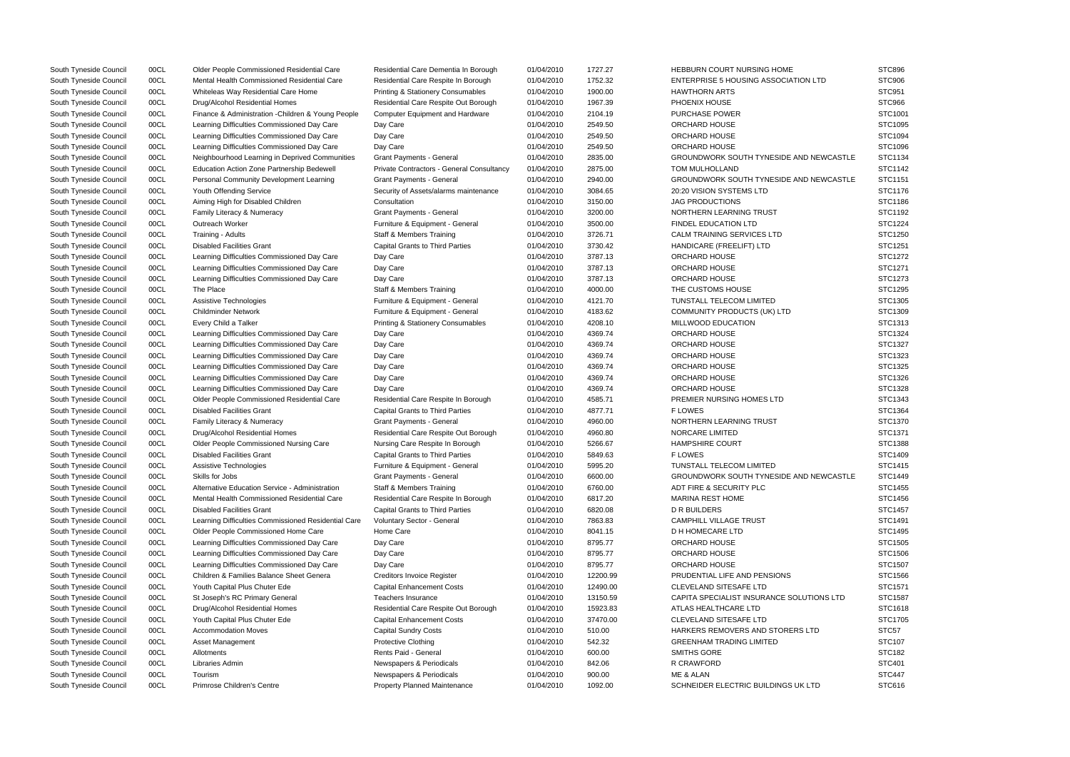| South Tyneside Council                           | 00CL         | Older People Commissioned Residential Care          | Residential Care Dementia In Borough                 | 01/04/2010               | 1727.27          | <b>HEBBURN COURT NURSING HOME</b>           | <b>STC896</b>                  |
|--------------------------------------------------|--------------|-----------------------------------------------------|------------------------------------------------------|--------------------------|------------------|---------------------------------------------|--------------------------------|
| South Tyneside Council                           | 00CL         | Mental Health Commissioned Residential Care         | Residential Care Respite In Borough                  | 01/04/2010               | 1752.32          | <b>ENTERPRISE 5 HOUSING ASSOCIATION LTD</b> | <b>STC906</b>                  |
| South Tyneside Council                           | 00CL         | Whiteleas Way Residential Care Home                 | Printing & Stationery Consumables                    | 01/04/2010               | 1900.00          | <b>HAWTHORN ARTS</b>                        | STC951                         |
| South Tyneside Council                           | 00CL         | Drug/Alcohol Residential Homes                      | Residential Care Respite Out Borough                 | 01/04/2010               | 1967.39          | PHOENIX HOUSE                               | STC966                         |
| South Tyneside Council                           | 00CL         | Finance & Administration - Children & Young People  | <b>Computer Equipment and Hardware</b>               | 01/04/2010               | 2104.19          | <b>PURCHASE POWER</b>                       | STC1001                        |
| South Tyneside Council                           | 00CL         | Learning Difficulties Commissioned Day Care         | Day Care                                             | 01/04/2010               | 2549.50          | ORCHARD HOUSE                               | STC1095                        |
| South Tyneside Council                           | 00CL         | Learning Difficulties Commissioned Day Care         | Day Care                                             | 01/04/2010               | 2549.50          | ORCHARD HOUSE                               | STC1094                        |
| South Tyneside Council                           | 00CL         | Learning Difficulties Commissioned Day Care         | Day Care                                             | 01/04/2010               | 2549.50          | ORCHARD HOUSE                               | STC1096                        |
| South Tyneside Council                           | 00CL         | Neighbourhood Learning in Deprived Communities      | Grant Payments - General                             | 01/04/2010               | 2835.00          | GROUNDWORK SOUTH TYNESIDE AND NEWCASTLE     | STC1134                        |
| South Tyneside Council                           | 00CL         | Education Action Zone Partnership Bedewell          | Private Contractors - General Consultancy            | 01/04/2010               | 2875.00          | <b>TOM MULHOLLAND</b>                       | STC1142                        |
| South Tyneside Council                           | 00CL         | Personal Community Development Learning             | <b>Grant Payments - General</b>                      | 01/04/2010               | 2940.00          | GROUNDWORK SOUTH TYNESIDE AND NEWCASTLE     | STC1151                        |
| South Tyneside Council                           | 00CL         | Youth Offending Service                             | Security of Assets/alarms maintenance                | 01/04/2010               | 3084.65          | 20:20 VISION SYSTEMS LTD                    | STC1176                        |
| South Tyneside Council                           | 00CL         | Aiming High for Disabled Children                   | Consultation                                         | 01/04/2010               | 3150.00          | <b>JAG PRODUCTIONS</b>                      | STC1186                        |
| South Tyneside Council                           | 00CL         | Family Literacy & Numeracy                          | <b>Grant Payments - General</b>                      | 01/04/2010               | 3200.00          | NORTHERN LEARNING TRUST                     | STC1192                        |
| South Tyneside Council                           | 00CL         | Outreach Worker                                     | Furniture & Equipment - General                      | 01/04/2010               | 3500.00          | <b>FINDEL EDUCATION LTD</b>                 | STC1224                        |
| South Tyneside Council                           | 00CL         | Training - Adults                                   | <b>Staff &amp; Members Training</b>                  | 01/04/2010               | 3726.71          | CALM TRAINING SERVICES LTD                  | STC1250                        |
| South Tyneside Council                           | 00CL         | <b>Disabled Facilities Grant</b>                    | <b>Capital Grants to Third Parties</b>               | 01/04/2010               | 3730.42          | HANDICARE (FREELIFT) LTD                    | STC1251                        |
| South Tyneside Council                           | 00CL         | Learning Difficulties Commissioned Day Care         | Day Care                                             | 01/04/2010               | 3787.13          | ORCHARD HOUSE                               | STC1272                        |
| South Tyneside Council                           | 00CL         | Learning Difficulties Commissioned Day Care         | Day Care                                             | 01/04/2010               | 3787.13          | <b>ORCHARD HOUSE</b>                        | STC1271                        |
| South Tyneside Council                           | 00CL         | Learning Difficulties Commissioned Day Care         | Day Care                                             | 01/04/2010               | 3787.13          | ORCHARD HOUSE                               | STC1273                        |
| South Tyneside Council                           | 00CL         | The Place                                           | <b>Staff &amp; Members Training</b>                  | 01/04/2010               | 4000.00          | THE CUSTOMS HOUSE                           | STC1295                        |
| South Tyneside Council                           | 00CL         | Assistive Technologies                              | Furniture & Equipment - General                      | 01/04/2010               | 4121.70          | TUNSTALL TELECOM LIMITED                    | STC1305                        |
| South Tyneside Council                           | 00CL         | <b>Childminder Network</b>                          | Furniture & Equipment - General                      | 01/04/2010               | 4183.62          | COMMUNITY PRODUCTS (UK) LTD                 | STC1309                        |
| South Tyneside Council                           | 00CL         | Every Child a Talker                                | <b>Printing &amp; Stationery Consumables</b>         | 01/04/2010               | 4208.10          | MILLWOOD EDUCATION                          | STC1313                        |
| South Tyneside Council                           | 00CL         | Learning Difficulties Commissioned Day Care         | Day Care                                             | 01/04/2010               | 4369.74          | ORCHARD HOUSE                               | STC1324                        |
| South Tyneside Council                           | 00CL         | Learning Difficulties Commissioned Day Care         | Day Care                                             | 01/04/2010               | 4369.74          | ORCHARD HOUSE                               | STC1327                        |
| South Tyneside Council                           | 00CL         | Learning Difficulties Commissioned Day Care         | Day Care                                             | 01/04/2010               | 4369.74          | ORCHARD HOUSE                               | STC1323                        |
| South Tyneside Council                           | 00CL         | Learning Difficulties Commissioned Day Care         | Day Care                                             | 01/04/2010               | 4369.74          | ORCHARD HOUSE                               | STC1325                        |
| South Tyneside Council                           | 00CL         | Learning Difficulties Commissioned Day Care         | Day Care                                             | 01/04/2010               | 4369.74          | ORCHARD HOUSE                               | STC1326                        |
| South Tyneside Council                           | 00CL         | Learning Difficulties Commissioned Day Care         | Day Care                                             | 01/04/2010               | 4369.74          | ORCHARD HOUSE                               | STC1328                        |
| South Tyneside Council                           | 00CL         | Older People Commissioned Residential Care          | Residential Care Respite In Borough                  | 01/04/2010               | 4585.71          | PREMIER NURSING HOMES LTD                   | STC1343                        |
| South Tyneside Council                           | 00CL         | <b>Disabled Facilities Grant</b>                    | <b>Capital Grants to Third Parties</b>               | 01/04/2010               | 4877.71          | <b>FLOWES</b>                               | STC1364                        |
| South Tyneside Council                           | 00CL         | Family Literacy & Numeracy                          | <b>Grant Payments - General</b>                      | 01/04/2010               | 4960.00          | NORTHERN LEARNING TRUST                     | STC1370                        |
| South Tyneside Council                           | 00CL         | Drug/Alcohol Residential Homes                      | Residential Care Respite Out Borough                 | 01/04/2010               | 4960.80          | NORCARE LIMITED                             | STC1371                        |
| South Tyneside Council                           | 00CL         | Older People Commissioned Nursing Care              | Nursing Care Respite In Borough                      | 01/04/2010               | 5266.67          | <b>HAMPSHIRE COURT</b>                      | STC1388                        |
| South Tyneside Council                           | 00CL         | <b>Disabled Facilities Grant</b>                    | <b>Capital Grants to Third Parties</b>               | 01/04/2010               | 5849.63          | <b>FLOWES</b>                               | STC1409                        |
| South Tyneside Council                           | 00CL         | Assistive Technologies                              | Furniture & Equipment - General                      | 01/04/2010               | 5995.20          | TUNSTALL TELECOM LIMITED                    | STC1415                        |
| South Tyneside Council                           | 00CL         | Skills for Jobs                                     | <b>Grant Payments - General</b>                      | 01/04/2010               | 6600.00          | GROUNDWORK SOUTH TYNESIDE AND NEWCASTLE     | STC1449                        |
| South Tyneside Council                           | 00CL         | Alternative Education Service - Administration      | <b>Staff &amp; Members Training</b>                  | 01/04/2010               | 6760.00          | ADT FIRE & SECURITY PLC                     | STC1455                        |
| South Tyneside Council                           | 00CL         | Mental Health Commissioned Residential Care         | Residential Care Respite In Borough                  | 01/04/2010               | 6817.20          | <b>MARINA REST HOME</b>                     | STC1456                        |
| South Tyneside Council                           | 00CL         | <b>Disabled Facilities Grant</b>                    | <b>Capital Grants to Third Parties</b>               | 01/04/2010               | 6820.08          | D R BUILDERS                                | STC1457                        |
| South Tyneside Council                           | 00CL         | Learning Difficulties Commissioned Residential Care | Voluntary Sector - General                           | 01/04/2010               | 7863.83          | <b>CAMPHILL VILLAGE TRUST</b>               | STC1491                        |
| South Tyneside Council                           | 00CL         | Older People Commissioned Home Care                 | Home Care                                            | 01/04/2010               | 8041.15          | D H HOMECARE LTD                            | STC1495                        |
| South Tyneside Council                           | 00CL         | Learning Difficulties Commissioned Day Care         | Day Care                                             | 01/04/2010               | 8795.77          | ORCHARD HOUSE                               | STC1505                        |
| South Tyneside Council                           | 00CL         | Learning Difficulties Commissioned Day Care         | Day Care                                             | 01/04/2010               | 8795.77          | ORCHARD HOUSE                               | STC1506                        |
| South Tyneside Council                           | 00CL         | Learning Difficulties Commissioned Day Care         | Day Care                                             | 01/04/2010               | 8795.77          | ORCHARD HOUSE                               | STC1507                        |
| South Tyneside Council                           | 00CL         | Children & Families Balance Sheet Genera            | Creditors Invoice Register                           | 01/04/2010               | 12200.99         | PRUDENTIAL LIFE AND PENSIONS                | STC1566                        |
| South Tyneside Council                           | 00CL         | Youth Capital Plus Chuter Ede                       | <b>Capital Enhancement Costs</b>                     | 01/04/2010               | 12490.00         | CLEVELAND SITESAFE LTD                      | STC1571                        |
| South Tyneside Council                           | 00CL         | St Joseph's RC Primary General                      | Teachers Insurance                                   | 01/04/2010               | 13150.59         | CAPITA SPECIALIST INSURANCE SOLUTIONS LTD   | STC1587                        |
| South Tyneside Council                           | 00CL         | Drug/Alcohol Residential Homes                      | Residential Care Respite Out Borough                 | 01/04/2010               | 15923.83         | ATLAS HEALTHCARE LTD                        | STC1618                        |
| South Tyneside Council                           | 00CL         | Youth Capital Plus Chuter Ede                       | <b>Capital Enhancement Costs</b>                     | 01/04/2010               | 37470.00         | <b>CLEVELAND SITESAFE LTD</b>               | STC1705                        |
| South Tyneside Council                           | 00CL         | <b>Accommodation Moves</b>                          | <b>Capital Sundry Costs</b>                          | 01/04/2010               | 510.00           | HARKERS REMOVERS AND STORERS LTD            | STC57                          |
| South Tyneside Council                           | 00CL         | Asset Management                                    | <b>Protective Clothing</b><br>Rents Paid - General   | 01/04/2010               | 542.32           | <b>GREENHAM TRADING LIMITED</b>             | STC107                         |
| South Tyneside Council                           | 00CL<br>00CL | Allotments<br>Libraries Admin                       |                                                      | 01/04/2010               | 600.00<br>842.06 | SMITHS GORE<br>R CRAWFORD                   | <b>STC182</b><br><b>STC401</b> |
| South Tyneside Council                           | 00CL         | Tourism                                             | Newspapers & Periodicals<br>Newspapers & Periodicals | 01/04/2010<br>01/04/2010 | 900.00           | ME & ALAN                                   | <b>STC447</b>                  |
| South Tyneside Council<br>South Tyneside Council | 00CL         | Primrose Children's Centre                          | Property Planned Maintenance                         | 01/04/2010               | 1092.00          | SCHNEIDER ELECTRIC BUILDINGS UK LTD         | STC616                         |
|                                                  |              |                                                     |                                                      |                          |                  |                                             |                                |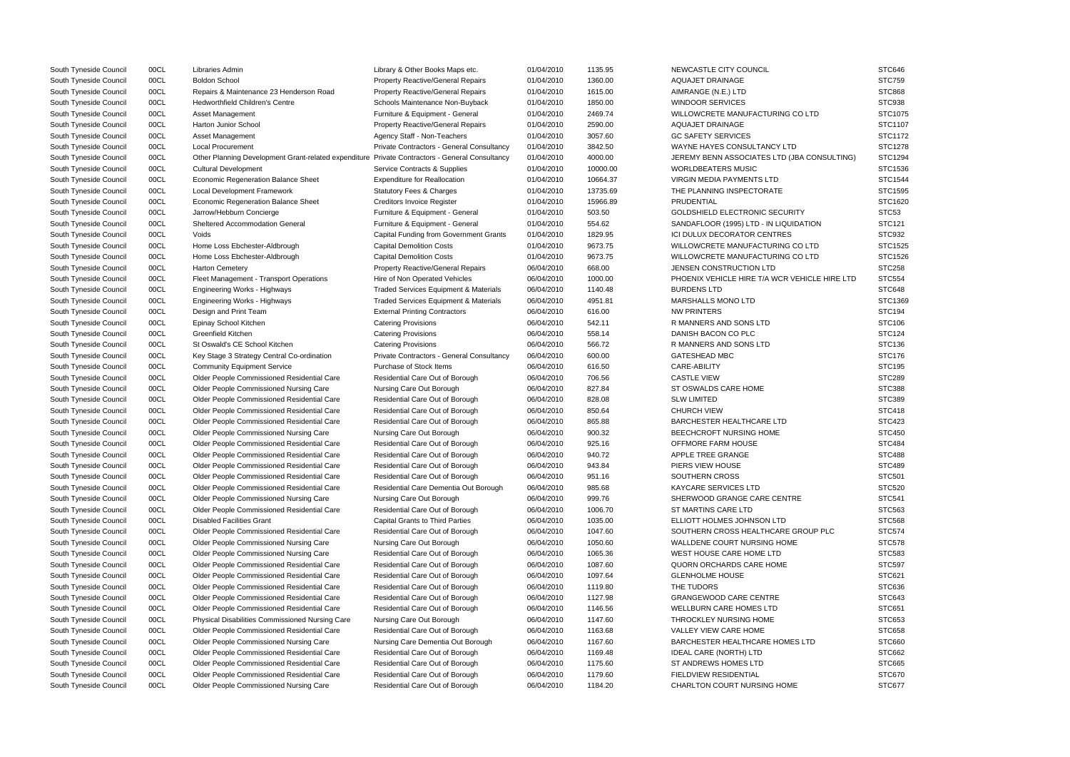| South Tyneside Council                           | 00CL | Libraries Admin                                                                                | Library & Other Books Maps etc.                                    | 01/04/2010 | 1135.95  | NEWCASTLE CITY COUNCIL                        | <b>STC646</b>     |
|--------------------------------------------------|------|------------------------------------------------------------------------------------------------|--------------------------------------------------------------------|------------|----------|-----------------------------------------------|-------------------|
| South Tyneside Council                           | 00CL | <b>Boldon School</b>                                                                           | <b>Property Reactive/General Repairs</b>                           | 01/04/2010 | 1360.00  | AQUAJET DRAINAGE                              | <b>STC759</b>     |
| South Tyneside Council                           | 00CL | Repairs & Maintenance 23 Henderson Road                                                        | <b>Property Reactive/General Repairs</b>                           | 01/04/2010 | 1615.00  | AIMRANGE (N.E.) LTD                           | <b>STC868</b>     |
| South Tyneside Council                           | 00CL | <b>Hedworthfield Children's Centre</b>                                                         | Schools Maintenance Non-Buyback                                    | 01/04/2010 | 1850.00  | <b>WINDOOR SERVICES</b>                       | <b>STC938</b>     |
| South Tyneside Council                           | 00CL | <b>Asset Management</b>                                                                        | Furniture & Equipment - General                                    | 01/04/2010 | 2469.74  | WILLOWCRETE MANUFACTURING CO LTD              | STC1075           |
| South Tyneside Council                           | 00CL | Harton Junior School                                                                           | <b>Property Reactive/General Repairs</b>                           | 01/04/2010 | 2590.00  | AQUAJET DRAINAGE                              | STC1107           |
| South Tyneside Council                           | 00CL | Asset Management                                                                               | Agency Staff - Non-Teachers                                        | 01/04/2010 | 3057.60  | <b>GC SAFETY SERVICES</b>                     | STC1172           |
| South Tyneside Council                           | 00CL | <b>Local Procurement</b>                                                                       | Private Contractors - General Consultancy                          | 01/04/2010 | 3842.50  | WAYNE HAYES CONSULTANCY LTD                   | STC1278           |
| South Tyneside Council                           | 00CL | Other Planning Development Grant-related expenditure Private Contractors - General Consultancy |                                                                    | 01/04/2010 | 4000.00  | JEREMY BENN ASSOCIATES LTD (JBA CONSULTING)   | STC1294           |
| South Tyneside Council                           | 00CL | <b>Cultural Development</b>                                                                    | Service Contracts & Supplies                                       | 01/04/2010 | 10000.00 | <b>WORLDBEATERS MUSIC</b>                     | STC1536           |
| South Tyneside Council                           | 00CL | Economic Regeneration Balance Sheet                                                            | <b>Expenditure for Reallocation</b>                                | 01/04/2010 | 10664.37 | <b>VIRGIN MEDIA PAYMENTS LTD</b>              | STC1544           |
| South Tyneside Council                           | 00CL | Local Development Framework                                                                    | <b>Statutory Fees &amp; Charges</b>                                | 01/04/2010 | 13735.69 | THE PLANNING INSPECTORATE                     | STC1595           |
| South Tyneside Council                           | 00CL | Economic Regeneration Balance Sheet                                                            | <b>Creditors Invoice Register</b>                                  | 01/04/2010 | 15966.89 | PRUDENTIAL                                    | STC1620           |
| South Tyneside Council                           | 00CL | Jarrow/Hebburn Concierge                                                                       | Furniture & Equipment - General                                    | 01/04/2010 | 503.50   | GOLDSHIELD ELECTRONIC SECURITY                | STC <sub>53</sub> |
| South Tyneside Council                           | 00CL | <b>Sheltered Accommodation General</b>                                                         | Furniture & Equipment - General                                    | 01/04/2010 | 554.62   | SANDAFLOOR (1995) LTD - IN LIQUIDATION        | STC121            |
| South Tyneside Council                           | 00CL | Voids                                                                                          | <b>Capital Funding from Government Grants</b>                      | 01/04/2010 | 1829.95  | ICI DULUX DECORATOR CENTRES                   | <b>STC932</b>     |
| South Tyneside Council                           | 00CL | Home Loss Ebchester-Aldbrough                                                                  | <b>Capital Demolition Costs</b>                                    | 01/04/2010 | 9673.75  | WILLOWCRETE MANUFACTURING CO LTD              | STC1525           |
| South Tyneside Council                           | 00CL | Home Loss Ebchester-Aldbrough                                                                  | <b>Capital Demolition Costs</b>                                    | 01/04/2010 | 9673.75  | WILLOWCRETE MANUFACTURING CO LTD              | STC1526           |
| South Tyneside Council                           | 00CL | <b>Harton Cemetery</b>                                                                         | Property Reactive/General Repairs                                  | 06/04/2010 | 668.00   | JENSEN CONSTRUCTION LTD                       | <b>STC258</b>     |
| South Tyneside Council                           | 00CL | Fleet Management - Transport Operations                                                        | Hire of Non Operated Vehicles                                      | 06/04/2010 | 1000.00  | PHOENIX VEHICLE HIRE T/A WCR VEHICLE HIRE LTD | <b>STC554</b>     |
| South Tyneside Council                           | 00CL | Engineering Works - Highways                                                                   | Traded Services Equipment & Materials                              | 06/04/2010 | 1140.48  | <b>BURDENS LTD</b>                            | <b>STC648</b>     |
| South Tyneside Council                           | 00CL | Engineering Works - Highways                                                                   | <b>Traded Services Equipment &amp; Materials</b>                   | 06/04/2010 | 4951.81  | <b>MARSHALLS MONO LTD</b>                     | STC1369           |
| South Tyneside Council                           | 00CL | Design and Print Team                                                                          | <b>External Printing Contractors</b>                               | 06/04/2010 | 616.00   | <b>NW PRINTERS</b>                            | <b>STC194</b>     |
| South Tyneside Council                           | 00CL | Epinay School Kitchen                                                                          | <b>Catering Provisions</b>                                         | 06/04/2010 | 542.11   | R MANNERS AND SONS LTD                        | <b>STC106</b>     |
| South Tyneside Council                           | 00CL | Greenfield Kitchen                                                                             | <b>Catering Provisions</b>                                         | 06/04/2010 | 558.14   | DANISH BACON CO PLC                           | <b>STC124</b>     |
| South Tyneside Council                           | 00CL | St Oswald's CE School Kitchen                                                                  | <b>Catering Provisions</b>                                         | 06/04/2010 | 566.72   | R MANNERS AND SONS LTD                        | STC136            |
| South Tyneside Council                           | 00CL | Key Stage 3 Strategy Central Co-ordination                                                     | Private Contractors - General Consultancy                          | 06/04/2010 | 600.00   | <b>GATESHEAD MBC</b>                          | <b>STC176</b>     |
| South Tyneside Council                           | 00CL | <b>Community Equipment Service</b>                                                             | Purchase of Stock Items                                            | 06/04/2010 | 616.50   | CARE-ABILITY                                  | <b>STC195</b>     |
| South Tyneside Council                           | 00CL | Older People Commissioned Residential Care                                                     | Residential Care Out of Borough                                    | 06/04/2010 | 706.56   | <b>CASTLE VIEW</b>                            | <b>STC289</b>     |
| South Tyneside Council                           | 00CL | <b>Older People Commissioned Nursing Care</b>                                                  | Nursing Care Out Borough                                           | 06/04/2010 | 827.84   | ST OSWALDS CARE HOME                          | <b>STC388</b>     |
| South Tyneside Council                           | 00CL | Older People Commissioned Residential Care                                                     | Residential Care Out of Borough                                    | 06/04/2010 | 828.08   | <b>SLW LIMITED</b>                            | STC389            |
| South Tyneside Council                           | 00CL | Older People Commissioned Residential Care                                                     | Residential Care Out of Borough                                    | 06/04/2010 | 850.64   | <b>CHURCH VIEW</b>                            | <b>STC418</b>     |
| South Tyneside Council                           | 00CL | Older People Commissioned Residential Care                                                     | Residential Care Out of Borough                                    | 06/04/2010 | 865.88   | BARCHESTER HEALTHCARE LTD                     | <b>STC423</b>     |
| South Tyneside Council                           | 00CL | Older People Commissioned Nursing Care                                                         | Nursing Care Out Borough                                           | 06/04/2010 | 900.32   | BEECHCROFT NURSING HOME                       | <b>STC450</b>     |
| South Tyneside Council                           | 00CL | Older People Commissioned Residential Care                                                     | Residential Care Out of Borough                                    | 06/04/2010 | 925.16   | OFFMORE FARM HOUSE                            | <b>STC484</b>     |
| South Tyneside Council                           | 00CL | Older People Commissioned Residential Care                                                     | Residential Care Out of Borough                                    | 06/04/2010 | 940.72   | APPLE TREE GRANGE                             | <b>STC488</b>     |
| South Tyneside Council                           | 00CL | Older People Commissioned Residential Care                                                     | Residential Care Out of Borough                                    | 06/04/2010 | 943.84   | PIERS VIEW HOUSE                              | <b>STC489</b>     |
| South Tyneside Council                           | 00CL | Older People Commissioned Residential Care                                                     | Residential Care Out of Borough                                    | 06/04/2010 | 951.16   | <b>SOUTHERN CROSS</b>                         | <b>STC501</b>     |
| South Tyneside Council                           | 00CL | Older People Commissioned Residential Care                                                     | Residential Care Dementia Out Borough                              | 06/04/2010 | 985.68   | <b>KAYCARE SERVICES LTD</b>                   | <b>STC520</b>     |
| South Tyneside Council                           | 00CL | <b>Older People Commissioned Nursing Care</b>                                                  | Nursing Care Out Borough                                           | 06/04/2010 | 999.76   | SHERWOOD GRANGE CARE CENTRE                   | <b>STC541</b>     |
| South Tyneside Council                           | 00CL | Older People Commissioned Residential Care                                                     | Residential Care Out of Borough                                    | 06/04/2010 | 1006.70  | ST MARTINS CARE LTD                           | <b>STC563</b>     |
|                                                  | 00CL | <b>Disabled Facilities Grant</b>                                                               | <b>Capital Grants to Third Parties</b>                             | 06/04/2010 | 1035.00  | ELLIOTT HOLMES JOHNSON LTD                    | <b>STC568</b>     |
| South Tyneside Council<br>South Tyneside Council | 00CL | Older People Commissioned Residential Care                                                     |                                                                    | 06/04/2010 | 1047.60  | SOUTHERN CROSS HEALTHCARE GROUP PLC           | <b>STC574</b>     |
|                                                  | 00CL |                                                                                                | Residential Care Out of Borough                                    |            | 1050.60  | WALLDENE COURT NURSING HOME                   | <b>STC578</b>     |
| South Tyneside Council                           |      | Older People Commissioned Nursing Care                                                         | Nursing Care Out Borough                                           | 06/04/2010 |          |                                               |                   |
| South Tyneside Council                           | 00CL | <b>Older People Commissioned Nursing Care</b>                                                  | Residential Care Out of Borough<br>Residential Care Out of Borough | 06/04/2010 | 1065.36  | WEST HOUSE CARE HOME LTD                      | <b>STC583</b>     |
| South Tyneside Council                           | 00CL | Older People Commissioned Residential Care                                                     |                                                                    | 06/04/2010 | 1087.60  | QUORN ORCHARDS CARE HOME                      | <b>STC597</b>     |
| South Tyneside Council                           | 00CL | Older People Commissioned Residential Care                                                     | Residential Care Out of Borough                                    | 06/04/2010 | 1097.64  | <b>GLENHOLME HOUSE</b>                        | STC621            |
| South Tyneside Council                           | 00CL | Older People Commissioned Residential Care                                                     | Residential Care Out of Borough                                    | 06/04/2010 | 1119.80  | THE TUDORS                                    | STC636            |
| South Tyneside Council                           | 00CL | Older People Commissioned Residential Care                                                     | Residential Care Out of Borough                                    | 06/04/2010 | 1127.98  | <b>GRANGEWOOD CARE CENTRE</b>                 | <b>STC643</b>     |
| South Tyneside Council                           | 00CL | Older People Commissioned Residential Care                                                     | Residential Care Out of Borough                                    | 06/04/2010 | 1146.56  | WELLBURN CARE HOMES LTD                       | STC651            |
| South Tyneside Council                           | 00CL | Physical Disabilities Commissioned Nursing Care                                                | Nursing Care Out Borough                                           | 06/04/2010 | 1147.60  | THROCKLEY NURSING HOME                        | <b>STC653</b>     |
| South Tyneside Council                           | 00CL | Older People Commissioned Residential Care                                                     | Residential Care Out of Borough                                    | 06/04/2010 | 1163.68  | VALLEY VIEW CARE HOME                         | <b>STC658</b>     |
| South Tyneside Council                           | 00CL | Older People Commissioned Nursing Care                                                         | Nursing Care Dementia Out Borough                                  | 06/04/2010 | 1167.60  | <b>BARCHESTER HEALTHCARE HOMES LTD</b>        | STC660            |
| South Tyneside Council                           | 00CL | Older People Commissioned Residential Care                                                     | Residential Care Out of Borough                                    | 06/04/2010 | 1169.48  | <b>IDEAL CARE (NORTH) LTD</b>                 | <b>STC662</b>     |
| South Tyneside Council                           | 00CL | Older People Commissioned Residential Care                                                     | Residential Care Out of Borough                                    | 06/04/2010 | 1175.60  | ST ANDREWS HOMES LTD                          | <b>STC665</b>     |
| South Tyneside Council                           | 00CL | Older People Commissioned Residential Care                                                     | Residential Care Out of Borough                                    | 06/04/2010 | 1179.60  | FIELDVIEW RESIDENTIAL                         | STC670            |
| South Tyneside Council                           | 00CL | Older People Commissioned Nursing Care                                                         | Residential Care Out of Borough                                    | 06/04/2010 | 1184.20  | CHARLTON COURT NURSING HOME                   | STC677            |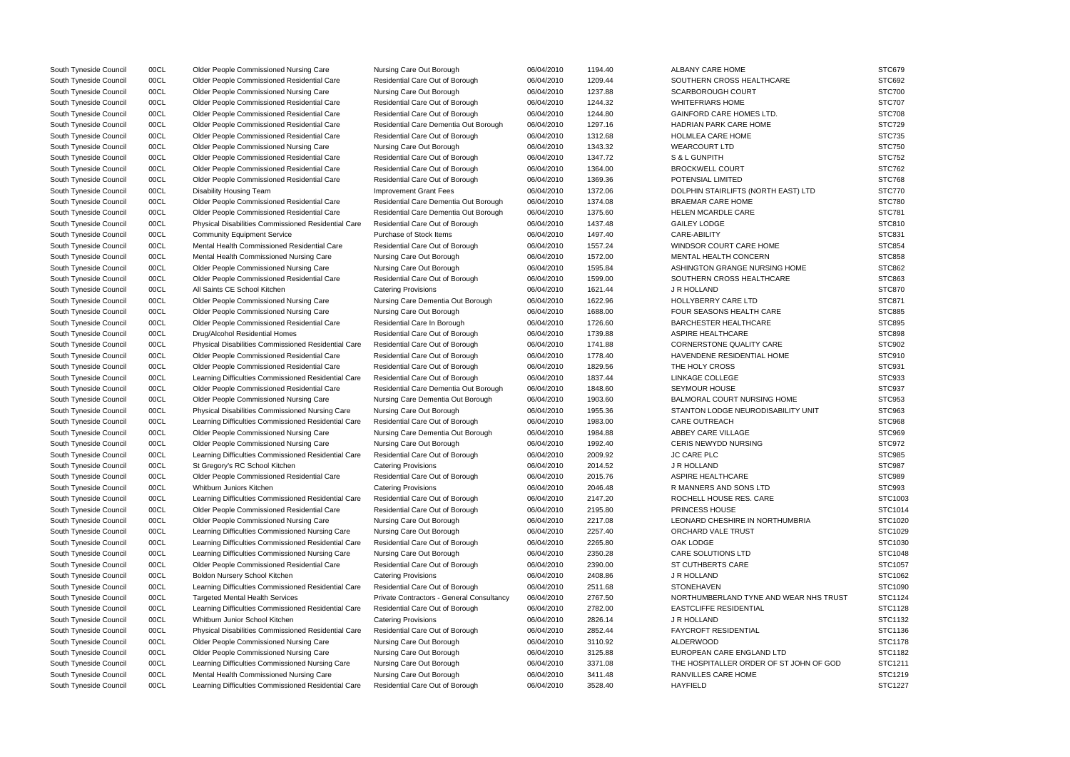South Tyneside Council 00CL Older People Commissioned Nursing Care Nursing Care Out Borough 06/04/2010 1194.40 ALBANY CARE HOME South Tyneside Council 00CL Older People Commissioned Residential Care Residential Care Out of Borough 06/04/2010 1209.44 SOUTHERN CROSS HEALTHCARE South Tyneside Council 00CL Older People Commissioned Nursing Care Nursing Care Out Borough 06/04/2010 1237.88 SCARBOROUGH COURT South Tyneside Council 00CL Older People Commissioned Residential Care Residential Care Out of Borough 06/04/2010 1244.32 WHITEFRIARS HOME South Tyneside Council 00CL Older People Commissioned Residential Care Residential Care Out of Borough 06/04/2010 1244.80 GAINFORD CARE HOMES LTD. South Tyneside Council 00CL Older People Commissioned Residential Care Residential Care Dementia Out Borough 06/04/2010 1297.16 HADRIAN PARK CARE HOME South Tyneside Council oucl Colder People Commissioned Residential Care Residential Care Out of Borough 06/04/2010 1312.68 HOLMLEA CARE HOME South Tyneside Council 00CL Older People Commissioned Nursing Care Nursing Care Out Borough 06/04/2010 1343.32 WEARCOURT LTD South Tyneside Council 00CL Older People Commissioned Residential Care Residential Care Out of Borough 06/04/2010 1347.72 S& L GUNPITH South Tyneside Council oucl Colder People Commissioned Residential Care Residential Care Out of Borough 06/04/2010 1364.00 BROCKWELL COURT South Tyneside Council ourcle on Older People Commissioned Residential Care Residential Care Out of Borough 06/04/2010 1369.36 POTENSIAL LIMITED South Tyneside Council 00CL Disability Housing Team Improvement Grant Fees 06/04/2010 1372.06 DOLPHIN STAIRLIFTS (NORTH EAST) LT South Tyneside Council oucl Colder People Commissioned Residential Care Residential Care Dementia Out Borough 06/04/2010 1374.08 BRAEMAR CARE HOME South Tyneside Council 00CL Older People Commissioned Residential Care Residential Care Dementia Out Borough 06/04/2010 1375.60 HELEN MCARDLE CARE South Tyneside Council 00CL Physical Disabilities Commissioned Residential Care Residential Care Out of Borough 06/04/2010 1437.48 GAILEY LODGE South Tyneside Council 00CL Community Equipment Service Purchase of Stock Items 06/04/2010 1497.40 CARE-ABILITY South Tyneside Council 00CL Mental Health Commissioned Residential Care Residential Care Out of Borough 06/04/2010 1557.24 WINDSOR COURT CARE HOME South Tyneside Council 00CL Mental Health Commissioned Nursing Care Nursing Care Out Borough 06/04/2010 1572.00 MENTAL HEALTH CONCERN South Tyneside Council oucl Older People Commissioned Nursing Care Nursing Care Out Borough 06/04/2010 1595.84 ASHINGTON GRANGE NURSING HOME South Tyneside Council 00CL Older People Commissioned Residential Care Residential Care Out of Borough 06/04/2010 1599.00 SOUTHERN CROSS HEALTHCARE South Tyneside Council 00CL All Saints CE School Kitchen Catering Provisions 06/04/2010 1621.44 JR HOLLAND STC870 South Tyneside Council 00CL Older People Commissioned Nursing Care Nursing Care Dementia Out Borough 06/04/2010 1622.96 HOLLYBERRY CARE LTD South Tyneside Council 00CL Older People Commissioned Nursing Care Nursing Care Out Borough 06/04/2010 1688.00 FOUR SEASONS HEALTH CARE South Tyneside Council 00CL Older People Commissioned Residential Care Residential Care In Borough 06/04/2010 1726.60 BARCHESTER HEALTHCARE South Tyneside Council 00CL Drug/Alcohol Residential Homes Residential Care Out of Borough 06/04/2010 1739.88 ASPIRE HEALTHCARE STC898 South Tyneside Council 00CL Physical Disabilities Commissioned Residential Care Residential Care Out of Borough 06/04/2010 1741.88 CORNERSTONE QUALITY CARE South Tyneside Council 00CL Older People Commissioned Residential Care Residential Care Out of Borough 06/04/2010 1778.40 HAVENDENE RESIDENTIAL HOME South Tyneside Council 00CL Older People Commissioned Residential Care Residential Care Out of Borough 06/04/2010 1829.56 THE HOLY CROSS South Tyneside Council 00CL Learning Difficulties Commissioned Residential Care Residential Care Out of Borough 06/04/2010 1837.44 LINKAGE COLLEGE South Tyneside Council 00CL Older People Commissioned Residential Care Residential Care Dementia Out Borough 06/04/2010 1848.60 SEYMOUR HOUSE South Tyneside Council 00CL Older People Commissioned Nursing Care Nursing Care Dementia Out Borough 06/04/2010 1903.60 BALMORAL COURT NURSING HOME South Tyneside Council 00CL Physical Disabilities Commissioned Nursing Care Nursing Care Out Borough 06/04/2010 1955.36 STANTON LODGE NEURODISABILITY UNIT South Tyneside Council 00CL Learning Difficulties Commissioned Residential Care Residential Care Out of Borough 06/04/2010 1983.00 CARE OUTREACH South Tyneside Council 00CL Older People Commissioned Nursing Care Nursing Care Dementia Out Borough 06/04/2010 1984.88 ABBEY CARE VILLAGE South Tyneside Council 00CL Older People Commissioned Nursing Care Nursing Care Out Borough 06/04/2010 1992.40 CERIS NEWYDD NURSING South Tyneside Council 00CL Learning Difficulties Commissioned Residential Care Residential Care Out of Borough 06/04/2010 2009.92 JC CARE PLC South Tyneside Council 00CL St Gregory's RC School Kitchen Catering Provisions 06/04/2010 2014.52 JR HOLLAND South Tyneside Council 00CL Older People Commissioned Residential Care Residential Care Out of Borough 06/04/2010 2015.76 ASPIRE HEALTHCARE South Tyneside Council 00CL Whitburn Juniors Kitchen Catering Provisions Catering Provisions 06/04/2010 2046.48 R MANNERS AND SONS LTD South Tyneside Council 00CL Learning Difficulties Commissioned Residential Care Residential Care Out of Borough 06/04/2010 2147.20 ROCHELL HOUSE RES. CARE South Tyneside Council 00CL Older People Commissioned Residential Care Residential Care Out of Borough 06/04/2010 2195.80 PRINCESS HOUSE South Tyneside Council 00CL Older People Commissioned Nursing Care Nursing Care Out Borough 06/04/2010 2217.08 LEONARD CHESHIRE IN NORTHUMBRIA South Tyneside Council 00CL Learning Difficulties Commissioned Nursing Care Nursing Care Out Borough 06/04/2010 2257.40 ORCHARD VALE TRUST South Tyneside Council 00CL Learning Difficulties Commissioned Residential Care Residential Care Out of Borough 06/04/2010 2265.80 0AK LODGE South Tyneside Council 00CL Learning Difficulties Commissioned Nursing Care Nursing Care Out Borough 06/04/2010 2350.28 CARE SOLUTIONS LTD South Tyneside Council 00CL Older People Commissioned Residential Care Residential Care Out of Borough 06/04/2010 2390.00 ST CUTHBERTS CARE South Tyneside Council 00CL Boldon Nursery School Kitchen Catering Provisions 06/04/2010 2408.86 J R HOLLAND STC1062 South Tyneside Council 00CL Learning Difficulties Commissioned Residential Care Residential Care Out of Borough 06/04/2010 2511.68 STONEHAVEN South Tyneside Council 00CL Targeted Mental Health Services Private Contractors - General Consultancy 06/04/2010 2767.50 NORTHUMBERLAND TYNE AND WEAR N South Tyneside Council 00CL Learning Difficulties Commissioned Residential Care Residential Care Out of Borough 06/04/2010 2782.00 EASTCLIFFE RESIDENTIAL South Tyneside Council 00CL Whitburn Junior School Kitchen Catering Provisions 06/04/2010 2826.14 JR HOLLAND South Tyneside Council 00CL Physical Disabilities Commissioned Residential Care Residential Care Out of Borough 06/04/2010 2852.44 FAYCROFT RESIDENTIAL South Tyneside Council 00CL Older People Commissioned Nursing Care Nursing Care Out Borough 06/04/2010 3110.92 ALDERWOOD South Tyneside Council 00CL Older People Commissioned Nursing Care Nursing Care Out Borough 06/04/2010 3125.88 EUROPEAN CARE ENGLAND LTD South Tyneside Council 00CL Learning Difficulties Commissioned Nursing Care Nursing Care Out Borough 06/04/2010 3371.08 THE HOSPITALLER ORDER OF ST JOHN South Tyneside Council 00CL Mental Health Commissioned Nursing Care Nursing Care Out Borough 06/04/2010 3411.48 RANVILLES CARE HOME South Tyneside Council 00CL Learning Difficulties Commissioned Residential Care Residential Care Out of Borough 06/04/2010 3528.40 HAYFIELD STC1227

|                  | STC679        |
|------------------|---------------|
|                  | STC692        |
|                  | <b>STC700</b> |
|                  | <b>STC707</b> |
|                  | <b>STC708</b> |
|                  | <b>STC729</b> |
|                  | <b>STC735</b> |
|                  | STC750        |
|                  | STC752        |
|                  | <b>STC762</b> |
|                  | <b>STC768</b> |
| ГD               | <b>STC770</b> |
|                  | <b>STC780</b> |
|                  | STC781        |
|                  | STC810        |
|                  | STC831        |
|                  | <b>STC854</b> |
|                  | <b>STC858</b> |
|                  | <b>STC862</b> |
|                  |               |
|                  | STC863        |
|                  | <b>STC870</b> |
|                  | STC871        |
|                  | <b>STC885</b> |
|                  | <b>STC895</b> |
|                  | <b>STC898</b> |
|                  | STC902        |
|                  | STC910        |
|                  | STC931        |
|                  | <b>STC933</b> |
|                  | <b>STC937</b> |
|                  | <b>STC953</b> |
| NIT              | STC963        |
|                  | <b>STC968</b> |
|                  | STC969        |
|                  | <b>STC972</b> |
|                  | <b>STC985</b> |
|                  | STC987        |
|                  | <b>STC989</b> |
|                  | STC993        |
|                  | STC1003       |
|                  | STC1014       |
| J                | STC1020       |
|                  | STC1029       |
|                  | STC1030       |
|                  | STC1048       |
|                  | STC1057       |
|                  | STC1062       |
|                  | STC1090       |
| <b>VHS TRUST</b> | STC1124       |
|                  | STC1128       |
|                  | STC1132       |
|                  | STC1136       |
|                  | STC1178       |
|                  | STC1182       |
| ላ OF GOD         | STC1211       |
|                  | STC1219       |
|                  | STC1227       |
|                  |               |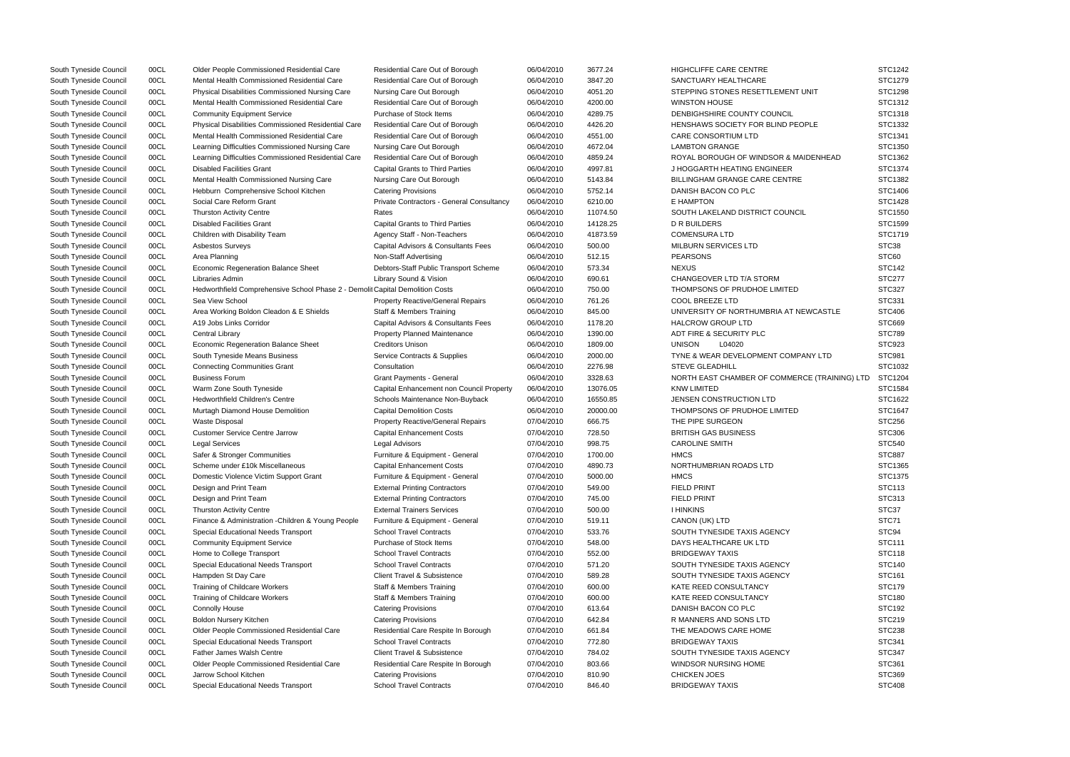| South Tyneside Council | 00CL | Older People Commissioned Residential Care                                    | Residential Care Out of Borough           | 06/04/2010 | 3677.24  | HIGHCLIFFE CARE CENTRE                        | STC1242       |
|------------------------|------|-------------------------------------------------------------------------------|-------------------------------------------|------------|----------|-----------------------------------------------|---------------|
| South Tyneside Council | 00CL | Mental Health Commissioned Residential Care                                   | Residential Care Out of Borough           | 06/04/2010 | 3847.20  | SANCTUARY HEALTHCARE                          | STC1279       |
| South Tyneside Council | 00CL | Physical Disabilities Commissioned Nursing Care                               | Nursing Care Out Borough                  | 06/04/2010 | 4051.20  | STEPPING STONES RESETTLEMENT UNIT             | STC1298       |
| South Tyneside Council | 00CL | Mental Health Commissioned Residential Care                                   | Residential Care Out of Borough           | 06/04/2010 | 4200.00  | <b>WINSTON HOUSE</b>                          | STC1312       |
| South Tyneside Council | 00CL | <b>Community Equipment Service</b>                                            | Purchase of Stock Items                   | 06/04/2010 | 4289.75  | DENBIGHSHIRE COUNTY COUNCIL                   | STC1318       |
| South Tyneside Council | 00CL | Physical Disabilities Commissioned Residential Care                           | Residential Care Out of Borough           | 06/04/2010 | 4426.20  | HENSHAWS SOCIETY FOR BLIND PEOPLE             | STC1332       |
| South Tyneside Council | 00CL | Mental Health Commissioned Residential Care                                   | Residential Care Out of Borough           | 06/04/2010 | 4551.00  | CARE CONSORTIUM LTD                           | STC1341       |
| South Tyneside Council | 00CL | Learning Difficulties Commissioned Nursing Care                               | Nursing Care Out Borough                  | 06/04/2010 | 4672.04  | <b>LAMBTON GRANGE</b>                         | STC1350       |
| South Tyneside Council | 00CL | Learning Difficulties Commissioned Residential Care                           | Residential Care Out of Borough           | 06/04/2010 | 4859.24  | ROYAL BOROUGH OF WINDSOR & MAIDENHEAD         | STC1362       |
| South Tyneside Council | 00CL | <b>Disabled Facilities Grant</b>                                              | <b>Capital Grants to Third Parties</b>    | 06/04/2010 | 4997.81  | J HOGGARTH HEATING ENGINEER                   | STC1374       |
| South Tyneside Council | 00CL | Mental Health Commissioned Nursing Care                                       | Nursing Care Out Borough                  | 06/04/2010 | 5143.84  | <b>BILLINGHAM GRANGE CARE CENTRE</b>          | STC1382       |
| South Tyneside Council | 00CL | Hebburn Comprehensive School Kitchen                                          | <b>Catering Provisions</b>                | 06/04/2010 | 5752.14  | DANISH BACON CO PLC                           | STC1406       |
| South Tyneside Council | 00CL | Social Care Reform Grant                                                      | Private Contractors - General Consultancy | 06/04/2010 | 6210.00  | E HAMPTON                                     | STC1428       |
| South Tyneside Council | 00CL | <b>Thurston Activity Centre</b>                                               | Rates                                     | 06/04/2010 | 11074.50 | SOUTH LAKELAND DISTRICT COUNCIL               | STC1550       |
| South Tyneside Council | 00CL | <b>Disabled Facilities Grant</b>                                              | <b>Capital Grants to Third Parties</b>    | 06/04/2010 | 14128.25 | D R BUILDERS                                  | STC1599       |
| South Tyneside Council | 00CL | Children with Disability Team                                                 | Agency Staff - Non-Teachers               | 06/04/2010 | 41873.59 | <b>COMENSURA LTD</b>                          | STC1719       |
| South Tyneside Council | 00CL | Asbestos Surveys                                                              | Capital Advisors & Consultants Fees       | 06/04/2010 | 500.00   | MILBURN SERVICES LTD                          | STC38         |
| South Tyneside Council | 00CL | Area Planning                                                                 | Non-Staff Advertising                     | 06/04/2010 | 512.15   | <b>PEARSONS</b>                               | STC60         |
| South Tyneside Council | 00CL | <b>Economic Regeneration Balance Sheet</b>                                    | Debtors-Staff Public Transport Scheme     | 06/04/2010 | 573.34   | <b>NEXUS</b>                                  | <b>STC142</b> |
|                        | 00CL | Libraries Admin                                                               |                                           | 06/04/2010 | 690.61   | CHANGEOVER LTD T/A STORM                      | <b>STC277</b> |
| South Tyneside Council |      |                                                                               | Library Sound & Vision                    |            |          |                                               |               |
| South Tyneside Council | 00CL | Hedworthfield Comprehensive School Phase 2 - Demolit Capital Demolition Costs |                                           | 06/04/2010 | 750.00   | THOMPSONS OF PRUDHOE LIMITED                  | <b>STC327</b> |
| South Tyneside Council | 00CL | Sea View School                                                               | <b>Property Reactive/General Repairs</b>  | 06/04/2010 | 761.26   | COOL BREEZE LTD                               | STC331        |
| South Tyneside Council | 00CL | Area Working Boldon Cleadon & E Shields                                       | <b>Staff &amp; Members Training</b>       | 06/04/2010 | 845.00   | UNIVERSITY OF NORTHUMBRIA AT NEWCASTLE        | <b>STC406</b> |
| South Tyneside Council | 00CL | A19 Jobs Links Corridor                                                       | Capital Advisors & Consultants Fees       | 06/04/2010 | 1178.20  | <b>HALCROW GROUP LTD</b>                      | STC669        |
| South Tyneside Council | 00CL | <b>Central Library</b>                                                        | <b>Property Planned Maintenance</b>       | 06/04/2010 | 1390.00  | ADT FIRE & SECURITY PLC                       | <b>STC789</b> |
| South Tyneside Council | 00CL | <b>Economic Regeneration Balance Sheet</b>                                    | <b>Creditors Unison</b>                   | 06/04/2010 | 1809.00  | <b>UNISON</b><br>L04020                       | <b>STC923</b> |
| South Tyneside Council | 00CL | South Tyneside Means Business                                                 | Service Contracts & Supplies              | 06/04/2010 | 2000.00  | TYNE & WEAR DEVELOPMENT COMPANY LTD           | STC981        |
| South Tyneside Council | 00CL | <b>Connecting Communities Grant</b>                                           | Consultation                              | 06/04/2010 | 2276.98  | <b>STEVE GLEADHILL</b>                        | STC1032       |
| South Tyneside Council | 00CL | <b>Business Forum</b>                                                         | Grant Payments - General                  | 06/04/2010 | 3328.63  | NORTH EAST CHAMBER OF COMMERCE (TRAINING) LTD | STC1204       |
| South Tyneside Council | 00CL | Warm Zone South Tyneside                                                      | Capital Enhancement non Council Property  | 06/04/2010 | 13076.05 | <b>KNW LIMITED</b>                            | STC1584       |
| South Tyneside Council | 00CL | <b>Hedworthfield Children's Centre</b>                                        | Schools Maintenance Non-Buyback           | 06/04/2010 | 16550.85 | JENSEN CONSTRUCTION LTD                       | STC1622       |
| South Tyneside Council | 00CL | Murtagh Diamond House Demolition                                              | <b>Capital Demolition Costs</b>           | 06/04/2010 | 20000.00 | THOMPSONS OF PRUDHOE LIMITED                  | STC1647       |
| South Tyneside Council | 00CL | <b>Waste Disposal</b>                                                         | <b>Property Reactive/General Repairs</b>  | 07/04/2010 | 666.75   | THE PIPE SURGEON                              | <b>STC256</b> |
| South Tyneside Council | 00CL | <b>Customer Service Centre Jarrow</b>                                         | <b>Capital Enhancement Costs</b>          | 07/04/2010 | 728.50   | <b>BRITISH GAS BUSINESS</b>                   | <b>STC306</b> |
| South Tyneside Council | 00CL | <b>Legal Services</b>                                                         | Legal Advisors                            | 07/04/2010 | 998.75   | <b>CAROLINE SMITH</b>                         | <b>STC540</b> |
| South Tyneside Council | 00CL | Safer & Stronger Communities                                                  | Furniture & Equipment - General           | 07/04/2010 | 1700.00  | <b>HMCS</b>                                   | <b>STC887</b> |
| South Tyneside Council | 00CL | Scheme under £10k Miscellaneous                                               | <b>Capital Enhancement Costs</b>          | 07/04/2010 | 4890.73  | NORTHUMBRIAN ROADS LTD                        | STC1365       |
| South Tyneside Council | 00CL | Domestic Violence Victim Support Grant                                        | Furniture & Equipment - General           | 07/04/2010 | 5000.00  | <b>HMCS</b>                                   | STC1375       |
| South Tyneside Council | 00CL | Design and Print Team                                                         | <b>External Printing Contractors</b>      | 07/04/2010 | 549.00   | <b>FIELD PRINT</b>                            | <b>STC113</b> |
| South Tyneside Council | 00CL | Design and Print Team                                                         | <b>External Printing Contractors</b>      | 07/04/2010 | 745.00   | <b>FIELD PRINT</b>                            | STC313        |
| South Tyneside Council | 00CL | <b>Thurston Activity Centre</b>                                               | <b>External Trainers Services</b>         | 07/04/2010 | 500.00   | <b>I HINKINS</b>                              | STC37         |
| South Tyneside Council | 00CL | Finance & Administration - Children & Young People                            | Furniture & Equipment - General           | 07/04/2010 | 519.11   | CANON (UK) LTD                                | STC71         |
| South Tyneside Council | 00CL | Special Educational Needs Transport                                           | <b>School Travel Contracts</b>            | 07/04/2010 | 533.76   | SOUTH TYNESIDE TAXIS AGENCY                   | STC94         |
| South Tyneside Council | 00CL | <b>Community Equipment Service</b>                                            | Purchase of Stock Items                   | 07/04/2010 | 548.00   | DAYS HEALTHCARE UK LTD                        | <b>STC111</b> |
| South Tyneside Council | 00CL | Home to College Transport                                                     | <b>School Travel Contracts</b>            | 07/04/2010 | 552.00   | <b>BRIDGEWAY TAXIS</b>                        | <b>STC118</b> |
| South Tyneside Council | 00CL | Special Educational Needs Transport                                           | <b>School Travel Contracts</b>            | 07/04/2010 | 571.20   | SOUTH TYNESIDE TAXIS AGENCY                   | <b>STC140</b> |
| South Tyneside Council | 00CL | Hampden St Day Care                                                           | <b>Client Travel &amp; Subsistence</b>    | 07/04/2010 | 589.28   | SOUTH TYNESIDE TAXIS AGENCY                   | <b>STC161</b> |
| South Tyneside Council | 00CL | Training of Childcare Workers                                                 | <b>Staff &amp; Members Training</b>       | 07/04/2010 | 600.00   | KATE REED CONSULTANCY                         | <b>STC179</b> |
| South Tyneside Council | 00CL | Training of Childcare Workers                                                 | <b>Staff &amp; Members Training</b>       | 07/04/2010 | 600.00   | KATE REED CONSULTANCY                         | <b>STC180</b> |
| South Tyneside Council | 00CL | <b>Connolly House</b>                                                         | <b>Catering Provisions</b>                | 07/04/2010 | 613.64   | DANISH BACON CO PLC                           | <b>STC192</b> |
| South Tyneside Council | 00CL | Boldon Nursery Kitchen                                                        | <b>Catering Provisions</b>                | 07/04/2010 | 642.84   | R MANNERS AND SONS LTD                        | <b>STC219</b> |
| South Tyneside Council | 00CL | Older People Commissioned Residential Care                                    | Residential Care Respite In Borough       | 07/04/2010 | 661.84   | THE MEADOWS CARE HOME                         | <b>STC238</b> |
| South Tyneside Council | 00CL | Special Educational Needs Transport                                           | <b>School Travel Contracts</b>            | 07/04/2010 | 772.80   | <b>BRIDGEWAY TAXIS</b>                        | STC341        |
| South Tyneside Council | 00CL | Father James Walsh Centre                                                     | <b>Client Travel &amp; Subsistence</b>    | 07/04/2010 | 784.02   | SOUTH TYNESIDE TAXIS AGENCY                   | <b>STC347</b> |
| South Tyneside Council | 00CL | Older People Commissioned Residential Care                                    | Residential Care Respite In Borough       | 07/04/2010 | 803.66   | WINDSOR NURSING HOME                          | STC361        |
| South Tyneside Council | 00CL | Jarrow School Kitchen                                                         | <b>Catering Provisions</b>                | 07/04/2010 | 810.90   | <b>CHICKEN JOES</b>                           | <b>STC369</b> |
| South Tyneside Council | 00CL | Special Educational Needs Transport                                           | <b>School Travel Contracts</b>            | 07/04/2010 | 846.40   | <b>BRIDGEWAY TAXIS</b>                        | <b>STC408</b> |
|                        |      |                                                                               |                                           |            |          |                                               |               |

|                  | STC1242        |
|------------------|----------------|
|                  | STC1279        |
| NΙT              | <b>STC1298</b> |
|                  | STC1312        |
|                  | STC1318        |
| ΊE               | STC1332        |
|                  | STC1341        |
|                  | STC1350        |
| <b>JENHEAD</b>   | STC1362        |
|                  | STC1374        |
|                  | STC1382        |
|                  | STC1406        |
|                  | STC1428        |
|                  | STC1550        |
|                  | STC1599        |
|                  | STC1719        |
|                  | STC38          |
|                  | STC60          |
|                  | STC142         |
|                  | <b>STC277</b>  |
|                  | STC327         |
|                  | STC331         |
| VCASTLE          | <b>STC406</b>  |
|                  | STC669         |
|                  | <b>STC789</b>  |
|                  | STC923         |
| <b>JY LTD</b>    | STC981         |
|                  | STC1032        |
| E (TRAINING) LTD | STC1204        |
|                  | STC1584        |
|                  | STC1622        |
|                  | STC1647        |
|                  | <b>STC256</b>  |
|                  | STC306         |
|                  | STC540         |
|                  | <b>STC887</b>  |
|                  | STC1365        |
|                  | STC1375        |
|                  | STC113         |
|                  | STC313         |
|                  | STC37          |
|                  | STC71          |
|                  | STC94          |
|                  | STC111         |
|                  | <b>STC118</b>  |
|                  | <b>STC140</b>  |
|                  | STC161         |
|                  | STC179         |
|                  | STC180         |
|                  | STC192         |
|                  | STC219         |
|                  | <b>STC238</b>  |
|                  | STC341         |
|                  | STC347         |
|                  | STC361         |
|                  | STC369         |
|                  | <b>STC408</b>  |
|                  |                |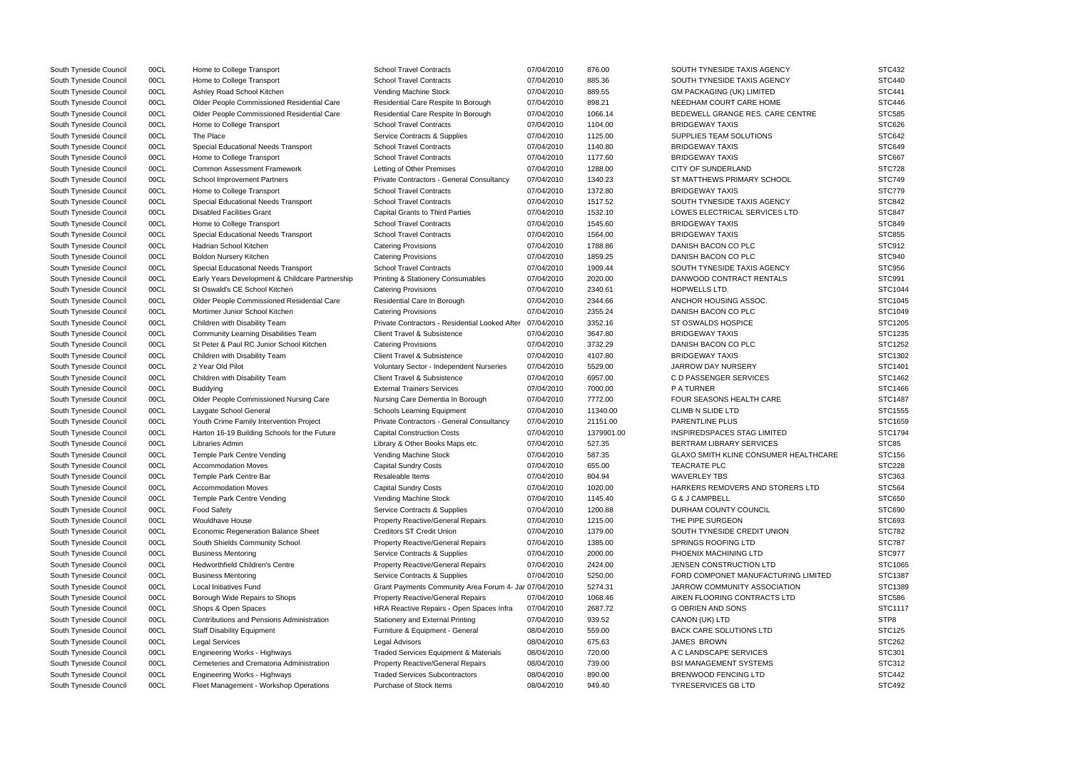| South Tyneside Council | 00CL | Home to College Transport                       | <b>School Travel Contracts</b>                            | 07/04/2010 | 876.00     | SOUTH TYNESIDE TAXIS AGENCY                  | <b>STC432</b> |
|------------------------|------|-------------------------------------------------|-----------------------------------------------------------|------------|------------|----------------------------------------------|---------------|
| South Tyneside Council | 00CL | Home to College Transport                       | <b>School Travel Contracts</b>                            | 07/04/2010 | 885.36     | SOUTH TYNESIDE TAXIS AGENCY                  | <b>STC440</b> |
| South Tyneside Council | 00CL | Ashley Road School Kitchen                      | Vending Machine Stock                                     | 07/04/2010 | 889.55     | <b>GM PACKAGING (UK) LIMITED</b>             | <b>STC441</b> |
| South Tyneside Council | 00CL | Older People Commissioned Residential Care      | Residential Care Respite In Borough                       | 07/04/2010 | 898.21     | NEEDHAM COURT CARE HOME                      | <b>STC446</b> |
| South Tyneside Council | 00CL | Older People Commissioned Residential Care      | Residential Care Respite In Borough                       | 07/04/2010 | 1066.14    | BEDEWELL GRANGE RES. CARE CENTRE             | <b>STC585</b> |
| South Tyneside Council | 00CL | Home to College Transport                       | <b>School Travel Contracts</b>                            | 07/04/2010 | 1104.00    | <b>BRIDGEWAY TAXIS</b>                       | STC626        |
| South Tyneside Council | 00CL | The Place                                       | Service Contracts & Supplies                              | 07/04/2010 | 1125.00    | SUPPLIES TEAM SOLUTIONS                      | STC642        |
| South Tyneside Council | 00CL | <b>Special Educational Needs Transport</b>      | <b>School Travel Contracts</b>                            | 07/04/2010 | 1140.80    | <b>BRIDGEWAY TAXIS</b>                       | <b>STC649</b> |
| South Tyneside Council | 00CL | Home to College Transport                       | <b>School Travel Contracts</b>                            | 07/04/2010 | 1177.60    | <b>BRIDGEWAY TAXIS</b>                       | <b>STC667</b> |
| South Tyneside Council | 00CL | <b>Common Assessment Framework</b>              | Letting of Other Premises                                 | 07/04/2010 | 1288.00    | <b>CITY OF SUNDERLAND</b>                    | <b>STC728</b> |
| South Tyneside Council | 00CL | <b>School Improvement Partners</b>              | Private Contractors - General Consultancy                 | 07/04/2010 | 1340.23    | ST MATTHEWS PRIMARY SCHOOL                   | <b>STC749</b> |
| South Tyneside Council | 00CL | Home to College Transport                       | <b>School Travel Contracts</b>                            | 07/04/2010 | 1372.80    | <b>BRIDGEWAY TAXIS</b>                       | STC779        |
| South Tyneside Council | 00CL | Special Educational Needs Transport             | <b>School Travel Contracts</b>                            | 07/04/2010 | 1517.52    | SOUTH TYNESIDE TAXIS AGENCY                  | <b>STC842</b> |
| South Tyneside Council | 00CL | <b>Disabled Facilities Grant</b>                | <b>Capital Grants to Third Parties</b>                    | 07/04/2010 | 1532.10    | LOWES ELECTRICAL SERVICES LTD                | <b>STC847</b> |
| South Tyneside Council | 00CL | Home to College Transport                       | <b>School Travel Contracts</b>                            | 07/04/2010 | 1545.60    | <b>BRIDGEWAY TAXIS</b>                       | <b>STC849</b> |
| South Tyneside Council | 00CL | Special Educational Needs Transport             | <b>School Travel Contracts</b>                            | 07/04/2010 | 1564.00    | <b>BRIDGEWAY TAXIS</b>                       | <b>STC855</b> |
| South Tyneside Council | 00CL | Hadrian School Kitchen                          | <b>Catering Provisions</b>                                | 07/04/2010 | 1788.86    | DANISH BACON CO PLC                          | <b>STC912</b> |
| South Tyneside Council | 00CL | <b>Boldon Nursery Kitchen</b>                   | <b>Catering Provisions</b>                                | 07/04/2010 | 1859.25    | DANISH BACON CO PLC                          | STC940        |
| South Tyneside Council | 00CL | Special Educational Needs Transport             | <b>School Travel Contracts</b>                            | 07/04/2010 | 1909.44    | SOUTH TYNESIDE TAXIS AGENCY                  | <b>STC956</b> |
| South Tyneside Council | 00CL | Early Years Development & Childcare Partnership | <b>Printing &amp; Stationery Consumables</b>              | 07/04/2010 | 2020.00    | DANWOOD CONTRACT RENTALS                     | <b>STC991</b> |
| South Tyneside Council | 00CL | St Oswald's CE School Kitchen                   | <b>Catering Provisions</b>                                | 07/04/2010 | 2340.61    | <b>HOPWELLS LTD.</b>                         | STC1044       |
| South Tyneside Council | 00CL | Older People Commissioned Residential Care      | Residential Care In Borough                               | 07/04/2010 | 2344.66    | ANCHOR HOUSING ASSOC.                        | STC1045       |
| South Tyneside Council | 00CL | Mortimer Junior School Kitchen                  | <b>Catering Provisions</b>                                | 07/04/2010 | 2355.24    | DANISH BACON CO PLC                          | STC1049       |
| South Tyneside Council | 00CL | Children with Disability Team                   | Private Contractors - Residential Looked After 07/04/2010 |            | 3352.16    | <b>ST OSWALDS HOSPICE</b>                    | STC1205       |
| South Tyneside Council | 00CL | <b>Community Learning Disabilities Team</b>     | <b>Client Travel &amp; Subsistence</b>                    | 07/04/2010 | 3647.80    | <b>BRIDGEWAY TAXIS</b>                       | STC1235       |
| South Tyneside Council | 00CL | St Peter & Paul RC Junior School Kitchen        | <b>Catering Provisions</b>                                | 07/04/2010 | 3732.29    | DANISH BACON CO PLC                          | STC1252       |
| South Tyneside Council | 00CL | Children with Disability Team                   | <b>Client Travel &amp; Subsistence</b>                    | 07/04/2010 | 4107.80    | <b>BRIDGEWAY TAXIS</b>                       | STC1302       |
| South Tyneside Council | 00CL | 2 Year Old Pilot                                | Voluntary Sector - Independent Nurseries                  | 07/04/2010 | 5529.00    | <b>JARROW DAY NURSERY</b>                    | STC1401       |
| South Tyneside Council | 00CL | Children with Disability Team                   | <b>Client Travel &amp; Subsistence</b>                    | 07/04/2010 | 6957.00    | C D PASSENGER SERVICES                       | STC1462       |
| South Tyneside Council | 00CL | <b>Buddying</b>                                 | <b>External Trainers Services</b>                         | 07/04/2010 | 7000.00    | <b>PATURNER</b>                              | STC1466       |
| South Tyneside Council | 00CL | <b>Older People Commissioned Nursing Care</b>   | Nursing Care Dementia In Borough                          | 07/04/2010 | 7772.00    | FOUR SEASONS HEALTH CARE                     | STC1487       |
| South Tyneside Council | 00CL | Laygate School General                          | <b>Schools Learning Equipment</b>                         | 07/04/2010 | 11340.00   | <b>CLIMB N SLIDE LTD</b>                     | STC1555       |
| South Tyneside Council | 00CL | Youth Crime Family Intervention Project         | Private Contractors - General Consultancy                 | 07/04/2010 | 21151.00   | <b>PARENTLINE PLUS</b>                       | STC1659       |
| South Tyneside Council | 00CL | Harton 16-19 Building Schools for the Future    | <b>Capital Construction Costs</b>                         | 07/04/2010 | 1379901.00 | <b>INSPIREDSPACES STAG LIMITED</b>           | STC1794       |
| South Tyneside Council | 00CL | Libraries Admin                                 | Library & Other Books Maps etc.                           | 07/04/2010 | 527.35     | BERTRAM LIBRARY SERVICES                     | STC85         |
| South Tyneside Council | 00CL | Temple Park Centre Vending                      | <b>Vending Machine Stock</b>                              | 07/04/2010 | 587.35     | <b>GLAXO SMITH KLINE CONSUMER HEALTHCARE</b> | <b>STC156</b> |
| South Tyneside Council | 00CL | <b>Accommodation Moves</b>                      | <b>Capital Sundry Costs</b>                               | 07/04/2010 | 655.00     | TEACRATE PLC                                 | <b>STC228</b> |
| South Tyneside Council | 00CL | Temple Park Centre Bar                          | Resaleable Items                                          | 07/04/2010 | 804.94     | <b>WAVERLEY TBS</b>                          | STC363        |
| South Tyneside Council | 00CL | <b>Accommodation Moves</b>                      | <b>Capital Sundry Costs</b>                               | 07/04/2010 | 1020.00    | HARKERS REMOVERS AND STORERS LTD             | <b>STC564</b> |
| South Tyneside Council | 00CL | Temple Park Centre Vending                      | Vending Machine Stock                                     | 07/04/2010 | 1145.40    | G & J CAMPBELL                               | <b>STC650</b> |
| South Tyneside Council | 00CL | <b>Food Safety</b>                              | Service Contracts & Supplies                              | 07/04/2010 | 1200.88    | DURHAM COUNTY COUNCIL                        | <b>STC690</b> |
| South Tyneside Council | 00CL | <b>Wouldhave House</b>                          | <b>Property Reactive/General Repairs</b>                  | 07/04/2010 | 1215.00    | THE PIPE SURGEON                             | STC693        |
| South Tyneside Council | 00CL | Economic Regeneration Balance Sheet             | <b>Creditors ST Credit Union</b>                          | 07/04/2010 | 1379.00    | SOUTH TYNESIDE CREDIT UNION                  | <b>STC782</b> |
| South Tyneside Council | 00CL | South Shields Community School                  | <b>Property Reactive/General Repairs</b>                  | 07/04/2010 | 1385.00    | SPRINGS ROOFING LTD                          | <b>STC787</b> |
| South Tyneside Council | 00CL | <b>Business Mentoring</b>                       | Service Contracts & Supplies                              | 07/04/2010 | 2000.00    | PHOENIX MACHINING LTD                        | STC977        |
| South Tyneside Council | 00CL | <b>Hedworthfield Children's Centre</b>          | <b>Property Reactive/General Repairs</b>                  | 07/04/2010 | 2424.00    | JENSEN CONSTRUCTION LTD                      | STC1065       |
| South Tyneside Council | 00CL | <b>Business Mentoring</b>                       | Service Contracts & Supplies                              | 07/04/2010 | 5250.00    | FORD COMPONET MANUFACTURING LIMITED          | STC1387       |
| South Tyneside Council | 00CL | Local Initiatives Fund                          | Grant Payments Community Area Forum 4- Jar 07/04/2010     |            | 5274.31    | JARROW COMMUNITY ASSOCIATION                 | STC1389       |
| South Tyneside Council | 00CL | Borough Wide Repairs to Shops                   | Property Reactive/General Repairs                         | 07/04/2010 | 1068.46    | AIKEN FLOORING CONTRACTS LTD                 | <b>STC586</b> |
| South Tyneside Council | 00CL | Shops & Open Spaces                             | HRA Reactive Repairs - Open Spaces Infra                  | 07/04/2010 | 2687.72    | G OBRIEN AND SONS                            | STC1117       |
| South Tyneside Council | 00CL | Contributions and Pensions Administration       | Stationery and External Printing                          | 07/04/2010 | 939.52     | CANON (UK) LTD                               | STP8          |
| South Tyneside Council | 00CL | <b>Staff Disability Equipment</b>               | Furniture & Equipment - General                           | 08/04/2010 | 559.00     | <b>BACK CARE SOLUTIONS LTD</b>               | <b>STC125</b> |
| South Tyneside Council | 00CL | <b>Legal Services</b>                           | <b>Legal Advisors</b>                                     | 08/04/2010 | 675.63     | <b>JAMES BROWN</b>                           | <b>STC262</b> |
| South Tyneside Council | 00CL | Engineering Works - Highways                    | Traded Services Equipment & Materials                     | 08/04/2010 | 720.00     | A C LANDSCAPE SERVICES                       | STC301        |
| South Tyneside Council | 00CL | Cemeteries and Crematoria Administration        | <b>Property Reactive/General Repairs</b>                  | 08/04/2010 | 739.00     | <b>BSI MANAGEMENT SYSTEMS</b>                | STC312        |
| South Tyneside Council | 00CL | Engineering Works - Highways                    | <b>Traded Services Subcontractors</b>                     | 08/04/2010 | 890.00     | <b>BRENWOOD FENCING LTD</b>                  | <b>STC442</b> |
| South Tyneside Council | 00CL | Fleet Management - Workshop Operations          | Purchase of Stock Items                                   | 08/04/2010 | 949.40     | <b>TYRESERVICES GB LTD</b>                   | <b>STC492</b> |
|                        |      |                                                 |                                                           |            |            |                                              |               |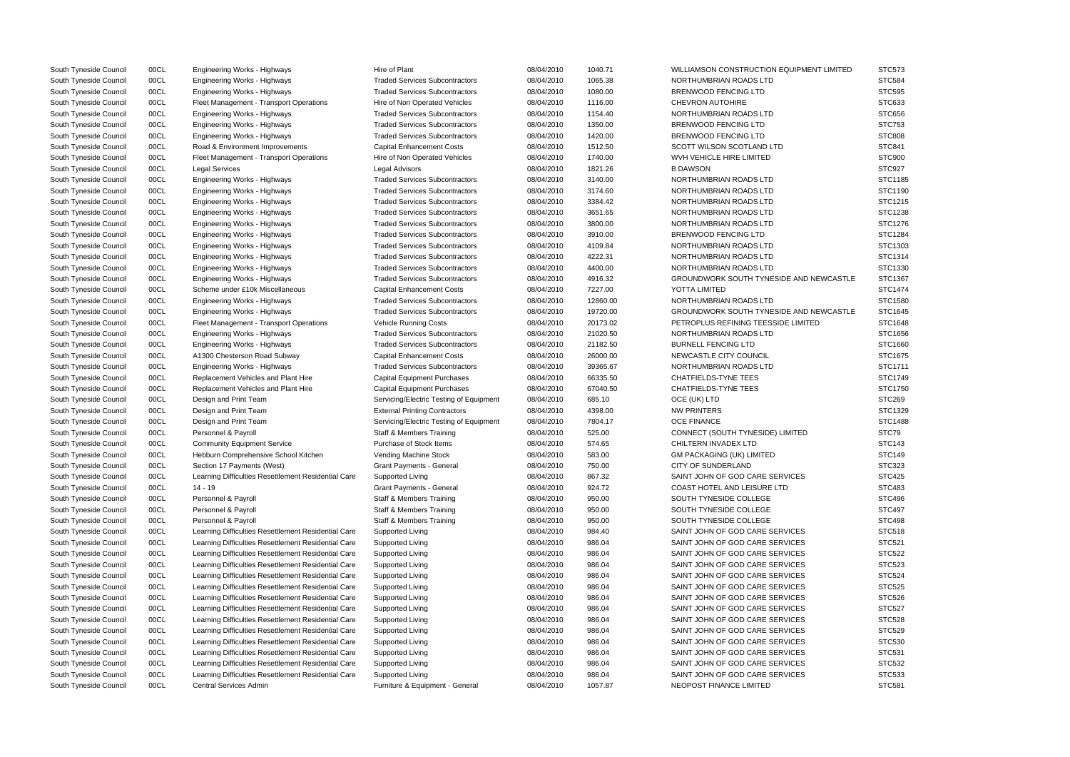| South Tyneside Council | 00CL | Engineering Works - Highways                              | Hire of Plant                           | 08/04/2010 | 1040.71          | WILLIAMSON CONSTRUCTION EQUIPMENT LIMITED                | <b>STC573</b> |
|------------------------|------|-----------------------------------------------------------|-----------------------------------------|------------|------------------|----------------------------------------------------------|---------------|
| South Tyneside Council | 00CL | Engineering Works - Highways                              | <b>Traded Services Subcontractors</b>   | 08/04/2010 | 1065.38          | NORTHUMBRIAN ROADS LTD                                   | <b>STC584</b> |
| South Tyneside Council | 00CL | Engineering Works - Highways                              | <b>Traded Services Subcontractors</b>   | 08/04/2010 | 1080.00          | <b>BRENWOOD FENCING LTD</b>                              | <b>STC595</b> |
| South Tyneside Council | 00CL | Fleet Management - Transport Operations                   | Hire of Non Operated Vehicles           | 08/04/2010 | 1116.00          | <b>CHEVRON AUTOHIRE</b>                                  | STC633        |
| South Tyneside Council | 00CL | <b>Engineering Works - Highways</b>                       | <b>Traded Services Subcontractors</b>   | 08/04/2010 | 1154.40          | NORTHUMBRIAN ROADS LTD                                   | <b>STC656</b> |
| South Tyneside Council | 00CL | Engineering Works - Highways                              | <b>Traded Services Subcontractors</b>   | 08/04/2010 | 1350.00          | <b>BRENWOOD FENCING LTD</b>                              | <b>STC753</b> |
| South Tyneside Council | 00CL | Engineering Works - Highways                              | <b>Traded Services Subcontractors</b>   | 08/04/2010 | 1420.00          | <b>BRENWOOD FENCING LTD</b>                              | <b>STC808</b> |
| South Tyneside Council | 00CL | Road & Environment Improvements                           | <b>Capital Enhancement Costs</b>        | 08/04/2010 | 1512.50          | SCOTT WILSON SCOTLAND LTD                                | <b>STC841</b> |
| South Tyneside Council | 00CL | Fleet Management - Transport Operations                   | Hire of Non Operated Vehicles           | 08/04/2010 | 1740.00          | WVH VEHICLE HIRE LIMITED                                 | <b>STC900</b> |
| South Tyneside Council | 00CL | <b>Legal Services</b>                                     | <b>Legal Advisors</b>                   | 08/04/2010 | 1821.26          | <b>B DAWSON</b>                                          | STC927        |
| South Tyneside Council | 00CL | Engineering Works - Highways                              | <b>Traded Services Subcontractors</b>   | 08/04/2010 | 3140.00          | NORTHUMBRIAN ROADS LTD                                   | STC1185       |
| South Tyneside Council | 00CL | Engineering Works - Highways                              | <b>Traded Services Subcontractors</b>   | 08/04/2010 | 3174.60          | NORTHUMBRIAN ROADS LTD                                   | STC1190       |
| South Tyneside Council | 00CL | Engineering Works - Highways                              | <b>Traded Services Subcontractors</b>   | 08/04/2010 | 3384.42          | NORTHUMBRIAN ROADS LTD                                   | STC1215       |
| South Tyneside Council | 00CL | Engineering Works - Highways                              | <b>Traded Services Subcontractors</b>   | 08/04/2010 | 3651.65          | NORTHUMBRIAN ROADS LTD                                   | STC1238       |
| South Tyneside Council | 00CL | Engineering Works - Highways                              | <b>Traded Services Subcontractors</b>   | 08/04/2010 | 3800.00          | NORTHUMBRIAN ROADS LTD                                   | STC1276       |
| South Tyneside Council | 00CL | <b>Engineering Works - Highways</b>                       | <b>Traded Services Subcontractors</b>   | 08/04/2010 | 3910.00          | <b>BRENWOOD FENCING LTD</b>                              | STC1284       |
| South Tyneside Council | 00CL | Engineering Works - Highways                              | <b>Traded Services Subcontractors</b>   | 08/04/2010 | 4109.84          | NORTHUMBRIAN ROADS LTD                                   | STC1303       |
| South Tyneside Council | 00CL | Engineering Works - Highways                              | <b>Traded Services Subcontractors</b>   | 08/04/2010 | 4222.31          | NORTHUMBRIAN ROADS LTD                                   | STC1314       |
| South Tyneside Council | 00CL | Engineering Works - Highways                              | <b>Traded Services Subcontractors</b>   | 08/04/2010 | 4400.00          | NORTHUMBRIAN ROADS LTD                                   | STC1330       |
| South Tyneside Council | 00CL | Engineering Works - Highways                              | <b>Traded Services Subcontractors</b>   | 08/04/2010 | 4916.32          | <b>GROUNDWORK SOUTH TYNESIDE AND NEWCASTLE</b>           | STC1367       |
| South Tyneside Council | 00CL | Scheme under £10k Miscellaneous                           | <b>Capital Enhancement Costs</b>        | 08/04/2010 | 7227.00          | YOTTA LIMITED                                            | STC1474       |
| South Tyneside Council | 00CL | <b>Engineering Works - Highways</b>                       | <b>Traded Services Subcontractors</b>   | 08/04/2010 | 12860.00         | NORTHUMBRIAN ROADS LTD                                   | STC1580       |
| South Tyneside Council | 00CL | <b>Engineering Works - Highways</b>                       | <b>Traded Services Subcontractors</b>   | 08/04/2010 | 19720.00         | <b>GROUNDWORK SOUTH TYNESIDE AND NEWCASTLE</b>           | STC1645       |
| South Tyneside Council | 00CL | Fleet Management - Transport Operations                   | Vehicle Running Costs                   | 08/04/2010 | 20173.02         | PETROPLUS REFINING TEESSIDE LIMITED                      | STC1648       |
| South Tyneside Council | 00CL | <b>Engineering Works - Highways</b>                       | <b>Traded Services Subcontractors</b>   | 08/04/2010 | 21020.50         | NORTHUMBRIAN ROADS LTD                                   | STC1656       |
| South Tyneside Council | 00CL | Engineering Works - Highways                              | <b>Traded Services Subcontractors</b>   | 08/04/2010 | 21182.50         | <b>BURNELL FENCING LTD</b>                               | STC1660       |
| South Tyneside Council | 00CL | A1300 Chesterson Road Subway                              | <b>Capital Enhancement Costs</b>        | 08/04/2010 | 26000.00         | NEWCASTLE CITY COUNCIL                                   | STC1675       |
| South Tyneside Council | 00CL | Engineering Works - Highways                              | <b>Traded Services Subcontractors</b>   | 08/04/2010 | 39365.67         | NORTHUMBRIAN ROADS LTD                                   | STC1711       |
| South Tyneside Council | 00CL | Replacement Vehicles and Plant Hire                       | <b>Capital Equipment Purchases</b>      | 08/04/2010 | 66335.50         | <b>CHATFIELDS-TYNE TEES</b>                              | STC1749       |
| South Tyneside Council | 00CL | Replacement Vehicles and Plant Hire                       | <b>Capital Equipment Purchases</b>      | 08/04/2010 | 67040.50         | <b>CHATFIELDS-TYNE TEES</b>                              | STC1750       |
| South Tyneside Council | 00CL | Design and Print Team                                     | Servicing/Electric Testing of Equipment | 08/04/2010 | 685.10           | OCE (UK) LTD                                             | <b>STC269</b> |
| South Tyneside Council | 00CL | Design and Print Team                                     | <b>External Printing Contractors</b>    | 08/04/2010 | 4398.00          | <b>NW PRINTERS</b>                                       | STC1329       |
|                        | 00CL | Design and Print Team                                     | Servicing/Electric Testing of Equipment | 08/04/2010 | 7804.17          | <b>OCE FINANCE</b>                                       | STC1488       |
| South Tyneside Council | 00CL |                                                           | <b>Staff &amp; Members Training</b>     |            |                  |                                                          | STC79         |
| South Tyneside Council | 00CL | Personnel & Payroll<br><b>Community Equipment Service</b> | Purchase of Stock Items                 | 08/04/2010 | 525.00<br>574.65 | CONNECT (SOUTH TYNESIDE) LIMITED<br>CHILTERN INVADEX LTD | <b>STC143</b> |
| South Tyneside Council | 00CL |                                                           | Vending Machine Stock                   | 08/04/2010 |                  |                                                          | <b>STC149</b> |
| South Tyneside Council |      | Hebburn Comprehensive School Kitchen                      |                                         | 08/04/2010 | 583.00           | <b>GM PACKAGING (UK) LIMITED</b>                         | STC323        |
| South Tyneside Council | 00CL | Section 17 Payments (West)                                | <b>Grant Payments - General</b>         | 08/04/2010 | 750.00           | CITY OF SUNDERLAND<br>SAINT JOHN OF GOD CARE SERVICES    |               |
| South Tyneside Council | 00CL | Learning Difficulties Resettlement Residential Care       | Supported Living                        | 08/04/2010 | 867.32           |                                                          | <b>STC425</b> |
| South Tyneside Council | 00CL | 14 - 19                                                   | Grant Payments - General                | 08/04/2010 | 924.72           | <b>COAST HOTEL AND LEISURE LTD</b>                       | <b>STC483</b> |
| South Tyneside Council | 00CL | Personnel & Payroll                                       | Staff & Members Training                | 08/04/2010 | 950.00           | SOUTH TYNESIDE COLLEGE                                   | <b>STC496</b> |
| South Tyneside Council | 00CL | Personnel & Payroll                                       | <b>Staff &amp; Members Training</b>     | 08/04/2010 | 950.00           | SOUTH TYNESIDE COLLEGE                                   | <b>STC497</b> |
| South Tyneside Council | 00CL | Personnel & Payroll                                       | <b>Staff &amp; Members Training</b>     | 08/04/2010 | 950.00           | SOUTH TYNESIDE COLLEGE                                   | <b>STC498</b> |
| South Tyneside Council | 00CL | Learning Difficulties Resettlement Residential Care       | Supported Living                        | 08/04/2010 | 984.40           | SAINT JOHN OF GOD CARE SERVICES                          | <b>STC518</b> |
| South Tyneside Council | 00CL | Learning Difficulties Resettlement Residential Care       | Supported Living                        | 08/04/2010 | 986.04           | SAINT JOHN OF GOD CARE SERVICES                          | <b>STC521</b> |
| South Tyneside Council | 00CL | Learning Difficulties Resettlement Residential Care       | Supported Living                        | 08/04/2010 | 986.04           | SAINT JOHN OF GOD CARE SERVICES                          | <b>STC522</b> |
| South Tyneside Council | 00CL | Learning Difficulties Resettlement Residential Care       | Supported Living                        | 08/04/2010 | 986.04           | SAINT JOHN OF GOD CARE SERVICES                          | <b>STC523</b> |
| South Tyneside Council | 00CL | Learning Difficulties Resettlement Residential Care       | Supported Living                        | 08/04/2010 | 986.04           | SAINT JOHN OF GOD CARE SERVICES                          | <b>STC524</b> |
| South Tyneside Council | 00CL | Learning Difficulties Resettlement Residential Care       | Supported Living                        | 08/04/2010 | 986.04           | SAINT JOHN OF GOD CARE SERVICES                          | <b>STC525</b> |
| South Tyneside Council | 00CL | Learning Difficulties Resettlement Residential Care       | Supported Living                        | 08/04/2010 | 986.04           | SAINT JOHN OF GOD CARE SERVICES                          | STC526        |
| South Tyneside Council | 00CL | Learning Difficulties Resettlement Residential Care       | Supported Living                        | 08/04/2010 | 986.04           | SAINT JOHN OF GOD CARE SERVICES                          | <b>STC527</b> |
| South Tyneside Council | 00CL | Learning Difficulties Resettlement Residential Care       | Supported Living                        | 08/04/2010 | 986.04           | SAINT JOHN OF GOD CARE SERVICES                          | <b>STC528</b> |
| South Tyneside Council | 00CL | Learning Difficulties Resettlement Residential Care       | Supported Living                        | 08/04/2010 | 986.04           | SAINT JOHN OF GOD CARE SERVICES                          | <b>STC529</b> |
| South Tyneside Council | 00CL | Learning Difficulties Resettlement Residential Care       | Supported Living                        | 08/04/2010 | 986.04           | SAINT JOHN OF GOD CARE SERVICES                          | <b>STC530</b> |
| South Tyneside Council | 00CL | Learning Difficulties Resettlement Residential Care       | Supported Living                        | 08/04/2010 | 986.04           | SAINT JOHN OF GOD CARE SERVICES                          | STC531        |
| South Tyneside Council | 00CL | Learning Difficulties Resettlement Residential Care       | Supported Living                        | 08/04/2010 | 986.04           | SAINT JOHN OF GOD CARE SERVICES                          | <b>STC532</b> |
| South Tyneside Council | 00CL | Learning Difficulties Resettlement Residential Care       | Supported Living                        | 08/04/2010 | 986.04           | SAINT JOHN OF GOD CARE SERVICES                          | <b>STC533</b> |
| South Tyneside Council | 00CL | <b>Central Services Admin</b>                             | Furniture & Equipment - General         | 08/04/2010 | 1057.87          | NEOPOST FINANCE LIMITED                                  | STC581        |
|                        |      |                                                           |                                         |            |                  |                                                          |               |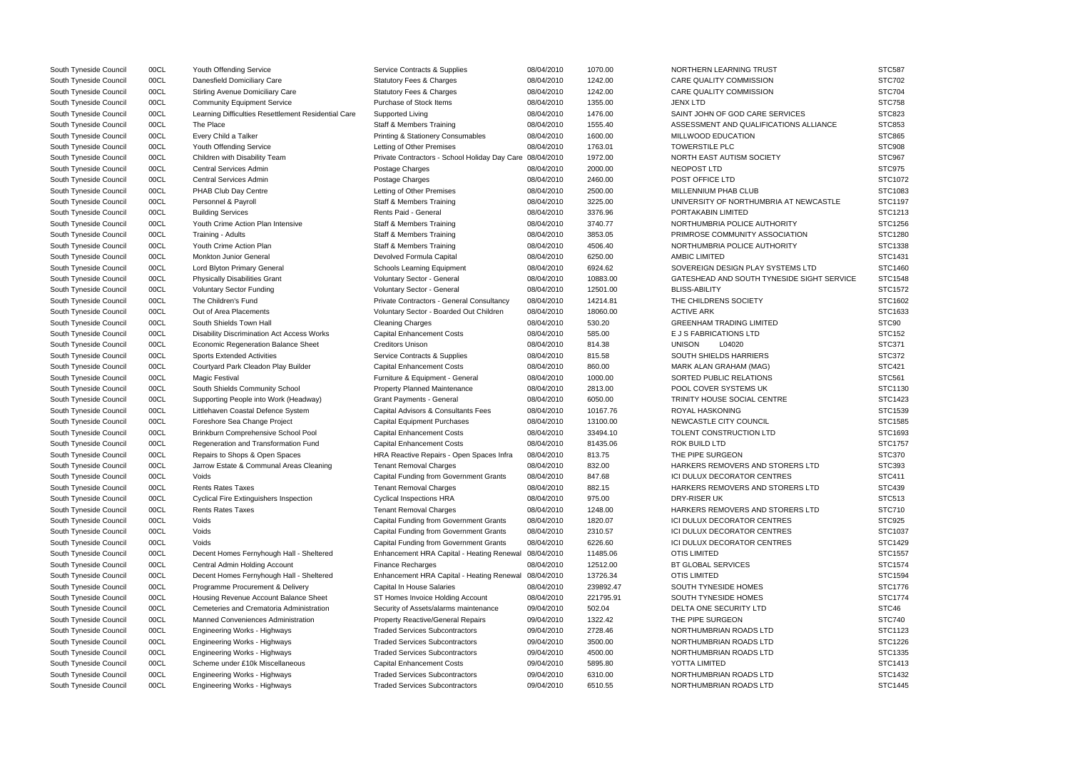| South Tyneside Council                           | 00CL         | Youth Offending Service                                                 | Service Contracts & Supplies                             | 08/04/2010 | 1070.00   | NORTHERN LEARNING TRUST                    | <b>STC587</b>                  |
|--------------------------------------------------|--------------|-------------------------------------------------------------------------|----------------------------------------------------------|------------|-----------|--------------------------------------------|--------------------------------|
| South Tyneside Council                           | 00CL         | Danesfield Domiciliary Care                                             | <b>Statutory Fees &amp; Charges</b>                      | 08/04/2010 | 1242.00   | <b>CARE QUALITY COMMISSION</b>             | <b>STC702</b>                  |
| South Tyneside Council                           | 00CL         | <b>Stirling Avenue Domiciliary Care</b>                                 | <b>Statutory Fees &amp; Charges</b>                      | 08/04/2010 | 1242.00   | CARE QUALITY COMMISSION                    | <b>STC704</b>                  |
| South Tyneside Council                           | 00CL         | <b>Community Equipment Service</b>                                      | Purchase of Stock Items                                  | 08/04/2010 | 1355.00   | <b>JENX LTD</b>                            | <b>STC758</b>                  |
| South Tyneside Council                           | 00CL         | Learning Difficulties Resettlement Residential Care                     | Supported Living                                         | 08/04/2010 | 1476.00   | SAINT JOHN OF GOD CARE SERVICES            | <b>STC823</b>                  |
| South Tyneside Council                           | 00CL         | The Place                                                               | <b>Staff &amp; Members Training</b>                      | 08/04/2010 | 1555.40   | ASSESSMENT AND QUALIFICATIONS ALLIANCE     | STC853                         |
| South Tyneside Council                           | 00CL         | Every Child a Talker                                                    | <b>Printing &amp; Stationery Consumables</b>             | 08/04/2010 | 1600.00   | MILLWOOD EDUCATION                         | <b>STC865</b>                  |
| South Tyneside Council                           | 00CL         | Youth Offending Service                                                 | Letting of Other Premises                                | 08/04/2010 | 1763.01   | <b>TOWERSTILE PLC</b>                      | <b>STC908</b>                  |
| South Tyneside Council                           | 00CL         | Children with Disability Team                                           | Private Contractors - School Holiday Day Care 08/04/2010 |            | 1972.00   | NORTH EAST AUTISM SOCIETY                  | <b>STC967</b>                  |
| South Tyneside Council                           | 00CL         | Central Services Admin                                                  | Postage Charges                                          | 08/04/2010 | 2000.00   | NEOPOST LTD                                | STC975                         |
| South Tyneside Council                           | 00CL         | <b>Central Services Admin</b>                                           | Postage Charges                                          | 08/04/2010 | 2460.00   | POST OFFICE LTD                            | STC1072                        |
| South Tyneside Council                           | 00CL         | PHAB Club Day Centre                                                    | Letting of Other Premises                                | 08/04/2010 | 2500.00   | MILLENNIUM PHAB CLUB                       | STC1083                        |
| South Tyneside Council                           | 00CL         | Personnel & Payroll                                                     | <b>Staff &amp; Members Training</b>                      | 08/04/2010 | 3225.00   | UNIVERSITY OF NORTHUMBRIA AT NEWCASTLE     | STC1197                        |
| South Tyneside Council                           | 00CL         | <b>Building Services</b>                                                | Rents Paid - General                                     | 08/04/2010 | 3376.96   | PORTAKABIN LIMITED                         | STC1213                        |
| South Tyneside Council                           | 00CL         | Youth Crime Action Plan Intensive                                       | <b>Staff &amp; Members Training</b>                      | 08/04/2010 | 3740.77   | NORTHUMBRIA POLICE AUTHORITY               | STC1256                        |
| South Tyneside Council                           | 00CL         | Training - Adults                                                       | <b>Staff &amp; Members Training</b>                      | 08/04/2010 | 3853.05   | PRIMROSE COMMUNITY ASSOCIATION             | STC1280                        |
| South Tyneside Council                           | 00CL         | Youth Crime Action Plan                                                 | <b>Staff &amp; Members Training</b>                      | 08/04/2010 | 4506.40   | NORTHUMBRIA POLICE AUTHORITY               | STC1338                        |
| South Tyneside Council                           | 00CL         | <b>Monkton Junior General</b>                                           | Devolved Formula Capital                                 | 08/04/2010 | 6250.00   | <b>AMBIC LIMITED</b>                       | STC1431                        |
| South Tyneside Council                           | 00CL         | Lord Blyton Primary General                                             | <b>Schools Learning Equipment</b>                        | 08/04/2010 | 6924.62   | SOVEREIGN DESIGN PLAY SYSTEMS LTD          | <b>STC1460</b>                 |
| South Tyneside Council                           | 00CL         | <b>Physically Disabilities Grant</b>                                    | Voluntary Sector - General                               | 08/04/2010 | 10883.00  | GATESHEAD AND SOUTH TYNESIDE SIGHT SERVICE | STC1548                        |
| South Tyneside Council                           | 00CL         | <b>Voluntary Sector Funding</b>                                         | Voluntary Sector - General                               | 08/04/2010 | 12501.00  | <b>BLISS-ABILITY</b>                       | STC1572                        |
| South Tyneside Council                           | 00CL         | The Children's Fund                                                     | Private Contractors - General Consultancy                | 08/04/2010 | 14214.81  | THE CHILDRENS SOCIETY                      | STC1602                        |
| South Tyneside Council                           | 00CL         | Out of Area Placements                                                  | Voluntary Sector - Boarded Out Children                  | 08/04/2010 | 18060.00  | <b>ACTIVE ARK</b>                          | STC1633                        |
| South Tyneside Council                           | 00CL         | South Shields Town Hall                                                 | <b>Cleaning Charges</b>                                  | 08/04/2010 | 530.20    | <b>GREENHAM TRADING LIMITED</b>            | STC90                          |
| South Tyneside Council                           | 00CL         | <b>Disability Discrimination Act Access Works</b>                       | <b>Capital Enhancement Costs</b>                         | 08/04/2010 | 585.00    | E J S FABRICATIONS LTD                     | <b>STC152</b>                  |
| South Tyneside Council                           | 00CL         | <b>Economic Regeneration Balance Sheet</b>                              | <b>Creditors Unison</b>                                  | 08/04/2010 | 814.38    | <b>UNISON</b><br>L04020                    | <b>STC371</b>                  |
| South Tyneside Council                           | 00CL         | <b>Sports Extended Activities</b>                                       | Service Contracts & Supplies                             | 08/04/2010 | 815.58    | <b>SOUTH SHIELDS HARRIERS</b>              | <b>STC372</b>                  |
|                                                  | 00CL         |                                                                         | <b>Capital Enhancement Costs</b>                         | 08/04/2010 | 860.00    | MARK ALAN GRAHAM (MAG)                     | <b>STC421</b>                  |
| South Tyneside Council<br>South Tyneside Council | 00CL         | Courtyard Park Cleadon Play Builder<br><b>Magic Festival</b>            | Furniture & Equipment - General                          | 08/04/2010 | 1000.00   | SORTED PUBLIC RELATIONS                    | STC561                         |
|                                                  | 00CL         |                                                                         |                                                          | 08/04/2010 | 2813.00   | POOL COVER SYSTEMS UK                      | STC1130                        |
| South Tyneside Council<br>South Tyneside Council | 00CL         | South Shields Community School<br>Supporting People into Work (Headway) | Property Planned Maintenance<br>Grant Payments - General | 08/04/2010 | 6050.00   | TRINITY HOUSE SOCIAL CENTRE                | STC1423                        |
|                                                  | 00CL         |                                                                         |                                                          |            |           | ROYAL HASKONING                            | STC1539                        |
| South Tyneside Council                           |              | Littlehaven Coastal Defence System                                      | Capital Advisors & Consultants Fees                      | 08/04/2010 | 10167.76  |                                            |                                |
| South Tyneside Council                           | 00CL         | Foreshore Sea Change Project                                            | <b>Capital Equipment Purchases</b>                       | 08/04/2010 | 13100.00  | NEWCASTLE CITY COUNCIL                     | STC1585                        |
| South Tyneside Council                           | 00CL         | Brinkburn Comprehensive School Pool                                     | <b>Capital Enhancement Costs</b>                         | 08/04/2010 | 33494.10  | TOLENT CONSTRUCTION LTD                    | STC1693                        |
| South Tyneside Council                           | 00CL         | Regeneration and Transformation Fund                                    | <b>Capital Enhancement Costs</b>                         | 08/04/2010 | 81435.06  | ROK BUILD LTD                              | STC1757                        |
| South Tyneside Council                           | 00CL<br>00CL | Repairs to Shops & Open Spaces                                          | HRA Reactive Repairs - Open Spaces Infra                 | 08/04/2010 | 813.75    | THE PIPE SURGEON                           | <b>STC370</b><br><b>STC393</b> |
| South Tyneside Council                           |              | Jarrow Estate & Communal Areas Cleaning                                 | <b>Tenant Removal Charges</b>                            | 08/04/2010 | 832.00    | HARKERS REMOVERS AND STORERS LTD           |                                |
| South Tyneside Council                           | 00CL         | Voids                                                                   | Capital Funding from Government Grants                   | 08/04/2010 | 847.68    | ICI DULUX DECORATOR CENTRES                | <b>STC411</b>                  |
| South Tyneside Council                           | 00CL         | <b>Rents Rates Taxes</b>                                                | <b>Tenant Removal Charges</b>                            | 08/04/2010 | 882.15    | HARKERS REMOVERS AND STORERS LTD           | <b>STC439</b>                  |
| South Tyneside Council                           | 00CL         | <b>Cyclical Fire Extinguishers Inspection</b>                           | <b>Cyclical Inspections HRA</b>                          | 08/04/2010 | 975.00    | DRY-RISER UK                               | STC513                         |
| South Tyneside Council                           | 00CL         | <b>Rents Rates Taxes</b>                                                | <b>Tenant Removal Charges</b>                            | 08/04/2010 | 1248.00   | HARKERS REMOVERS AND STORERS LTD           | <b>STC710</b>                  |
| South Tyneside Council                           | 00CL         | Voids                                                                   | <b>Capital Funding from Government Grants</b>            | 08/04/2010 | 1820.07   | ICI DULUX DECORATOR CENTRES                | <b>STC925</b>                  |
| South Tyneside Council                           | 00CL         | Voids                                                                   | Capital Funding from Government Grants                   | 08/04/2010 | 2310.57   | ICI DULUX DECORATOR CENTRES                | STC1037                        |
| South Tyneside Council                           | 00CL         | Voids                                                                   | <b>Capital Funding from Government Grants</b>            | 08/04/2010 | 6226.60   | ICI DULUX DECORATOR CENTRES                | STC1429                        |
| South Tyneside Council                           | 00CL         | Decent Homes Fernyhough Hall - Sheltered                                | Enhancement HRA Capital - Heating Renewal                | 08/04/2010 | 11485.06  | <b>OTIS LIMITED</b>                        | STC1557                        |
| South Tyneside Council                           | 00CL         | Central Admin Holding Account                                           | <b>Finance Recharges</b>                                 | 08/04/2010 | 12512.00  | <b>BT GLOBAL SERVICES</b>                  | STC1574                        |
| South Tyneside Council                           | 00CL         | Decent Homes Fernyhough Hall - Sheltered                                | Enhancement HRA Capital - Heating Renewal                | 08/04/2010 | 13726.34  | <b>OTIS LIMITED</b>                        | STC1594                        |
| South Tyneside Council                           | 00CL         | Programme Procurement & Delivery                                        | Capital In House Salaries                                | 08/04/2010 | 239892.47 | SOUTH TYNESIDE HOMES                       | STC1776                        |
| South Tyneside Council                           | 00CL         | Housing Revenue Account Balance Sheet                                   | ST Homes Invoice Holding Account                         | 08/04/2010 | 221795.91 | SOUTH TYNESIDE HOMES                       | STC1774                        |
| South Tyneside Council                           | 00CL         | Cemeteries and Crematoria Administration                                | Security of Assets/alarms maintenance                    | 09/04/2010 | 502.04    | DELTA ONE SECURITY LTD                     | STC46                          |
| South Tyneside Council                           | 00CL         | Manned Conveniences Administration                                      | <b>Property Reactive/General Repairs</b>                 | 09/04/2010 | 1322.42   | THE PIPE SURGEON                           | STC740                         |
| South Tyneside Council                           | 00CL         | <b>Engineering Works - Highways</b>                                     | <b>Traded Services Subcontractors</b>                    | 09/04/2010 | 2728.46   | NORTHUMBRIAN ROADS LTD                     | STC1123                        |
| South Tyneside Council                           | 00CL         | <b>Engineering Works - Highways</b>                                     | <b>Traded Services Subcontractors</b>                    | 09/04/2010 | 3500.00   | NORTHUMBRIAN ROADS LTD                     | STC1226                        |
| South Tyneside Council                           | 00CL         | <b>Engineering Works - Highways</b>                                     | <b>Traded Services Subcontractors</b>                    | 09/04/2010 | 4500.00   | NORTHUMBRIAN ROADS LTD                     | STC1335                        |
| South Tyneside Council                           | 00CL         | Scheme under £10k Miscellaneous                                         | <b>Capital Enhancement Costs</b>                         | 09/04/2010 | 5895.80   | YOTTA LIMITED                              | STC1413                        |
| South Tyneside Council                           | 00CL         | <b>Engineering Works - Highways</b>                                     | <b>Traded Services Subcontractors</b>                    | 09/04/2010 | 6310.00   | NORTHUMBRIAN ROADS LTD                     | STC1432                        |
| South Tyneside Council                           | 00CL         | Engineering Works - Highways                                            | <b>Traded Services Subcontractors</b>                    | 09/04/2010 | 6510.55   | NORTHUMBRIAN ROADS LTD                     | STC1445                        |

|                    | <b>STC587</b> |
|--------------------|---------------|
|                    | STC702        |
|                    | <b>STC704</b> |
|                    | <b>STC758</b> |
|                    | STC823        |
| <b>LIANCE</b>      | STC853        |
|                    | STC865        |
|                    | STC908        |
|                    | STC967        |
|                    | <b>STC975</b> |
|                    | STC1072       |
|                    | STC1083       |
| <b>VCASTLE</b>     | STC1197       |
|                    | STC1213       |
|                    | STC1256       |
|                    | STC1280       |
|                    | STC1338       |
|                    | STC1431       |
| ГD                 | STC1460       |
| <b>GHT SERVICE</b> | STC1548       |
|                    | STC1572       |
|                    | STC1602       |
|                    | STC1633       |
|                    | STC90         |
|                    | STC152        |
|                    | STC371        |
|                    | STC372        |
|                    | STC421        |
|                    | STC561        |
|                    | STC1130       |
|                    | STC1423       |
|                    | STC1539       |
|                    | STC1585       |
|                    | STC1693       |
|                    | STC1757       |
|                    | STC370        |
| TD.                | STC393        |
|                    | STC411        |
| .TD                | STC439        |
|                    | STC513        |
| TD <sub>.</sub>    | STC710        |
|                    | <b>STC925</b> |
|                    | STC1037       |
|                    | STC1429       |
|                    | STC1557       |
|                    | STC1574       |
|                    | STC1594       |
|                    | STC1776       |
|                    | STC1774       |
|                    | STC46         |
|                    | <b>STC740</b> |
|                    | STC1123       |
|                    | STC1226       |
|                    | STC1335       |
|                    | STC1413       |
|                    | STC1432       |
|                    | STC1445       |
|                    |               |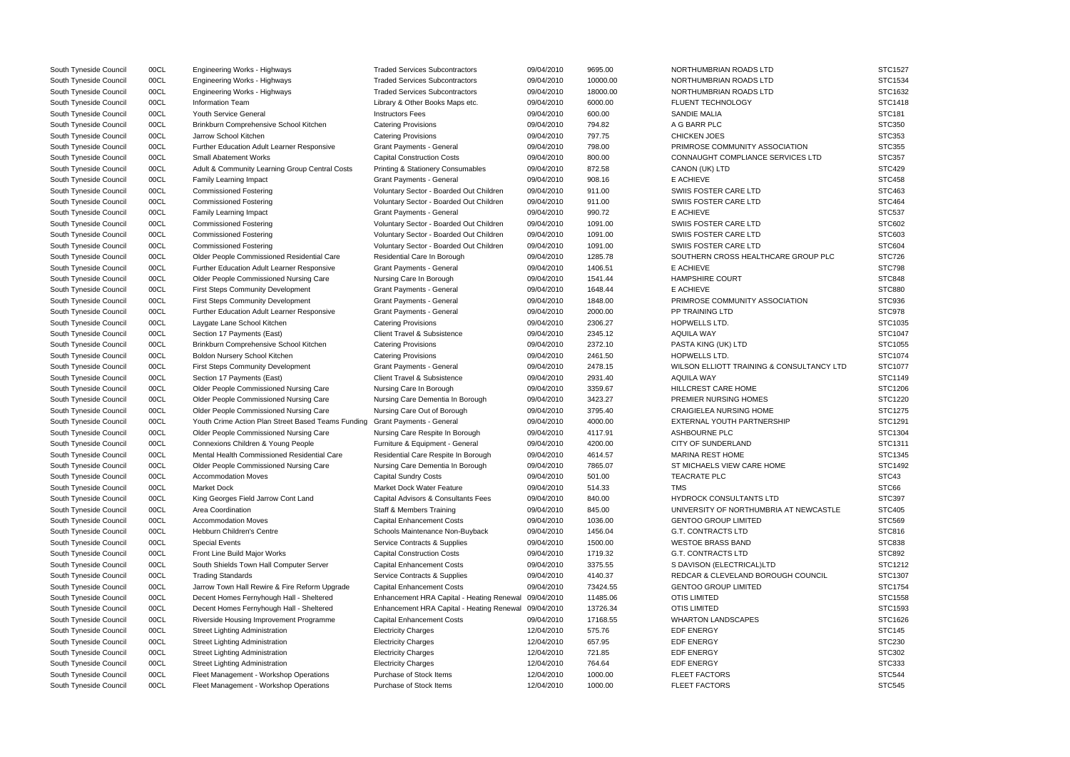| South Tyneside Council | 00CL | Engineering Works - Highways                       | <b>Traded Services Subcontractors</b>                | 09/04/2010 | 9695.00  | NORTHUMBRIAN ROADS LTD                    | STC1527       |
|------------------------|------|----------------------------------------------------|------------------------------------------------------|------------|----------|-------------------------------------------|---------------|
| South Tyneside Council | 00CL | Engineering Works - Highways                       | <b>Traded Services Subcontractors</b>                | 09/04/2010 | 10000.00 | NORTHUMBRIAN ROADS LTD                    | STC1534       |
| South Tyneside Council | 00CL | Engineering Works - Highways                       | <b>Traded Services Subcontractors</b>                | 09/04/2010 | 18000.00 | NORTHUMBRIAN ROADS LTD                    | STC1632       |
| South Tyneside Council | 00CL | <b>Information Team</b>                            | Library & Other Books Maps etc.                      | 09/04/2010 | 6000.00  | FLUENT TECHNOLOGY                         | STC1418       |
| South Tyneside Council | 00CL | Youth Service General                              | <b>Instructors Fees</b>                              | 09/04/2010 | 600.00   | <b>SANDIE MALIA</b>                       | STC181        |
| South Tyneside Council | 00CL | Brinkburn Comprehensive School Kitchen             | <b>Catering Provisions</b>                           | 09/04/2010 | 794.82   | A G BARR PLC                              | <b>STC350</b> |
| South Tyneside Council | 00CL | Jarrow School Kitchen                              | <b>Catering Provisions</b>                           | 09/04/2010 | 797.75   | <b>CHICKEN JOES</b>                       | <b>STC353</b> |
| South Tyneside Council | 00CL | Further Education Adult Learner Responsive         | Grant Payments - General                             | 09/04/2010 | 798.00   | PRIMROSE COMMUNITY ASSOCIATION            | <b>STC355</b> |
| South Tyneside Council | 00CL | <b>Small Abatement Works</b>                       | <b>Capital Construction Costs</b>                    | 09/04/2010 | 800.00   | CONNAUGHT COMPLIANCE SERVICES LTD         | STC357        |
| South Tyneside Council | 00CL | Adult & Community Learning Group Central Costs     | <b>Printing &amp; Stationery Consumables</b>         | 09/04/2010 | 872.58   | CANON (UK) LTD                            | <b>STC429</b> |
| South Tyneside Council | 00CL | Family Learning Impact                             | <b>Grant Payments - General</b>                      | 09/04/2010 | 908.16   | E ACHIEVE                                 | <b>STC458</b> |
| South Tyneside Council | 00CL | <b>Commissioned Fostering</b>                      | Voluntary Sector - Boarded Out Children              | 09/04/2010 | 911.00   | SWIIS FOSTER CARE LTD                     | STC463        |
| South Tyneside Council | 00CL | <b>Commissioned Fostering</b>                      | Voluntary Sector - Boarded Out Children              | 09/04/2010 | 911.00   | SWIIS FOSTER CARE LTD                     | <b>STC464</b> |
| South Tyneside Council | 00CL | Family Learning Impact                             | Grant Payments - General                             | 09/04/2010 | 990.72   | E ACHIEVE                                 | <b>STC537</b> |
| South Tyneside Council | 00CL | <b>Commissioned Fostering</b>                      | Voluntary Sector - Boarded Out Children              | 09/04/2010 | 1091.00  | SWIIS FOSTER CARE LTD                     | STC602        |
| South Tyneside Council | 00CL | <b>Commissioned Fostering</b>                      | Voluntary Sector - Boarded Out Children              | 09/04/2010 | 1091.00  | SWIIS FOSTER CARE LTD                     | STC603        |
| South Tyneside Council | 00CL | <b>Commissioned Fostering</b>                      | Voluntary Sector - Boarded Out Children              | 09/04/2010 | 1091.00  | SWIIS FOSTER CARE LTD                     | <b>STC604</b> |
| South Tyneside Council | 00CL | Older People Commissioned Residential Care         | Residential Care In Borough                          | 09/04/2010 | 1285.78  | SOUTHERN CROSS HEALTHCARE GROUP PLC       | <b>STC726</b> |
| South Tyneside Council | 00CL | Further Education Adult Learner Responsive         | Grant Payments - General                             | 09/04/2010 | 1406.51  | E ACHIEVE                                 | <b>STC798</b> |
| South Tyneside Council | 00CL | Older People Commissioned Nursing Care             | Nursing Care In Borough                              | 09/04/2010 | 1541.44  | <b>HAMPSHIRE COURT</b>                    | <b>STC848</b> |
| South Tyneside Council | 00CL | <b>First Steps Community Development</b>           | Grant Payments - General                             | 09/04/2010 | 1648.44  | E ACHIEVE                                 | <b>STC880</b> |
| South Tyneside Council | 00CL | <b>First Steps Community Development</b>           | <b>Grant Payments - General</b>                      | 09/04/2010 | 1848.00  | PRIMROSE COMMUNITY ASSOCIATION            | STC936        |
| South Tyneside Council | 00CL | Further Education Adult Learner Responsive         | Grant Payments - General                             | 09/04/2010 | 2000.00  | <b>PP TRAINING LTD</b>                    | STC978        |
| South Tyneside Council | 00CL | Laygate Lane School Kitchen                        | <b>Catering Provisions</b>                           | 09/04/2010 | 2306.27  | HOPWELLS LTD.                             | STC1035       |
| South Tyneside Council | 00CL | Section 17 Payments (East)                         | <b>Client Travel &amp; Subsistence</b>               | 09/04/2010 | 2345.12  | <b>AQUILA WAY</b>                         | STC1047       |
| South Tyneside Council | 00CL | Brinkburn Comprehensive School Kitchen             | <b>Catering Provisions</b>                           | 09/04/2010 | 2372.10  | PASTA KING (UK) LTD                       | STC1055       |
| South Tyneside Council | 00CL | Boldon Nursery School Kitchen                      | <b>Catering Provisions</b>                           | 09/04/2010 | 2461.50  | <b>HOPWELLS LTD.</b>                      | STC1074       |
| South Tyneside Council | 00CL | <b>First Steps Community Development</b>           | <b>Grant Payments - General</b>                      | 09/04/2010 | 2478.15  | WILSON ELLIOTT TRAINING & CONSULTANCY LTD | STC1077       |
| South Tyneside Council | 00CL | Section 17 Payments (East)                         | Client Travel & Subsistence                          | 09/04/2010 | 2931.40  | AQUILA WAY                                | STC1149       |
| South Tyneside Council | 00CL | Older People Commissioned Nursing Care             | Nursing Care In Borough                              | 09/04/2010 | 3359.67  | HILLCREST CARE HOME                       | STC1206       |
| South Tyneside Council | 00CL | Older People Commissioned Nursing Care             | Nursing Care Dementia In Borough                     | 09/04/2010 | 3423.27  | PREMIER NURSING HOMES                     | STC1220       |
| South Tyneside Council | 00CL | Older People Commissioned Nursing Care             | Nursing Care Out of Borough                          | 09/04/2010 | 3795.40  | <b>CRAIGIELEA NURSING HOME</b>            | STC1275       |
| South Tyneside Council | 00CL | Youth Crime Action Plan Street Based Teams Funding | Grant Payments - General                             | 09/04/2010 | 4000.00  | EXTERNAL YOUTH PARTNERSHIP                | STC1291       |
| South Tyneside Council | 00CL | Older People Commissioned Nursing Care             | Nursing Care Respite In Borough                      | 09/04/2010 | 4117.91  | ASHBOURNE PLC                             | STC1304       |
| South Tyneside Council | 00CL | Connexions Children & Young People                 | Furniture & Equipment - General                      | 09/04/2010 | 4200.00  | CITY OF SUNDERLAND                        | STC1311       |
| South Tyneside Council | 00CL | Mental Health Commissioned Residential Care        | Residential Care Respite In Borough                  | 09/04/2010 | 4614.57  | <b>MARINA REST HOME</b>                   | STC1345       |
| South Tyneside Council | 00CL | Older People Commissioned Nursing Care             | Nursing Care Dementia In Borough                     | 09/04/2010 | 7865.07  | ST MICHAELS VIEW CARE HOME                | STC1492       |
| South Tyneside Council | 00CL | <b>Accommodation Moves</b>                         | <b>Capital Sundry Costs</b>                          | 09/04/2010 | 501.00   | TEACRATE PLC                              | STC43         |
| South Tyneside Council | 00CL | Market Dock                                        | <b>Market Dock Water Feature</b>                     | 09/04/2010 | 514.33   | <b>TMS</b>                                | STC66         |
| South Tyneside Council | 00CL | King Georges Field Jarrow Cont Land                | Capital Advisors & Consultants Fees                  | 09/04/2010 | 840.00   | <b>HYDROCK CONSULTANTS LTD</b>            | <b>STC397</b> |
| South Tyneside Council | 00CL | Area Coordination                                  | <b>Staff &amp; Members Training</b>                  | 09/04/2010 | 845.00   | UNIVERSITY OF NORTHUMBRIA AT NEWCASTLE    | <b>STC405</b> |
| South Tyneside Council | 00CL | <b>Accommodation Moves</b>                         | <b>Capital Enhancement Costs</b>                     | 09/04/2010 | 1036.00  | <b>GENTOO GROUP LIMITED</b>               | <b>STC569</b> |
| South Tyneside Council | 00CL | Hebburn Children's Centre                          | Schools Maintenance Non-Buyback                      | 09/04/2010 | 1456.04  | <b>G.T. CONTRACTS LTD</b>                 | STC816        |
| South Tyneside Council | 00CL | <b>Special Events</b>                              | Service Contracts & Supplies                         | 09/04/2010 | 1500.00  | <b>WESTOE BRASS BAND</b>                  | <b>STC838</b> |
| South Tyneside Council | 00CL | Front Line Build Major Works                       | <b>Capital Construction Costs</b>                    | 09/04/2010 | 1719.32  | <b>G.T. CONTRACTS LTD</b>                 | <b>STC892</b> |
| South Tyneside Council | 00CL | South Shields Town Hall Computer Server            | <b>Capital Enhancement Costs</b>                     | 09/04/2010 | 3375.55  | S DAVISON (ELECTRICAL)LTD                 | STC1212       |
| South Tyneside Council | 00CL | <b>Trading Standards</b>                           | Service Contracts & Supplies                         | 09/04/2010 | 4140.37  | REDCAR & CLEVELAND BOROUGH COUNCIL        | STC1307       |
| South Tyneside Council | 00CL | Jarrow Town Hall Rewire & Fire Reform Upgrade      | <b>Capital Enhancement Costs</b>                     | 09/04/2010 | 73424.55 | <b>GENTOO GROUP LIMITED</b>               | STC1754       |
| South Tyneside Council | 00CL | Decent Homes Fernyhough Hall - Sheltered           | Enhancement HRA Capital - Heating Renewal            | 09/04/2010 | 11485.06 | <b>OTIS LIMITED</b>                       | STC1558       |
| South Tyneside Council | 00CL | Decent Homes Fernyhough Hall - Sheltered           | Enhancement HRA Capital - Heating Renewal 09/04/2010 |            | 13726.34 | <b>OTIS LIMITED</b>                       | STC1593       |
| South Tyneside Council | 00CL | Riverside Housing Improvement Programme            | <b>Capital Enhancement Costs</b>                     | 09/04/2010 | 17168.55 | <b>WHARTON LANDSCAPES</b>                 | STC1626       |
| South Tyneside Council | 00CL | <b>Street Lighting Administration</b>              | <b>Electricity Charges</b>                           | 12/04/2010 | 575.76   | EDF ENERGY                                | <b>STC145</b> |
| South Tyneside Council | 00CL | Street Lighting Administration                     | <b>Electricity Charges</b>                           | 12/04/2010 | 657.95   | EDF ENERGY                                | <b>STC230</b> |
| South Tyneside Council | 00CL | Street Lighting Administration                     | <b>Electricity Charges</b>                           | 12/04/2010 | 721.85   | EDF ENERGY                                | <b>STC302</b> |
| South Tyneside Council | 00CL | <b>Street Lighting Administration</b>              | <b>Electricity Charges</b>                           | 12/04/2010 | 764.64   | <b>EDF ENERGY</b>                         | STC333        |
| South Tyneside Council | 00CL | Fleet Management - Workshop Operations             | Purchase of Stock Items                              | 12/04/2010 | 1000.00  | <b>FLEET FACTORS</b>                      | <b>STC544</b> |
| South Tyneside Council | 00CL | Fleet Management - Workshop Operations             | Purchase of Stock Items                              | 12/04/2010 | 1000.00  | <b>FLEET FACTORS</b>                      | <b>STC545</b> |

|                  | STC1527            |
|------------------|--------------------|
|                  | STC1534            |
|                  | STC1632            |
|                  | STC1418            |
|                  | STC181             |
|                  | STC350             |
|                  | STC353             |
|                  | <b>STC355</b>      |
| LTD              | STC357             |
|                  | STC429             |
|                  | <b>STC458</b>      |
|                  | STC463             |
|                  | <b>STC464</b>      |
|                  | <b>STC537</b>      |
|                  | STC602             |
|                  | STC603             |
|                  | STC604             |
| UP PLC           | <b>STC726</b>      |
|                  | <b>STC798</b>      |
|                  | STC848             |
|                  | <b>STC880</b>      |
|                  | STC936             |
|                  | STC978             |
|                  | STC1035            |
|                  | STC1047            |
|                  | STC1055            |
|                  |                    |
|                  | STC1074            |
| <b>TANCY LTD</b> | STC1077            |
|                  | STC1149            |
|                  | STC1206            |
|                  | STC1220            |
|                  | STC1275            |
|                  | STC1291            |
|                  | STC1304            |
|                  | STC1311            |
|                  | STC1345<br>STC1492 |
|                  |                    |
|                  | STC43              |
|                  | STC66              |
|                  | STC397             |
| VCASTLE          | <b>STC405</b>      |
|                  | STC569<br>STC816   |
|                  |                    |
|                  | <b>STC838</b>      |
|                  | STC892             |
|                  | STC1212            |
| JNCIL            | STC1307            |
|                  | STC1754            |
|                  | STC1558            |
|                  | STC1593            |
|                  | STC1626            |
|                  | <b>STC145</b>      |
|                  | STC230             |
|                  | STC302             |
|                  | STC333             |
|                  | STC544             |
|                  | <b>STC545</b>      |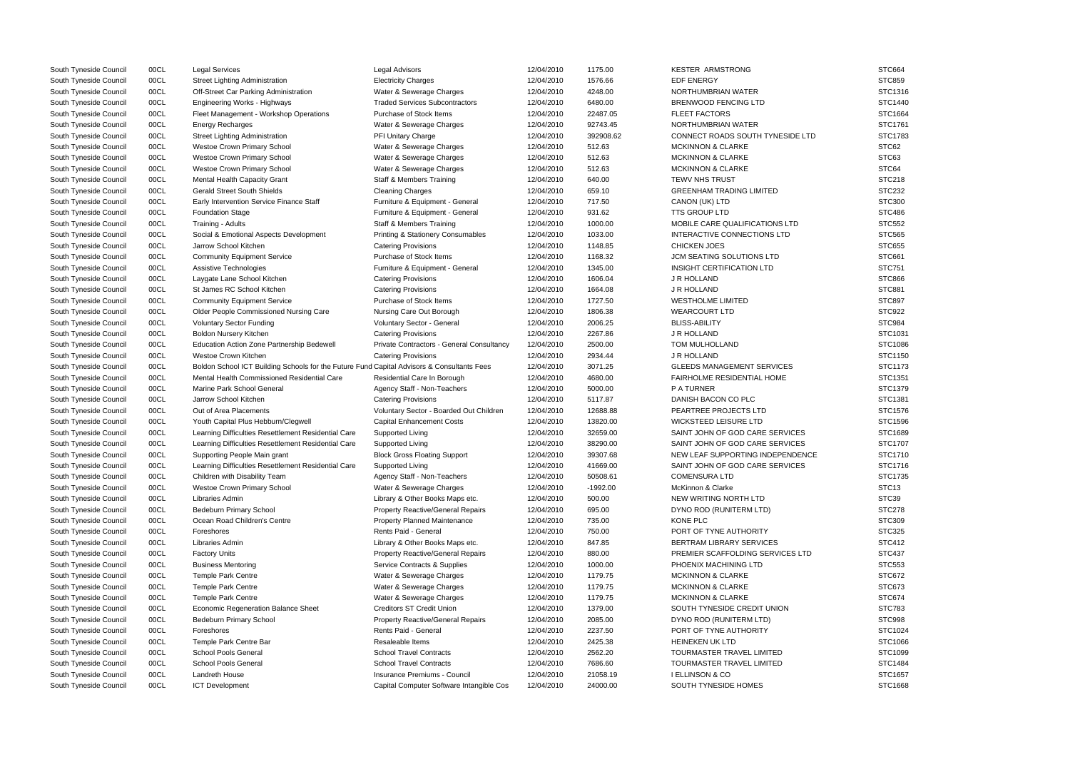| South Tyneside Council | 00CL | <b>Legal Services</b>                                                                      | <b>Legal Advisors</b>                     | 12/04/2010 | 1175.00    | <b>KESTER ARMSTRONG</b>           | <b>STC664</b>     |
|------------------------|------|--------------------------------------------------------------------------------------------|-------------------------------------------|------------|------------|-----------------------------------|-------------------|
| South Tyneside Council | 00CL | Street Lighting Administration                                                             | <b>Electricity Charges</b>                | 12/04/2010 | 1576.66    | <b>EDF ENERGY</b>                 | <b>STC859</b>     |
| South Tyneside Council | 00CL | Off-Street Car Parking Administration                                                      | Water & Sewerage Charges                  | 12/04/2010 | 4248.00    | NORTHUMBRIAN WATER                | STC1316           |
| South Tyneside Council | 00CL | Engineering Works - Highways                                                               | <b>Traded Services Subcontractors</b>     | 12/04/2010 | 6480.00    | <b>BRENWOOD FENCING LTD</b>       | <b>STC1440</b>    |
| South Tyneside Council | 00CL | Fleet Management - Workshop Operations                                                     | Purchase of Stock Items                   | 12/04/2010 | 22487.05   | <b>FLEET FACTORS</b>              | STC1664           |
| South Tyneside Council | 00CL | <b>Energy Recharges</b>                                                                    | Water & Sewerage Charges                  | 12/04/2010 | 92743.45   | NORTHUMBRIAN WATER                | STC1761           |
| South Tyneside Council | 00CL | <b>Street Lighting Administration</b>                                                      | PFI Unitary Charge                        | 12/04/2010 | 392908.62  | CONNECT ROADS SOUTH TYNESIDE LTD  | STC1783           |
| South Tyneside Council | 00CL | Westoe Crown Primary School                                                                | Water & Sewerage Charges                  | 12/04/2010 | 512.63     | <b>MCKINNON &amp; CLARKE</b>      | STC62             |
| South Tyneside Council | 00CL | Westoe Crown Primary School                                                                | Water & Sewerage Charges                  | 12/04/2010 | 512.63     | <b>MCKINNON &amp; CLARKE</b>      | STC63             |
| South Tyneside Council | 00CL | Westoe Crown Primary School                                                                | Water & Sewerage Charges                  | 12/04/2010 | 512.63     | <b>MCKINNON &amp; CLARKE</b>      | STC64             |
| South Tyneside Council | 00CL | Mental Health Capacity Grant                                                               | <b>Staff &amp; Members Training</b>       | 12/04/2010 | 640.00     | <b>TEWV NHS TRUST</b>             | <b>STC218</b>     |
| South Tyneside Council | 00CL | <b>Gerald Street South Shields</b>                                                         | <b>Cleaning Charges</b>                   | 12/04/2010 | 659.10     | <b>GREENHAM TRADING LIMITED</b>   | <b>STC232</b>     |
| South Tyneside Council | 00CL | Early Intervention Service Finance Staff                                                   | Furniture & Equipment - General           | 12/04/2010 | 717.50     | CANON (UK) LTD                    | <b>STC300</b>     |
| South Tyneside Council | 00CL | <b>Foundation Stage</b>                                                                    | Furniture & Equipment - General           | 12/04/2010 | 931.62     | <b>TTS GROUP LTD</b>              | <b>STC486</b>     |
| South Tyneside Council | 00CL | Training - Adults                                                                          | <b>Staff &amp; Members Training</b>       | 12/04/2010 | 1000.00    | MOBILE CARE QUALIFICATIONS LTD    | <b>STC552</b>     |
| South Tyneside Council | 00CL | Social & Emotional Aspects Development                                                     | Printing & Stationery Consumables         | 12/04/2010 | 1033.00    | INTERACTIVE CONNECTIONS LTD       | <b>STC565</b>     |
| South Tyneside Council | 00CL | Jarrow School Kitchen                                                                      | <b>Catering Provisions</b>                | 12/04/2010 | 1148.85    | <b>CHICKEN JOES</b>               | <b>STC655</b>     |
| South Tyneside Council | 00CL | <b>Community Equipment Service</b>                                                         | Purchase of Stock Items                   | 12/04/2010 | 1168.32    | JCM SEATING SOLUTIONS LTD         | <b>STC661</b>     |
| South Tyneside Council | 00CL |                                                                                            |                                           | 12/04/2010 | 1345.00    | <b>INSIGHT CERTIFICATION LTD</b>  | <b>STC751</b>     |
|                        |      | Assistive Technologies                                                                     | Furniture & Equipment - General           |            |            |                                   |                   |
| South Tyneside Council | 00CL | Laygate Lane School Kitchen                                                                | <b>Catering Provisions</b>                | 12/04/2010 | 1606.04    | J R HOLLAND                       | <b>STC866</b>     |
| South Tyneside Council | 00CL | St James RC School Kitchen                                                                 | <b>Catering Provisions</b>                | 12/04/2010 | 1664.08    | J R HOLLAND                       | <b>STC881</b>     |
| South Tyneside Council | 00CL | <b>Community Equipment Service</b>                                                         | Purchase of Stock Items                   | 12/04/2010 | 1727.50    | <b>WESTHOLME LIMITED</b>          | <b>STC897</b>     |
| South Tyneside Council | 00CL | Older People Commissioned Nursing Care                                                     | Nursing Care Out Borough                  | 12/04/2010 | 1806.38    | <b>WEARCOURT LTD</b>              | <b>STC922</b>     |
| South Tyneside Council | 00CL | <b>Voluntary Sector Funding</b>                                                            | Voluntary Sector - General                | 12/04/2010 | 2006.25    | <b>BLISS-ABILITY</b>              | STC984            |
| South Tyneside Council | 00CL | <b>Boldon Nursery Kitchen</b>                                                              | <b>Catering Provisions</b>                | 12/04/2010 | 2267.86    | J R HOLLAND                       | STC1031           |
| South Tyneside Council | 00CL | Education Action Zone Partnership Bedewell                                                 | Private Contractors - General Consultancy | 12/04/2010 | 2500.00    | TOM MULHOLLAND                    | STC1086           |
| South Tyneside Council | 00CL | Westoe Crown Kitchen                                                                       | <b>Catering Provisions</b>                | 12/04/2010 | 2934.44    | J R HOLLAND                       | STC1150           |
| South Tyneside Council | 00CL | Boldon School ICT Building Schools for the Future Fund Capital Advisors & Consultants Fees |                                           | 12/04/2010 | 3071.25    | <b>GLEEDS MANAGEMENT SERVICES</b> | STC1173           |
| South Tyneside Council | 00CL | Mental Health Commissioned Residential Care                                                | Residential Care In Borough               | 12/04/2010 | 4680.00    | FAIRHOLME RESIDENTIAL HOME        | STC1351           |
| South Tyneside Council | 00CL | Marine Park School General                                                                 | Agency Staff - Non-Teachers               | 12/04/2010 | 5000.00    | P A TURNER                        | STC1379           |
| South Tyneside Council | 00CL | Jarrow School Kitchen                                                                      | <b>Catering Provisions</b>                | 12/04/2010 | 5117.87    | DANISH BACON CO PLC               | STC1381           |
| South Tyneside Council | 00CL | Out of Area Placements                                                                     | Voluntary Sector - Boarded Out Children   | 12/04/2010 | 12688.88   | PEARTREE PROJECTS LTD             | STC1576           |
| South Tyneside Council | 00CL | Youth Capital Plus Hebburn/Clegwell                                                        | <b>Capital Enhancement Costs</b>          | 12/04/2010 | 13820.00   | <b>WICKSTEED LEISURE LTD</b>      | STC1596           |
| South Tyneside Council | 00CL | Learning Difficulties Resettlement Residential Care                                        | Supported Living                          | 12/04/2010 | 32659.00   | SAINT JOHN OF GOD CARE SERVICES   | STC1689           |
| South Tyneside Council | 00CL | Learning Difficulties Resettlement Residential Care                                        | Supported Living                          | 12/04/2010 | 38290.00   | SAINT JOHN OF GOD CARE SERVICES   | STC1707           |
| South Tyneside Council | 00CL | Supporting People Main grant                                                               | <b>Block Gross Floating Support</b>       | 12/04/2010 | 39307.68   | NEW LEAF SUPPORTING INDEPENDENCE  | STC1710           |
| South Tyneside Council | 00CL | Learning Difficulties Resettlement Residential Care                                        | Supported Living                          | 12/04/2010 | 41669.00   | SAINT JOHN OF GOD CARE SERVICES   | STC1716           |
| South Tyneside Council | 00CL | Children with Disability Team                                                              | Agency Staff - Non-Teachers               | 12/04/2010 | 50508.61   | <b>COMENSURA LTD</b>              | STC1735           |
| South Tyneside Council | 00CL | <b>Westoe Crown Primary School</b>                                                         | Water & Sewerage Charges                  | 12/04/2010 | $-1992.00$ | McKinnon & Clarke                 | STC <sub>13</sub> |
| South Tyneside Council | 00CL | Libraries Admin                                                                            | Library & Other Books Maps etc.           | 12/04/2010 | 500.00     | NEW WRITING NORTH LTD             | STC39             |
| South Tyneside Council | 00CL | <b>Bedeburn Primary School</b>                                                             | <b>Property Reactive/General Repairs</b>  | 12/04/2010 | 695.00     | DYNO ROD (RUNITERM LTD)           | <b>STC278</b>     |
| South Tyneside Council | 00CL | Ocean Road Children's Centre                                                               | <b>Property Planned Maintenance</b>       | 12/04/2010 | 735.00     | KONE PLC                          | <b>STC309</b>     |
| South Tyneside Council | 00CL | Foreshores                                                                                 | Rents Paid - General                      | 12/04/2010 | 750.00     | PORT OF TYNE AUTHORITY            | <b>STC325</b>     |
| South Tyneside Council | 00CL | Libraries Admin                                                                            | Library & Other Books Maps etc.           | 12/04/2010 | 847.85     | BERTRAM LIBRARY SERVICES          | <b>STC412</b>     |
| South Tyneside Council | 00CL | <b>Factory Units</b>                                                                       | <b>Property Reactive/General Repairs</b>  | 12/04/2010 | 880.00     | PREMIER SCAFFOLDING SERVICES LTD  | <b>STC437</b>     |
| South Tyneside Council | 00CL | <b>Business Mentoring</b>                                                                  | Service Contracts & Supplies              | 12/04/2010 | 1000.00    | PHOENIX MACHINING LTD             | <b>STC553</b>     |
| South Tyneside Council | 00CL | <b>Temple Park Centre</b>                                                                  | Water & Sewerage Charges                  | 12/04/2010 | 1179.75    | <b>MCKINNON &amp; CLARKE</b>      | <b>STC672</b>     |
| South Tyneside Council | 00CL | <b>Temple Park Centre</b>                                                                  | Water & Sewerage Charges                  | 12/04/2010 | 1179.75    | <b>MCKINNON &amp; CLARKE</b>      | STC673            |
| South Tyneside Council | 00CL | <b>Temple Park Centre</b>                                                                  | Water & Sewerage Charges                  | 12/04/2010 | 1179.75    | <b>MCKINNON &amp; CLARKE</b>      | STC674            |
| South Tyneside Council | 00CL | Economic Regeneration Balance Sheet                                                        | <b>Creditors ST Credit Union</b>          | 12/04/2010 | 1379.00    | SOUTH TYNESIDE CREDIT UNION       | <b>STC783</b>     |
| South Tyneside Council | 00CL | Bedeburn Primary School                                                                    | <b>Property Reactive/General Repairs</b>  | 12/04/2010 | 2085.00    | DYNO ROD (RUNITERM LTD)           | STC998            |
| South Tyneside Council | 00CL | Foreshores                                                                                 | Rents Paid - General                      | 12/04/2010 | 2237.50    | PORT OF TYNE AUTHORITY            | STC1024           |
| South Tyneside Council | 00CL | Temple Park Centre Bar                                                                     | Resaleable Items                          | 12/04/2010 | 2425.38    | <b>HEINEKEN UK LTD</b>            | STC1066           |
| South Tyneside Council | 00CL | <b>School Pools General</b>                                                                | <b>School Travel Contracts</b>            | 12/04/2010 | 2562.20    | TOURMASTER TRAVEL LIMITED         | STC1099           |
| South Tyneside Council | 00CL | School Pools General                                                                       | <b>School Travel Contracts</b>            | 12/04/2010 | 7686.60    | TOURMASTER TRAVEL LIMITED         | STC1484           |
|                        | 00CL | Landreth House                                                                             | Insurance Premiums - Council              |            |            | <b>I ELLINSON &amp; CO</b>        | STC1657           |
| South Tyneside Council |      |                                                                                            |                                           | 12/04/2010 | 21058.19   |                                   |                   |
| South Tyneside Council | 00CL | <b>ICT Development</b>                                                                     | Capital Computer Software Intangible Cos  | 12/04/2010 | 24000.00   | SOUTH TYNESIDE HOMES              | STC1668           |

|            | STC664            |
|------------|-------------------|
|            |                   |
|            | STC859            |
|            | STC1316           |
|            | STC1440           |
|            | STC1664           |
|            | STC1761           |
| .TD        | STC1783           |
|            | STC62             |
|            | STC63             |
|            | STC64             |
|            |                   |
|            | <b>STC218</b>     |
|            | <b>STC232</b>     |
|            | STC300            |
|            | <b>STC486</b>     |
|            | STC552            |
|            | STC565            |
|            | <b>STC655</b>     |
|            | STC661            |
|            | STC751            |
|            | <b>STC866</b>     |
|            | STC881            |
|            |                   |
|            | STC897            |
|            | STC922            |
|            | STC984            |
|            | STC1031           |
|            | STC1086           |
|            | STC1150           |
|            | STC1173           |
|            | STC1351           |
|            | STC1379           |
|            | STC1381           |
|            | STC1576           |
|            | STC1596           |
|            |                   |
|            | STC1689           |
|            | STC1707           |
| <b>NCE</b> | STC1710           |
|            | STC1716           |
|            | STC1735           |
|            | STC <sub>13</sub> |
|            | STC39             |
|            | <b>STC278</b>     |
|            | STC309            |
|            | STC325            |
|            | STC412            |
|            | <b>STC437</b>     |
| ΓD         |                   |
|            | STC553            |
|            | STC672            |
|            | STC673            |
|            | STC674            |
|            | STC783            |
|            | STC998            |
|            | STC1024           |
|            | STC1066           |
|            | STC1099           |
|            | STC1484           |
|            |                   |
|            | STC1657<br>0.4C   |
|            |                   |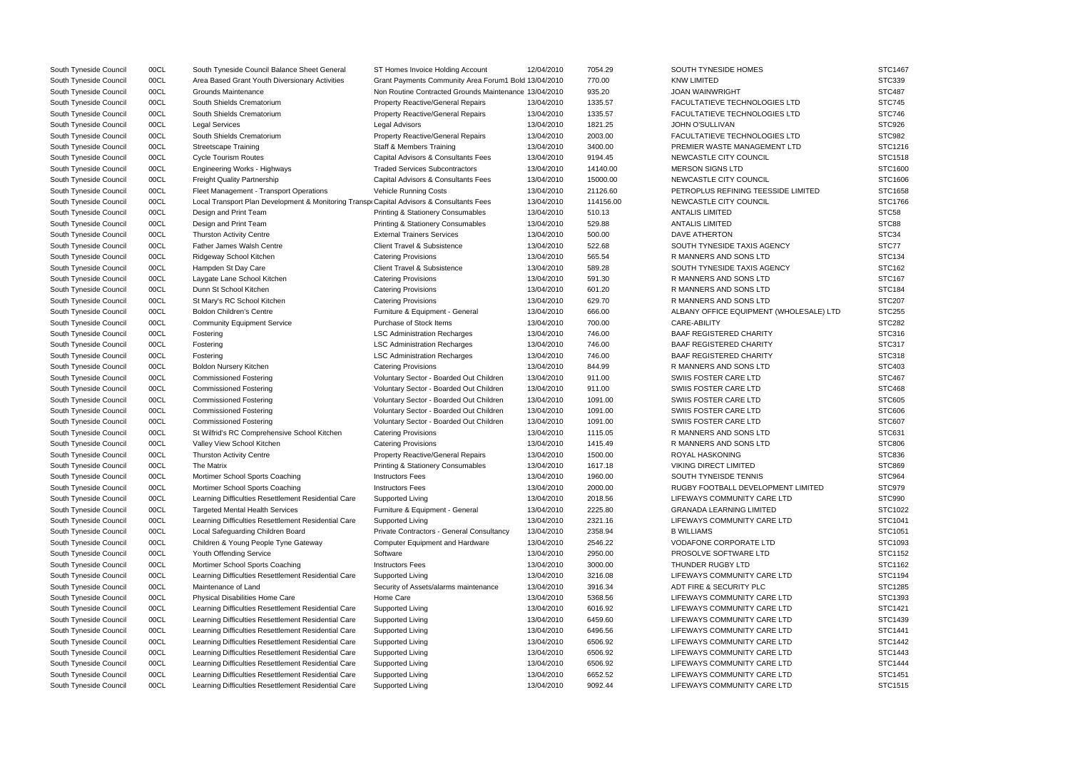| South Tyneside Council | 00CL | South Tyneside Council Balance Sheet General                                              | ST Homes Invoice Holding Account                      | 12/04/2010 | 7054.29   | SOUTH TYNESIDE HOMES                    | STC1467       |
|------------------------|------|-------------------------------------------------------------------------------------------|-------------------------------------------------------|------------|-----------|-----------------------------------------|---------------|
| South Tyneside Council | 00CL | Area Based Grant Youth Diversionary Activities                                            | Grant Payments Community Area Forum1 Bold 13/04/2010  |            | 770.00    | <b>KNW LIMITED</b>                      | <b>STC339</b> |
| South Tyneside Council | 00CL | <b>Grounds Maintenance</b>                                                                | Non Routine Contracted Grounds Maintenance 13/04/2010 |            | 935.20    | <b>JOAN WAINWRIGHT</b>                  | <b>STC487</b> |
| South Tyneside Council | 00CL | South Shields Crematorium                                                                 | <b>Property Reactive/General Repairs</b>              | 13/04/2010 | 1335.57   | <b>FACULTATIEVE TECHNOLOGIES LTD</b>    | <b>STC745</b> |
| South Tyneside Council | 00CL | South Shields Crematorium                                                                 | <b>Property Reactive/General Repairs</b>              | 13/04/2010 | 1335.57   | <b>FACULTATIEVE TECHNOLOGIES LTD</b>    | <b>STC746</b> |
| South Tyneside Council | 00CL | <b>Legal Services</b>                                                                     | Legal Advisors                                        | 13/04/2010 | 1821.25   | <b>JOHN O'SULLIVAN</b>                  | STC926        |
| South Tyneside Council | 00CL | South Shields Crematorium                                                                 | <b>Property Reactive/General Repairs</b>              | 13/04/2010 | 2003.00   | FACULTATIEVE TECHNOLOGIES LTD           | <b>STC982</b> |
| South Tyneside Council | 00CL | <b>Streetscape Training</b>                                                               | <b>Staff &amp; Members Training</b>                   | 13/04/2010 | 3400.00   | PREMIER WASTE MANAGEMENT LTD            | STC1216       |
| South Tyneside Council | 00CL | <b>Cycle Tourism Routes</b>                                                               | Capital Advisors & Consultants Fees                   | 13/04/2010 | 9194.45   | NEWCASTLE CITY COUNCIL                  | STC1518       |
| South Tyneside Council | 00CL | <b>Engineering Works - Highways</b>                                                       | <b>Traded Services Subcontractors</b>                 | 13/04/2010 | 14140.00  | <b>MERSON SIGNS LTD</b>                 | STC1600       |
| South Tyneside Council | 00CL | <b>Freight Quality Partnership</b>                                                        | Capital Advisors & Consultants Fees                   | 13/04/2010 | 15000.00  | NEWCASTLE CITY COUNCIL                  | STC1606       |
| South Tyneside Council | 00CL | Fleet Management - Transport Operations                                                   | Vehicle Running Costs                                 | 13/04/2010 | 21126.60  | PETROPLUS REFINING TEESSIDE LIMITED     | STC1658       |
| South Tyneside Council | 00CL | Local Transport Plan Development & Monitoring Transpi Capital Advisors & Consultants Fees |                                                       | 13/04/2010 | 114156.00 | NEWCASTLE CITY COUNCIL                  | STC1766       |
| South Tyneside Council | 00CL | Design and Print Team                                                                     | <b>Printing &amp; Stationery Consumables</b>          | 13/04/2010 | 510.13    | <b>ANTALIS LIMITED</b>                  | STC58         |
| South Tyneside Council | 00CL | Design and Print Team                                                                     | <b>Printing &amp; Stationery Consumables</b>          | 13/04/2010 | 529.88    | <b>ANTALIS LIMITED</b>                  | STC88         |
| South Tyneside Council | 00CL | <b>Thurston Activity Centre</b>                                                           | <b>External Trainers Services</b>                     | 13/04/2010 | 500.00    | DAVE ATHERTON                           | STC34         |
| South Tyneside Council | 00CL | Father James Walsh Centre                                                                 | <b>Client Travel &amp; Subsistence</b>                | 13/04/2010 | 522.68    | SOUTH TYNESIDE TAXIS AGENCY             | STC77         |
|                        | 00CL |                                                                                           | <b>Catering Provisions</b>                            | 13/04/2010 | 565.54    | R MANNERS AND SONS LTD                  | <b>STC134</b> |
| South Tyneside Council |      | Ridgeway School Kitchen                                                                   | <b>Client Travel &amp; Subsistence</b>                |            |           | SOUTH TYNESIDE TAXIS AGENCY             |               |
| South Tyneside Council | 00CL | Hampden St Day Care                                                                       |                                                       | 13/04/2010 | 589.28    |                                         | STC162        |
| South Tyneside Council | 00CL | Laygate Lane School Kitchen                                                               | <b>Catering Provisions</b>                            | 13/04/2010 | 591.30    | R MANNERS AND SONS LTD                  | <b>STC167</b> |
| South Tyneside Council | 00CL | Dunn St School Kitchen                                                                    | <b>Catering Provisions</b>                            | 13/04/2010 | 601.20    | R MANNERS AND SONS LTD                  | <b>STC184</b> |
| South Tyneside Council | 00CL | St Mary's RC School Kitchen                                                               | <b>Catering Provisions</b>                            | 13/04/2010 | 629.70    | R MANNERS AND SONS LTD                  | <b>STC207</b> |
| South Tyneside Council | 00CL | <b>Boldon Children's Centre</b>                                                           | Furniture & Equipment - General                       | 13/04/2010 | 666.00    | ALBANY OFFICE EQUIPMENT (WHOLESALE) LTD | <b>STC255</b> |
| South Tyneside Council | 00CL | <b>Community Equipment Service</b>                                                        | Purchase of Stock Items                               | 13/04/2010 | 700.00    | CARE-ABILITY                            | <b>STC282</b> |
| South Tyneside Council | 00CL | Fostering                                                                                 | <b>LSC Administration Recharges</b>                   | 13/04/2010 | 746.00    | <b>BAAF REGISTERED CHARITY</b>          | STC316        |
| South Tyneside Council | 00CL | Fostering                                                                                 | <b>LSC Administration Recharges</b>                   | 13/04/2010 | 746.00    | <b>BAAF REGISTERED CHARITY</b>          | STC317        |
| South Tyneside Council | 00CL | Fostering                                                                                 | <b>LSC Administration Recharges</b>                   | 13/04/2010 | 746.00    | <b>BAAF REGISTERED CHARITY</b>          | <b>STC318</b> |
| South Tyneside Council | 00CL | <b>Boldon Nursery Kitchen</b>                                                             | <b>Catering Provisions</b>                            | 13/04/2010 | 844.99    | R MANNERS AND SONS LTD                  | <b>STC403</b> |
| South Tyneside Council | 00CL | <b>Commissioned Fostering</b>                                                             | Voluntary Sector - Boarded Out Children               | 13/04/2010 | 911.00    | SWIIS FOSTER CARE LTD                   | <b>STC467</b> |
| South Tyneside Council | 00CL | <b>Commissioned Fostering</b>                                                             | Voluntary Sector - Boarded Out Children               | 13/04/2010 | 911.00    | SWIIS FOSTER CARE LTD                   | <b>STC468</b> |
| South Tyneside Council | 00CL | <b>Commissioned Fostering</b>                                                             | Voluntary Sector - Boarded Out Children               | 13/04/2010 | 1091.00   | SWIIS FOSTER CARE LTD                   | <b>STC605</b> |
| South Tyneside Council | 00CL | <b>Commissioned Fostering</b>                                                             | Voluntary Sector - Boarded Out Children               | 13/04/2010 | 1091.00   | SWIIS FOSTER CARE LTD                   | <b>STC606</b> |
| South Tyneside Council | 00CL | <b>Commissioned Fostering</b>                                                             | Voluntary Sector - Boarded Out Children               | 13/04/2010 | 1091.00   | SWIIS FOSTER CARE LTD                   | <b>STC607</b> |
| South Tyneside Council | 00CL | St Wilfrid's RC Comprehensive School Kitchen                                              | <b>Catering Provisions</b>                            | 13/04/2010 | 1115.05   | R MANNERS AND SONS LTD                  | STC631        |
| South Tyneside Council | 00CL | Valley View School Kitchen                                                                | <b>Catering Provisions</b>                            | 13/04/2010 | 1415.49   | R MANNERS AND SONS LTD                  | <b>STC806</b> |
| South Tyneside Council | 00CL | <b>Thurston Activity Centre</b>                                                           | <b>Property Reactive/General Repairs</b>              | 13/04/2010 | 1500.00   | ROYAL HASKONING                         | <b>STC836</b> |
| South Tyneside Council | 00CL | The Matrix                                                                                | <b>Printing &amp; Stationery Consumables</b>          | 13/04/2010 | 1617.18   | VIKING DIRECT LIMITED                   | <b>STC869</b> |
| South Tyneside Council | 00CL | Mortimer School Sports Coaching                                                           | <b>Instructors Fees</b>                               | 13/04/2010 | 1960.00   | SOUTH TYNEISDE TENNIS                   | <b>STC964</b> |
| South Tyneside Council | 00CL | Mortimer School Sports Coaching                                                           | <b>Instructors Fees</b>                               | 13/04/2010 | 2000.00   | RUGBY FOOTBALL DEVELOPMENT LIMITED      | STC979        |
| South Tyneside Council | 00CL | Learning Difficulties Resettlement Residential Care                                       | Supported Living                                      | 13/04/2010 | 2018.56   | LIFEWAYS COMMUNITY CARE LTD             | STC990        |
| South Tyneside Council | 00CL | <b>Targeted Mental Health Services</b>                                                    | Furniture & Equipment - General                       | 13/04/2010 | 2225.80   | <b>GRANADA LEARNING LIMITED</b>         | STC1022       |
| South Tyneside Council | 00CL | Learning Difficulties Resettlement Residential Care                                       | Supported Living                                      | 13/04/2010 | 2321.16   | LIFEWAYS COMMUNITY CARE LTD             | STC1041       |
| South Tyneside Council | 00CL | Local Safeguarding Children Board                                                         | Private Contractors - General Consultancy             | 13/04/2010 | 2358.94   | <b>B WILLIAMS</b>                       | STC1051       |
| South Tyneside Council | 00CL | Children & Young People Tyne Gateway                                                      | <b>Computer Equipment and Hardware</b>                | 13/04/2010 | 2546.22   | <b>VODAFONE CORPORATE LTD</b>           | STC1093       |
| South Tyneside Council | 00CL | Youth Offending Service                                                                   | Software                                              | 13/04/2010 | 2950.00   | PROSOLVE SOFTWARE LTD                   | STC1152       |
| South Tyneside Council | 00CL | Mortimer School Sports Coaching                                                           | <b>Instructors Fees</b>                               | 13/04/2010 | 3000.00   | THUNDER RUGBY LTD                       | STC1162       |
| South Tyneside Council | 00CL | Learning Difficulties Resettlement Residential Care                                       | Supported Living                                      | 13/04/2010 | 3216.08   | LIFEWAYS COMMUNITY CARE LTD             | STC1194       |
| South Tyneside Council | 00CL | Maintenance of Land                                                                       | Security of Assets/alarms maintenance                 | 13/04/2010 | 3916.34   | ADT FIRE & SECURITY PLC                 | STC1285       |
| South Tyneside Council | 00CL | Physical Disabilities Home Care                                                           | Home Care                                             | 13/04/2010 | 5368.56   | LIFEWAYS COMMUNITY CARE LTD             | STC1393       |
|                        | 00CL |                                                                                           |                                                       |            |           | LIFEWAYS COMMUNITY CARE LTD             | STC1421       |
| South Tyneside Council |      | Learning Difficulties Resettlement Residential Care                                       | Supported Living                                      | 13/04/2010 | 6016.92   |                                         |               |
| South Tyneside Council | 00CL | Learning Difficulties Resettlement Residential Care                                       | Supported Living                                      | 13/04/2010 | 6459.60   | LIFEWAYS COMMUNITY CARE LTD             | STC1439       |
| South Tyneside Council | 00CL | Learning Difficulties Resettlement Residential Care                                       | Supported Living                                      | 13/04/2010 | 6496.56   | LIFEWAYS COMMUNITY CARE LTD             | STC1441       |
| South Tyneside Council | 00CL | Learning Difficulties Resettlement Residential Care                                       | Supported Living                                      | 13/04/2010 | 6506.92   | LIFEWAYS COMMUNITY CARE LTD             | STC1442       |
| South Tyneside Council | 00CL | Learning Difficulties Resettlement Residential Care                                       | Supported Living                                      | 13/04/2010 | 6506.92   | LIFEWAYS COMMUNITY CARE LTD             | STC1443       |
| South Tyneside Council | 00CL | Learning Difficulties Resettlement Residential Care                                       | Supported Living                                      | 13/04/2010 | 6506.92   | LIFEWAYS COMMUNITY CARE LTD             | STC1444       |
| South Tyneside Council | 00CL | Learning Difficulties Resettlement Residential Care                                       | Supported Living                                      | 13/04/2010 | 6652.52   | LIFEWAYS COMMUNITY CARE LTD             | STC1451       |
| South Tyneside Council | 00CL | Learning Difficulties Resettlement Residential Care                                       | Supported Living                                      | 13/04/2010 | 9092.44   | LIFEWAYS COMMUNITY CARE LTD             | STC1515       |

|                  | STC1467           |
|------------------|-------------------|
|                  | STC339            |
|                  | <b>STC487</b>     |
|                  | <b>STC745</b>     |
|                  | <b>STC746</b>     |
|                  | STC926            |
|                  | <b>STC982</b>     |
|                  | STC1216           |
|                  | STC1518           |
|                  | STC1600           |
|                  | STC1606           |
| TED              | STC1658           |
|                  | STC1766           |
|                  | STC58             |
|                  | STC88             |
|                  | STC34             |
|                  | STC77             |
|                  | <b>STC134</b>     |
|                  | STC162            |
|                  | STC167            |
|                  | <b>STC184</b>     |
|                  | <b>STC207</b>     |
| <b>SALE) LTD</b> | STC255            |
|                  | <b>STC282</b>     |
|                  | STC316            |
|                  | STC317            |
|                  | STC318            |
|                  | STC403            |
|                  | <b>STC467</b>     |
|                  | STC468            |
|                  | <b>STC605</b>     |
|                  | <b>STC606</b>     |
|                  | STC607            |
|                  | STC631            |
|                  | <b>STC806</b>     |
|                  | STC836            |
|                  | STC869            |
|                  | STC964            |
| ITED             | STC979            |
|                  | STC990<br>STC1022 |
|                  | STC1041           |
|                  | STC1051           |
|                  | STC1093           |
|                  | STC1152           |
|                  | STC1162           |
|                  | STC1194           |
|                  | STC1285           |
|                  | STC1393           |
|                  | STC1421           |
|                  | STC1439           |
|                  | STC1441           |
|                  | STC1442           |
|                  | STC1443           |
|                  | STC1444           |
|                  | STC1451           |
|                  | STC1515           |
|                  |                   |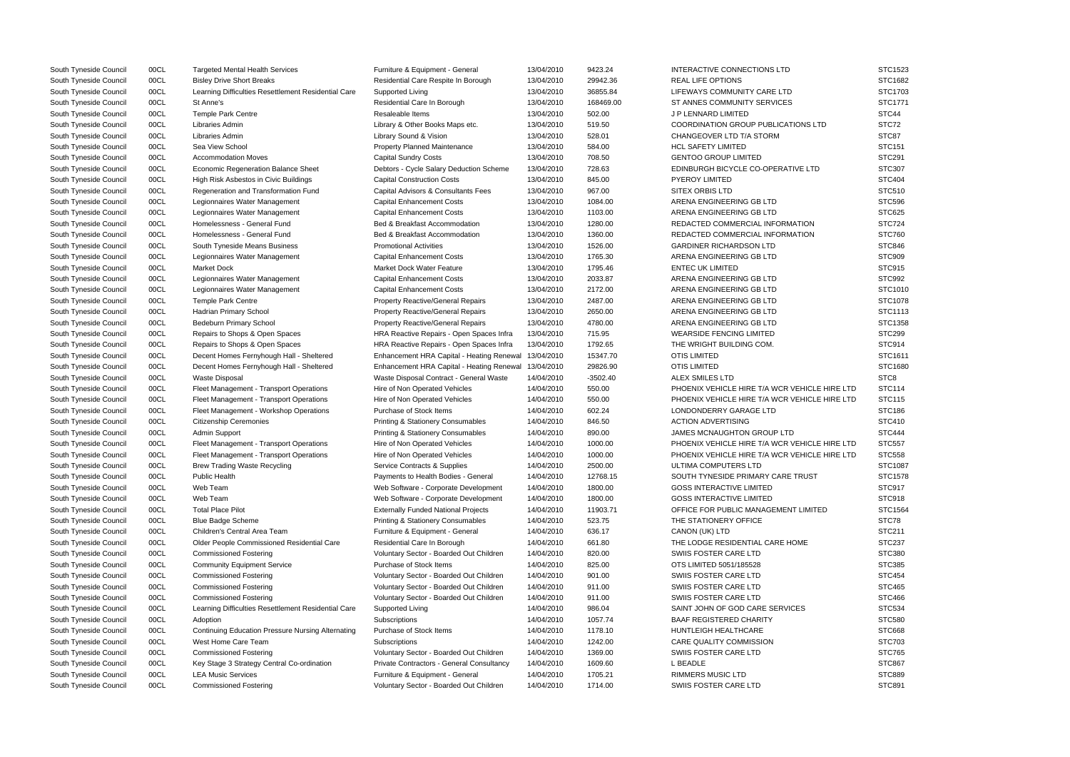| South Tyneside Council | 00CL | <b>Targeted Mental Health Services</b>                   | Furniture & Equipment - General              | 13/04/2010 | 9423.24    | INTERACTIVE CONNECTIONS LTD                   | STC1523          |
|------------------------|------|----------------------------------------------------------|----------------------------------------------|------------|------------|-----------------------------------------------|------------------|
| South Tyneside Council | 00CL | <b>Bisley Drive Short Breaks</b>                         | Residential Care Respite In Borough          | 13/04/2010 | 29942.36   | <b>REAL LIFE OPTIONS</b>                      | STC1682          |
| South Tyneside Council | 00CL | Learning Difficulties Resettlement Residential Care      | Supported Living                             | 13/04/2010 | 36855.84   | LIFEWAYS COMMUNITY CARE LTD                   | STC1703          |
| South Tyneside Council | 00CL | St Anne's                                                | Residential Care In Borough                  | 13/04/2010 | 168469.00  | ST ANNES COMMUNITY SERVICES                   | STC1771          |
| South Tyneside Council | 00CL | <b>Temple Park Centre</b>                                | Resaleable Items                             | 13/04/2010 | 502.00     | J P LENNARD LIMITED                           | STC44            |
| South Tyneside Council | 00CL | Libraries Admin                                          | Library & Other Books Maps etc.              | 13/04/2010 | 519.50     | COORDINATION GROUP PUBLICATIONS LTD           | STC72            |
| South Tyneside Council | 00CL | Libraries Admin                                          | Library Sound & Vision                       | 13/04/2010 | 528.01     | CHANGEOVER LTD T/A STORM                      | STC87            |
| South Tyneside Council | 00CL | Sea View School                                          | <b>Property Planned Maintenance</b>          | 13/04/2010 | 584.00     | <b>HCL SAFETY LIMITED</b>                     | <b>STC151</b>    |
| South Tyneside Council | 00CL | <b>Accommodation Moves</b>                               | <b>Capital Sundry Costs</b>                  | 13/04/2010 | 708.50     | <b>GENTOO GROUP LIMITED</b>                   | <b>STC291</b>    |
| South Tyneside Council | 00CL | <b>Economic Regeneration Balance Sheet</b>               | Debtors - Cycle Salary Deduction Scheme      | 13/04/2010 | 728.63     | EDINBURGH BICYCLE CO-OPERATIVE LTD            | STC307           |
| South Tyneside Council | 00CL | High Risk Asbestos in Civic Buildings                    | <b>Capital Construction Costs</b>            | 13/04/2010 | 845.00     | <b>PYEROY LIMITED</b>                         | <b>STC404</b>    |
| South Tyneside Council | 00CL | Regeneration and Transformation Fund                     | Capital Advisors & Consultants Fees          | 13/04/2010 | 967.00     | <b>SITEX ORBIS LTD</b>                        | STC510           |
| South Tyneside Council | 00CL | Legionnaires Water Management                            | <b>Capital Enhancement Costs</b>             | 13/04/2010 | 1084.00    | ARENA ENGINEERING GB LTD                      | <b>STC596</b>    |
| South Tyneside Council | 00CL | Legionnaires Water Management                            | <b>Capital Enhancement Costs</b>             | 13/04/2010 | 1103.00    | ARENA ENGINEERING GB LTD                      | <b>STC625</b>    |
| South Tyneside Council | 00CL | Homelessness - General Fund                              | Bed & Breakfast Accommodation                | 13/04/2010 | 1280.00    | REDACTED COMMERCIAL INFORMATION               | <b>STC724</b>    |
| South Tyneside Council | 00CL | Homelessness - General Fund                              | Bed & Breakfast Accommodation                | 13/04/2010 | 1360.00    | REDACTED COMMERCIAL INFORMATION               | <b>STC760</b>    |
| South Tyneside Council | 00CL | South Tyneside Means Business                            | <b>Promotional Activities</b>                | 13/04/2010 | 1526.00    | <b>GARDINER RICHARDSON LTD</b>                | <b>STC846</b>    |
| South Tyneside Council | 00CL | Legionnaires Water Management                            | <b>Capital Enhancement Costs</b>             | 13/04/2010 | 1765.30    | ARENA ENGINEERING GB LTD                      | <b>STC909</b>    |
| South Tyneside Council | 00CL | <b>Market Dock</b>                                       | <b>Market Dock Water Feature</b>             | 13/04/2010 | 1795.46    | <b>ENTEC UK LIMITED</b>                       | <b>STC915</b>    |
| South Tyneside Council | 00CL | Legionnaires Water Management                            | <b>Capital Enhancement Costs</b>             | 13/04/2010 | 2033.87    | ARENA ENGINEERING GB LTD                      | STC992           |
| South Tyneside Council | 00CL | Legionnaires Water Management                            | <b>Capital Enhancement Costs</b>             | 13/04/2010 | 2172.00    | ARENA ENGINEERING GB LTD                      | STC1010          |
| South Tyneside Council | 00CL | <b>Temple Park Centre</b>                                | <b>Property Reactive/General Repairs</b>     | 13/04/2010 | 2487.00    | ARENA ENGINEERING GB LTD                      | STC1078          |
| South Tyneside Council | 00CL | Hadrian Primary School                                   | <b>Property Reactive/General Repairs</b>     | 13/04/2010 | 2650.00    | ARENA ENGINEERING GB LTD                      | STC1113          |
| South Tyneside Council | 00CL | Bedeburn Primary School                                  | <b>Property Reactive/General Repairs</b>     | 13/04/2010 | 4780.00    | ARENA ENGINEERING GB LTD                      | STC1358          |
| South Tyneside Council | 00CL | Repairs to Shops & Open Spaces                           | HRA Reactive Repairs - Open Spaces Infra     | 13/04/2010 | 715.95     | <b>WEARSIDE FENCING LIMITED</b>               | <b>STC299</b>    |
| South Tyneside Council | 00CL | Repairs to Shops & Open Spaces                           | HRA Reactive Repairs - Open Spaces Infra     | 13/04/2010 | 1792.65    | THE WRIGHT BUILDING COM.                      | <b>STC914</b>    |
| South Tyneside Council | 00CL | Decent Homes Fernyhough Hall - Sheltered                 | Enhancement HRA Capital - Heating Renewal    | 13/04/2010 | 15347.70   | OTIS LIMITED                                  | STC1611          |
| South Tyneside Council | 00CL | Decent Homes Fernyhough Hall - Sheltered                 | Enhancement HRA Capital - Heating Renewal    | 13/04/2010 | 29826.90   | OTIS LIMITED                                  | STC1680          |
| South Tyneside Council | 00CL | <b>Waste Disposal</b>                                    | Waste Disposal Contract - General Waste      | 14/04/2010 | $-3502.40$ | ALEX SMILES LTD                               | STC <sub>8</sub> |
| South Tyneside Council | 00CL | Fleet Management - Transport Operations                  | Hire of Non Operated Vehicles                | 14/04/2010 | 550.00     | PHOENIX VEHICLE HIRE T/A WCR VEHICLE HIRE LTD | <b>STC114</b>    |
| South Tyneside Council | 00CL | Fleet Management - Transport Operations                  | Hire of Non Operated Vehicles                | 14/04/2010 | 550.00     | PHOENIX VEHICLE HIRE T/A WCR VEHICLE HIRE LTD | <b>STC115</b>    |
| South Tyneside Council | 00CL | Fleet Management - Workshop Operations                   | Purchase of Stock Items                      | 14/04/2010 | 602.24     | LONDONDERRY GARAGE LTD                        | STC186           |
| South Tyneside Council | 00CL | <b>Citizenship Ceremonies</b>                            | <b>Printing &amp; Stationery Consumables</b> | 14/04/2010 | 846.50     | <b>ACTION ADVERTISING</b>                     | <b>STC410</b>    |
| South Tyneside Council | 00CL | <b>Admin Support</b>                                     | <b>Printing &amp; Stationery Consumables</b> | 14/04/2010 | 890.00     | JAMES MCNAUGHTON GROUP LTD                    | <b>STC444</b>    |
| South Tyneside Council | 00CL | Fleet Management - Transport Operations                  | Hire of Non Operated Vehicles                | 14/04/2010 | 1000.00    | PHOENIX VEHICLE HIRE T/A WCR VEHICLE HIRE LTD | <b>STC557</b>    |
| South Tyneside Council | 00CL | Fleet Management - Transport Operations                  | Hire of Non Operated Vehicles                | 14/04/2010 | 1000.00    | PHOENIX VEHICLE HIRE T/A WCR VEHICLE HIRE LTD | <b>STC558</b>    |
| South Tyneside Council | 00CL | <b>Brew Trading Waste Recycling</b>                      | Service Contracts & Supplies                 | 14/04/2010 | 2500.00    | ULTIMA COMPUTERS LTD                          | STC1087          |
| South Tyneside Council | 00CL | <b>Public Health</b>                                     | Payments to Health Bodies - General          | 14/04/2010 | 12768.15   | SOUTH TYNESIDE PRIMARY CARE TRUST             | STC1578          |
| South Tyneside Council | 00CL | Web Team                                                 | Web Software - Corporate Development         | 14/04/2010 | 1800.00    | <b>GOSS INTERACTIVE LIMITED</b>               | <b>STC917</b>    |
| South Tyneside Council | 00CL | Web Team                                                 | Web Software - Corporate Development         | 14/04/2010 | 1800.00    | <b>GOSS INTERACTIVE LIMITED</b>               | <b>STC918</b>    |
| South Tyneside Council | 00CL | <b>Total Place Pilot</b>                                 | <b>Externally Funded National Projects</b>   | 14/04/2010 | 11903.71   | OFFICE FOR PUBLIC MANAGEMENT LIMITED          | STC1564          |
| South Tyneside Council | 00CL | <b>Blue Badge Scheme</b>                                 | Printing & Stationery Consumables            | 14/04/2010 | 523.75     | THE STATIONERY OFFICE                         | STC78            |
| South Tyneside Council | 00CL | Children's Central Area Team                             | Furniture & Equipment - General              | 14/04/2010 | 636.17     | CANON (UK) LTD                                | STC211           |
| South Tyneside Council | 00CL | Older People Commissioned Residential Care               | Residential Care In Borough                  | 14/04/2010 | 661.80     | THE LODGE RESIDENTIAL CARE HOME               | <b>STC237</b>    |
| South Tyneside Council | 00CL | <b>Commissioned Fostering</b>                            | Voluntary Sector - Boarded Out Children      | 14/04/2010 | 820.00     | SWIIS FOSTER CARE LTD                         | STC380           |
| South Tyneside Council | 00CL | <b>Community Equipment Service</b>                       | Purchase of Stock Items                      | 14/04/2010 | 825.00     | OTS LIMITED 5051/185528                       | STC385           |
| South Tyneside Council | 00CL | <b>Commissioned Fostering</b>                            | Voluntary Sector - Boarded Out Children      | 14/04/2010 | 901.00     | SWIIS FOSTER CARE LTD                         | <b>STC454</b>    |
| South Tyneside Council | 00CL | <b>Commissioned Fostering</b>                            | Voluntary Sector - Boarded Out Children      | 14/04/2010 | 911.00     | SWIIS FOSTER CARE LTD                         | <b>STC465</b>    |
| South Tyneside Council | 00CL | <b>Commissioned Fostering</b>                            | Voluntary Sector - Boarded Out Children      | 14/04/2010 | 911.00     | SWIIS FOSTER CARE LTD                         | <b>STC466</b>    |
| South Tyneside Council | 00CL | Learning Difficulties Resettlement Residential Care      | <b>Supported Living</b>                      | 14/04/2010 | 986.04     | SAINT JOHN OF GOD CARE SERVICES               | <b>STC534</b>    |
| South Tyneside Council | 00CL |                                                          |                                              | 14/04/2010 | 1057.74    | <b>BAAF REGISTERED CHARITY</b>                |                  |
|                        |      | Adoption                                                 | Subscriptions                                |            |            |                                               | STC580           |
| South Tyneside Council | 00CL | <b>Continuing Education Pressure Nursing Alternating</b> | Purchase of Stock Items                      | 14/04/2010 | 1178.10    | HUNTLEIGH HEALTHCARE                          | <b>STC668</b>    |
| South Tyneside Council | 00CL | West Home Care Team                                      | Subscriptions                                | 14/04/2010 | 1242.00    | CARE QUALITY COMMISSION                       | STC703           |
| South Tyneside Council | 00CL | <b>Commissioned Fostering</b>                            | Voluntary Sector - Boarded Out Children      | 14/04/2010 | 1369.00    | SWIIS FOSTER CARE LTD                         | <b>STC765</b>    |
| South Tyneside Council | 00CL | Key Stage 3 Strategy Central Co-ordination               | Private Contractors - General Consultancy    | 14/04/2010 | 1609.60    | L BEADLE                                      | <b>STC867</b>    |
| South Tyneside Council | 00CL | <b>LEA Music Services</b>                                | Furniture & Equipment - General              | 14/04/2010 | 1705.21    | <b>RIMMERS MUSIC LTD</b>                      | <b>STC889</b>    |
| South Tyneside Council | 00CL | <b>Commissioned Fostering</b>                            | Voluntary Sector - Boarded Out Children      | 14/04/2010 | 1714.00    | SWIIS FOSTER CARE LTD                         | STC891           |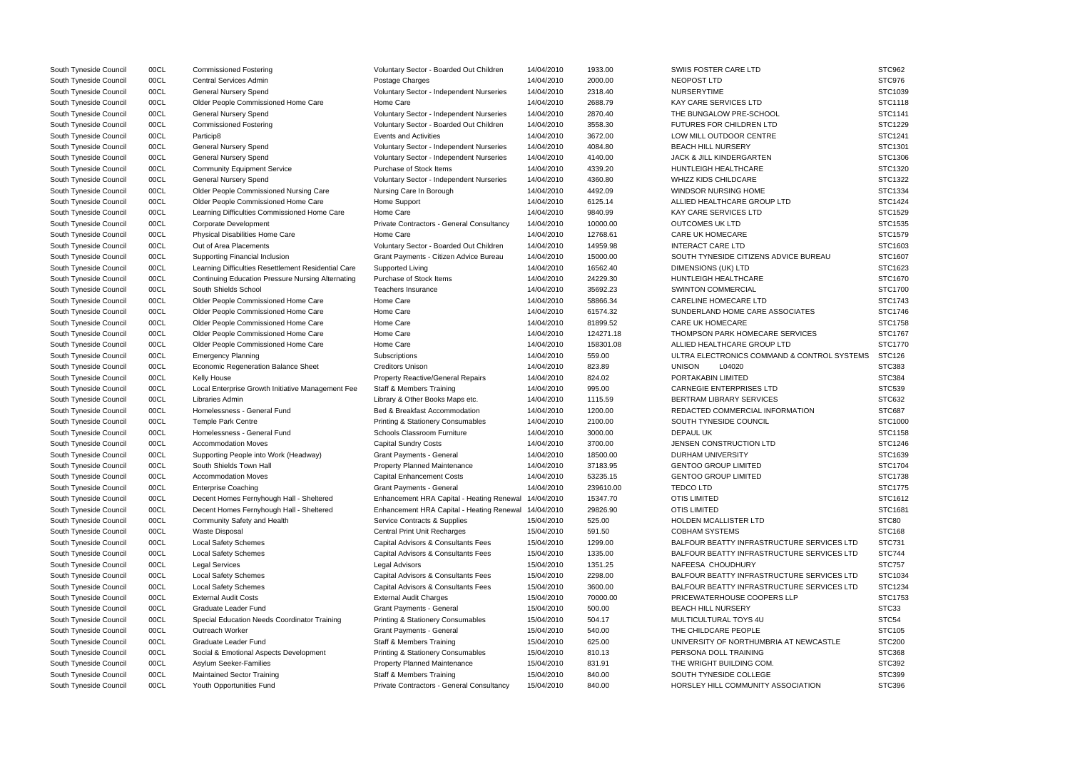| South Tyneside Council | 00CL | <b>Commissioned Fostering</b>                            | Voluntary Sector - Boarded Out Children      | 14/04/2010 | 1933.00   | SWIIS FOSTER CARE LTD                             | STC962         |
|------------------------|------|----------------------------------------------------------|----------------------------------------------|------------|-----------|---------------------------------------------------|----------------|
| South Tyneside Council | 00CL | <b>Central Services Admin</b>                            | Postage Charges                              | 14/04/2010 | 2000.00   | NEOPOST LTD                                       | STC976         |
| South Tyneside Council | 00CL | <b>General Nursery Spend</b>                             | Voluntary Sector - Independent Nurseries     | 14/04/2010 | 2318.40   | <b>NURSERYTIME</b>                                | STC1039        |
| South Tyneside Council | 00CL | Older People Commissioned Home Care                      | Home Care                                    | 14/04/2010 | 2688.79   | KAY CARE SERVICES LTD                             | STC1118        |
| South Tyneside Council | 00CL | <b>General Nursery Spend</b>                             | Voluntary Sector - Independent Nurseries     | 14/04/2010 | 2870.40   | THE BUNGALOW PRE-SCHOOL                           | STC1141        |
| South Tyneside Council | 00CL | <b>Commissioned Fostering</b>                            | Voluntary Sector - Boarded Out Children      | 14/04/2010 | 3558.30   | FUTURES FOR CHILDREN LTD                          | STC1229        |
| South Tyneside Council | 00CL | Particip8                                                | Events and Activities                        | 14/04/2010 | 3672.00   | LOW MILL OUTDOOR CENTRE                           | STC1241        |
| South Tyneside Council | 00CL | <b>General Nursery Spend</b>                             | Voluntary Sector - Independent Nurseries     | 14/04/2010 | 4084.80   | <b>BEACH HILL NURSERY</b>                         | STC1301        |
| South Tyneside Council | 00CL | <b>General Nursery Spend</b>                             | Voluntary Sector - Independent Nurseries     | 14/04/2010 | 4140.00   | JACK & JILL KINDERGARTEN                          | STC1306        |
| South Tyneside Council | 00CL | <b>Community Equipment Service</b>                       | Purchase of Stock Items                      | 14/04/2010 | 4339.20   | HUNTLEIGH HEALTHCARE                              | STC1320        |
| South Tyneside Council | 00CL | <b>General Nursery Spend</b>                             | Voluntary Sector - Independent Nurseries     | 14/04/2010 | 4360.80   | <b>WHIZZ KIDS CHILDCARE</b>                       | STC1322        |
| South Tyneside Council | 00CL | Older People Commissioned Nursing Care                   | Nursing Care In Borough                      | 14/04/2010 | 4492.09   | WINDSOR NURSING HOME                              | STC1334        |
| South Tyneside Council | 00CL | Older People Commissioned Home Care                      | Home Support                                 | 14/04/2010 | 6125.14   | ALLIED HEALTHCARE GROUP LTD                       | STC1424        |
| South Tyneside Council | 00CL | Learning Difficulties Commissioned Home Care             | Home Care                                    | 14/04/2010 | 9840.99   | <b>KAY CARE SERVICES LTD</b>                      | STC1529        |
| South Tyneside Council | 00CL | Corporate Development                                    | Private Contractors - General Consultancy    | 14/04/2010 | 10000.00  | <b>OUTCOMES UK LTD</b>                            | STC1535        |
| South Tyneside Council | 00CL | <b>Physical Disabilities Home Care</b>                   | Home Care                                    | 14/04/2010 | 12768.61  | <b>CARE UK HOMECARE</b>                           | STC1579        |
| South Tyneside Council | 00CL | Out of Area Placements                                   | Voluntary Sector - Boarded Out Children      | 14/04/2010 | 14959.98  | <b>INTERACT CARE LTD</b>                          | STC1603        |
| South Tyneside Council | 00CL | Supporting Financial Inclusion                           | Grant Payments - Citizen Advice Bureau       | 14/04/2010 | 15000.00  | SOUTH TYNESIDE CITIZENS ADVICE BUREAU             | STC1607        |
| South Tyneside Council | 00CL | Learning Difficulties Resettlement Residential Care      | Supported Living                             | 14/04/2010 | 16562.40  | DIMENSIONS (UK) LTD                               | STC1623        |
| South Tyneside Council | 00CL | <b>Continuing Education Pressure Nursing Alternating</b> | Purchase of Stock Items                      | 14/04/2010 | 24229.30  | HUNTLEIGH HEALTHCARE                              | STC1670        |
| South Tyneside Council | 00CL | South Shields School                                     | <b>Teachers Insurance</b>                    | 14/04/2010 | 35692.23  | SWINTON COMMERCIAL                                | STC1700        |
| South Tyneside Council | 00CL | Older People Commissioned Home Care                      | Home Care                                    | 14/04/2010 | 58866.34  | <b>CARELINE HOMECARE LTD</b>                      | STC1743        |
| South Tyneside Council | 00CL | Older People Commissioned Home Care                      | Home Care                                    | 14/04/2010 | 61574.32  | SUNDERLAND HOME CARE ASSOCIATES                   | STC1746        |
| South Tyneside Council | 00CL | Older People Commissioned Home Care                      | Home Care                                    | 14/04/2010 | 81899.52  | <b>CARE UK HOMECARE</b>                           | STC1758        |
| South Tyneside Council | 00CL | Older People Commissioned Home Care                      | Home Care                                    | 14/04/2010 | 124271.18 | <b>THOMPSON PARK HOMECARE SERVICES</b>            | STC1767        |
| South Tyneside Council | 00CL | Older People Commissioned Home Care                      | Home Care                                    | 14/04/2010 | 158301.08 | ALLIED HEALTHCARE GROUP LTD                       | <b>STC1770</b> |
| South Tyneside Council | 00CL | <b>Emergency Planning</b>                                | Subscriptions                                | 14/04/2010 | 559.00    | ULTRA ELECTRONICS COMMAND & CONTROL SYSTEMS       | STC126         |
| South Tyneside Council | 00CL | <b>Economic Regeneration Balance Sheet</b>               | <b>Creditors Unison</b>                      | 14/04/2010 | 823.89    | <b>UNISON</b><br>L04020                           | STC383         |
| South Tyneside Council | 00CL | Kelly House                                              | <b>Property Reactive/General Repairs</b>     | 14/04/2010 | 824.02    | PORTAKABIN LIMITED                                | STC384         |
| South Tyneside Council | 00CL | Local Enterprise Growth Initiative Management Fee        | <b>Staff &amp; Members Training</b>          | 14/04/2010 | 995.00    | <b>CARNEGIE ENTERPRISES LTD</b>                   | <b>STC539</b>  |
| South Tyneside Council | 00CL | Libraries Admin                                          | Library & Other Books Maps etc.              | 14/04/2010 | 1115.59   | <b>BERTRAM LIBRARY SERVICES</b>                   | STC632         |
| South Tyneside Council | 00CL | Homelessness - General Fund                              | Bed & Breakfast Accommodation                | 14/04/2010 | 1200.00   | REDACTED COMMERCIAL INFORMATION                   | <b>STC687</b>  |
| South Tyneside Council | 00CL | <b>Temple Park Centre</b>                                | <b>Printing &amp; Stationery Consumables</b> | 14/04/2010 | 2100.00   | SOUTH TYNESIDE COUNCIL                            | STC1000        |
| South Tyneside Council | 00CL | Homelessness - General Fund                              | Schools Classroom Furniture                  | 14/04/2010 | 3000.00   | DEPAUL UK                                         | STC1158        |
| South Tyneside Council | 00CL | <b>Accommodation Moves</b>                               | <b>Capital Sundry Costs</b>                  | 14/04/2010 | 3700.00   | JENSEN CONSTRUCTION LTD                           | STC1246        |
| South Tyneside Council | 00CL | Supporting People into Work (Headway)                    | <b>Grant Payments - General</b>              | 14/04/2010 | 18500.00  | DURHAM UNIVERSITY                                 | STC1639        |
| South Tyneside Council | 00CL | South Shields Town Hall                                  | <b>Property Planned Maintenance</b>          | 14/04/2010 | 37183.95  | <b>GENTOO GROUP LIMITED</b>                       | STC1704        |
| South Tyneside Council | 00CL | <b>Accommodation Moves</b>                               | <b>Capital Enhancement Costs</b>             | 14/04/2010 | 53235.15  | <b>GENTOO GROUP LIMITED</b>                       | STC1738        |
| South Tyneside Council | 00CL | <b>Enterprise Coaching</b>                               | <b>Grant Payments - General</b>              | 14/04/2010 | 239610.00 | <b>TEDCOLTD</b>                                   | STC1775        |
| South Tyneside Council | 00CL | Decent Homes Fernyhough Hall - Sheltered                 | Enhancement HRA Capital - Heating Renewal    | 14/04/2010 | 15347.70  | <b>OTIS LIMITED</b>                               | STC1612        |
| South Tyneside Council | 00CL | Decent Homes Fernyhough Hall - Sheltered                 | Enhancement HRA Capital - Heating Renewal    | 14/04/2010 | 29826.90  | <b>OTIS LIMITED</b>                               | STC1681        |
| South Tyneside Council | 00CL | Community Safety and Health                              | Service Contracts & Supplies                 | 15/04/2010 | 525.00    | HOLDEN MCALLISTER LTD                             | STC80          |
| South Tyneside Council | 00CL | <b>Waste Disposal</b>                                    | <b>Central Print Unit Recharges</b>          | 15/04/2010 | 591.50    | <b>COBHAM SYSTEMS</b>                             | <b>STC168</b>  |
| South Tyneside Council | 00CL | <b>Local Safety Schemes</b>                              | Capital Advisors & Consultants Fees          | 15/04/2010 | 1299.00   | BALFOUR BEATTY INFRASTRUCTURE SERVICES LTD        | <b>STC731</b>  |
| South Tyneside Council | 00CL | <b>Local Safety Schemes</b>                              | Capital Advisors & Consultants Fees          | 15/04/2010 | 1335.00   | <b>BALFOUR BEATTY INFRASTRUCTURE SERVICES LTD</b> | <b>STC744</b>  |
| South Tyneside Council | 00CL | <b>Legal Services</b>                                    | Legal Advisors                               | 15/04/2010 | 1351.25   | NAFEESA CHOUDHURY                                 | <b>STC757</b>  |
| South Tyneside Council | 00CL | <b>Local Safety Schemes</b>                              | Capital Advisors & Consultants Fees          | 15/04/2010 | 2298.00   | BALFOUR BEATTY INFRASTRUCTURE SERVICES LTD        | STC1034        |
| South Tyneside Council | 00CL | <b>Local Safety Schemes</b>                              | Capital Advisors & Consultants Fees          | 15/04/2010 | 3600.00   | BALFOUR BEATTY INFRASTRUCTURE SERVICES LTD        | STC1234        |
| South Tyneside Council | 00CL | <b>External Audit Costs</b>                              | <b>External Audit Charges</b>                | 15/04/2010 | 70000.00  | PRICEWATERHOUSE COOPERS LLP                       | STC1753        |
| South Tyneside Council | 00CL | Graduate Leader Fund                                     | Grant Payments - General                     | 15/04/2010 | 500.00    | <b>BEACH HILL NURSERY</b>                         | STC33          |
| South Tyneside Council | 00CL | Special Education Needs Coordinator Training             | <b>Printing &amp; Stationery Consumables</b> | 15/04/2010 | 504.17    | MULTICULTURAL TOYS 4U                             | STC54          |
| South Tyneside Council | 00CL | Outreach Worker                                          | Grant Payments - General                     | 15/04/2010 | 540.00    | THE CHILDCARE PEOPLE                              | <b>STC105</b>  |
| South Tyneside Council | 00CL | Graduate Leader Fund                                     | <b>Staff &amp; Members Training</b>          | 15/04/2010 | 625.00    | UNIVERSITY OF NORTHUMBRIA AT NEWCASTLE            | <b>STC200</b>  |
| South Tyneside Council | 00CL | Social & Emotional Aspects Development                   | Printing & Stationery Consumables            | 15/04/2010 | 810.13    | PERSONA DOLL TRAINING                             | <b>STC368</b>  |
| South Tyneside Council | 00CL | Asylum Seeker-Families                                   | Property Planned Maintenance                 | 15/04/2010 | 831.91    | THE WRIGHT BUILDING COM.                          | STC392         |
| South Tyneside Council | 00CL | Maintained Sector Training                               | <b>Staff &amp; Members Training</b>          | 15/04/2010 | 840.00    | SOUTH TYNESIDE COLLEGE                            | STC399         |
| South Tyneside Council | 00CL | Youth Opportunities Fund                                 | Private Contractors - General Consultancy    | 15/04/2010 | 840.00    | HORSLEY HILL COMMUNITY ASSOCIATION                | STC396         |
|                        |      |                                                          |                                              |            |           |                                                   |                |

|                     | STC962        |
|---------------------|---------------|
|                     |               |
|                     | STC976        |
|                     | STC1039       |
|                     | STC1118       |
|                     |               |
|                     | STC1141       |
|                     | STC1229       |
|                     | STC1241       |
|                     | STC1301       |
|                     |               |
|                     | STC1306       |
|                     | STC1320       |
|                     | STC1322       |
|                     | STC1334       |
|                     | STC1424       |
|                     |               |
|                     | STC1529       |
|                     | STC1535       |
|                     | STC1579       |
|                     | STC1603       |
| <b>JREAU</b>        | STC1607       |
|                     |               |
|                     | STC1623       |
|                     | STC1670       |
|                     | STC1700       |
|                     | STC1743       |
|                     |               |
| :S                  | STC1746       |
|                     | STC1758       |
| ΞS                  | STC1767       |
|                     | STC1770       |
|                     |               |
| NTROL SYSTEMS       | <b>STC126</b> |
|                     | STC383        |
|                     | STC384        |
|                     | STC539        |
|                     |               |
|                     | STC632        |
| ١N                  | STC687        |
|                     | STC1000       |
|                     | STC1158       |
|                     | STC1246       |
|                     |               |
|                     | STC1639       |
|                     | STC1704       |
|                     | STC1738       |
|                     | STC1775       |
|                     | STC1612       |
|                     |               |
|                     | STC1681       |
|                     | STC80         |
|                     | <b>STC168</b> |
| SERVICES LTD        | STC731        |
|                     |               |
| <b>SERVICES LTD</b> | <b>STC744</b> |
|                     | <b>STC757</b> |
| SERVICES LTD        | STC1034       |
| <b>SERVICES LTD</b> | STC1234       |
|                     | STC1753       |
|                     |               |
|                     | STC33         |
|                     | STC54         |
|                     | STC105        |
| VCASTLE             | <b>STC200</b> |
|                     |               |
|                     | STC368        |
|                     |               |
|                     | STC392        |
|                     | STC399        |
| ION                 | STC396        |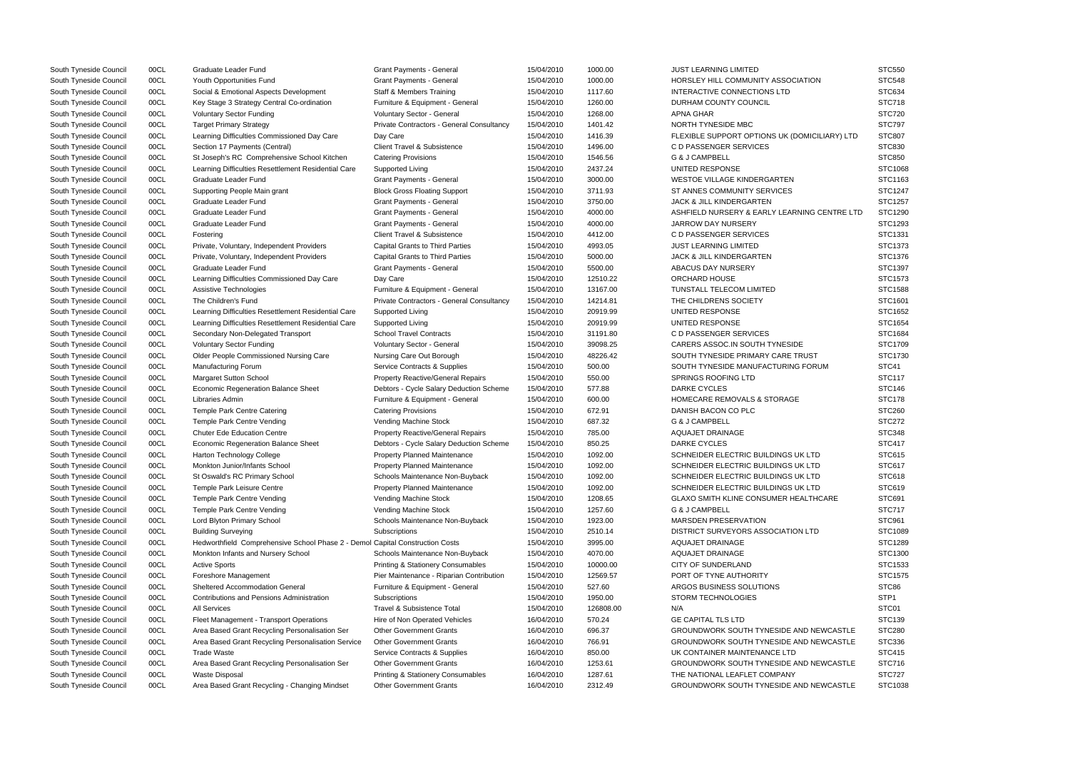| South Tyneside Council | 00CL | Graduate Leader Fund                                                          | <b>Grant Payments - General</b>              | 15/04/2010 | 1000.00   | <b>JUST LEARNING LIMITED</b>                  | <b>STC550</b>    |
|------------------------|------|-------------------------------------------------------------------------------|----------------------------------------------|------------|-----------|-----------------------------------------------|------------------|
| South Tyneside Council | 00CL | Youth Opportunities Fund                                                      | <b>Grant Payments - General</b>              | 15/04/2010 | 1000.00   | HORSLEY HILL COMMUNITY ASSOCIATION            | <b>STC548</b>    |
| South Tyneside Council | 00CL | Social & Emotional Aspects Development                                        | <b>Staff &amp; Members Training</b>          | 15/04/2010 | 1117.60   | INTERACTIVE CONNECTIONS LTD                   | <b>STC634</b>    |
| South Tyneside Council | 00CL | Key Stage 3 Strategy Central Co-ordination                                    | Furniture & Equipment - General              | 15/04/2010 | 1260.00   | DURHAM COUNTY COUNCIL                         | <b>STC718</b>    |
| South Tyneside Council | 00CL | <b>Voluntary Sector Funding</b>                                               | Voluntary Sector - General                   | 15/04/2010 | 1268.00   | <b>APNA GHAR</b>                              | <b>STC720</b>    |
| South Tyneside Council | 00CL | <b>Target Primary Strategy</b>                                                | Private Contractors - General Consultancy    | 15/04/2010 | 1401.42   | NORTH TYNESIDE MBC                            | <b>STC797</b>    |
| South Tyneside Council | 00CL | Learning Difficulties Commissioned Day Care                                   | Day Care                                     | 15/04/2010 | 1416.39   | FLEXIBLE SUPPORT OPTIONS UK (DOMICILIARY) LTD | <b>STC807</b>    |
| South Tyneside Council | 00CL | Section 17 Payments (Central)                                                 | <b>Client Travel &amp; Subsistence</b>       | 15/04/2010 | 1496.00   | C D PASSENGER SERVICES                        | <b>STC830</b>    |
| South Tyneside Council | 00CL | St Joseph's RC Comprehensive School Kitchen                                   | <b>Catering Provisions</b>                   | 15/04/2010 | 1546.56   | G & J CAMPBELL                                | <b>STC850</b>    |
| South Tyneside Council | 00CL | Learning Difficulties Resettlement Residential Care                           | Supported Living                             | 15/04/2010 | 2437.24   | UNITED RESPONSE                               | STC1068          |
| South Tyneside Council | 00CL | Graduate Leader Fund                                                          | Grant Payments - General                     | 15/04/2010 | 3000.00   | <b>WESTOE VILLAGE KINDERGARTEN</b>            | STC1163          |
| South Tyneside Council | 00CL | Supporting People Main grant                                                  | <b>Block Gross Floating Support</b>          | 15/04/2010 | 3711.93   | ST ANNES COMMUNITY SERVICES                   | STC1247          |
| South Tyneside Council | 00CL | Graduate Leader Fund                                                          | Grant Payments - General                     | 15/04/2010 | 3750.00   | <b>JACK &amp; JILL KINDERGARTEN</b>           | STC1257          |
| South Tyneside Council | 00CL | Graduate Leader Fund                                                          | <b>Grant Payments - General</b>              | 15/04/2010 | 4000.00   | ASHFIELD NURSERY & EARLY LEARNING CENTRE LTD  | STC1290          |
| South Tyneside Council | 00CL | Graduate Leader Fund                                                          | <b>Grant Payments - General</b>              | 15/04/2010 | 4000.00   | <b>JARROW DAY NURSERY</b>                     | STC1293          |
| South Tyneside Council | 00CL | Fostering                                                                     | <b>Client Travel &amp; Subsistence</b>       | 15/04/2010 | 4412.00   | C D PASSENGER SERVICES                        | STC1331          |
| South Tyneside Council | 00CL | Private, Voluntary, Independent Providers                                     | <b>Capital Grants to Third Parties</b>       | 15/04/2010 | 4993.05   | <b>JUST LEARNING LIMITED</b>                  | STC1373          |
| South Tyneside Council | 00CL | Private, Voluntary, Independent Providers                                     | <b>Capital Grants to Third Parties</b>       | 15/04/2010 | 5000.00   | JACK & JILL KINDERGARTEN                      | STC1376          |
| South Tyneside Council | 00CL | Graduate Leader Fund                                                          | Grant Payments - General                     | 15/04/2010 | 5500.00   | ABACUS DAY NURSERY                            | STC1397          |
| South Tyneside Council | 00CL | Learning Difficulties Commissioned Day Care                                   | Day Care                                     | 15/04/2010 | 12510.22  | ORCHARD HOUSE                                 | STC1573          |
| South Tyneside Council | 00CL | Assistive Technologies                                                        | Furniture & Equipment - General              | 15/04/2010 | 13167.00  | TUNSTALL TELECOM LIMITED                      | <b>STC1588</b>   |
| South Tyneside Council | 00CL | The Children's Fund                                                           | Private Contractors - General Consultancy    | 15/04/2010 | 14214.81  | THE CHILDRENS SOCIETY                         | STC1601          |
| South Tyneside Council | 00CL | Learning Difficulties Resettlement Residential Care                           | Supported Living                             | 15/04/2010 | 20919.99  | UNITED RESPONSE                               | STC1652          |
| South Tyneside Council | 00CL | Learning Difficulties Resettlement Residential Care                           | Supported Living                             | 15/04/2010 | 20919.99  | UNITED RESPONSE                               | STC1654          |
| South Tyneside Council | 00CL | Secondary Non-Delegated Transport                                             | <b>School Travel Contracts</b>               | 15/04/2010 | 31191.80  | C D PASSENGER SERVICES                        | STC1684          |
| South Tyneside Council | 00CL | <b>Voluntary Sector Funding</b>                                               | Voluntary Sector - General                   | 15/04/2010 | 39098.25  | CARERS ASSOC.IN SOUTH TYNESIDE                | STC1709          |
| South Tyneside Council | 00CL | Older People Commissioned Nursing Care                                        | Nursing Care Out Borough                     | 15/04/2010 | 48226.42  | SOUTH TYNESIDE PRIMARY CARE TRUST             | STC1730          |
| South Tyneside Council | 00CL | Manufacturing Forum                                                           | Service Contracts & Supplies                 | 15/04/2010 | 500.00    | SOUTH TYNESIDE MANUFACTURING FORUM            | STC41            |
| South Tyneside Council | 00CL | Margaret Sutton School                                                        | <b>Property Reactive/General Repairs</b>     | 15/04/2010 | 550.00    | SPRINGS ROOFING LTD                           | <b>STC117</b>    |
| South Tyneside Council | 00CL | Economic Regeneration Balance Sheet                                           | Debtors - Cycle Salary Deduction Scheme      | 15/04/2010 | 577.88    | DARKE CYCLES                                  | <b>STC146</b>    |
| South Tyneside Council | 00CL | Libraries Admin                                                               | Furniture & Equipment - General              | 15/04/2010 | 600.00    | <b>HOMECARE REMOVALS &amp; STORAGE</b>        | <b>STC178</b>    |
| South Tyneside Council | 00CL | Temple Park Centre Catering                                                   | <b>Catering Provisions</b>                   | 15/04/2010 | 672.91    | DANISH BACON CO PLC                           | <b>STC260</b>    |
| South Tyneside Council | 00CL | Temple Park Centre Vending                                                    | Vending Machine Stock                        | 15/04/2010 | 687.32    | G & J CAMPBELL                                | <b>STC272</b>    |
| South Tyneside Council | 00CL | <b>Chuter Ede Education Centre</b>                                            | <b>Property Reactive/General Repairs</b>     | 15/04/2010 | 785.00    | AQUAJET DRAINAGE                              | <b>STC348</b>    |
| South Tyneside Council | 00CL | Economic Regeneration Balance Sheet                                           | Debtors - Cycle Salary Deduction Scheme      | 15/04/2010 | 850.25    | <b>DARKE CYCLES</b>                           | <b>STC417</b>    |
| South Tyneside Council | 00CL | Harton Technology College                                                     | <b>Property Planned Maintenance</b>          | 15/04/2010 | 1092.00   | SCHNEIDER ELECTRIC BUILDINGS UK LTD           | <b>STC615</b>    |
| South Tyneside Council | 00CL | Monkton Junior/Infants School                                                 | Property Planned Maintenance                 | 15/04/2010 | 1092.00   | SCHNEIDER ELECTRIC BUILDINGS UK LTD           | <b>STC617</b>    |
| South Tyneside Council | 00CL | St Oswald's RC Primary School                                                 | Schools Maintenance Non-Buyback              | 15/04/2010 | 1092.00   | SCHNEIDER ELECTRIC BUILDINGS UK LTD           | <b>STC618</b>    |
| South Tyneside Council | 00CL | Temple Park Leisure Centre                                                    | <b>Property Planned Maintenance</b>          | 15/04/2010 | 1092.00   | SCHNEIDER ELECTRIC BUILDINGS UK LTD           | <b>STC619</b>    |
| South Tyneside Council | 00CL | Temple Park Centre Vending                                                    | Vending Machine Stock                        | 15/04/2010 | 1208.65   | GLAXO SMITH KLINE CONSUMER HEALTHCARE         | STC691           |
| South Tyneside Council | 00CL | Temple Park Centre Vending                                                    | Vending Machine Stock                        | 15/04/2010 | 1257.60   | G & J CAMPBELL                                | <b>STC717</b>    |
| South Tyneside Council | 00CL | Lord Blyton Primary School                                                    | Schools Maintenance Non-Buyback              | 15/04/2010 | 1923.00   | <b>MARSDEN PRESERVATION</b>                   | STC961           |
| South Tyneside Council | 00CL | <b>Building Surveying</b>                                                     | Subscriptions                                | 15/04/2010 | 2510.14   | DISTRICT SURVEYORS ASSOCIATION LTD            | STC1089          |
| South Tyneside Council | 00CL | Hedworthfield Comprehensive School Phase 2 - Demol Capital Construction Costs |                                              | 15/04/2010 | 3995.00   | AQUAJET DRAINAGE                              | STC1289          |
| South Tyneside Council | 00CL | Monkton Infants and Nursery School                                            | Schools Maintenance Non-Buyback              | 15/04/2010 | 4070.00   | AQUAJET DRAINAGE                              | STC1300          |
| South Tyneside Council | 00CL | <b>Active Sports</b>                                                          | <b>Printing &amp; Stationery Consumables</b> | 15/04/2010 | 10000.00  | <b>CITY OF SUNDERLAND</b>                     | STC1533          |
| South Tyneside Council | 00CL | Foreshore Management                                                          | Pier Maintenance - Riparian Contribution     | 15/04/2010 | 12569.57  | PORT OF TYNE AUTHORITY                        | STC1575          |
| South Tyneside Council | 00CL | Sheltered Accommodation General                                               | Furniture & Equipment - General              | 15/04/2010 | 527.60    | ARGOS BUSINESS SOLUTIONS                      | STC86            |
| South Tyneside Council | 00CL | <b>Contributions and Pensions Administration</b>                              | Subscriptions                                | 15/04/2010 | 1950.00   | STORM TECHNOLOGIES                            | STP <sub>1</sub> |
| South Tyneside Council | 00CL | <b>All Services</b>                                                           | Travel & Subsistence Total                   | 15/04/2010 | 126808.00 | N/A                                           | STC01            |
| South Tyneside Council | 00CL | Fleet Management - Transport Operations                                       | Hire of Non Operated Vehicles                | 16/04/2010 | 570.24    | <b>GE CAPITAL TLS LTD</b>                     | STC139           |
| South Tyneside Council | 00CL | Area Based Grant Recycling Personalisation Ser                                | <b>Other Government Grants</b>               | 16/04/2010 | 696.37    | GROUNDWORK SOUTH TYNESIDE AND NEWCASTLE       | <b>STC280</b>    |
| South Tyneside Council | 00CL | Area Based Grant Recycling Personalisation Service                            | <b>Other Government Grants</b>               | 16/04/2010 | 766.91    | GROUNDWORK SOUTH TYNESIDE AND NEWCASTLE       | STC336           |
| South Tyneside Council | 00CL | <b>Trade Waste</b>                                                            | Service Contracts & Supplies                 | 16/04/2010 | 850.00    | UK CONTAINER MAINTENANCE LTD                  | <b>STC415</b>    |
| South Tyneside Council | 00CL | Area Based Grant Recycling Personalisation Ser                                | <b>Other Government Grants</b>               | 16/04/2010 | 1253.61   | GROUNDWORK SOUTH TYNESIDE AND NEWCASTLE       | <b>STC716</b>    |
| South Tyneside Council | 00CL | <b>Waste Disposal</b>                                                         | <b>Printing &amp; Stationery Consumables</b> | 16/04/2010 | 1287.61   | THE NATIONAL LEAFLET COMPANY                  | <b>STC727</b>    |
| South Tyneside Council | 00CL | Area Based Grant Recycling - Changing Mindset                                 | <b>Other Government Grants</b>               | 16/04/2010 | 2312.49   | GROUNDWORK SOUTH TYNESIDE AND NEWCASTLE       | STC1038          |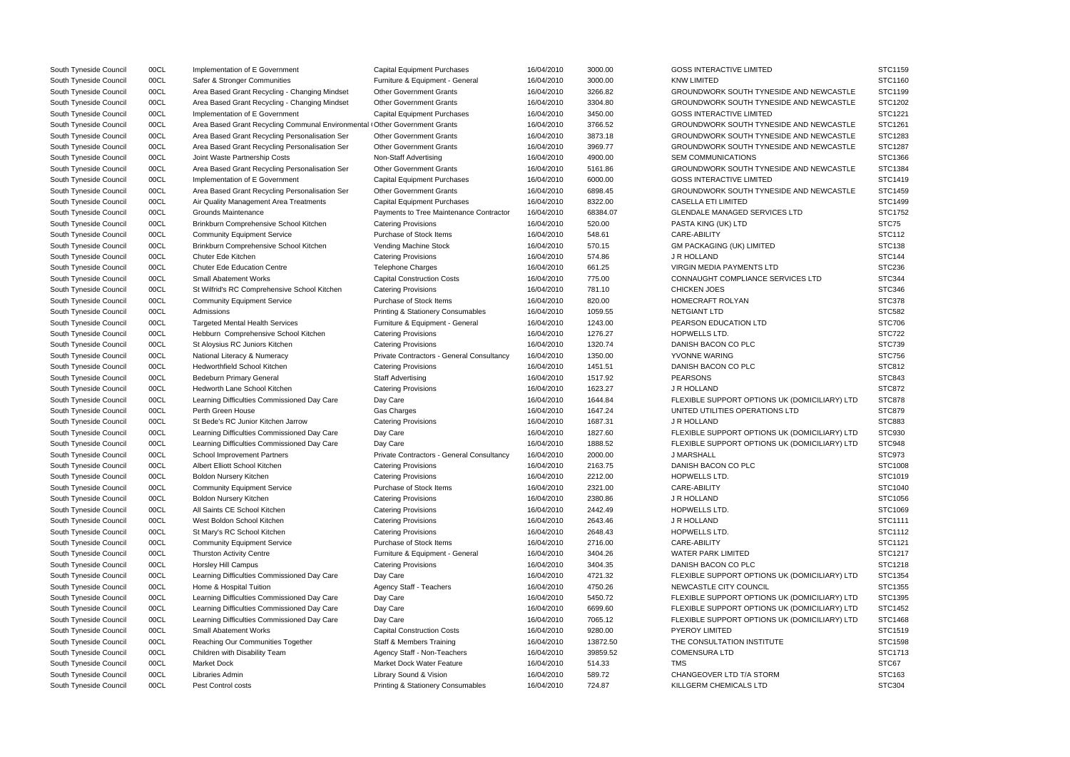| South Tyneside Council | 00CL         | Implementation of E Government                                                         | <b>Capital Equipment Purchases</b>                    | 16/04/2010               | 3000.00  | <b>GOSS INTERACTIVE LIMITED</b>               | STC1159            |
|------------------------|--------------|----------------------------------------------------------------------------------------|-------------------------------------------------------|--------------------------|----------|-----------------------------------------------|--------------------|
| South Tyneside Council | 00CL         | Safer & Stronger Communities                                                           | Furniture & Equipment - General                       | 16/04/2010               | 3000.00  | <b>KNW LIMITED</b>                            | <b>STC1160</b>     |
| South Tyneside Council | 00CL         | Area Based Grant Recycling - Changing Mindset                                          | <b>Other Government Grants</b>                        | 16/04/2010               | 3266.82  | GROUNDWORK SOUTH TYNESIDE AND NEWCASTLE       | STC1199            |
| South Tyneside Council | 00CL         | Area Based Grant Recycling - Changing Mindset                                          | <b>Other Government Grants</b>                        | 16/04/2010               | 3304.80  | GROUNDWORK SOUTH TYNESIDE AND NEWCASTLE       | STC1202            |
| South Tyneside Council | 00CL         | Implementation of E Government                                                         | <b>Capital Equipment Purchases</b>                    | 16/04/2010               | 3450.00  | <b>GOSS INTERACTIVE LIMITED</b>               | STC1221            |
| South Tyneside Council | 00CL         | Area Based Grant Recycling Communal Environmental <sup>1</sup> Other Government Grants |                                                       | 16/04/2010               | 3766.52  | GROUNDWORK SOUTH TYNESIDE AND NEWCASTLE       | STC1261            |
| South Tyneside Council | 00CL         | Area Based Grant Recycling Personalisation Ser                                         | <b>Other Government Grants</b>                        | 16/04/2010               | 3873.18  | GROUNDWORK SOUTH TYNESIDE AND NEWCASTLE       | STC1283            |
| South Tyneside Council | 00CL         | Area Based Grant Recycling Personalisation Ser                                         | <b>Other Government Grants</b>                        | 16/04/2010               | 3969.77  | GROUNDWORK SOUTH TYNESIDE AND NEWCASTLE       | STC1287            |
| South Tyneside Council | 00CL         | Joint Waste Partnership Costs                                                          | Non-Staff Advertising                                 | 16/04/2010               | 4900.00  | <b>SEM COMMUNICATIONS</b>                     | STC1366            |
| South Tyneside Council | 00CL         | Area Based Grant Recycling Personalisation Ser                                         | <b>Other Government Grants</b>                        | 16/04/2010               | 5161.86  | GROUNDWORK SOUTH TYNESIDE AND NEWCASTLE       | STC1384            |
| South Tyneside Council | 00CL         | Implementation of E Government                                                         | <b>Capital Equipment Purchases</b>                    | 16/04/2010               | 6000.00  | <b>GOSS INTERACTIVE LIMITED</b>               | STC1419            |
| South Tyneside Council | 00CL         | Area Based Grant Recycling Personalisation Ser                                         | <b>Other Government Grants</b>                        | 16/04/2010               | 6898.45  | GROUNDWORK SOUTH TYNESIDE AND NEWCASTLE       | STC1459            |
| South Tyneside Council | 00CL         | Air Quality Management Area Treatments                                                 | <b>Capital Equipment Purchases</b>                    | 16/04/2010               | 8322.00  | <b>CASELLA ETI LIMITED</b>                    | STC1499            |
| South Tyneside Council | 00CL         | Grounds Maintenance                                                                    | Payments to Tree Maintenance Contractor               | 16/04/2010               | 68384.07 | <b>GLENDALE MANAGED SERVICES LTD</b>          | STC1752            |
| South Tyneside Council | 00CL         | Brinkburn Comprehensive School Kitchen                                                 | <b>Catering Provisions</b>                            | 16/04/2010               | 520.00   | PASTA KING (UK) LTD                           | STC75              |
| South Tyneside Council | 00CL         | <b>Community Equipment Service</b>                                                     | Purchase of Stock Items                               | 16/04/2010               | 548.61   | CARE-ABILITY                                  | <b>STC112</b>      |
| South Tyneside Council | 00CL         | Brinkburn Comprehensive School Kitchen                                                 | Vending Machine Stock                                 | 16/04/2010               | 570.15   | <b>GM PACKAGING (UK) LIMITED</b>              | <b>STC138</b>      |
| South Tyneside Council | 00CL         | Chuter Ede Kitchen                                                                     | <b>Catering Provisions</b>                            | 16/04/2010               | 574.86   | J R HOLLAND                                   | <b>STC144</b>      |
| South Tyneside Council | 00CL         | <b>Chuter Ede Education Centre</b>                                                     | <b>Telephone Charges</b>                              | 16/04/2010               | 661.25   | VIRGIN MEDIA PAYMENTS LTD                     | <b>STC236</b>      |
| South Tyneside Council | 00CL         | <b>Small Abatement Works</b>                                                           | <b>Capital Construction Costs</b>                     | 16/04/2010               | 775.00   | CONNAUGHT COMPLIANCE SERVICES LTD             | <b>STC344</b>      |
| South Tyneside Council | 00CL         | St Wilfrid's RC Comprehensive School Kitchen                                           | <b>Catering Provisions</b>                            | 16/04/2010               | 781.10   | <b>CHICKEN JOES</b>                           | <b>STC346</b>      |
| South Tyneside Council | 00CL         | <b>Community Equipment Service</b>                                                     | Purchase of Stock Items                               | 16/04/2010               | 820.00   | HOMECRAFT ROLYAN                              | <b>STC378</b>      |
| South Tyneside Council | 00CL         | Admissions                                                                             | <b>Printing &amp; Stationery Consumables</b>          | 16/04/2010               | 1059.55  | NETGIANT LTD                                  | <b>STC582</b>      |
| South Tyneside Council | 00CL         | <b>Targeted Mental Health Services</b>                                                 | Furniture & Equipment - General                       | 16/04/2010               | 1243.00  | PEARSON EDUCATION LTD                         | <b>STC706</b>      |
| South Tyneside Council | 00CL         | Hebburn Comprehensive School Kitchen                                                   | <b>Catering Provisions</b>                            | 16/04/2010               | 1276.27  | HOPWELLS LTD.                                 | <b>STC722</b>      |
| South Tyneside Council | 00CL         | St Aloysius RC Juniors Kitchen                                                         | <b>Catering Provisions</b>                            | 16/04/2010               | 1320.74  | DANISH BACON CO PLC                           | <b>STC739</b>      |
| South Tyneside Council | 00CL         | National Literacy & Numeracy                                                           | Private Contractors - General Consultancy             | 16/04/2010               | 1350.00  | YVONNE WARING                                 | <b>STC756</b>      |
| South Tyneside Council | 00CL         | <b>Hedworthfield School Kitchen</b>                                                    | <b>Catering Provisions</b>                            | 16/04/2010               | 1451.51  | DANISH BACON CO PLC                           | STC812             |
| South Tyneside Council | 00CL         | <b>Bedeburn Primary General</b>                                                        | <b>Staff Advertising</b>                              | 16/04/2010               | 1517.92  | <b>PEARSONS</b>                               | <b>STC843</b>      |
| South Tyneside Council | 00CL         | Hedworth Lane School Kitchen                                                           | <b>Catering Provisions</b>                            | 16/04/2010               | 1623.27  | J R HOLLAND                                   | <b>STC872</b>      |
| South Tyneside Council | 00CL         | Learning Difficulties Commissioned Day Care                                            | Day Care                                              | 16/04/2010               | 1644.84  | FLEXIBLE SUPPORT OPTIONS UK (DOMICILIARY) LTD | <b>STC878</b>      |
| South Tyneside Council | 00CL         | Perth Green House                                                                      | Gas Charges                                           | 16/04/2010               | 1647.24  | UNITED UTILITIES OPERATIONS LTD               | <b>STC879</b>      |
| South Tyneside Council | 00CL         | St Bede's RC Junior Kitchen Jarrow                                                     | <b>Catering Provisions</b>                            | 16/04/2010               | 1687.31  | J R HOLLAND                                   | <b>STC883</b>      |
| South Tyneside Council | 00CL         | Learning Difficulties Commissioned Day Care                                            | Day Care                                              | 16/04/2010               | 1827.60  | FLEXIBLE SUPPORT OPTIONS UK (DOMICILIARY) LTD | STC930             |
| South Tyneside Council | 00CL         | Learning Difficulties Commissioned Day Care                                            | Day Care                                              | 16/04/2010               | 1888.52  | FLEXIBLE SUPPORT OPTIONS UK (DOMICILIARY) LTD | <b>STC948</b>      |
| South Tyneside Council | 00CL         | <b>School Improvement Partners</b>                                                     | Private Contractors - General Consultancy             | 16/04/2010               | 2000.00  | <b>J MARSHALL</b>                             | STC973             |
| South Tyneside Council | 00CL         | Albert Elliott School Kitchen                                                          | <b>Catering Provisions</b>                            | 16/04/2010               | 2163.75  | DANISH BACON CO PLC                           | STC1008            |
| South Tyneside Council | 00CL         |                                                                                        | <b>Catering Provisions</b>                            | 16/04/2010               | 2212.00  | <b>HOPWELLS LTD.</b>                          | STC1019            |
|                        |              | <b>Boldon Nursery Kitchen</b>                                                          |                                                       |                          |          | CARE-ABILITY                                  |                    |
| South Tyneside Council | 00CL<br>00CL | <b>Community Equipment Service</b>                                                     | Purchase of Stock Items<br><b>Catering Provisions</b> | 16/04/2010<br>16/04/2010 | 2321.00  | J R HOLLAND                                   | STC1040<br>STC1056 |
| South Tyneside Council |              | Boldon Nursery Kitchen                                                                 |                                                       |                          | 2380.86  |                                               |                    |
| South Tyneside Council | 00CL         | All Saints CE School Kitchen                                                           | <b>Catering Provisions</b>                            | 16/04/2010               | 2442.49  | HOPWELLS LTD.                                 | STC1069            |
| South Tyneside Council | 00CL         | West Boldon School Kitchen                                                             | <b>Catering Provisions</b>                            | 16/04/2010               | 2643.46  | J R HOLLAND                                   | STC1111            |
| South Tyneside Council | 00CL         | St Mary's RC School Kitchen                                                            | <b>Catering Provisions</b>                            | 16/04/2010               | 2648.43  | HOPWELLS LTD.                                 | STC1112            |
| South Tyneside Council | 00CL         | <b>Community Equipment Service</b>                                                     | Purchase of Stock Items                               | 16/04/2010               | 2716.00  | CARE-ABILITY                                  | STC1121            |
| South Tyneside Council | 00CL         | <b>Thurston Activity Centre</b>                                                        | Furniture & Equipment - General                       | 16/04/2010               | 3404.26  | WATER PARK LIMITED                            | STC1217            |
| South Tyneside Council | 00CL         | Horsley Hill Campus                                                                    | <b>Catering Provisions</b>                            | 16/04/2010               | 3404.35  | DANISH BACON CO PLC                           | STC1218            |
| South Tyneside Council | 00CL         | Learning Difficulties Commissioned Day Care                                            | Day Care                                              | 16/04/2010               | 4721.32  | FLEXIBLE SUPPORT OPTIONS UK (DOMICILIARY) LTD | STC1354            |
| South Tyneside Council | 00CL         | Home & Hospital Tuition                                                                | Agency Staff - Teachers                               | 16/04/2010               | 4750.26  | NEWCASTLE CITY COUNCIL                        | STC1355            |
| South Tyneside Council | 00CL         | Learning Difficulties Commissioned Day Care                                            | Day Care                                              | 16/04/2010               | 5450.72  | FLEXIBLE SUPPORT OPTIONS UK (DOMICILIARY) LTD | STC1395            |
| South Tyneside Council | 00CL         | Learning Difficulties Commissioned Day Care                                            | Day Care                                              | 16/04/2010               | 6699.60  | FLEXIBLE SUPPORT OPTIONS UK (DOMICILIARY) LTD | STC1452            |
| South Tyneside Council | 00CL         | Learning Difficulties Commissioned Day Care                                            | Day Care                                              | 16/04/2010               | 7065.12  | FLEXIBLE SUPPORT OPTIONS UK (DOMICILIARY) LTD | STC1468            |
| South Tyneside Council | 00CL         | <b>Small Abatement Works</b>                                                           | <b>Capital Construction Costs</b>                     | 16/04/2010               | 9280.00  | <b>PYEROY LIMITED</b>                         | STC1519            |
| South Tyneside Council | 00CL         | Reaching Our Communities Together                                                      | <b>Staff &amp; Members Training</b>                   | 16/04/2010               | 13872.50 | THE CONSULTATION INSTITUTE                    | STC1598            |
| South Tyneside Council | 00CL         | Children with Disability Team                                                          | Agency Staff - Non-Teachers                           | 16/04/2010               | 39859.52 | <b>COMENSURA LTD</b>                          | STC1713            |
| South Tyneside Council | 00CL         | <b>Market Dock</b>                                                                     | Market Dock Water Feature                             | 16/04/2010               | 514.33   | TMS                                           | STC67              |
| South Tyneside Council | 00CL         | Libraries Admin                                                                        | Library Sound & Vision                                | 16/04/2010               | 589.72   | CHANGEOVER LTD T/A STORM                      | STC163             |
| South Tyneside Council | 00CL         | Pest Control costs                                                                     | Printing & Stationery Consumables                     | 16/04/2010               | 724.87   | KILLGERM CHEMICALS LTD                        | <b>STC304</b>      |

|                       | SIC1159       |
|-----------------------|---------------|
|                       | STC1160       |
| NEWCASTLE             | STC1199       |
| <b>NEWCASTLE</b>      | STC1202       |
|                       | STC1221       |
| NEWCASTLE             | STC1261       |
| NEWCASTLE             | STC1283       |
| NEWCASTLE             | STC1287       |
|                       | STC1366       |
| <b>NEWCASTLE</b>      | STC1384       |
|                       | STC1419       |
| <b>NEWCASTLE</b>      | STC1459       |
|                       | STC1499       |
|                       | STC1752       |
|                       | STC75         |
|                       | <b>STC112</b> |
|                       | STC138        |
|                       | <b>STC144</b> |
|                       | STC236        |
| LTD                   | STC344        |
|                       | STC346        |
|                       | <b>STC378</b> |
|                       |               |
|                       | <b>STC582</b> |
|                       | <b>STC706</b> |
|                       | <b>STC722</b> |
|                       | STC739        |
|                       | <b>STC756</b> |
|                       | STC812        |
|                       | STC843        |
|                       | <b>STC872</b> |
| <b>IICILIARY) LTD</b> | <b>STC878</b> |
|                       | <b>STC879</b> |
|                       | STC883        |
| <b>IICILIARY) LTD</b> | STC930        |
| <b>IICILIARY) LTD</b> | STC948        |
|                       | STC973        |
|                       | STC1008       |
|                       | STC1019       |
|                       | STC1040       |
|                       | STC1056       |
|                       | STC1069       |
|                       | STC1111       |
|                       | STC1112       |
|                       | STC1121       |
|                       | STC1217       |
|                       | STC1218       |
| <b>IICILIARY) LTD</b> | STC1354       |
|                       | STC1355       |
| <b>IICILIARY) LTD</b> | STC1395       |
| <b>IICILIARY) LTD</b> | STC1452       |
| <b>IICILIARY) LTD</b> | STC1468       |
|                       | STC1519       |
|                       | STC1598       |
|                       | STC1713       |
|                       | STC67         |
|                       | STC163        |
|                       | STC304        |
|                       |               |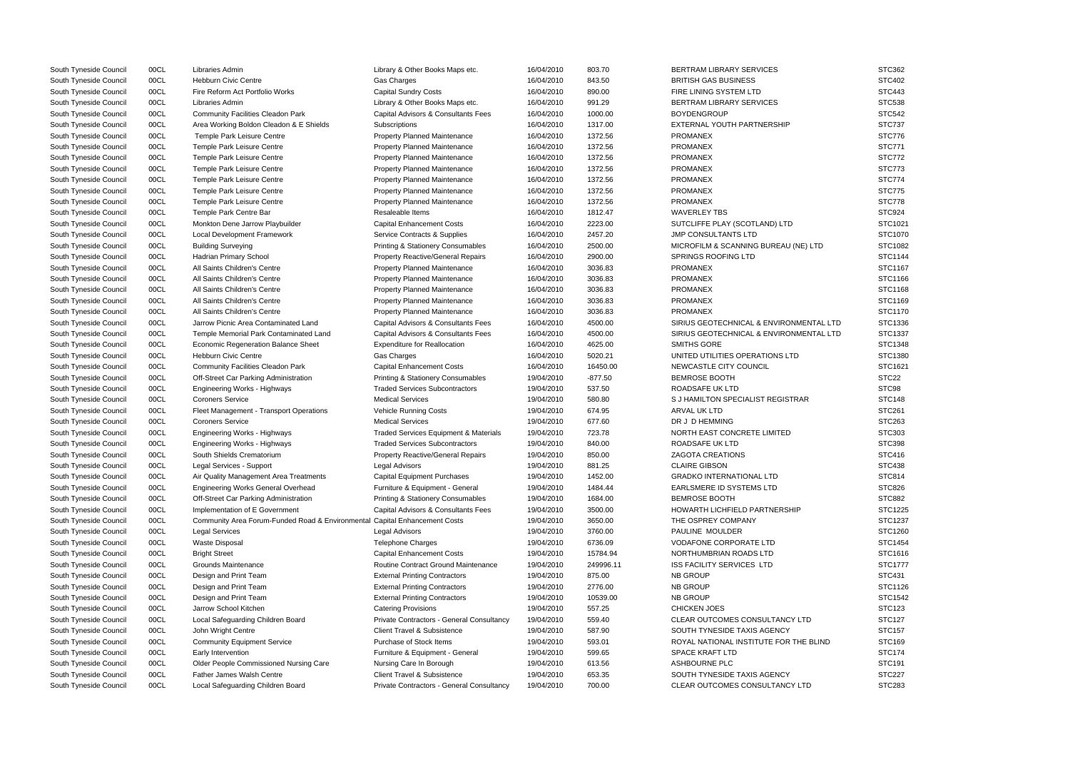| South Tyneside Council | 00CL | Libraries Admin                                                            | Library & Other Books Maps etc.              | 16/04/2010 | 803.70    | <b>BERTRAM LIBRARY SERVICES</b>         | <b>STC362</b>     |
|------------------------|------|----------------------------------------------------------------------------|----------------------------------------------|------------|-----------|-----------------------------------------|-------------------|
| South Tyneside Council | 00CL | <b>Hebburn Civic Centre</b>                                                | Gas Charges                                  | 16/04/2010 | 843.50    | <b>BRITISH GAS BUSINESS</b>             | <b>STC402</b>     |
| South Tyneside Council | 00CL | Fire Reform Act Portfolio Works                                            | <b>Capital Sundry Costs</b>                  | 16/04/2010 | 890.00    | FIRE LINING SYSTEM LTD                  | <b>STC443</b>     |
| South Tyneside Council | 00CL | Libraries Admin                                                            | Library & Other Books Maps etc.              | 16/04/2010 | 991.29    | <b>BERTRAM LIBRARY SERVICES</b>         | <b>STC538</b>     |
| South Tyneside Council | 00CL | <b>Community Facilities Cleadon Park</b>                                   | Capital Advisors & Consultants Fees          | 16/04/2010 | 1000.00   | <b>BOYDENGROUP</b>                      | <b>STC542</b>     |
| South Tyneside Council | 00CL | Area Working Boldon Cleadon & E Shields                                    | Subscriptions                                | 16/04/2010 | 1317.00   | EXTERNAL YOUTH PARTNERSHIP              | <b>STC737</b>     |
| South Tyneside Council | 00CL | Temple Park Leisure Centre                                                 | Property Planned Maintenance                 | 16/04/2010 | 1372.56   | <b>PROMANEX</b>                         | STC776            |
| South Tyneside Council | 00CL | Temple Park Leisure Centre                                                 | Property Planned Maintenance                 | 16/04/2010 | 1372.56   | <b>PROMANEX</b>                         | <b>STC771</b>     |
| South Tyneside Council | 00CL | Temple Park Leisure Centre                                                 | Property Planned Maintenance                 | 16/04/2010 | 1372.56   | <b>PROMANEX</b>                         | <b>STC772</b>     |
| South Tyneside Council | 00CL | Temple Park Leisure Centre                                                 | Property Planned Maintenance                 | 16/04/2010 | 1372.56   | <b>PROMANEX</b>                         | STC773            |
| South Tyneside Council | 00CL | Temple Park Leisure Centre                                                 | <b>Property Planned Maintenance</b>          | 16/04/2010 | 1372.56   | <b>PROMANEX</b>                         | <b>STC774</b>     |
| South Tyneside Council | 00CL | Temple Park Leisure Centre                                                 | Property Planned Maintenance                 | 16/04/2010 | 1372.56   | <b>PROMANEX</b>                         | <b>STC775</b>     |
| South Tyneside Council | 00CL | Temple Park Leisure Centre                                                 | Property Planned Maintenance                 | 16/04/2010 | 1372.56   | <b>PROMANEX</b>                         | <b>STC778</b>     |
| South Tyneside Council | 00CL | Temple Park Centre Bar                                                     | Resaleable Items                             | 16/04/2010 | 1812.47   | <b>WAVERLEY TBS</b>                     | STC924            |
| South Tyneside Council | 00CL | Monkton Dene Jarrow Playbuilder                                            | <b>Capital Enhancement Costs</b>             | 16/04/2010 | 2223.00   | SUTCLIFFE PLAY (SCOTLAND) LTD           | STC1021           |
| South Tyneside Council | 00CL | <b>Local Development Framework</b>                                         | Service Contracts & Supplies                 | 16/04/2010 | 2457.20   | <b>JMP CONSULTANTS LTD</b>              | STC1070           |
| South Tyneside Council | 00CL | <b>Building Surveying</b>                                                  | <b>Printing &amp; Stationery Consumables</b> | 16/04/2010 | 2500.00   | MICROFILM & SCANNING BUREAU (NE) LTD    | STC1082           |
| South Tyneside Council | 00CL | Hadrian Primary School                                                     | <b>Property Reactive/General Repairs</b>     | 16/04/2010 | 2900.00   | SPRINGS ROOFING LTD                     | STC1144           |
| South Tyneside Council | 00CL | All Saints Children's Centre                                               | Property Planned Maintenance                 | 16/04/2010 | 3036.83   | <b>PROMANEX</b>                         | STC1167           |
| South Tyneside Council | 00CL | All Saints Children's Centre                                               | Property Planned Maintenance                 | 16/04/2010 | 3036.83   | <b>PROMANEX</b>                         | STC1166           |
| South Tyneside Council | 00CL | All Saints Children's Centre                                               | <b>Property Planned Maintenance</b>          | 16/04/2010 | 3036.83   | <b>PROMANEX</b>                         | STC1168           |
| South Tyneside Council | 00CL | All Saints Children's Centre                                               | <b>Property Planned Maintenance</b>          | 16/04/2010 | 3036.83   | <b>PROMANEX</b>                         | STC1169           |
| South Tyneside Council | 00CL | All Saints Children's Centre                                               | Property Planned Maintenance                 | 16/04/2010 | 3036.83   | <b>PROMANEX</b>                         | STC1170           |
| South Tyneside Council | 00CL | Jarrow Picnic Area Contaminated Land                                       | Capital Advisors & Consultants Fees          | 16/04/2010 | 4500.00   | SIRIUS GEOTECHNICAL & ENVIRONMENTAL LTD | STC1336           |
| South Tyneside Council | 00CL | Temple Memorial Park Contaminated Land                                     | Capital Advisors & Consultants Fees          | 16/04/2010 | 4500.00   | SIRIUS GEOTECHNICAL & ENVIRONMENTAL LTD | STC1337           |
| South Tyneside Council | 00CL | Economic Regeneration Balance Sheet                                        | <b>Expenditure for Reallocation</b>          | 16/04/2010 | 4625.00   | SMITHS GORE                             | STC1348           |
| South Tyneside Council | 00CL | <b>Hebburn Civic Centre</b>                                                | Gas Charges                                  | 16/04/2010 | 5020.21   | UNITED UTILITIES OPERATIONS LTD         | STC1380           |
| South Tyneside Council | 00CL | <b>Community Facilities Cleadon Park</b>                                   | <b>Capital Enhancement Costs</b>             | 16/04/2010 | 16450.00  | NEWCASTLE CITY COUNCIL                  | STC1621           |
|                        |      |                                                                            |                                              |            |           | <b>BEMROSE BOOTH</b>                    | STC <sub>22</sub> |
| South Tyneside Council | 00CL | Off-Street Car Parking Administration                                      | Printing & Stationery Consumables            | 19/04/2010 | $-877.50$ |                                         |                   |
| South Tyneside Council | 00CL | Engineering Works - Highways                                               | <b>Traded Services Subcontractors</b>        | 19/04/2010 | 537.50    | ROADSAFE UK LTD                         | STC98             |
| South Tyneside Council | 00CL | <b>Coroners Service</b>                                                    | <b>Medical Services</b>                      | 19/04/2010 | 580.80    | S J HAMILTON SPECIALIST REGISTRAR       | <b>STC148</b>     |
| South Tyneside Council | 00CL | Fleet Management - Transport Operations                                    | <b>Vehicle Running Costs</b>                 | 19/04/2010 | 674.95    | <b>ARVAL UK LTD</b>                     | <b>STC261</b>     |
| South Tyneside Council | 00CL | <b>Coroners Service</b>                                                    | <b>Medical Services</b>                      | 19/04/2010 | 677.60    | DR J D HEMMING                          | <b>STC263</b>     |
| South Tyneside Council | 00CL | Engineering Works - Highways                                               | Traded Services Equipment & Materials        | 19/04/2010 | 723.78    | NORTH EAST CONCRETE LIMITED             | <b>STC303</b>     |
| South Tyneside Council | 00CL | Engineering Works - Highways                                               | <b>Traded Services Subcontractors</b>        | 19/04/2010 | 840.00    | ROADSAFE UK LTD                         | <b>STC398</b>     |
| South Tyneside Council | 00CL | South Shields Crematorium                                                  | <b>Property Reactive/General Repairs</b>     | 19/04/2010 | 850.00    | <b>ZAGOTA CREATIONS</b>                 | STC416            |
| South Tyneside Council | 00CL | Legal Services - Support                                                   | Legal Advisors                               | 19/04/2010 | 881.25    | <b>CLAIRE GIBSON</b>                    | <b>STC438</b>     |
| South Tyneside Council | 00CL | Air Quality Management Area Treatments                                     | <b>Capital Equipment Purchases</b>           | 19/04/2010 | 1452.00   | <b>GRADKO INTERNATIONAL LTD</b>         | <b>STC814</b>     |
| South Tyneside Council | 00CL | <b>Engineering Works General Overhead</b>                                  | Furniture & Equipment - General              | 19/04/2010 | 1484.44   | EARLSMERE ID SYSTEMS LTD                | <b>STC826</b>     |
| South Tyneside Council | 00CL | Off-Street Car Parking Administration                                      | Printing & Stationery Consumables            | 19/04/2010 | 1684.00   | <b>BEMROSE BOOTH</b>                    | <b>STC882</b>     |
| South Tyneside Council | 00CL | Implementation of E Government                                             | Capital Advisors & Consultants Fees          | 19/04/2010 | 3500.00   | HOWARTH LICHFIELD PARTNERSHIP           | STC1225           |
| South Tyneside Council | 00CL | Community Area Forum-Funded Road & Environmental Capital Enhancement Costs |                                              | 19/04/2010 | 3650.00   | THE OSPREY COMPANY                      | STC1237           |
| South Tyneside Council | 00CL | Legal Services                                                             | <b>Legal Advisors</b>                        | 19/04/2010 | 3760.00   | PAULINE MOULDER                         | STC1260           |
| South Tyneside Council | 00CL | <b>Waste Disposal</b>                                                      | Telephone Charges                            | 19/04/2010 | 6736.09   | <b>VODAFONE CORPORATE LTD</b>           | STC1454           |
| South Tyneside Council | 00CL | <b>Bright Street</b>                                                       | <b>Capital Enhancement Costs</b>             | 19/04/2010 | 15784.94  | NORTHUMBRIAN ROADS LTD                  | STC1616           |
| South Tyneside Council | 00CL | Grounds Maintenance                                                        | Routine Contract Ground Maintenance          | 19/04/2010 | 249996.11 | ISS FACILITY SERVICES LTD               | STC1777           |
| South Tyneside Council | 00CL | Design and Print Team                                                      | <b>External Printing Contractors</b>         | 19/04/2010 | 875.00    | <b>NB GROUP</b>                         | <b>STC431</b>     |
| South Tyneside Council | 00CL | Design and Print Team                                                      | <b>External Printing Contractors</b>         | 19/04/2010 | 2776.00   | <b>NB GROUP</b>                         | STC1126           |
| South Tyneside Council | 00CL | Design and Print Team                                                      | <b>External Printing Contractors</b>         | 19/04/2010 | 10539.00  | <b>NB GROUP</b>                         | STC1542           |
| South Tyneside Council | 00CL | Jarrow School Kitchen                                                      | <b>Catering Provisions</b>                   | 19/04/2010 | 557.25    | <b>CHICKEN JOES</b>                     | <b>STC123</b>     |
| South Tyneside Council | 00CL | Local Safeguarding Children Board                                          | Private Contractors - General Consultancy    | 19/04/2010 | 559.40    | CLEAR OUTCOMES CONSULTANCY LTD          | <b>STC127</b>     |
| South Tyneside Council | 00CL | John Wright Centre                                                         | <b>Client Travel &amp; Subsistence</b>       | 19/04/2010 | 587.90    | SOUTH TYNESIDE TAXIS AGENCY             | <b>STC157</b>     |
| South Tyneside Council | 00CL | <b>Community Equipment Service</b>                                         | Purchase of Stock Items                      | 19/04/2010 | 593.01    | ROYAL NATIONAL INSTITUTE FOR THE BLIND  | STC169            |
| South Tyneside Council | 00CL | Early Intervention                                                         | Furniture & Equipment - General              | 19/04/2010 | 599.65    | <b>SPACE KRAFT LTD</b>                  | <b>STC174</b>     |
| South Tyneside Council | 00CL | Older People Commissioned Nursing Care                                     | Nursing Care In Borough                      | 19/04/2010 | 613.56    | ASHBOURNE PLC                           | <b>STC191</b>     |
| South Tyneside Council | 00CL | Father James Walsh Centre                                                  | <b>Client Travel &amp; Subsistence</b>       | 19/04/2010 | 653.35    | SOUTH TYNESIDE TAXIS AGENCY             | <b>STC227</b>     |
| South Tyneside Council | 00CL | Local Safeguarding Children Board                                          | Private Contractors - General Consultancy    | 19/04/2010 | 700.00    | CLEAR OUTCOMES CONSULTANCY LTD          | <b>STC283</b>     |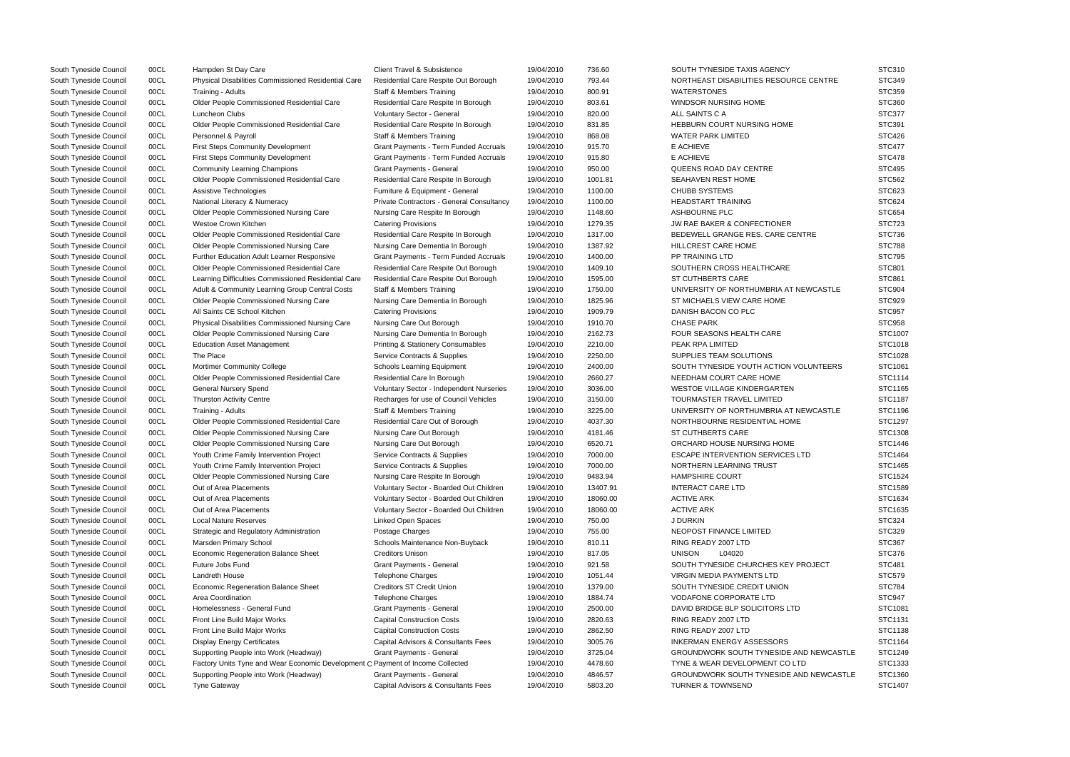| South Tyneside Council | 00CL         | Hampden St Day Care                                                            | <b>Client Travel &amp; Subsistence</b>       | 19/04/2010               | 736.60   | SOUTH TYNESIDE TAXIS AGENCY             | STC310        |
|------------------------|--------------|--------------------------------------------------------------------------------|----------------------------------------------|--------------------------|----------|-----------------------------------------|---------------|
| South Tyneside Council | 00CL         | Physical Disabilities Commissioned Residential Care                            | Residential Care Respite Out Borough         | 19/04/2010               | 793.44   | NORTHEAST DISABILITIES RESOURCE CENTRE  | <b>STC349</b> |
| South Tyneside Council | 00CL         | Training - Adults                                                              | <b>Staff &amp; Members Training</b>          | 19/04/2010               | 800.91   | <b>WATERSTONES</b>                      | <b>STC359</b> |
| South Tyneside Council | 00CL         | Older People Commissioned Residential Care                                     | Residential Care Respite In Borough          | 19/04/2010               | 803.61   | WINDSOR NURSING HOME                    | <b>STC360</b> |
| South Tyneside Council | 00CL         | Luncheon Clubs                                                                 | Voluntary Sector - General                   | 19/04/2010               | 820.00   | ALL SAINTS C A                          | <b>STC377</b> |
| South Tyneside Council | 00CL         | Older People Commissioned Residential Care                                     | Residential Care Respite In Borough          | 19/04/2010               | 831.85   | HEBBURN COURT NURSING HOME              | STC391        |
| South Tyneside Council | 00CL         | Personnel & Payroll                                                            | Staff & Members Training                     | 19/04/2010               | 868.08   | <b>WATER PARK LIMITED</b>               | <b>STC426</b> |
| South Tyneside Council | 00CL         | <b>First Steps Community Development</b>                                       | Grant Payments - Term Funded Accruals        | 19/04/2010               | 915.70   | E ACHIEVE                               | <b>STC477</b> |
| South Tyneside Council | 00CL         | <b>First Steps Community Development</b>                                       | Grant Payments - Term Funded Accruals        | 19/04/2010               | 915.80   | E ACHIEVE                               | <b>STC478</b> |
| South Tyneside Council | 00CL         | <b>Community Learning Champions</b>                                            | <b>Grant Payments - General</b>              | 19/04/2010               | 950.00   | QUEENS ROAD DAY CENTRE                  | <b>STC495</b> |
| South Tyneside Council | 00CL         | Older People Commissioned Residential Care                                     | Residential Care Respite In Borough          | 19/04/2010               | 1001.81  | <b>SEAHAVEN REST HOME</b>               | <b>STC562</b> |
| South Tyneside Council | 00CL         | Assistive Technologies                                                         | Furniture & Equipment - General              | 19/04/2010               | 1100.00  | <b>CHUBB SYSTEMS</b>                    | STC623        |
| South Tyneside Council | 00CL         | National Literacy & Numeracy                                                   | Private Contractors - General Consultancy    | 19/04/2010               | 1100.00  | <b>HEADSTART TRAINING</b>               | <b>STC624</b> |
| South Tyneside Council | 00CL         | Older People Commissioned Nursing Care                                         | Nursing Care Respite In Borough              | 19/04/2010               | 1148.60  | <b>ASHBOURNE PLC</b>                    | <b>STC654</b> |
| South Tyneside Council | 00CL         | Westoe Crown Kitchen                                                           | <b>Catering Provisions</b>                   | 19/04/2010               | 1279.35  | <b>JW RAE BAKER &amp; CONFECTIONER</b>  | <b>STC723</b> |
| South Tyneside Council | 00CL         | Older People Commissioned Residential Care                                     | Residential Care Respite In Borough          | 19/04/2010               | 1317.00  | BEDEWELL GRANGE RES. CARE CENTRE        | STC736        |
| South Tyneside Council | 00CL         | Older People Commissioned Nursing Care                                         | Nursing Care Dementia In Borough             | 19/04/2010               | 1387.92  | <b>HILLCREST CARE HOME</b>              | <b>STC788</b> |
| South Tyneside Council | 00CL         | Further Education Adult Learner Responsive                                     | <b>Grant Payments - Term Funded Accruals</b> | 19/04/2010               | 1400.00  | <b>PP TRAINING LTD</b>                  | <b>STC795</b> |
| South Tyneside Council | 00CL         | Older People Commissioned Residential Care                                     | Residential Care Respite Out Borough         | 19/04/2010               | 1409.10  | SOUTHERN CROSS HEALTHCARE               | STC801        |
| South Tyneside Council | 00CL         | Learning Difficulties Commissioned Residential Care                            | Residential Care Respite Out Borough         | 19/04/2010               | 1595.00  | ST CUTHBERTS CARE                       | STC861        |
| South Tyneside Council | 00CL         | Adult & Community Learning Group Central Costs                                 | Staff & Members Training                     | 19/04/2010               | 1750.00  | UNIVERSITY OF NORTHUMBRIA AT NEWCASTLE  | <b>STC904</b> |
| South Tyneside Council | 00CL         | Older People Commissioned Nursing Care                                         | Nursing Care Dementia In Borough             | 19/04/2010               | 1825.96  | ST MICHAELS VIEW CARE HOME              | <b>STC929</b> |
| South Tyneside Council | 00CL         | All Saints CE School Kitchen                                                   | <b>Catering Provisions</b>                   | 19/04/2010               | 1909.79  | DANISH BACON CO PLC                     | <b>STC957</b> |
| South Tyneside Council | 00CL         | Physical Disabilities Commissioned Nursing Care                                | Nursing Care Out Borough                     | 19/04/2010               | 1910.70  | CHASE PARK                              | STC958        |
| South Tyneside Council | 00CL         | Older People Commissioned Nursing Care                                         | Nursing Care Dementia In Borough             | 19/04/2010               | 2162.73  | FOUR SEASONS HEALTH CARE                | STC1007       |
| South Tyneside Council | 00CL         | <b>Education Asset Management</b>                                              | <b>Printing &amp; Stationery Consumables</b> | 19/04/2010               | 2210.00  | PEAK RPA LIMITED                        | STC1018       |
| South Tyneside Council | 00CL         | The Place                                                                      | Service Contracts & Supplies                 | 19/04/2010               | 2250.00  | SUPPLIES TEAM SOLUTIONS                 | STC1028       |
| South Tyneside Council | 00CL         | <b>Mortimer Community College</b>                                              | Schools Learning Equipment                   | 19/04/2010               | 2400.00  | SOUTH TYNESIDE YOUTH ACTION VOLUNTEERS  | STC1061       |
| South Tyneside Council | 00CL         | Older People Commissioned Residential Care                                     | Residential Care In Borough                  | 19/04/2010               | 2660.27  | NEEDHAM COURT CARE HOME                 | STC1114       |
| South Tyneside Council | 00CL         | General Nursery Spend                                                          | Voluntary Sector - Independent Nurseries     | 19/04/2010               | 3036.00  | WESTOE VILLAGE KINDERGARTEN             | STC1165       |
| South Tyneside Council | 00CL         | <b>Thurston Activity Centre</b>                                                | Recharges for use of Council Vehicles        | 19/04/2010               | 3150.00  | <b>TOURMASTER TRAVEL LIMITED</b>        | STC1187       |
| South Tyneside Council | 00CL         | Training - Adults                                                              | <b>Staff &amp; Members Training</b>          | 19/04/2010               | 3225.00  | UNIVERSITY OF NORTHUMBRIA AT NEWCASTLE  | STC1196       |
| South Tyneside Council | 00CL         | Older People Commissioned Residential Care                                     | Residential Care Out of Borough              | 19/04/2010               | 4037.30  | NORTHBOURNE RESIDENTIAL HOME            | STC1297       |
| South Tyneside Council | 00CL         | Older People Commissioned Nursing Care                                         | Nursing Care Out Borough                     | 19/04/2010               | 4181.46  | ST CUTHBERTS CARE                       | STC1308       |
| South Tyneside Council | 00CL         | <b>Older People Commissioned Nursing Care</b>                                  | Nursing Care Out Borough                     | 19/04/2010               | 6520.71  | ORCHARD HOUSE NURSING HOME              | STC1446       |
| South Tyneside Council | 00CL         | Youth Crime Family Intervention Project                                        | Service Contracts & Supplies                 | 19/04/2010               | 7000.00  | <b>ESCAPE INTERVENTION SERVICES LTD</b> | STC1464       |
| South Tyneside Council | 00CL         | Youth Crime Family Intervention Project                                        | Service Contracts & Supplies                 | 19/04/2010               | 7000.00  | NORTHERN LEARNING TRUST                 | STC1465       |
| South Tyneside Council | 00CL         | Older People Commissioned Nursing Care                                         | Nursing Care Respite In Borough              | 19/04/2010               | 9483.94  | <b>HAMPSHIRE COURT</b>                  | STC1524       |
| South Tyneside Council | 00CL         | Out of Area Placements                                                         | Voluntary Sector - Boarded Out Children      | 19/04/2010               | 13407.91 | <b>INTERACT CARE LTD</b>                | STC1589       |
| South Tyneside Council | 00CL         | Out of Area Placements                                                         | Voluntary Sector - Boarded Out Children      | 19/04/2010               | 18060.00 | <b>ACTIVE ARK</b>                       | STC1634       |
| South Tyneside Council | 00CL         | Out of Area Placements                                                         | Voluntary Sector - Boarded Out Children      | 19/04/2010               | 18060.00 | <b>ACTIVE ARK</b>                       | STC1635       |
| South Tyneside Council | 00CL         | <b>Local Nature Reserves</b>                                                   | <b>Linked Open Spaces</b>                    | 19/04/2010               | 750.00   | J DURKIN                                | <b>STC324</b> |
| South Tyneside Council | 00CL         | Strategic and Regulatory Administration                                        | Postage Charges                              | 19/04/2010               | 755.00   | <b>NEOPOST FINANCE LIMITED</b>          | <b>STC329</b> |
| South Tyneside Council | 00CL         | Marsden Primary School                                                         | Schools Maintenance Non-Buyback              | 19/04/2010               | 810.11   | RING READY 2007 LTD                     | STC367        |
| South Tyneside Council | 00CL         | Economic Regeneration Balance Sheet                                            | <b>Creditors Unison</b>                      | 19/04/2010               | 817.05   | <b>UNISON</b><br>L04020                 | STC376        |
| South Tyneside Council | 00CL         | Future Jobs Fund                                                               | <b>Grant Payments - General</b>              | 19/04/2010               | 921.58   | SOUTH TYNESIDE CHURCHES KEY PROJECT     | STC481        |
| South Tyneside Council | 00CL         | Landreth House                                                                 | Telephone Charges                            | 19/04/2010               | 1051.44  | <b>VIRGIN MEDIA PAYMENTS LTD</b>        | STC579        |
| South Tyneside Council | 00CL         | Economic Regeneration Balance Sheet                                            | <b>Creditors ST Credit Union</b>             | 19/04/2010               | 1379.00  | SOUTH TYNESIDE CREDIT UNION             | <b>STC784</b> |
|                        |              | Area Coordination                                                              |                                              |                          | 1884.74  | VODAFONE CORPORATE LTD                  | STC947        |
| South Tyneside Council | 00CL<br>00CL | Homelessness - General Fund                                                    | Telephone Charges                            | 19/04/2010<br>19/04/2010 | 2500.00  | DAVID BRIDGE BLP SOLICITORS LTD         | STC1081       |
| South Tyneside Council | 00CL         |                                                                                | Grant Payments - General                     |                          |          |                                         |               |
| South Tyneside Council |              | Front Line Build Major Works                                                   | <b>Capital Construction Costs</b>            | 19/04/2010               | 2820.63  | RING READY 2007 LTD                     | STC1131       |
| South Tyneside Council | 00CL         | Front Line Build Major Works                                                   | <b>Capital Construction Costs</b>            | 19/04/2010               | 2862.50  | RING READY 2007 LTD                     | STC1138       |
| South Tyneside Council | 00CL         | <b>Display Energy Certificates</b>                                             | Capital Advisors & Consultants Fees          | 19/04/2010               | 3005.76  | <b>INKERMAN ENERGY ASSESSORS</b>        | STC1164       |
| South Tyneside Council | 00CL         | Supporting People into Work (Headway)                                          | Grant Payments - General                     | 19/04/2010               | 3725.04  | GROUNDWORK SOUTH TYNESIDE AND NEWCASTLE | STC1249       |
| South Tyneside Council | 00CL         | Factory Units Tyne and Wear Economic Development C Payment of Income Collected |                                              | 19/04/2010               | 4478.60  | TYNE & WEAR DEVELOPMENT CO LTD          | STC1333       |
| South Tyneside Council | 00CL         | Supporting People into Work (Headway)                                          | <b>Grant Payments - General</b>              | 19/04/2010               | 4846.57  | GROUNDWORK SOUTH TYNESIDE AND NEWCASTLE | STC1360       |
| South Tyneside Council | 00CL         | <b>Tyne Gateway</b>                                                            | Capital Advisors & Consultants Fees          | 19/04/2010               | 5803.20  | TURNER & TOWNSEND                       | STC1407       |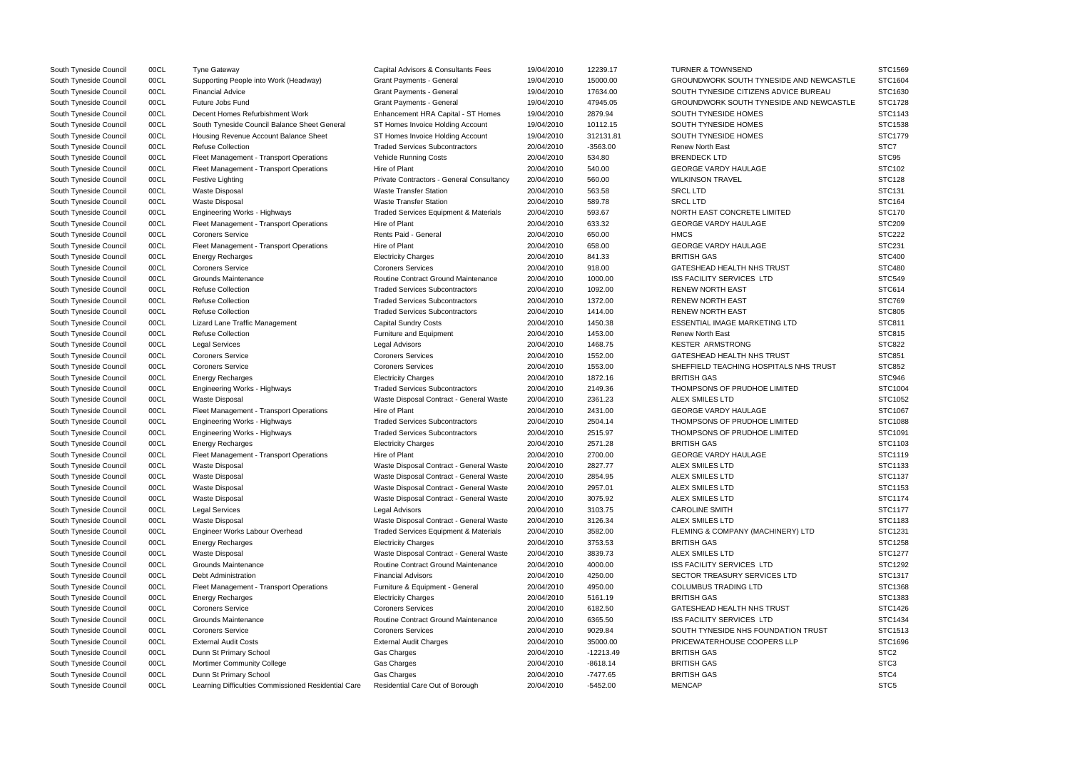| South Tyneside Council | 00CL | <b>Tyne Gateway</b>                                 | Capital Advisors & Consultants Fees              | 19/04/2010 | 12239.17    | <b>TURNER &amp; TOWNSEND</b>            | STC1569          |
|------------------------|------|-----------------------------------------------------|--------------------------------------------------|------------|-------------|-----------------------------------------|------------------|
| South Tyneside Council | 00CL | Supporting People into Work (Headway)               | <b>Grant Payments - General</b>                  | 19/04/2010 | 15000.00    | GROUNDWORK SOUTH TYNESIDE AND NEWCASTLE | STC1604          |
| South Tyneside Council | 00CL | <b>Financial Advice</b>                             | Grant Payments - General                         | 19/04/2010 | 17634.00    | SOUTH TYNESIDE CITIZENS ADVICE BUREAU   | STC1630          |
| South Tyneside Council | 00CL | Future Jobs Fund                                    | <b>Grant Payments - General</b>                  | 19/04/2010 | 47945.05    | GROUNDWORK SOUTH TYNESIDE AND NEWCASTLE | <b>STC1728</b>   |
| South Tyneside Council | 00CL | Decent Homes Refurbishment Work                     | Enhancement HRA Capital - ST Homes               | 19/04/2010 | 2879.94     | SOUTH TYNESIDE HOMES                    | STC1143          |
| South Tyneside Council | 00CL | South Tyneside Council Balance Sheet General        | ST Homes Invoice Holding Account                 | 19/04/2010 | 10112.15    | SOUTH TYNESIDE HOMES                    | STC1538          |
| South Tyneside Council | 00CL | Housing Revenue Account Balance Sheet               | ST Homes Invoice Holding Account                 | 19/04/2010 | 312131.81   | SOUTH TYNESIDE HOMES                    | STC1779          |
| South Tyneside Council | 00CL | <b>Refuse Collection</b>                            | <b>Traded Services Subcontractors</b>            | 20/04/2010 | $-3563.00$  | <b>Renew North East</b>                 | STC7             |
| South Tyneside Council | 00CL | Fleet Management - Transport Operations             | <b>Vehicle Running Costs</b>                     | 20/04/2010 | 534.80      | <b>BRENDECK LTD</b>                     | STC95            |
| South Tyneside Council | 00CL | Fleet Management - Transport Operations             | Hire of Plant                                    | 20/04/2010 | 540.00      | <b>GEORGE VARDY HAULAGE</b>             | STC102           |
| South Tyneside Council | 00CL | Festive Lighting                                    | Private Contractors - General Consultancy        | 20/04/2010 | 560.00      | <b>WILKINSON TRAVEL</b>                 | <b>STC128</b>    |
| South Tyneside Council | 00CL | Waste Disposal                                      | <b>Waste Transfer Station</b>                    | 20/04/2010 | 563.58      | <b>SRCL LTD</b>                         | STC131           |
| South Tyneside Council | 00CL | <b>Waste Disposal</b>                               | <b>Waste Transfer Station</b>                    | 20/04/2010 | 589.78      | <b>SRCL LTD</b>                         | <b>STC164</b>    |
| South Tyneside Council | 00CL | Engineering Works - Highways                        | <b>Traded Services Equipment &amp; Materials</b> | 20/04/2010 | 593.67      | NORTH EAST CONCRETE LIMITED             | <b>STC170</b>    |
| South Tyneside Council | 00CL | Fleet Management - Transport Operations             | Hire of Plant                                    | 20/04/2010 | 633.32      | <b>GEORGE VARDY HAULAGE</b>             | <b>STC209</b>    |
| South Tyneside Council | 00CL | <b>Coroners Service</b>                             | Rents Paid - General                             | 20/04/2010 | 650.00      | <b>HMCS</b>                             | <b>STC222</b>    |
| South Tyneside Council | 00CL | Fleet Management - Transport Operations             | Hire of Plant                                    | 20/04/2010 | 658.00      | <b>GEORGE VARDY HAULAGE</b>             | <b>STC231</b>    |
| South Tyneside Council | 00CL | <b>Energy Recharges</b>                             | <b>Electricity Charges</b>                       | 20/04/2010 | 841.33      | <b>BRITISH GAS</b>                      | <b>STC400</b>    |
| South Tyneside Council | 00CL | <b>Coroners Service</b>                             | <b>Coroners Services</b>                         | 20/04/2010 | 918.00      | GATESHEAD HEALTH NHS TRUST              | <b>STC480</b>    |
| South Tyneside Council | 00CL | Grounds Maintenance                                 | Routine Contract Ground Maintenance              | 20/04/2010 | 1000.00     | <b>ISS FACILITY SERVICES LTD</b>        | <b>STC549</b>    |
| South Tyneside Council | 00CL | <b>Refuse Collection</b>                            | <b>Traded Services Subcontractors</b>            | 20/04/2010 | 1092.00     | <b>RENEW NORTH EAST</b>                 | <b>STC614</b>    |
| South Tyneside Council | 00CL | <b>Refuse Collection</b>                            | <b>Traded Services Subcontractors</b>            | 20/04/2010 | 1372.00     | <b>RENEW NORTH EAST</b>                 | <b>STC769</b>    |
| South Tyneside Council | 00CL | <b>Refuse Collection</b>                            | <b>Traded Services Subcontractors</b>            | 20/04/2010 | 1414.00     | <b>RENEW NORTH EAST</b>                 | <b>STC805</b>    |
| South Tyneside Council | 00CL | Lizard Lane Traffic Management                      | <b>Capital Sundry Costs</b>                      | 20/04/2010 | 1450.38     | <b>ESSENTIAL IMAGE MARKETING LTD</b>    | STC811           |
| South Tyneside Council | 00CL | <b>Refuse Collection</b>                            | Furniture and Equipment                          | 20/04/2010 | 1453.00     | <b>Renew North East</b>                 | <b>STC815</b>    |
| South Tyneside Council | 00CL | <b>Legal Services</b>                               | Legal Advisors                                   | 20/04/2010 | 1468.75     | <b>KESTER ARMSTRONG</b>                 | <b>STC822</b>    |
| South Tyneside Council | 00CL | <b>Coroners Service</b>                             | <b>Coroners Services</b>                         | 20/04/2010 | 1552.00     | <b>GATESHEAD HEALTH NHS TRUST</b>       | <b>STC851</b>    |
| South Tyneside Council | 00CL | <b>Coroners Service</b>                             | <b>Coroners Services</b>                         | 20/04/2010 | 1553.00     | SHEFFIELD TEACHING HOSPITALS NHS TRUST  | <b>STC852</b>    |
| South Tyneside Council | 00CL | <b>Energy Recharges</b>                             | <b>Electricity Charges</b>                       | 20/04/2010 | 1872.16     | <b>BRITISH GAS</b>                      | STC946           |
| South Tyneside Council | 00CL | <b>Engineering Works - Highways</b>                 | <b>Traded Services Subcontractors</b>            | 20/04/2010 | 2149.36     | THOMPSONS OF PRUDHOE LIMITED            | STC1004          |
| South Tyneside Council | 00CL | <b>Waste Disposal</b>                               | Waste Disposal Contract - General Waste          | 20/04/2010 | 2361.23     | <b>ALEX SMILES LTD</b>                  | STC1052          |
| South Tyneside Council | 00CL | Fleet Management - Transport Operations             | Hire of Plant                                    | 20/04/2010 | 2431.00     | <b>GEORGE VARDY HAULAGE</b>             | STC1067          |
| South Tyneside Council | 00CL | <b>Engineering Works - Highways</b>                 | <b>Traded Services Subcontractors</b>            | 20/04/2010 | 2504.14     | THOMPSONS OF PRUDHOE LIMITED            | STC1088          |
| South Tyneside Council | 00CL | <b>Engineering Works - Highways</b>                 | <b>Traded Services Subcontractors</b>            | 20/04/2010 | 2515.97     | THOMPSONS OF PRUDHOE LIMITED            | STC1091          |
| South Tyneside Council | 00CL | <b>Energy Recharges</b>                             | <b>Electricity Charges</b>                       | 20/04/2010 | 2571.28     | <b>BRITISH GAS</b>                      | STC1103          |
| South Tyneside Council | 00CL | Fleet Management - Transport Operations             | Hire of Plant                                    | 20/04/2010 | 2700.00     | <b>GEORGE VARDY HAULAGE</b>             | STC1119          |
| South Tyneside Council | 00CL | Waste Disposal                                      | Waste Disposal Contract - General Waste          | 20/04/2010 | 2827.77     | <b>ALEX SMILES LTD</b>                  | STC1133          |
| South Tyneside Council | 00CL | <b>Waste Disposal</b>                               | Waste Disposal Contract - General Waste          | 20/04/2010 | 2854.95     | <b>ALEX SMILES LTD</b>                  | STC1137          |
| South Tyneside Council | 00CL | <b>Waste Disposal</b>                               | Waste Disposal Contract - General Waste          | 20/04/2010 | 2957.01     | <b>ALEX SMILES LTD</b>                  | STC1153          |
| South Tyneside Council | 00CL | <b>Waste Disposal</b>                               | Waste Disposal Contract - General Waste          | 20/04/2010 | 3075.92     | ALEX SMILES LTD                         | STC1174          |
| South Tyneside Council | 00CL | <b>Legal Services</b>                               | Legal Advisors                                   | 20/04/2010 | 3103.75     | <b>CAROLINE SMITH</b>                   | STC1177          |
| South Tyneside Council | 00CL | Waste Disposal                                      | Waste Disposal Contract - General Waste          | 20/04/2010 | 3126.34     | ALEX SMILES LTD                         | STC1183          |
| South Tyneside Council | 00CL | Engineer Works Labour Overhead                      | Traded Services Equipment & Materials            | 20/04/2010 | 3582.00     | FLEMING & COMPANY (MACHINERY) LTD       | STC1231          |
| South Tyneside Council | 00CL | <b>Energy Recharges</b>                             | <b>Electricity Charges</b>                       | 20/04/2010 | 3753.53     | <b>BRITISH GAS</b>                      | STC1258          |
| South Tyneside Council | 00CL | <b>Waste Disposal</b>                               | Waste Disposal Contract - General Waste          | 20/04/2010 | 3839.73     | <b>ALEX SMILES LTD</b>                  | STC1277          |
| South Tyneside Council | 00CL | Grounds Maintenance                                 | Routine Contract Ground Maintenance              | 20/04/2010 | 4000.00     | ISS FACILITY SERVICES LTD               | STC1292          |
| South Tyneside Council | 00CL | Debt Administration                                 | <b>Financial Advisors</b>                        | 20/04/2010 | 4250.00     | SECTOR TREASURY SERVICES LTD            | STC1317          |
| South Tyneside Council | 00CL | Fleet Management - Transport Operations             | Furniture & Equipment - General                  | 20/04/2010 | 4950.00     | <b>COLUMBUS TRADING LTD</b>             | STC1368          |
| South Tyneside Council | 00CL | <b>Energy Recharges</b>                             | <b>Electricity Charges</b>                       | 20/04/2010 | 5161.19     | <b>BRITISH GAS</b>                      | STC1383          |
| South Tyneside Council | 00CL | <b>Coroners Service</b>                             | <b>Coroners Services</b>                         | 20/04/2010 | 6182.50     | GATESHEAD HEALTH NHS TRUST              | STC1426          |
| South Tyneside Council | 00CL | Grounds Maintenance                                 | Routine Contract Ground Maintenance              | 20/04/2010 | 6365.50     | <b>ISS FACILITY SERVICES LTD</b>        | STC1434          |
| South Tyneside Council | 00CL | <b>Coroners Service</b>                             | <b>Coroners Services</b>                         | 20/04/2010 | 9029.84     | SOUTH TYNESIDE NHS FOUNDATION TRUST     | STC1513          |
| South Tyneside Council | 00CL | <b>External Audit Costs</b>                         | <b>External Audit Charges</b>                    | 20/04/2010 | 35000.00    | PRICEWATERHOUSE COOPERS LLP             | STC1696          |
| South Tyneside Council | 00CL | Dunn St Primary School                              | Gas Charges                                      | 20/04/2010 | $-12213.49$ | <b>BRITISH GAS</b>                      | STC <sub>2</sub> |
| South Tyneside Council | 00CL | Mortimer Community College                          | Gas Charges                                      | 20/04/2010 | $-8618.14$  | <b>BRITISH GAS</b>                      | STC <sub>3</sub> |
| South Tyneside Council | 00CL | Dunn St Primary School                              | <b>Gas Charges</b>                               | 20/04/2010 | $-7477.65$  | <b>BRITISH GAS</b>                      | STC4             |
| South Tyneside Council | 00CL | Learning Difficulties Commissioned Residential Care | Residential Care Out of Borough                  | 20/04/2010 | $-5452.00$  | <b>MENCAP</b>                           | STC <sub>5</sub> |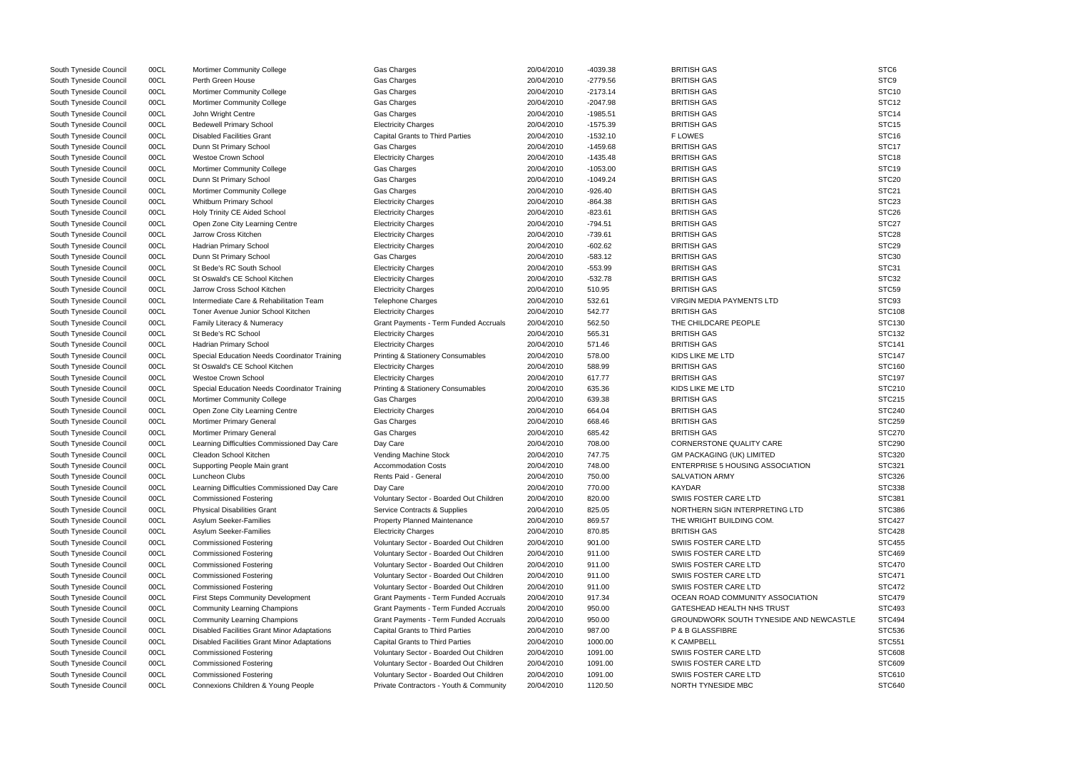| South Tyneside Council                           | 00CL         | Mortimer Community College                                            | Gas Charges                                        | 20/04/2010               | -4039.38         | <b>BRITISH GAS</b>                                        | STC <sub>6</sub>   |
|--------------------------------------------------|--------------|-----------------------------------------------------------------------|----------------------------------------------------|--------------------------|------------------|-----------------------------------------------------------|--------------------|
| South Tyneside Council                           | 00CL         | Perth Green House                                                     | Gas Charges                                        | 20/04/2010               | $-2779.56$       | <b>BRITISH GAS</b>                                        | STC9               |
| South Tyneside Council                           | 00CL         | Mortimer Community College                                            | Gas Charges                                        | 20/04/2010               | $-2173.14$       | <b>BRITISH GAS</b>                                        | STC <sub>10</sub>  |
| South Tyneside Council                           | 00CL         | Mortimer Community College                                            | Gas Charges                                        | 20/04/2010               | $-2047.98$       | <b>BRITISH GAS</b>                                        | STC <sub>12</sub>  |
| South Tyneside Council                           | 00CL         | John Wright Centre                                                    | Gas Charges                                        | 20/04/2010               | $-1985.51$       | <b>BRITISH GAS</b>                                        | STC <sub>14</sub>  |
| South Tyneside Council                           | 00CL         | <b>Bedewell Primary School</b>                                        | <b>Electricity Charges</b>                         | 20/04/2010               | $-1575.39$       | <b>BRITISH GAS</b>                                        | STC <sub>15</sub>  |
| South Tyneside Council                           | 00CL         | <b>Disabled Facilities Grant</b>                                      | <b>Capital Grants to Third Parties</b>             | 20/04/2010               | $-1532.10$       | <b>FLOWES</b>                                             | STC <sub>16</sub>  |
| South Tyneside Council                           | 00CL         | Dunn St Primary School                                                | Gas Charges                                        | 20/04/2010               | $-1459.68$       | <b>BRITISH GAS</b>                                        | STC17              |
| South Tyneside Council                           | 00CL         | Westoe Crown School                                                   | <b>Electricity Charges</b>                         | 20/04/2010               | $-1435.48$       | <b>BRITISH GAS</b>                                        | STC <sub>18</sub>  |
| South Tyneside Council                           | 00CL         | Mortimer Community College                                            | Gas Charges                                        | 20/04/2010               | $-1053.00$       | <b>BRITISH GAS</b>                                        | STC <sub>19</sub>  |
| South Tyneside Council                           | 00CL         | Dunn St Primary School                                                | Gas Charges                                        | 20/04/2010               | $-1049.24$       | <b>BRITISH GAS</b>                                        | STC <sub>20</sub>  |
| South Tyneside Council                           | 00CL         | Mortimer Community College                                            | Gas Charges                                        | 20/04/2010               | $-926.40$        | <b>BRITISH GAS</b>                                        | STC <sub>21</sub>  |
| South Tyneside Council                           | 00CL         | Whitburn Primary School                                               | <b>Electricity Charges</b>                         | 20/04/2010               | $-864.38$        | <b>BRITISH GAS</b>                                        | STC <sub>23</sub>  |
| South Tyneside Council                           | 00CL         | Holy Trinity CE Aided School                                          | <b>Electricity Charges</b>                         | 20/04/2010               | $-823.61$        | <b>BRITISH GAS</b>                                        | STC <sub>26</sub>  |
| South Tyneside Council                           | 00CL         | Open Zone City Learning Centre                                        | <b>Electricity Charges</b>                         | 20/04/2010               | -794.51          | <b>BRITISH GAS</b>                                        | STC <sub>27</sub>  |
| South Tyneside Council                           | 00CL         | Jarrow Cross Kitchen                                                  | <b>Electricity Charges</b>                         | 20/04/2010               | $-739.61$        | <b>BRITISH GAS</b>                                        | STC <sub>28</sub>  |
| South Tyneside Council                           | 00CL         | Hadrian Primary School                                                | <b>Electricity Charges</b>                         | 20/04/2010               | $-602.62$        | <b>BRITISH GAS</b>                                        | STC <sub>29</sub>  |
| South Tyneside Council                           | 00CL         | Dunn St Primary School                                                | Gas Charges                                        | 20/04/2010               | $-583.12$        | <b>BRITISH GAS</b>                                        | STC30              |
| South Tyneside Council                           | 00CL         | St Bede's RC South School                                             | <b>Electricity Charges</b>                         | 20/04/2010               | $-553.99$        | <b>BRITISH GAS</b>                                        | STC31              |
| South Tyneside Council                           | 00CL         | St Oswald's CE School Kitchen                                         | <b>Electricity Charges</b>                         | 20/04/2010               | $-532.78$        | <b>BRITISH GAS</b>                                        | STC32              |
| South Tyneside Council                           | 00CL         | Jarrow Cross School Kitchen                                           | <b>Electricity Charges</b>                         | 20/04/2010               | 510.95           | <b>BRITISH GAS</b>                                        | STC59              |
| South Tyneside Council                           | 00CL         | Intermediate Care & Rehabilitation Team                               | Telephone Charges                                  | 20/04/2010               | 532.61           | <b>VIRGIN MEDIA PAYMENTS LTD</b>                          | STC93              |
| South Tyneside Council                           | 00CL         | Toner Avenue Junior School Kitchen                                    | <b>Electricity Charges</b>                         | 20/04/2010               | 542.77           | <b>BRITISH GAS</b>                                        | STC108             |
| South Tyneside Council                           | 00CL         | Family Literacy & Numeracy                                            | Grant Payments - Term Funded Accruals              | 20/04/2010               | 562.50           | THE CHILDCARE PEOPLE                                      | STC130             |
| South Tyneside Council                           | 00CL         | St Bede's RC School                                                   | <b>Electricity Charges</b>                         | 20/04/2010               | 565.31           | <b>BRITISH GAS</b>                                        | STC132             |
| South Tyneside Council                           | 00CL         | Hadrian Primary School                                                | <b>Electricity Charges</b>                         | 20/04/2010               | 571.46           | <b>BRITISH GAS</b>                                        | <b>STC141</b>      |
| South Tyneside Council                           | 00CL         | Special Education Needs Coordinator Training                          | <b>Printing &amp; Stationery Consumables</b>       | 20/04/2010               | 578.00           | KIDS LIKE ME LTD                                          | <b>STC147</b>      |
| South Tyneside Council                           | 00CL         | St Oswald's CE School Kitchen                                         | <b>Electricity Charges</b>                         | 20/04/2010               | 588.99           | <b>BRITISH GAS</b>                                        | STC160             |
| South Tyneside Council                           | 00CL         | <b>Westoe Crown School</b>                                            | <b>Electricity Charges</b>                         | 20/04/2010               | 617.77           | <b>BRITISH GAS</b>                                        | <b>STC197</b>      |
| South Tyneside Council                           | 00CL         | Special Education Needs Coordinator Training                          | <b>Printing &amp; Stationery Consumables</b>       | 20/04/2010               | 635.36           | KIDS LIKE ME LTD                                          | STC210             |
| South Tyneside Council                           | 00CL         | <b>Mortimer Community College</b>                                     | Gas Charges                                        | 20/04/2010               | 639.38           | <b>BRITISH GAS</b>                                        | STC215             |
| South Tyneside Council                           | 00CL         | Open Zone City Learning Centre                                        | <b>Electricity Charges</b>                         | 20/04/2010               | 664.04           | <b>BRITISH GAS</b>                                        | <b>STC240</b>      |
|                                                  | 00CL         |                                                                       |                                                    |                          |                  | <b>BRITISH GAS</b>                                        | STC259             |
| South Tyneside Council<br>South Tyneside Council | 00CL         | Mortimer Primary General<br>Mortimer Primary General                  | Gas Charges<br>Gas Charges                         | 20/04/2010<br>20/04/2010 | 668.46<br>685.42 | <b>BRITISH GAS</b>                                        | STC270             |
|                                                  | 00CL         |                                                                       | Day Care                                           |                          | 708.00           | CORNERSTONE QUALITY CARE                                  | STC <sub>290</sub> |
| South Tyneside Council<br>South Tyneside Council | 00CL         | Learning Difficulties Commissioned Day Care<br>Cleadon School Kitchen |                                                    | 20/04/2010<br>20/04/2010 | 747.75           | <b>GM PACKAGING (UK) LIMITED</b>                          | STC320             |
|                                                  | 00CL         | Supporting People Main grant                                          | Vending Machine Stock                              | 20/04/2010               | 748.00           |                                                           | STC321             |
| South Tyneside Council                           | 00CL         | Luncheon Clubs                                                        | <b>Accommodation Costs</b><br>Rents Paid - General | 20/04/2010               |                  | ENTERPRISE 5 HOUSING ASSOCIATION<br><b>SALVATION ARMY</b> |                    |
| South Tyneside Council                           |              |                                                                       |                                                    |                          | 750.00           | <b>KAYDAR</b>                                             | STC326             |
| South Tyneside Council                           | 00CL         | Learning Difficulties Commissioned Day Care                           | Day Care                                           | 20/04/2010<br>20/04/2010 | 770.00           | SWIIS FOSTER CARE LTD                                     | STC338<br>STC381   |
| South Tyneside Council                           | 00CL<br>00CL | <b>Commissioned Fostering</b>                                         | Voluntary Sector - Boarded Out Children            | 20/04/2010               | 820.00           | NORTHERN SIGN INTERPRETING LTD                            | STC386             |
| South Tyneside Council                           |              | <b>Physical Disabilities Grant</b>                                    | Service Contracts & Supplies                       |                          | 825.05           |                                                           | <b>STC427</b>      |
| South Tyneside Council                           | 00CL         | Asylum Seeker-Families                                                | Property Planned Maintenance                       | 20/04/2010               | 869.57           | THE WRIGHT BUILDING COM.                                  |                    |
| South Tyneside Council                           | 00CL         | Asylum Seeker-Families                                                | <b>Electricity Charges</b>                         | 20/04/2010               | 870.85           | <b>BRITISH GAS</b>                                        | STC428             |
| South Tyneside Council                           | 00CL         | <b>Commissioned Fostering</b>                                         | Voluntary Sector - Boarded Out Children            | 20/04/2010               | 901.00           | SWIIS FOSTER CARE LTD                                     | <b>STC455</b>      |
| South Tyneside Council                           | 00CL         | <b>Commissioned Fostering</b>                                         | Voluntary Sector - Boarded Out Children            | 20/04/2010               | 911.00           | SWIIS FOSTER CARE LTD                                     | STC469             |
| South Tyneside Council                           | 00CL         | <b>Commissioned Fostering</b>                                         | Voluntary Sector - Boarded Out Children            | 20/04/2010               | 911.00           | SWIIS FOSTER CARE LTD                                     | STC470             |
| South Tyneside Council                           | 00CL         | <b>Commissioned Fostering</b>                                         | Voluntary Sector - Boarded Out Children            | 20/04/2010               | 911.00           | SWIIS FOSTER CARE LTD                                     | <b>STC471</b>      |
| South Tyneside Council                           | 00CL         | <b>Commissioned Fostering</b>                                         | Voluntary Sector - Boarded Out Children            | 20/04/2010               | 911.00           | SWIIS FOSTER CARE LTD                                     | <b>STC472</b>      |
| South Tyneside Council                           | 00CL         | <b>First Steps Community Development</b>                              | Grant Payments - Term Funded Accruals              | 20/04/2010               | 917.34           | OCEAN ROAD COMMUNITY ASSOCIATION                          | STC479             |
| South Tyneside Council                           | 00CL         | <b>Community Learning Champions</b>                                   | Grant Payments - Term Funded Accruals              | 20/04/2010               | 950.00           | GATESHEAD HEALTH NHS TRUST                                | STC493             |
| South Tyneside Council                           | 00CL         | <b>Community Learning Champions</b>                                   | Grant Payments - Term Funded Accruals              | 20/04/2010               | 950.00           | GROUNDWORK SOUTH TYNESIDE AND NEWCASTLE                   | <b>STC494</b>      |
| South Tyneside Council                           | 00CL         | Disabled Facilities Grant Minor Adaptations                           | <b>Capital Grants to Third Parties</b>             | 20/04/2010               | 987.00           | P & B GLASSFIBRE                                          | STC536             |
| South Tyneside Council                           | 00CL         | <b>Disabled Facilities Grant Minor Adaptations</b>                    | <b>Capital Grants to Third Parties</b>             | 20/04/2010               | 1000.00          | <b>K CAMPBELL</b>                                         | <b>STC551</b>      |
| South Tyneside Council                           | 00CL         | <b>Commissioned Fostering</b>                                         | Voluntary Sector - Boarded Out Children            | 20/04/2010               | 1091.00          | SWIIS FOSTER CARE LTD                                     | <b>STC608</b>      |
| South Tyneside Council                           | 00CL         | <b>Commissioned Fostering</b>                                         | Voluntary Sector - Boarded Out Children            | 20/04/2010               | 1091.00          | SWIIS FOSTER CARE LTD                                     | STC609             |
| South Tyneside Council                           | 00CL         | <b>Commissioned Fostering</b>                                         | Voluntary Sector - Boarded Out Children            | 20/04/2010               | 1091.00          | SWIIS FOSTER CARE LTD                                     | STC610             |
| South Tyneside Council                           | 00CL         | Connexions Children & Young People                                    | Private Contractors - Youth & Community            | 20/04/2010               | 1120.50          | NORTH TYNESIDE MBC                                        | STC640             |

|                  | STC <sub>6</sub>  |
|------------------|-------------------|
|                  | STC9              |
|                  | STC <sub>10</sub> |
|                  | STC12             |
|                  | STC <sub>14</sub> |
|                  | STC <sub>15</sub> |
|                  | STC <sub>16</sub> |
|                  | STC17             |
|                  | STC <sub>18</sub> |
|                  | STC <sub>19</sub> |
|                  |                   |
|                  | STC <sub>20</sub> |
|                  | STC21             |
|                  | STC23             |
|                  | STC26             |
|                  | STC27             |
|                  | STC28             |
|                  | STC <sub>29</sub> |
|                  | STC <sub>30</sub> |
|                  | STC31             |
|                  | STC32             |
|                  | STC59             |
|                  | STC93             |
|                  |                   |
|                  | <b>STC108</b>     |
|                  | STC130            |
|                  | STC132            |
|                  | STC141            |
|                  | <b>STC147</b>     |
|                  | STC160            |
|                  | <b>STC197</b>     |
|                  | STC210            |
|                  | STC215            |
|                  | <b>STC240</b>     |
|                  | STC259            |
|                  | <b>STC270</b>     |
|                  | <b>STC290</b>     |
|                  | STC320            |
|                  |                   |
| ⇃                | STC321            |
|                  | STC326            |
|                  | STC338            |
|                  | STC381            |
|                  | STC386            |
|                  | STC427            |
|                  | <b>STC428</b>     |
|                  | <b>STC455</b>     |
|                  | STC469            |
|                  | <b>STC470</b>     |
|                  | STC471            |
|                  | STC472            |
|                  |                   |
| ЮC               | STC479            |
|                  | STC493            |
| <b>NEWCASTLE</b> | STC494            |
|                  | STC536            |
|                  | STC551            |
|                  | <b>STC608</b>     |
|                  | <b>STC609</b>     |
|                  | STC610            |
|                  | STC640            |
|                  |                   |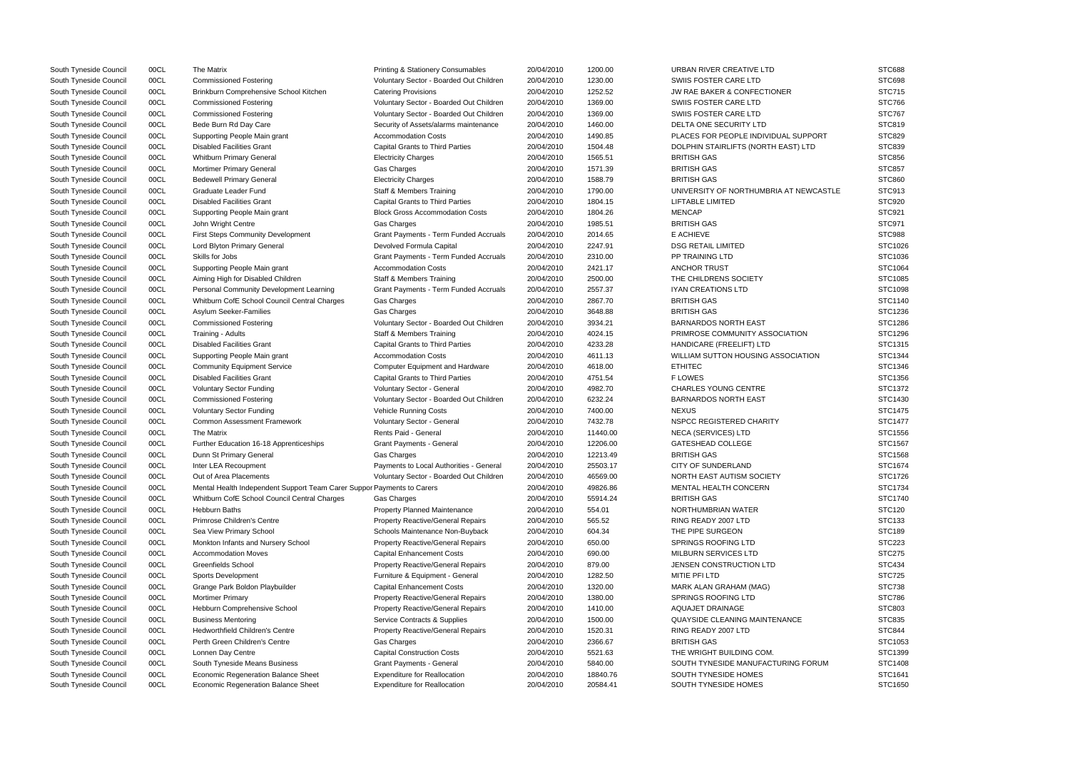| South Tyneside Council | 00CL         | The Matrix                                                                                                             | <b>Printing &amp; Stationery Consumables</b>                         | 20/04/2010               | 1200.00          | URBAN RIVER CREATIVE LTD               | <b>STC688</b> |
|------------------------|--------------|------------------------------------------------------------------------------------------------------------------------|----------------------------------------------------------------------|--------------------------|------------------|----------------------------------------|---------------|
| South Tyneside Council | 00CL         | <b>Commissioned Fostering</b>                                                                                          | Voluntary Sector - Boarded Out Children                              | 20/04/2010               | 1230.00          | SWIIS FOSTER CARE LTD                  | <b>STC698</b> |
| South Tyneside Council | 00CL         | Brinkburn Comprehensive School Kitchen                                                                                 | <b>Catering Provisions</b>                                           | 20/04/2010               | 1252.52          | JW RAE BAKER & CONFECTIONER            | <b>STC715</b> |
| South Tyneside Council | 00CL         | <b>Commissioned Fostering</b>                                                                                          | Voluntary Sector - Boarded Out Children                              | 20/04/2010               | 1369.00          | SWIIS FOSTER CARE LTD                  | <b>STC766</b> |
| South Tyneside Council | 00CL         | <b>Commissioned Fostering</b>                                                                                          | Voluntary Sector - Boarded Out Children                              | 20/04/2010               | 1369.00          | SWIIS FOSTER CARE LTD                  | <b>STC767</b> |
| South Tyneside Council | 00CL         | Bede Burn Rd Day Care                                                                                                  | Security of Assets/alarms maintenance                                | 20/04/2010               | 1460.00          | DELTA ONE SECURITY LTD                 | STC819        |
| South Tyneside Council | 00CL         | Supporting People Main grant                                                                                           | <b>Accommodation Costs</b>                                           | 20/04/2010               | 1490.85          | PLACES FOR PEOPLE INDIVIDUAL SUPPORT   | <b>STC829</b> |
| South Tyneside Council | 00CL         | <b>Disabled Facilities Grant</b>                                                                                       | <b>Capital Grants to Third Parties</b>                               | 20/04/2010               | 1504.48          | DOLPHIN STAIRLIFTS (NORTH EAST) LTD    | <b>STC839</b> |
| South Tyneside Council | 00CL         | <b>Whitburn Primary General</b>                                                                                        | <b>Electricity Charges</b>                                           | 20/04/2010               | 1565.51          | <b>BRITISH GAS</b>                     | <b>STC856</b> |
| South Tyneside Council | 00CL         | Mortimer Primary General                                                                                               | Gas Charges                                                          | 20/04/2010               | 1571.39          | <b>BRITISH GAS</b>                     | <b>STC857</b> |
| South Tyneside Council | 00CL         | <b>Bedewell Primary General</b>                                                                                        | <b>Electricity Charges</b>                                           | 20/04/2010               | 1588.79          | <b>BRITISH GAS</b>                     | <b>STC860</b> |
| South Tyneside Council | 00CL         | Graduate Leader Fund                                                                                                   | Staff & Members Training                                             | 20/04/2010               | 1790.00          | UNIVERSITY OF NORTHUMBRIA AT NEWCASTLE | STC913        |
| South Tyneside Council | 00CL         | <b>Disabled Facilities Grant</b>                                                                                       | <b>Capital Grants to Third Parties</b>                               | 20/04/2010               | 1804.15          | LIFTABLE LIMITED                       | <b>STC920</b> |
| South Tyneside Council | 00CL         | Supporting People Main grant                                                                                           | <b>Block Gross Accommodation Costs</b>                               | 20/04/2010               | 1804.26          | <b>MENCAP</b>                          | STC921        |
| South Tyneside Council | 00CL         | John Wright Centre                                                                                                     | Gas Charges                                                          | 20/04/2010               | 1985.51          | <b>BRITISH GAS</b>                     | STC971        |
| South Tyneside Council | 00CL         | <b>First Steps Community Development</b>                                                                               | Grant Payments - Term Funded Accruals                                | 20/04/2010               | 2014.65          | E ACHIEVE                              | <b>STC988</b> |
| South Tyneside Council | 00CL         | Lord Blyton Primary General                                                                                            | Devolved Formula Capital                                             | 20/04/2010               | 2247.91          | <b>DSG RETAIL LIMITED</b>              | STC1026       |
| South Tyneside Council | 00CL         | Skills for Jobs                                                                                                        | Grant Payments - Term Funded Accruals                                | 20/04/2010               | 2310.00          | <b>PP TRAINING LTD</b>                 | STC1036       |
| South Tyneside Council | 00CL         | Supporting People Main grant                                                                                           | <b>Accommodation Costs</b>                                           | 20/04/2010               | 2421.17          | <b>ANCHOR TRUST</b>                    | STC1064       |
| South Tyneside Council | 00CL         | Aiming High for Disabled Children                                                                                      | <b>Staff &amp; Members Training</b>                                  | 20/04/2010               | 2500.00          | THE CHILDRENS SOCIETY                  | STC1085       |
| South Tyneside Council | 00CL         | Personal Community Development Learning                                                                                | Grant Payments - Term Funded Accruals                                | 20/04/2010               | 2557.37          | <b>IYAN CREATIONS LTD</b>              | STC1098       |
| South Tyneside Council | 00CL         | Whitburn CofE School Council Central Charges                                                                           | Gas Charges                                                          | 20/04/2010               | 2867.70          | <b>BRITISH GAS</b>                     | STC1140       |
| South Tyneside Council | 00CL         | Asylum Seeker-Families                                                                                                 | Gas Charges                                                          | 20/04/2010               | 3648.88          | <b>BRITISH GAS</b>                     | STC1236       |
| South Tyneside Council | 00CL         | <b>Commissioned Fostering</b>                                                                                          | Voluntary Sector - Boarded Out Children                              | 20/04/2010               | 3934.21          | <b>BARNARDOS NORTH EAST</b>            | STC1286       |
| South Tyneside Council | 00CL         | Training - Adults                                                                                                      | <b>Staff &amp; Members Training</b>                                  | 20/04/2010               | 4024.15          | PRIMROSE COMMUNITY ASSOCIATION         | STC1296       |
| South Tyneside Council | 00CL         | <b>Disabled Facilities Grant</b>                                                                                       | <b>Capital Grants to Third Parties</b>                               | 20/04/2010               | 4233.28          | HANDICARE (FREELIFT) LTD               | STC1315       |
| South Tyneside Council | 00CL         | Supporting People Main grant                                                                                           | <b>Accommodation Costs</b>                                           | 20/04/2010               | 4611.13          | WILLIAM SUTTON HOUSING ASSOCIATION     | STC1344       |
| South Tyneside Council | 00CL         | <b>Community Equipment Service</b>                                                                                     | <b>Computer Equipment and Hardware</b>                               | 20/04/2010               | 4618.00          | <b>ETHITEC</b>                         | STC1346       |
| South Tyneside Council | 00CL         | <b>Disabled Facilities Grant</b>                                                                                       | <b>Capital Grants to Third Parties</b>                               | 20/04/2010               | 4751.54          | <b>FLOWES</b>                          | STC1356       |
| South Tyneside Council | 00CL         | <b>Voluntary Sector Funding</b>                                                                                        | Voluntary Sector - General                                           | 20/04/2010               | 4982.70          | <b>CHARLES YOUNG CENTRE</b>            | STC1372       |
| South Tyneside Council | 00CL         | <b>Commissioned Fostering</b>                                                                                          | Voluntary Sector - Boarded Out Children                              | 20/04/2010               | 6232.24          | <b>BARNARDOS NORTH EAST</b>            | STC1430       |
| South Tyneside Council | 00CL         | <b>Voluntary Sector Funding</b>                                                                                        | Vehicle Running Costs                                                | 20/04/2010               | 7400.00          | <b>NEXUS</b>                           | STC1475       |
| South Tyneside Council | 00CL         | <b>Common Assessment Framework</b>                                                                                     | Voluntary Sector - General                                           | 20/04/2010               | 7432.78          | NSPCC REGISTERED CHARITY               | STC1477       |
| South Tyneside Council | 00CL         | The Matrix                                                                                                             | Rents Paid - General                                                 | 20/04/2010               | 11440.00         | NECA (SERVICES) LTD                    | STC1556       |
| South Tyneside Council | 00CL         | Further Education 16-18 Apprenticeships                                                                                | <b>Grant Payments - General</b>                                      | 20/04/2010               | 12206.00         | <b>GATESHEAD COLLEGE</b>               | STC1567       |
| South Tyneside Council | 00CL         | Dunn St Primary General                                                                                                | Gas Charges                                                          | 20/04/2010               | 12213.49         | BRITISH GAS                            | STC1568       |
| South Tyneside Council | 00CL         | Inter LEA Recoupment                                                                                                   | Payments to Local Authorities - General                              | 20/04/2010               | 25503.17         | <b>CITY OF SUNDERLAND</b>              | STC1674       |
| South Tyneside Council | 00CL         | Out of Area Placements                                                                                                 | Voluntary Sector - Boarded Out Children                              | 20/04/2010               | 46569.00         | NORTH EAST AUTISM SOCIETY              | STC1726       |
| South Tyneside Council | 00CL         |                                                                                                                        |                                                                      | 20/04/2010               | 49826.86         | <b>MENTAL HEALTH CONCERN</b>           | STC1734       |
| South Tyneside Council | 00CL         | Mental Health Independent Support Team Carer Suppor Payments to Carers<br>Whitburn CofE School Council Central Charges | Gas Charges                                                          | 20/04/2010               | 55914.24         | <b>BRITISH GAS</b>                     | STC1740       |
|                        | 00CL         | <b>Hebburn Baths</b>                                                                                                   |                                                                      | 20/04/2010               | 554.01           | NORTHUMBRIAN WATER                     | <b>STC120</b> |
| South Tyneside Council |              | Primrose Children's Centre                                                                                             | Property Planned Maintenance                                         |                          |                  | RING READY 2007 LTD                    | STC133        |
| South Tyneside Council | 00CL<br>00CL |                                                                                                                        | Property Reactive/General Repairs<br>Schools Maintenance Non-Buyback | 20/04/2010<br>20/04/2010 | 565.52<br>604.34 | THE PIPE SURGEON                       | STC189        |
| South Tyneside Council |              | Sea View Primary School                                                                                                |                                                                      |                          |                  |                                        |               |
| South Tyneside Council | 00CL         | Monkton Infants and Nursery School<br><b>Accommodation Moves</b>                                                       | <b>Property Reactive/General Repairs</b>                             | 20/04/2010               | 650.00           | SPRINGS ROOFING LTD                    | <b>STC223</b> |
| South Tyneside Council | 00CL         |                                                                                                                        | <b>Capital Enhancement Costs</b>                                     | 20/04/2010               | 690.00           | MILBURN SERVICES LTD                   | <b>STC275</b> |
| South Tyneside Council | 00CL         | <b>Greenfields School</b>                                                                                              | Property Reactive/General Repairs                                    | 20/04/2010               | 879.00           | JENSEN CONSTRUCTION LTD                | <b>STC434</b> |
| South Tyneside Council | 00CL         | <b>Sports Development</b>                                                                                              | Furniture & Equipment - General                                      | 20/04/2010               | 1282.50          | MITIE PFI LTD                          | <b>STC725</b> |
| South Tyneside Council | 00CL         | Grange Park Boldon Playbuilder                                                                                         | <b>Capital Enhancement Costs</b>                                     | 20/04/2010               | 1320.00          | MARK ALAN GRAHAM (MAG)                 | <b>STC738</b> |
| South Tyneside Council | 00CL         | <b>Mortimer Primary</b>                                                                                                | Property Reactive/General Repairs                                    | 20/04/2010               | 1380.00          | <b>SPRINGS ROOFING LTD</b>             | <b>STC786</b> |
| South Tyneside Council | 00CL         | Hebburn Comprehensive School                                                                                           | Property Reactive/General Repairs                                    | 20/04/2010               | 1410.00          | AQUAJET DRAINAGE                       | STC803        |
| South Tyneside Council | 00CL         | <b>Business Mentoring</b>                                                                                              | Service Contracts & Supplies                                         | 20/04/2010               | 1500.00          | QUAYSIDE CLEANING MAINTENANCE          | <b>STC835</b> |
| South Tyneside Council | 00CL         | <b>Hedworthfield Children's Centre</b>                                                                                 | <b>Property Reactive/General Repairs</b>                             | 20/04/2010               | 1520.31          | RING READY 2007 LTD                    | <b>STC844</b> |
| South Tyneside Council | 00CL         | Perth Green Children's Centre                                                                                          | Gas Charges                                                          | 20/04/2010               | 2366.67          | <b>BRITISH GAS</b>                     | STC1053       |
| South Tyneside Council | 00CL         | Lonnen Day Centre                                                                                                      | <b>Capital Construction Costs</b>                                    | 20/04/2010               | 5521.63          | THE WRIGHT BUILDING COM.               | STC1399       |
| South Tyneside Council | 00CL         | South Tyneside Means Business                                                                                          | Grant Payments - General                                             | 20/04/2010               | 5840.00          | SOUTH TYNESIDE MANUFACTURING FORUM     | STC1408       |
| South Tyneside Council | 00CL         | Economic Regeneration Balance Sheet                                                                                    | <b>Expenditure for Reallocation</b>                                  | 20/04/2010               | 18840.76         | SOUTH TYNESIDE HOMES                   | STC1641       |
| South Tyneside Council | 00CL         | <b>Economic Regeneration Balance Sheet</b>                                                                             | <b>Expenditure for Reallocation</b>                                  | 20/04/2010               | 20584.41         | SOUTH TYNESIDE HOMES                   | STC1650       |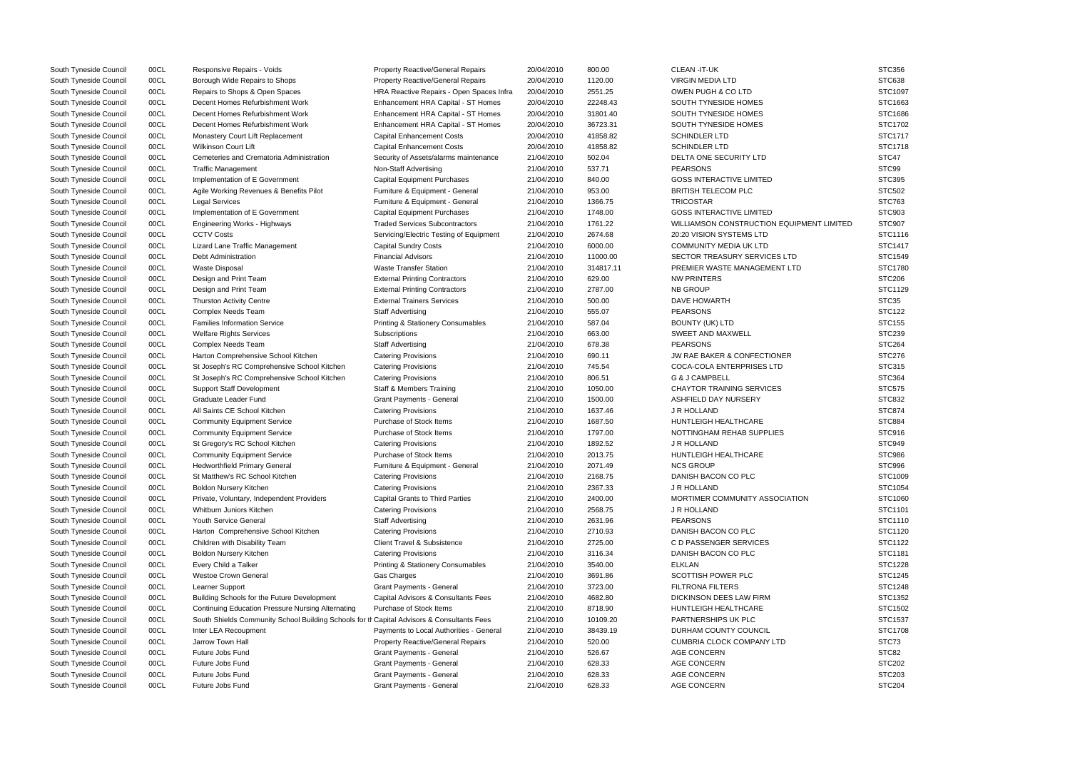| South Tyneside Council | 00CL | Responsive Repairs - Voids                                                                 | <b>Property Reactive/General Repairs</b>     | 20/04/2010 | 800.00    | CLEAN-IT-UK                               | <b>STC356</b>     |
|------------------------|------|--------------------------------------------------------------------------------------------|----------------------------------------------|------------|-----------|-------------------------------------------|-------------------|
| South Tyneside Council | 00CL | Borough Wide Repairs to Shops                                                              | <b>Property Reactive/General Repairs</b>     | 20/04/2010 | 1120.00   | <b>VIRGIN MEDIA LTD</b>                   | <b>STC638</b>     |
| South Tyneside Council | 00CL | Repairs to Shops & Open Spaces                                                             | HRA Reactive Repairs - Open Spaces Infra     | 20/04/2010 | 2551.25   | OWEN PUGH & CO LTD                        | STC1097           |
| South Tyneside Council | 00CL | Decent Homes Refurbishment Work                                                            | Enhancement HRA Capital - ST Homes           | 20/04/2010 | 22248.43  | SOUTH TYNESIDE HOMES                      | STC1663           |
| South Tyneside Council | 00CL | Decent Homes Refurbishment Work                                                            | Enhancement HRA Capital - ST Homes           | 20/04/2010 | 31801.40  | SOUTH TYNESIDE HOMES                      | STC1686           |
| South Tyneside Council | 00CL | Decent Homes Refurbishment Work                                                            | Enhancement HRA Capital - ST Homes           | 20/04/2010 | 36723.31  | SOUTH TYNESIDE HOMES                      | STC1702           |
| South Tyneside Council | 00CL | Monastery Court Lift Replacement                                                           | <b>Capital Enhancement Costs</b>             | 20/04/2010 | 41858.82  | SCHINDLER LTD                             | STC1717           |
| South Tyneside Council | 00CL | Wilkinson Court Lift                                                                       | <b>Capital Enhancement Costs</b>             | 20/04/2010 | 41858.82  | <b>SCHINDLER LTD</b>                      | STC1718           |
| South Tyneside Council | 00CL | Cemeteries and Crematoria Administration                                                   | Security of Assets/alarms maintenance        | 21/04/2010 | 502.04    | DELTA ONE SECURITY LTD                    | STC47             |
| South Tyneside Council | 00CL | <b>Traffic Management</b>                                                                  | Non-Staff Advertising                        | 21/04/2010 | 537.71    | <b>PEARSONS</b>                           | STC99             |
| South Tyneside Council | 00CL | Implementation of E Government                                                             | <b>Capital Equipment Purchases</b>           | 21/04/2010 | 840.00    | <b>GOSS INTERACTIVE LIMITED</b>           | <b>STC395</b>     |
| South Tyneside Council | 00CL | Agile Working Revenues & Benefits Pilot                                                    | Furniture & Equipment - General              | 21/04/2010 | 953.00    | <b>BRITISH TELECOM PLC</b>                | <b>STC502</b>     |
| South Tyneside Council | 00CL | <b>Legal Services</b>                                                                      | Furniture & Equipment - General              | 21/04/2010 | 1366.75   | <b>TRICOSTAR</b>                          | STC763            |
| South Tyneside Council | 00CL | Implementation of E Government                                                             | <b>Capital Equipment Purchases</b>           | 21/04/2010 | 1748.00   | <b>GOSS INTERACTIVE LIMITED</b>           | STC903            |
| South Tyneside Council | 00CL | Engineering Works - Highways                                                               | <b>Traded Services Subcontractors</b>        | 21/04/2010 | 1761.22   | WILLIAMSON CONSTRUCTION EQUIPMENT LIMITED | <b>STC907</b>     |
| South Tyneside Council | 00CL | <b>CCTV Costs</b>                                                                          | Servicing/Electric Testing of Equipment      | 21/04/2010 | 2674.68   | 20:20 VISION SYSTEMS LTD                  | STC1116           |
| South Tyneside Council | 00CL | Lizard Lane Traffic Management                                                             | <b>Capital Sundry Costs</b>                  | 21/04/2010 | 6000.00   | <b>COMMUNITY MEDIA UK LTD</b>             | STC1417           |
| South Tyneside Council | 00CL | Debt Administration                                                                        | <b>Financial Advisors</b>                    | 21/04/2010 | 11000.00  | SECTOR TREASURY SERVICES LTD              | STC1549           |
| South Tyneside Council | 00CL | <b>Waste Disposal</b>                                                                      | <b>Waste Transfer Station</b>                | 21/04/2010 | 314817.11 | PREMIER WASTE MANAGEMENT LTD              | STC1780           |
| South Tyneside Council | 00CL | Design and Print Team                                                                      | <b>External Printing Contractors</b>         | 21/04/2010 | 629.00    | <b>NW PRINTERS</b>                        | <b>STC206</b>     |
| South Tyneside Council | 00CL | Design and Print Team                                                                      | <b>External Printing Contractors</b>         | 21/04/2010 | 2787.00   | <b>NB GROUP</b>                           | STC1129           |
|                        | 00CL | <b>Thurston Activity Centre</b>                                                            | <b>External Trainers Services</b>            | 21/04/2010 | 500.00    | <b>DAVE HOWARTH</b>                       | STC <sub>35</sub> |
| South Tyneside Council | 00CL | <b>Complex Needs Team</b>                                                                  |                                              | 21/04/2010 | 555.07    | <b>PEARSONS</b>                           | <b>STC122</b>     |
| South Tyneside Council | 00CL | <b>Families Information Service</b>                                                        | <b>Staff Advertising</b>                     | 21/04/2010 | 587.04    | <b>BOUNTY (UK) LTD</b>                    | <b>STC155</b>     |
| South Tyneside Council |      |                                                                                            | <b>Printing &amp; Stationery Consumables</b> |            |           |                                           |                   |
| South Tyneside Council | 00CL | <b>Welfare Rights Services</b>                                                             | Subscriptions                                | 21/04/2010 | 663.00    | SWEET AND MAXWELL                         | <b>STC239</b>     |
| South Tyneside Council | 00CL | Complex Needs Team                                                                         | <b>Staff Advertising</b>                     | 21/04/2010 | 678.38    | <b>PEARSONS</b>                           | <b>STC264</b>     |
| South Tyneside Council | 00CL | Harton Comprehensive School Kitchen                                                        | <b>Catering Provisions</b>                   | 21/04/2010 | 690.11    | <b>JW RAE BAKER &amp; CONFECTIONER</b>    | <b>STC276</b>     |
| South Tyneside Council | 00CL | St Joseph's RC Comprehensive School Kitchen                                                | <b>Catering Provisions</b>                   | 21/04/2010 | 745.54    | <b>COCA-COLA ENTERPRISES LTD</b>          | STC315            |
| South Tyneside Council | 00CL | St Joseph's RC Comprehensive School Kitchen                                                | <b>Catering Provisions</b>                   | 21/04/2010 | 806.51    | G & J CAMPBELL                            | STC364            |
| South Tyneside Council | 00CL | <b>Support Staff Development</b>                                                           | Staff & Members Training                     | 21/04/2010 | 1050.00   | <b>CHAYTOR TRAINING SERVICES</b>          | <b>STC575</b>     |
| South Tyneside Council | 00CL | Graduate Leader Fund                                                                       | Grant Payments - General                     | 21/04/2010 | 1500.00   | ASHFIELD DAY NURSERY                      | <b>STC832</b>     |
| South Tyneside Council | 00CL | All Saints CE School Kitchen                                                               | <b>Catering Provisions</b>                   | 21/04/2010 | 1637.46   | J R HOLLAND                               | <b>STC874</b>     |
| South Tyneside Council | 00CL | <b>Community Equipment Service</b>                                                         | Purchase of Stock Items                      | 21/04/2010 | 1687.50   | HUNTLEIGH HEALTHCARE                      | <b>STC884</b>     |
| South Tyneside Council | 00CL | <b>Community Equipment Service</b>                                                         | Purchase of Stock Items                      | 21/04/2010 | 1797.00   | NOTTINGHAM REHAB SUPPLIES                 | STC916            |
| South Tyneside Council | 00CL | St Gregory's RC School Kitchen                                                             | <b>Catering Provisions</b>                   | 21/04/2010 | 1892.52   | J R HOLLAND                               | STC949            |
| South Tyneside Council | 00CL | <b>Community Equipment Service</b>                                                         | Purchase of Stock Items                      | 21/04/2010 | 2013.75   | HUNTLEIGH HEALTHCARE                      | <b>STC986</b>     |
| South Tyneside Council | 00CL | <b>Hedworthfield Primary General</b>                                                       | Furniture & Equipment - General              | 21/04/2010 | 2071.49   | <b>NCS GROUP</b>                          | <b>STC996</b>     |
| South Tyneside Council | 00CL | St Matthew's RC School Kitchen                                                             | <b>Catering Provisions</b>                   | 21/04/2010 | 2168.75   | DANISH BACON CO PLC                       | STC1009           |
| South Tyneside Council | 00CL | <b>Boldon Nursery Kitchen</b>                                                              | <b>Catering Provisions</b>                   | 21/04/2010 | 2367.33   | J R HOLLAND                               | STC1054           |
| South Tyneside Council | 00CL | Private, Voluntary, Independent Providers                                                  | <b>Capital Grants to Third Parties</b>       | 21/04/2010 | 2400.00   | MORTIMER COMMUNITY ASSOCIATION            | STC1060           |
| South Tyneside Council | 00CL | Whitburn Juniors Kitchen                                                                   | <b>Catering Provisions</b>                   | 21/04/2010 | 2568.75   | J R HOLLAND                               | STC1101           |
| South Tyneside Council | 00CL | Youth Service General                                                                      | <b>Staff Advertising</b>                     | 21/04/2010 | 2631.96   | <b>PEARSONS</b>                           | STC1110           |
| South Tyneside Council | 00CL | Harton Comprehensive School Kitchen                                                        | <b>Catering Provisions</b>                   | 21/04/2010 | 2710.93   | DANISH BACON CO PLC                       | STC1120           |
| South Tyneside Council | 00CL | Children with Disability Team                                                              | <b>Client Travel &amp; Subsistence</b>       | 21/04/2010 | 2725.00   | C D PASSENGER SERVICES                    | STC1122           |
| South Tyneside Council | 00CL | Boldon Nursery Kitchen                                                                     | <b>Catering Provisions</b>                   | 21/04/2010 | 3116.34   | DANISH BACON CO PLC                       | STC1181           |
| South Tyneside Council | 00CL | Every Child a Talker                                                                       | Printing & Stationery Consumables            | 21/04/2010 | 3540.00   | <b>ELKLAN</b>                             | STC1228           |
| South Tyneside Council | 00CL | <b>Westoe Crown General</b>                                                                | Gas Charges                                  | 21/04/2010 | 3691.86   | <b>SCOTTISH POWER PLC</b>                 | STC1245           |
| South Tyneside Council | 00CL | Learner Support                                                                            | <b>Grant Payments - General</b>              | 21/04/2010 | 3723.00   | <b>FILTRONA FILTERS</b>                   | STC1248           |
| South Tyneside Council | 00CL | Building Schools for the Future Development                                                | Capital Advisors & Consultants Fees          | 21/04/2010 | 4682.80   | DICKINSON DEES LAW FIRM                   | STC1352           |
| South Tyneside Council | 00CL | <b>Continuing Education Pressure Nursing Alternating</b>                                   | Purchase of Stock Items                      | 21/04/2010 | 8718.90   | HUNTLEIGH HEALTHCARE                      | STC1502           |
| South Tyneside Council | 00CL | South Shields Community School Building Schools for th Capital Advisors & Consultants Fees |                                              | 21/04/2010 | 10109.20  | PARTNERSHIPS UK PLC                       | STC1537           |
| South Tyneside Council | 00CL | Inter LEA Recoupment                                                                       | Payments to Local Authorities - General      | 21/04/2010 | 38439.19  | DURHAM COUNTY COUNCIL                     | STC1708           |
| South Tyneside Council | 00CL | Jarrow Town Hall                                                                           | Property Reactive/General Repairs            | 21/04/2010 | 520.00    | <b>CUMBRIA CLOCK COMPANY LTD</b>          | STC73             |
| South Tyneside Council | 00CL | Future Jobs Fund                                                                           | Grant Payments - General                     | 21/04/2010 | 526.67    | <b>AGE CONCERN</b>                        | STC82             |
| South Tyneside Council | 00CL | Future Jobs Fund                                                                           | Grant Payments - General                     | 21/04/2010 | 628.33    | <b>AGE CONCERN</b>                        | <b>STC202</b>     |
| South Tyneside Council | 00CL | Future Jobs Fund                                                                           | Grant Payments - General                     | 21/04/2010 | 628.33    | <b>AGE CONCERN</b>                        | <b>STC203</b>     |
| South Tyneside Council | 00CL | Future Jobs Fund                                                                           | <b>Grant Payments - General</b>              | 21/04/2010 | 628.33    | <b>AGE CONCERN</b>                        | <b>STC204</b>     |
|                        |      |                                                                                            |                                              |            |           |                                           |                   |

|            | STC356             |
|------------|--------------------|
|            | STC638             |
|            | STC1097            |
|            | STC1663            |
|            | STC1686            |
|            | STC1702            |
|            | STC1717            |
|            | STC1718            |
|            | STC47              |
|            | STC99              |
|            | <b>STC395</b>      |
|            | STC502             |
|            | STC763             |
|            | STC903             |
| NT LIMITED | STC907             |
|            | STC1116            |
|            | <b>STC1417</b>     |
|            | STC1549            |
|            | STC1780            |
|            | <b>STC206</b>      |
|            | STC1129            |
|            | STC35              |
|            | STC122             |
|            | STC155             |
|            | STC239             |
|            | <b>STC264</b>      |
|            | <b>STC276</b>      |
|            | STC315             |
|            | STC364             |
|            | <b>STC575</b>      |
|            | STC832             |
|            | STC874             |
|            |                    |
|            | STC884             |
|            | STC916             |
|            | STC949             |
|            | STC986<br>STC996   |
|            |                    |
|            | STC1009            |
|            | STC1054<br>STC1060 |
|            | STC1101            |
|            | STC1110            |
|            | STC1120            |
|            | STC1122            |
|            |                    |
|            | STC1181<br>STC1228 |
|            |                    |
|            | STC1245<br>STC1248 |
|            |                    |
|            | STC1352            |
|            | STC1502            |
|            | STC1537            |
|            | STC1708            |
|            | STC73              |
|            | STC82              |
|            | <b>STC202</b>      |
|            | STC203             |
|            | <b>STC204</b>      |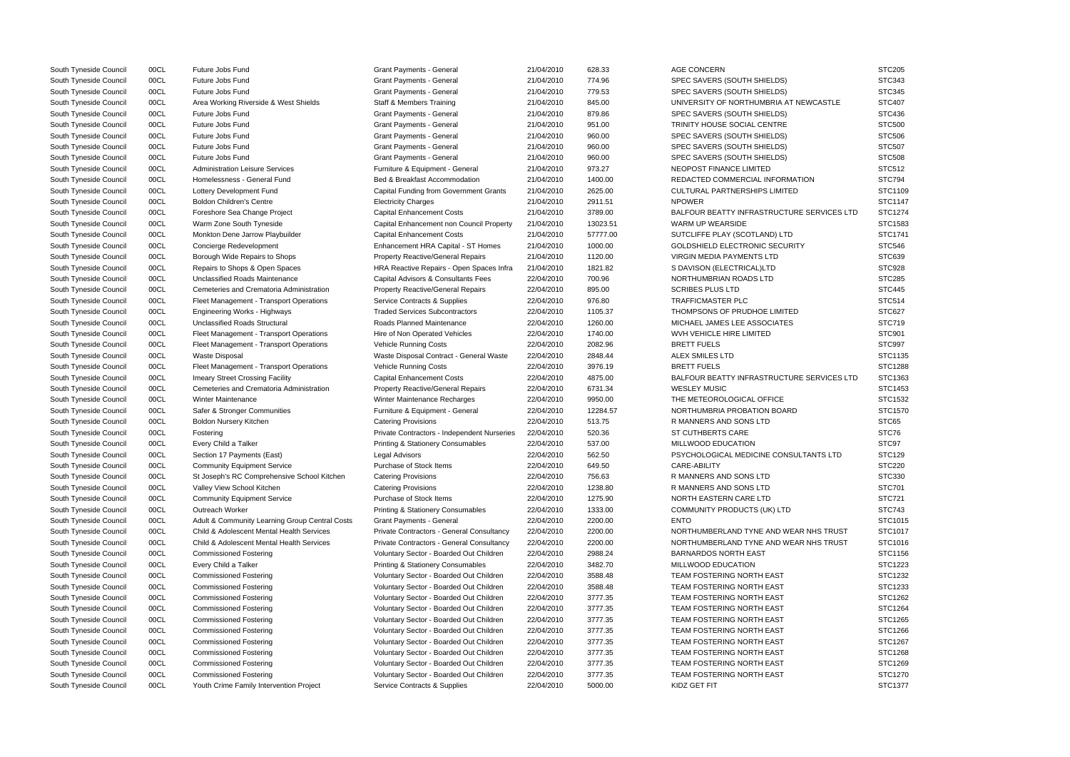| South Tyneside Council | 00CL | Future Jobs Fund                               | <b>Grant Payments - General</b>               | 21/04/2010 | 628.33   | <b>AGE CONCERN</b>                                | <b>STC205</b> |
|------------------------|------|------------------------------------------------|-----------------------------------------------|------------|----------|---------------------------------------------------|---------------|
| South Tyneside Council | 00CL | Future Jobs Fund                               | <b>Grant Payments - General</b>               | 21/04/2010 | 774.96   | SPEC SAVERS (SOUTH SHIELDS)                       | STC343        |
| South Tyneside Council | 00CL | Future Jobs Fund                               | <b>Grant Payments - General</b>               | 21/04/2010 | 779.53   | SPEC SAVERS (SOUTH SHIELDS)                       | STC345        |
| South Tyneside Council | 00CL | Area Working Riverside & West Shields          | <b>Staff &amp; Members Training</b>           | 21/04/2010 | 845.00   | UNIVERSITY OF NORTHUMBRIA AT NEWCASTLE            | <b>STC407</b> |
| South Tyneside Council | 00CL | Future Jobs Fund                               | <b>Grant Payments - General</b>               | 21/04/2010 | 879.86   | SPEC SAVERS (SOUTH SHIELDS)                       | <b>STC436</b> |
| South Tyneside Council | 00CL | Future Jobs Fund                               | Grant Payments - General                      | 21/04/2010 | 951.00   | TRINITY HOUSE SOCIAL CENTRE                       | <b>STC500</b> |
| South Tyneside Council | 00CL | Future Jobs Fund                               | <b>Grant Payments - General</b>               | 21/04/2010 | 960.00   | SPEC SAVERS (SOUTH SHIELDS)                       | <b>STC506</b> |
| South Tyneside Council | 00CL | Future Jobs Fund                               | <b>Grant Payments - General</b>               | 21/04/2010 | 960.00   | SPEC SAVERS (SOUTH SHIELDS)                       | <b>STC507</b> |
| South Tyneside Council | 00CL | Future Jobs Fund                               | <b>Grant Payments - General</b>               | 21/04/2010 | 960.00   | SPEC SAVERS (SOUTH SHIELDS)                       | <b>STC508</b> |
| South Tyneside Council | 00CL | <b>Administration Leisure Services</b>         | Furniture & Equipment - General               | 21/04/2010 | 973.27   | NEOPOST FINANCE LIMITED                           | <b>STC512</b> |
| South Tyneside Council | 00CL | Homelessness - General Fund                    | Bed & Breakfast Accommodation                 | 21/04/2010 | 1400.00  | REDACTED COMMERCIAL INFORMATION                   | <b>STC794</b> |
| South Tyneside Council | 00CL | Lottery Development Fund                       | <b>Capital Funding from Government Grants</b> | 21/04/2010 | 2625.00  | <b>CULTURAL PARTNERSHIPS LIMITED</b>              | STC1109       |
| South Tyneside Council | 00CL | <b>Boldon Children's Centre</b>                | <b>Electricity Charges</b>                    | 21/04/2010 | 2911.51  | <b>NPOWER</b>                                     | STC1147       |
| South Tyneside Council | 00CL | Foreshore Sea Change Project                   | <b>Capital Enhancement Costs</b>              | 21/04/2010 | 3789.00  | BALFOUR BEATTY INFRASTRUCTURE SERVICES LTD        | STC1274       |
| South Tyneside Council | 00CL | Warm Zone South Tyneside                       | Capital Enhancement non Council Property      | 21/04/2010 | 13023.51 | WARM UP WEARSIDE                                  | STC1583       |
| South Tyneside Council | 00CL | Monkton Dene Jarrow Playbuilder                | <b>Capital Enhancement Costs</b>              | 21/04/2010 | 57777.00 | SUTCLIFFE PLAY (SCOTLAND) LTD                     | STC1741       |
| South Tyneside Council | 00CL | Concierge Redevelopment                        | Enhancement HRA Capital - ST Homes            | 21/04/2010 | 1000.00  | <b>GOLDSHIELD ELECTRONIC SECURITY</b>             | <b>STC546</b> |
| South Tyneside Council | 00CL | Borough Wide Repairs to Shops                  | <b>Property Reactive/General Repairs</b>      | 21/04/2010 | 1120.00  | VIRGIN MEDIA PAYMENTS LTD                         | STC639        |
| South Tyneside Council | 00CL | Repairs to Shops & Open Spaces                 | HRA Reactive Repairs - Open Spaces Infra      | 21/04/2010 | 1821.82  | S DAVISON (ELECTRICAL)LTD                         | <b>STC928</b> |
| South Tyneside Council | 00CL | <b>Unclassified Roads Maintenance</b>          | Capital Advisors & Consultants Fees           | 22/04/2010 | 700.96   | NORTHUMBRIAN ROADS LTD                            | <b>STC285</b> |
| South Tyneside Council | 00CL | Cemeteries and Crematoria Administration       | <b>Property Reactive/General Repairs</b>      | 22/04/2010 | 895.00   | <b>SCRIBES PLUS LTD</b>                           | <b>STC445</b> |
| South Tyneside Council | 00CL | Fleet Management - Transport Operations        | Service Contracts & Supplies                  | 22/04/2010 | 976.80   | TRAFFICMASTER PLC                                 | <b>STC514</b> |
| South Tyneside Council | 00CL | <b>Engineering Works - Highways</b>            | <b>Traded Services Subcontractors</b>         | 22/04/2010 | 1105.37  | THOMPSONS OF PRUDHOE LIMITED                      | <b>STC627</b> |
| South Tyneside Council | 00CL | <b>Unclassified Roads Structural</b>           | Roads Planned Maintenance                     | 22/04/2010 | 1260.00  | MICHAEL JAMES LEE ASSOCIATES                      | <b>STC719</b> |
| South Tyneside Council | 00CL | Fleet Management - Transport Operations        | Hire of Non Operated Vehicles                 | 22/04/2010 | 1740.00  | WVH VEHICLE HIRE LIMITED                          | STC901        |
| South Tyneside Council | 00CL | Fleet Management - Transport Operations        | Vehicle Running Costs                         | 22/04/2010 | 2082.96  | <b>BRETT FUELS</b>                                | <b>STC997</b> |
| South Tyneside Council | 00CL | <b>Waste Disposal</b>                          | Waste Disposal Contract - General Waste       | 22/04/2010 | 2848.44  | ALEX SMILES LTD                                   | STC1135       |
| South Tyneside Council | 00CL | Fleet Management - Transport Operations        | Vehicle Running Costs                         | 22/04/2010 | 3976.19  | <b>BRETT FUELS</b>                                | STC1288       |
| South Tyneside Council | 00CL | Imeary Street Crossing Facility                | <b>Capital Enhancement Costs</b>              | 22/04/2010 | 4875.00  | <b>BALFOUR BEATTY INFRASTRUCTURE SERVICES LTD</b> | STC1363       |
| South Tyneside Council | 00CL | Cemeteries and Crematoria Administration       | <b>Property Reactive/General Repairs</b>      | 22/04/2010 | 6731.34  | <b>WESLEY MUSIC</b>                               | STC1453       |
| South Tyneside Council | 00CL | <b>Winter Maintenance</b>                      | Winter Maintenance Recharges                  | 22/04/2010 | 9950.00  | THE METEOROLOGICAL OFFICE                         | STC1532       |
| South Tyneside Council | 00CL | Safer & Stronger Communities                   | Furniture & Equipment - General               | 22/04/2010 | 12284.57 | NORTHUMBRIA PROBATION BOARD                       | STC1570       |
| South Tyneside Council | 00CL | <b>Boldon Nursery Kitchen</b>                  | <b>Catering Provisions</b>                    | 22/04/2010 | 513.75   | R MANNERS AND SONS LTD                            | STC65         |
| South Tyneside Council | 00CL | Fostering                                      | Private Contractors - Independent Nurseries   | 22/04/2010 | 520.36   | ST CUTHBERTS CARE                                 | STC76         |
| South Tyneside Council | 00CL | Every Child a Talker                           | <b>Printing &amp; Stationery Consumables</b>  | 22/04/2010 | 537.00   | MILLWOOD EDUCATION                                | STC97         |
| South Tyneside Council | 00CL | Section 17 Payments (East)                     | Legal Advisors                                | 22/04/2010 | 562.50   | PSYCHOLOGICAL MEDICINE CONSULTANTS LTD            | <b>STC129</b> |
| South Tyneside Council | 00CL | <b>Community Equipment Service</b>             | Purchase of Stock Items                       | 22/04/2010 | 649.50   | CARE-ABILITY                                      | <b>STC220</b> |
| South Tyneside Council | 00CL | St Joseph's RC Comprehensive School Kitchen    | <b>Catering Provisions</b>                    | 22/04/2010 | 756.63   | R MANNERS AND SONS LTD                            | STC330        |
| South Tyneside Council | 00CL | Valley View School Kitchen                     | <b>Catering Provisions</b>                    | 22/04/2010 | 1238.80  | R MANNERS AND SONS LTD                            | <b>STC701</b> |
| South Tyneside Council | 00CL | <b>Community Equipment Service</b>             | Purchase of Stock Items                       | 22/04/2010 | 1275.90  | NORTH EASTERN CARE LTD                            | STC721        |
| South Tyneside Council | 00CL | Outreach Worker                                | <b>Printing &amp; Stationery Consumables</b>  | 22/04/2010 | 1333.00  | COMMUNITY PRODUCTS (UK) LTD                       | <b>STC743</b> |
| South Tyneside Council | 00CL | Adult & Community Learning Group Central Costs | <b>Grant Payments - General</b>               | 22/04/2010 | 2200.00  | <b>ENTO</b>                                       | STC1015       |
| South Tyneside Council | 00CL | Child & Adolescent Mental Health Services      | Private Contractors - General Consultancy     | 22/04/2010 | 2200.00  | NORTHUMBERLAND TYNE AND WEAR NHS TRUST            | STC1017       |
| South Tyneside Council | 00CL | Child & Adolescent Mental Health Services      | Private Contractors - General Consultancy     | 22/04/2010 | 2200.00  | NORTHUMBERLAND TYNE AND WEAR NHS TRUST            | STC1016       |
| South Tyneside Council | 00CL | <b>Commissioned Fostering</b>                  | Voluntary Sector - Boarded Out Children       | 22/04/2010 | 2988.24  | <b>BARNARDOS NORTH EAST</b>                       | STC1156       |
| South Tyneside Council | 00CL | Every Child a Talker                           | <b>Printing &amp; Stationery Consumables</b>  | 22/04/2010 | 3482.70  | MILLWOOD EDUCATION                                | STC1223       |
| South Tyneside Council | 00CL | <b>Commissioned Fostering</b>                  | Voluntary Sector - Boarded Out Children       | 22/04/2010 | 3588.48  | TEAM FOSTERING NORTH EAST                         | STC1232       |
| South Tyneside Council | 00CL | <b>Commissioned Fostering</b>                  | Voluntary Sector - Boarded Out Children       | 22/04/2010 | 3588.48  | TEAM FOSTERING NORTH EAST                         | STC1233       |
| South Tyneside Council | 00CL | <b>Commissioned Fostering</b>                  | Voluntary Sector - Boarded Out Children       | 22/04/2010 | 3777.35  | TEAM FOSTERING NORTH EAST                         | STC1262       |
| South Tyneside Council | 00CL | <b>Commissioned Fostering</b>                  | Voluntary Sector - Boarded Out Children       | 22/04/2010 | 3777.35  | TEAM FOSTERING NORTH EAST                         | STC1264       |
| South Tyneside Council | 00CL | <b>Commissioned Fostering</b>                  | Voluntary Sector - Boarded Out Children       | 22/04/2010 | 3777.35  | TEAM FOSTERING NORTH EAST                         | STC1265       |
| South Tyneside Council | 00CL | <b>Commissioned Fostering</b>                  | Voluntary Sector - Boarded Out Children       | 22/04/2010 | 3777.35  | TEAM FOSTERING NORTH EAST                         | STC1266       |
| South Tyneside Council | 00CL | <b>Commissioned Fostering</b>                  | Voluntary Sector - Boarded Out Children       | 22/04/2010 | 3777.35  | TEAM FOSTERING NORTH EAST                         | STC1267       |
| South Tyneside Council | 00CL | <b>Commissioned Fostering</b>                  | Voluntary Sector - Boarded Out Children       | 22/04/2010 | 3777.35  | TEAM FOSTERING NORTH EAST                         | STC1268       |
| South Tyneside Council | 00CL | <b>Commissioned Fostering</b>                  | Voluntary Sector - Boarded Out Children       | 22/04/2010 | 3777.35  | TEAM FOSTERING NORTH EAST                         | STC1269       |
| South Tyneside Council | 00CL | <b>Commissioned Fostering</b>                  | Voluntary Sector - Boarded Out Children       | 22/04/2010 | 3777.35  | TEAM FOSTERING NORTH EAST                         | STC1270       |
| South Tyneside Council | 00CL | Youth Crime Family Intervention Project        | Service Contracts & Supplies                  | 22/04/2010 | 5000.00  | KIDZ GET FIT                                      | STC1377       |

|                     | <b>STC205</b> |
|---------------------|---------------|
|                     | STC343        |
|                     | STC345        |
| <b>VCASTLE</b>      | STC407        |
|                     | STC436        |
|                     | <b>STC500</b> |
|                     | <b>STC506</b> |
|                     | STC507        |
|                     | <b>STC508</b> |
|                     | STC512        |
| N                   | <b>STC794</b> |
|                     | STC1109       |
|                     | STC1147       |
| <b>ERVICES LTD</b>  | STC1274       |
|                     | STC1583       |
|                     |               |
|                     | STC1741       |
|                     | STC546        |
|                     | STC639        |
|                     | STC928        |
|                     | <b>STC285</b> |
|                     | <b>STC445</b> |
|                     | <b>STC514</b> |
|                     | STC627        |
|                     | <b>STC719</b> |
|                     | STC901        |
|                     | STC997        |
|                     | STC1135       |
|                     | STC1288       |
| <b>SERVICES LTD</b> | STC1363       |
|                     | STC1453       |
|                     | STC1532       |
|                     | STC1570       |
|                     | STC65         |
|                     | STC76         |
|                     | STC97         |
| <b>ANTS LTD</b>     | STC129        |
|                     | <b>STC220</b> |
|                     | STC330        |
|                     | STC701        |
|                     | STC721        |
|                     | STC743        |
|                     | STC1015       |
| <b>VHS TRUST</b>    | STC1017       |
| <b>VHS TRUST</b>    |               |
|                     | STC1016       |
|                     | STC1156       |
|                     | STC1223       |
|                     | STC1232       |
|                     | STC1233       |
|                     | STC1262       |
|                     | STC1264       |
|                     | STC1265       |
|                     | STC1266       |
|                     | STC1267       |
|                     | STC1268       |
|                     | STC1269       |
|                     | STC1270       |
|                     | STC1377       |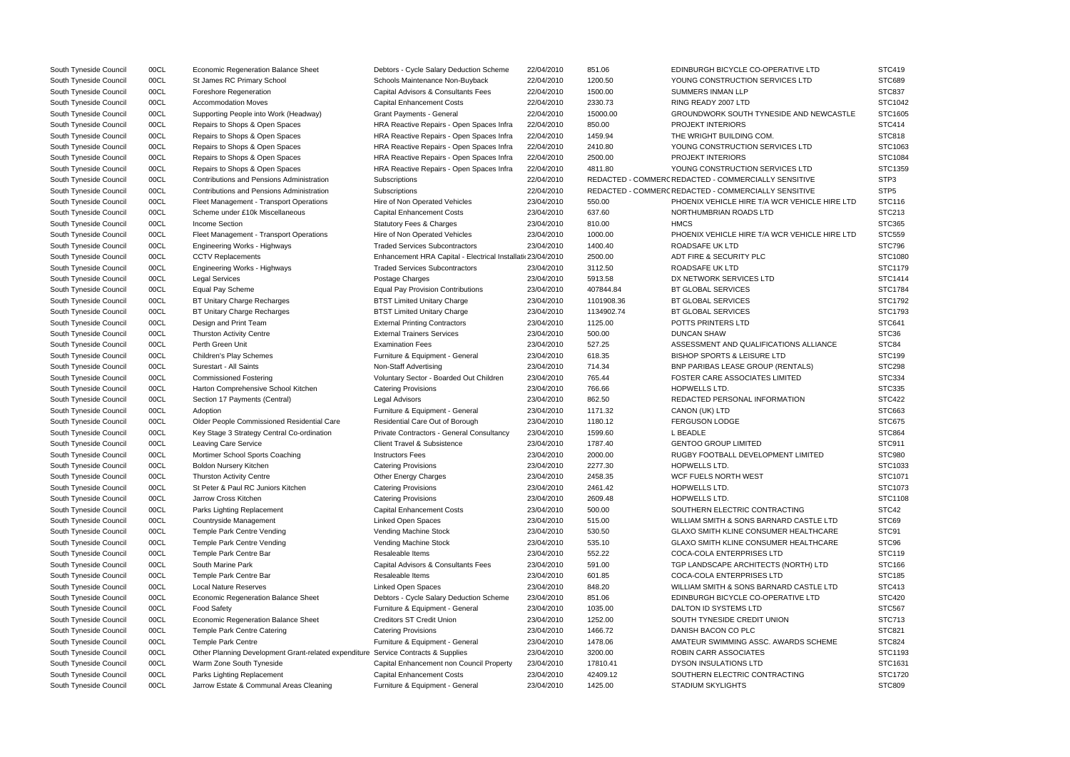| South Tyneside Council | 00CL         | Economic Regeneration Balance Sheet                                               | Debtors - Cycle Salary Deduction Scheme                      | 22/04/2010               | 851.06             | EDINBURGH BICYCLE CO-OPERATIVE LTD                                                      | <b>STC419</b>      |
|------------------------|--------------|-----------------------------------------------------------------------------------|--------------------------------------------------------------|--------------------------|--------------------|-----------------------------------------------------------------------------------------|--------------------|
| South Tyneside Council | 00CL         | St James RC Primary School                                                        | Schools Maintenance Non-Buyback                              | 22/04/2010               | 1200.50            | YOUNG CONSTRUCTION SERVICES LTD                                                         | <b>STC689</b>      |
| South Tyneside Council | 00CL         | Foreshore Regeneration                                                            | <b>Capital Advisors &amp; Consultants Fees</b>               | 22/04/2010               | 1500.00            | <b>SUMMERS INMAN LLP</b>                                                                | <b>STC837</b>      |
| South Tyneside Council | 00CL         | <b>Accommodation Moves</b>                                                        | <b>Capital Enhancement Costs</b>                             | 22/04/2010               | 2330.73            | RING READY 2007 LTD                                                                     | STC1042            |
| South Tyneside Council | 00CL         | Supporting People into Work (Headway)                                             | <b>Grant Payments - General</b>                              | 22/04/2010               | 15000.00           | <b>GROUNDWORK SOUTH TYNESIDE AND NEWCASTLE</b>                                          | STC1605            |
| South Tyneside Council | 00CL         | Repairs to Shops & Open Spaces                                                    | HRA Reactive Repairs - Open Spaces Infra                     | 22/04/2010               | 850.00             | <b>PROJEKT INTERIORS</b>                                                                | <b>STC414</b>      |
| South Tyneside Council | 00CL         | Repairs to Shops & Open Spaces                                                    | HRA Reactive Repairs - Open Spaces Infra                     | 22/04/2010               | 1459.94            | THE WRIGHT BUILDING COM.                                                                | <b>STC818</b>      |
| South Tyneside Council | 00CL         | Repairs to Shops & Open Spaces                                                    | HRA Reactive Repairs - Open Spaces Infra                     | 22/04/2010               | 2410.80            | YOUNG CONSTRUCTION SERVICES LTD                                                         | STC1063            |
| South Tyneside Council | 00CL         | Repairs to Shops & Open Spaces                                                    | HRA Reactive Repairs - Open Spaces Infra                     | 22/04/2010               | 2500.00            | <b>PROJEKT INTERIORS</b>                                                                | STC1084            |
| South Tyneside Council | 00CL         | Repairs to Shops & Open Spaces                                                    | HRA Reactive Repairs - Open Spaces Infra                     | 22/04/2010               | 4811.80            | YOUNG CONSTRUCTION SERVICES LTD                                                         | STC1359            |
| South Tyneside Council | 00CL         | <b>Contributions and Pensions Administration</b>                                  | Subscriptions                                                | 22/04/2010               |                    | REDACTED - COMMERC REDACTED - COMMERCIALLY SENSITIVE                                    | STP <sub>3</sub>   |
| South Tyneside Council | 00CL         | <b>Contributions and Pensions Administration</b>                                  | Subscriptions                                                | 22/04/2010               |                    | REDACTED - COMMERC REDACTED - COMMERCIALLY SENSITIVE                                    | STP <sub>5</sub>   |
| South Tyneside Council | 00CL         | Fleet Management - Transport Operations                                           | Hire of Non Operated Vehicles                                | 23/04/2010               | 550.00             | PHOENIX VEHICLE HIRE T/A WCR VEHICLE HIRE LTD                                           | STC116             |
| South Tyneside Council | 00CL         | Scheme under £10k Miscellaneous                                                   | <b>Capital Enhancement Costs</b>                             | 23/04/2010               | 637.60             | NORTHUMBRIAN ROADS LTD                                                                  | STC213             |
| South Tyneside Council | 00CL         | <b>Income Section</b>                                                             | <b>Statutory Fees &amp; Charges</b>                          | 23/04/2010               | 810.00             | <b>HMCS</b>                                                                             | STC365             |
| South Tyneside Council | 00CL         | Fleet Management - Transport Operations                                           | Hire of Non Operated Vehicles                                | 23/04/2010               | 1000.00            | PHOENIX VEHICLE HIRE T/A WCR VEHICLE HIRE LTD                                           | <b>STC559</b>      |
| South Tyneside Council | 00CL         | Engineering Works - Highways                                                      | <b>Traded Services Subcontractors</b>                        | 23/04/2010               | 1400.40            | ROADSAFE UK LTD                                                                         | <b>STC796</b>      |
| South Tyneside Council | 00CL         | <b>CCTV Replacements</b>                                                          | Enhancement HRA Capital - Electrical Installati (23/04/2010) |                          | 2500.00            | ADT FIRE & SECURITY PLC                                                                 | STC1080            |
| South Tyneside Council | 00CL         | Engineering Works - Highways                                                      | <b>Traded Services Subcontractors</b>                        | 23/04/2010               | 3112.50            | ROADSAFE UK LTD                                                                         | STC1179            |
| South Tyneside Council | 00CL         | <b>Legal Services</b>                                                             | Postage Charges                                              | 23/04/2010               | 5913.58            | DX NETWORK SERVICES LTD                                                                 | STC1414            |
| South Tyneside Council | 00CL         | Equal Pay Scheme                                                                  | <b>Equal Pay Provision Contributions</b>                     | 23/04/2010               | 407844.84          | BT GLOBAL SERVICES                                                                      | STC1784            |
| South Tyneside Council | 00CL         | BT Unitary Charge Recharges                                                       | <b>BTST Limited Unitary Charge</b>                           | 23/04/2010               | 1101908.36         | BT GLOBAL SERVICES                                                                      | STC1792            |
| South Tyneside Council | 00CL         | BT Unitary Charge Recharges                                                       | <b>BTST Limited Unitary Charge</b>                           | 23/04/2010               | 1134902.74         | BT GLOBAL SERVICES                                                                      | STC1793            |
| South Tyneside Council | 00CL         | Design and Print Team                                                             | <b>External Printing Contractors</b>                         | 23/04/2010               | 1125.00            | POTTS PRINTERS LTD                                                                      | <b>STC641</b>      |
| South Tyneside Council | 00CL         | <b>Thurston Activity Centre</b>                                                   | <b>External Trainers Services</b>                            | 23/04/2010               | 500.00             | <b>DUNCAN SHAW</b>                                                                      | STC36              |
| South Tyneside Council | 00CL         | Perth Green Unit                                                                  | <b>Examination Fees</b>                                      | 23/04/2010               | 527.25             | ASSESSMENT AND QUALIFICATIONS ALLIANCE                                                  | STC84              |
| South Tyneside Council | 00CL         | Children's Play Schemes                                                           | Furniture & Equipment - General                              | 23/04/2010               | 618.35             | <b>BISHOP SPORTS &amp; LEISURE LTD</b>                                                  | <b>STC199</b>      |
| South Tyneside Council | 00CL         | Surestart - All Saints                                                            | Non-Staff Advertising                                        | 23/04/2010               | 714.34             | BNP PARIBAS LEASE GROUP (RENTALS)                                                       | <b>STC298</b>      |
| South Tyneside Council | 00CL         | <b>Commissioned Fostering</b>                                                     | Voluntary Sector - Boarded Out Children                      | 23/04/2010               | 765.44             | <b>FOSTER CARE ASSOCIATES LIMITED</b>                                                   | <b>STC334</b>      |
| South Tyneside Council | 00CL         | Harton Comprehensive School Kitchen                                               | <b>Catering Provisions</b>                                   | 23/04/2010               | 766.66             | <b>HOPWELLS LTD.</b>                                                                    | <b>STC335</b>      |
| South Tyneside Council | 00CL         | Section 17 Payments (Central)                                                     | <b>Legal Advisors</b>                                        | 23/04/2010               | 862.50             | REDACTED PERSONAL INFORMATION                                                           | <b>STC422</b>      |
| South Tyneside Council | 00CL         | Adoption                                                                          | Furniture & Equipment - General                              | 23/04/2010               | 1171.32            | CANON (UK) LTD                                                                          | STC663             |
| South Tyneside Council | 00CL         | Older People Commissioned Residential Care                                        | Residential Care Out of Borough                              | 23/04/2010               | 1180.12            | <b>FERGUSON LODGE</b>                                                                   | <b>STC675</b>      |
| South Tyneside Council | 00CL         | Key Stage 3 Strategy Central Co-ordination                                        | Private Contractors - General Consultancy                    | 23/04/2010               | 1599.60            | L BEADLE                                                                                | <b>STC864</b>      |
| South Tyneside Council | 00CL         | Leaving Care Service                                                              | <b>Client Travel &amp; Subsistence</b>                       | 23/04/2010               | 1787.40            | <b>GENTOO GROUP LIMITED</b>                                                             | STC911             |
| South Tyneside Council | 00CL         | Mortimer School Sports Coaching                                                   | <b>Instructors Fees</b>                                      | 23/04/2010               | 2000.00            | RUGBY FOOTBALL DEVELOPMENT LIMITED                                                      | <b>STC980</b>      |
| South Tyneside Council | 00CL         | Boldon Nursery Kitchen                                                            | <b>Catering Provisions</b>                                   | 23/04/2010               | 2277.30            | HOPWELLS LTD.                                                                           | STC1033            |
|                        | 00CL         | <b>Thurston Activity Centre</b>                                                   |                                                              | 23/04/2010               | 2458.35            | WCF FUELS NORTH WEST                                                                    | STC1071            |
| South Tyneside Council |              |                                                                                   | Other Energy Charges                                         |                          |                    |                                                                                         |                    |
| South Tyneside Council | 00CL<br>00CL | St Peter & Paul RC Juniors Kitchen<br>Jarrow Cross Kitchen                        | <b>Catering Provisions</b>                                   | 23/04/2010<br>23/04/2010 | 2461.42<br>2609.48 | HOPWELLS LTD.<br>HOPWELLS LTD.                                                          | STC1073<br>STC1108 |
| South Tyneside Council |              |                                                                                   | <b>Catering Provisions</b>                                   |                          |                    |                                                                                         |                    |
| South Tyneside Council | 00CL         | Parks Lighting Replacement                                                        | <b>Capital Enhancement Costs</b>                             | 23/04/2010               | 500.00             | SOUTHERN ELECTRIC CONTRACTING                                                           | STC42              |
| South Tyneside Council | 00CL         | Countryside Management                                                            | <b>Linked Open Spaces</b><br>Vending Machine Stock           | 23/04/2010               | 515.00<br>530.50   | WILLIAM SMITH & SONS BARNARD CASTLE LTD<br><b>GLAXO SMITH KLINE CONSUMER HEALTHCARE</b> | STC69<br>STC91     |
| South Tyneside Council | 00CL         | Temple Park Centre Vending                                                        |                                                              | 23/04/2010               |                    |                                                                                         |                    |
| South Tyneside Council | 00CL         | Temple Park Centre Vending                                                        | Vending Machine Stock                                        | 23/04/2010               | 535.10             | GLAXO SMITH KLINE CONSUMER HEALTHCARE                                                   | STC96              |
| South Tyneside Council | 00CL         | Temple Park Centre Bar                                                            | Resaleable Items                                             | 23/04/2010               | 552.22             | COCA-COLA ENTERPRISES LTD                                                               | STC119             |
| South Tyneside Council | 00CL         | South Marine Park                                                                 | Capital Advisors & Consultants Fees                          | 23/04/2010               | 591.00             | TGP LANDSCAPE ARCHITECTS (NORTH) LTD                                                    | STC166             |
| South Tyneside Council | 00CL         | Temple Park Centre Bar                                                            | Resaleable Items                                             | 23/04/2010               | 601.85             | COCA-COLA ENTERPRISES LTD                                                               | STC185             |
| South Tyneside Council | 00CL         | <b>Local Nature Reserves</b>                                                      | <b>Linked Open Spaces</b>                                    | 23/04/2010               | 848.20             | WILLIAM SMITH & SONS BARNARD CASTLE LTD                                                 | STC413             |
| South Tyneside Council | 00CL         | Economic Regeneration Balance Sheet                                               | Debtors - Cycle Salary Deduction Scheme                      | 23/04/2010               | 851.06             | EDINBURGH BICYCLE CO-OPERATIVE LTD                                                      | <b>STC420</b>      |
| South Tyneside Council | 00CL         | <b>Food Safety</b>                                                                | Furniture & Equipment - General                              | 23/04/2010               | 1035.00            | DALTON ID SYSTEMS LTD                                                                   | <b>STC567</b>      |
| South Tyneside Council | 00CL         | Economic Regeneration Balance Sheet                                               | <b>Creditors ST Credit Union</b>                             | 23/04/2010               | 1252.00            | SOUTH TYNESIDE CREDIT UNION                                                             | <b>STC713</b>      |
| South Tyneside Council | 00CL         | Temple Park Centre Catering                                                       | <b>Catering Provisions</b>                                   | 23/04/2010               | 1466.72            | DANISH BACON CO PLC                                                                     | <b>STC821</b>      |
| South Tyneside Council | 00CL         | <b>Temple Park Centre</b>                                                         | Furniture & Equipment - General                              | 23/04/2010               | 1478.06            | AMATEUR SWIMMING ASSC. AWARDS SCHEME                                                    | <b>STC824</b>      |
| South Tyneside Council | 00CL         | Other Planning Development Grant-related expenditure Service Contracts & Supplies |                                                              | 23/04/2010               | 3200.00            | ROBIN CARR ASSOCIATES                                                                   | STC1193            |
| South Tyneside Council | 00CL         | Warm Zone South Tyneside                                                          | Capital Enhancement non Council Property                     | 23/04/2010               | 17810.41           | DYSON INSULATIONS LTD                                                                   | STC1631            |
| South Tyneside Council | 00CL         | Parks Lighting Replacement                                                        | <b>Capital Enhancement Costs</b>                             | 23/04/2010               | 42409.12           | SOUTHERN ELECTRIC CONTRACTING                                                           | STC1720            |
| South Tyneside Council | 00CL         | Jarrow Estate & Communal Areas Cleaning                                           | Furniture & Equipment - General                              | 23/04/2010               | 1425.00            | <b>STADIUM SKYLIGHTS</b>                                                                | <b>STC809</b>      |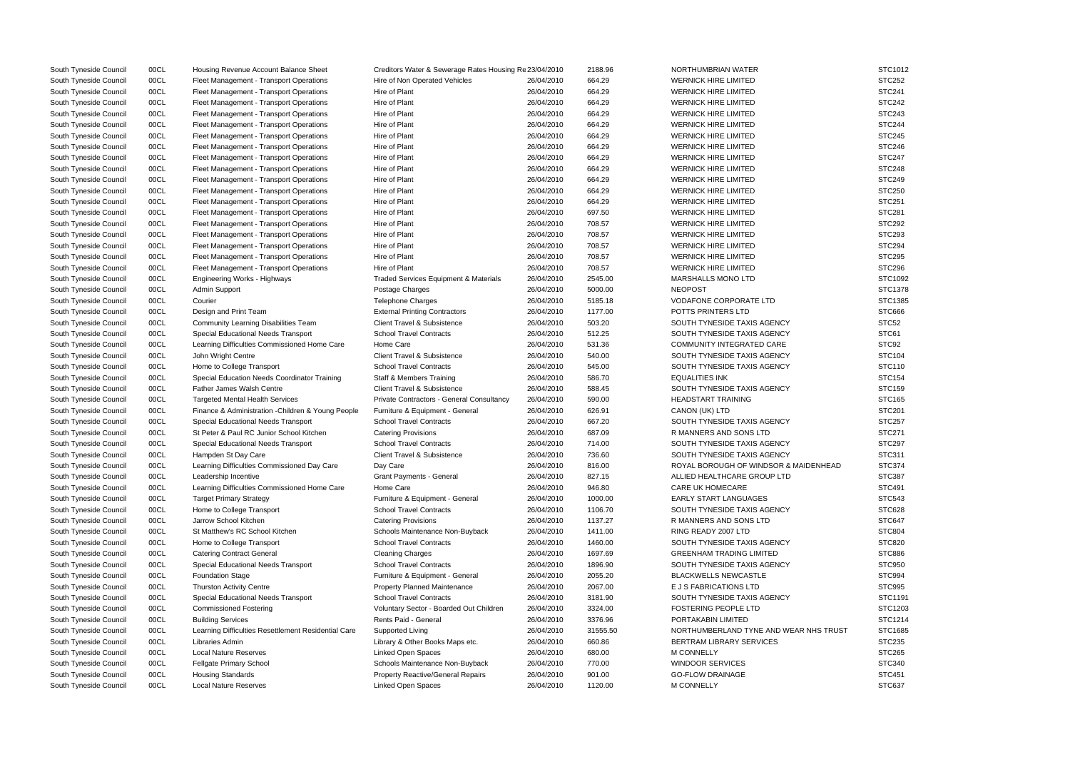| South Tyneside Council | 00CL | Housing Revenue Account Balance Sheet               | Creditors Water & Sewerage Rates Housing Re 23/04/2010 |            | 2188.96  | NORTHUMBRIAN WATER                     | STC1012       |
|------------------------|------|-----------------------------------------------------|--------------------------------------------------------|------------|----------|----------------------------------------|---------------|
| South Tyneside Council | 00CL | Fleet Management - Transport Operations             | Hire of Non Operated Vehicles                          | 26/04/2010 | 664.29   | <b>WERNICK HIRE LIMITED</b>            | <b>STC252</b> |
| South Tyneside Council | 00CL | Fleet Management - Transport Operations             | Hire of Plant                                          | 26/04/2010 | 664.29   | <b>WERNICK HIRE LIMITED</b>            | <b>STC241</b> |
| South Tyneside Council | 00CL | Fleet Management - Transport Operations             | Hire of Plant                                          | 26/04/2010 | 664.29   | <b>WERNICK HIRE LIMITED</b>            | <b>STC242</b> |
| South Tyneside Council | 00CL | Fleet Management - Transport Operations             | Hire of Plant                                          | 26/04/2010 | 664.29   | <b>WERNICK HIRE LIMITED</b>            | <b>STC243</b> |
| South Tyneside Council | 00CL | Fleet Management - Transport Operations             | Hire of Plant                                          | 26/04/2010 | 664.29   | <b>WERNICK HIRE LIMITED</b>            | <b>STC244</b> |
| South Tyneside Council | 00CL | Fleet Management - Transport Operations             | Hire of Plant                                          | 26/04/2010 | 664.29   | <b>WERNICK HIRE LIMITED</b>            | <b>STC245</b> |
| South Tyneside Council | 00CL | Fleet Management - Transport Operations             | Hire of Plant                                          | 26/04/2010 | 664.29   | <b>WERNICK HIRE LIMITED</b>            | STC246        |
| South Tyneside Council | 00CL | Fleet Management - Transport Operations             | Hire of Plant                                          | 26/04/2010 | 664.29   | <b>WERNICK HIRE LIMITED</b>            | <b>STC247</b> |
| South Tyneside Council | 00CL | Fleet Management - Transport Operations             | Hire of Plant                                          | 26/04/2010 | 664.29   | <b>WERNICK HIRE LIMITED</b>            | <b>STC248</b> |
| South Tyneside Council | 00CL | Fleet Management - Transport Operations             | Hire of Plant                                          | 26/04/2010 | 664.29   | <b>WERNICK HIRE LIMITED</b>            | <b>STC249</b> |
| South Tyneside Council | 00CL | Fleet Management - Transport Operations             | Hire of Plant                                          | 26/04/2010 | 664.29   | <b>WERNICK HIRE LIMITED</b>            | <b>STC250</b> |
| South Tyneside Council | 00CL | Fleet Management - Transport Operations             | Hire of Plant                                          | 26/04/2010 | 664.29   | <b>WERNICK HIRE LIMITED</b>            | <b>STC251</b> |
| South Tyneside Council | 00CL | Fleet Management - Transport Operations             | Hire of Plant                                          | 26/04/2010 | 697.50   | <b>WERNICK HIRE LIMITED</b>            | <b>STC281</b> |
| South Tyneside Council | 00CL | Fleet Management - Transport Operations             | Hire of Plant                                          | 26/04/2010 | 708.57   | <b>WERNICK HIRE LIMITED</b>            | <b>STC292</b> |
| South Tyneside Council | 00CL | Fleet Management - Transport Operations             | Hire of Plant                                          | 26/04/2010 | 708.57   | <b>WERNICK HIRE LIMITED</b>            | <b>STC293</b> |
| South Tyneside Council | 00CL | Fleet Management - Transport Operations             | Hire of Plant                                          | 26/04/2010 | 708.57   | <b>WERNICK HIRE LIMITED</b>            | <b>STC294</b> |
| South Tyneside Council | 00CL | Fleet Management - Transport Operations             | Hire of Plant                                          | 26/04/2010 | 708.57   | <b>WERNICK HIRE LIMITED</b>            | <b>STC295</b> |
| South Tyneside Council | 00CL | Fleet Management - Transport Operations             | Hire of Plant                                          | 26/04/2010 | 708.57   | <b>WERNICK HIRE LIMITED</b>            | <b>STC296</b> |
| South Tyneside Council | 00CL | Engineering Works - Highways                        | <b>Traded Services Equipment &amp; Materials</b>       | 26/04/2010 | 2545.00  | MARSHALLS MONO LTD                     | STC1092       |
| South Tyneside Council | 00CL | Admin Support                                       | Postage Charges                                        | 26/04/2010 | 5000.00  | <b>NEOPOST</b>                         | STC1378       |
| South Tyneside Council | 00CL | Courier                                             | <b>Telephone Charges</b>                               | 26/04/2010 | 5185.18  | <b>VODAFONE CORPORATE LTD</b>          | STC1385       |
| South Tyneside Council | 00CL | Design and Print Team                               | <b>External Printing Contractors</b>                   | 26/04/2010 | 1177.00  | POTTS PRINTERS LTD                     | <b>STC666</b> |
| South Tyneside Council | 00CL | Community Learning Disabilities Team                | Client Travel & Subsistence                            | 26/04/2010 | 503.20   | SOUTH TYNESIDE TAXIS AGENCY            | STC52         |
| South Tyneside Council | 00CL | Special Educational Needs Transport                 | <b>School Travel Contracts</b>                         | 26/04/2010 | 512.25   | SOUTH TYNESIDE TAXIS AGENCY            | STC61         |
| South Tyneside Council | 00CL | Learning Difficulties Commissioned Home Care        | Home Care                                              | 26/04/2010 | 531.36   | COMMUNITY INTEGRATED CARE              | STC92         |
| South Tyneside Council | 00CL | John Wright Centre                                  | <b>Client Travel &amp; Subsistence</b>                 | 26/04/2010 | 540.00   | SOUTH TYNESIDE TAXIS AGENCY            | <b>STC104</b> |
| South Tyneside Council | 00CL | Home to College Transport                           | <b>School Travel Contracts</b>                         | 26/04/2010 | 545.00   | SOUTH TYNESIDE TAXIS AGENCY            | <b>STC110</b> |
| South Tyneside Council | 00CL | Special Education Needs Coordinator Training        | <b>Staff &amp; Members Training</b>                    | 26/04/2010 | 586.70   | <b>EQUALITIES INK</b>                  | <b>STC154</b> |
| South Tyneside Council | 00CL | <b>Father James Walsh Centre</b>                    | <b>Client Travel &amp; Subsistence</b>                 | 26/04/2010 | 588.45   | SOUTH TYNESIDE TAXIS AGENCY            | STC159        |
| South Tyneside Council | 00CL | <b>Targeted Mental Health Services</b>              | Private Contractors - General Consultancy              | 26/04/2010 | 590.00   | <b>HEADSTART TRAINING</b>              | <b>STC165</b> |
| South Tyneside Council | 00CL | Finance & Administration - Children & Young People  | Furniture & Equipment - General                        | 26/04/2010 | 626.91   | CANON (UK) LTD                         | <b>STC201</b> |
| South Tyneside Council | 00CL | Special Educational Needs Transport                 | <b>School Travel Contracts</b>                         | 26/04/2010 | 667.20   | SOUTH TYNESIDE TAXIS AGENCY            | <b>STC257</b> |
| South Tyneside Council | 00CL | St Peter & Paul RC Junior School Kitchen            | <b>Catering Provisions</b>                             | 26/04/2010 | 687.09   | R MANNERS AND SONS LTD                 | <b>STC271</b> |
| South Tyneside Council | 00CL | Special Educational Needs Transport                 | <b>School Travel Contracts</b>                         | 26/04/2010 | 714.00   | SOUTH TYNESIDE TAXIS AGENCY            | <b>STC297</b> |
| South Tyneside Council | 00CL | Hampden St Day Care                                 | Client Travel & Subsistence                            | 26/04/2010 | 736.60   | SOUTH TYNESIDE TAXIS AGENCY            | STC311        |
| South Tyneside Council | 00CL | Learning Difficulties Commissioned Day Care         | Day Care                                               | 26/04/2010 | 816.00   | ROYAL BOROUGH OF WINDSOR & MAIDENHEAD  | STC374        |
| South Tyneside Council | 00CL | Leadership Incentive                                | <b>Grant Payments - General</b>                        | 26/04/2010 | 827.15   | ALLIED HEALTHCARE GROUP LTD            | <b>STC387</b> |
| South Tyneside Council | 00CL | Learning Difficulties Commissioned Home Care        | Home Care                                              | 26/04/2010 | 946.80   | <b>CARE UK HOMECARE</b>                | STC491        |
| South Tyneside Council | 00CL | <b>Target Primary Strategy</b>                      | Furniture & Equipment - General                        | 26/04/2010 | 1000.00  | <b>EARLY START LANGUAGES</b>           | <b>STC543</b> |
| South Tyneside Council | 00CL | Home to College Transport                           | <b>School Travel Contracts</b>                         | 26/04/2010 | 1106.70  | SOUTH TYNESIDE TAXIS AGENCY            | <b>STC628</b> |
| South Tyneside Council | 00CL | Jarrow School Kitchen                               | <b>Catering Provisions</b>                             | 26/04/2010 | 1137.27  | R MANNERS AND SONS LTD                 | STC647        |
| South Tyneside Council | 00CL | St Matthew's RC School Kitchen                      | Schools Maintenance Non-Buyback                        | 26/04/2010 | 1411.00  | RING READY 2007 LTD                    | <b>STC804</b> |
| South Tyneside Council | 00CL | Home to College Transport                           | <b>School Travel Contracts</b>                         | 26/04/2010 | 1460.00  | SOUTH TYNESIDE TAXIS AGENCY            | <b>STC820</b> |
| South Tyneside Council | 00CL | <b>Catering Contract General</b>                    | <b>Cleaning Charges</b>                                | 26/04/2010 | 1697.69  | <b>GREENHAM TRADING LIMITED</b>        | <b>STC886</b> |
| South Tyneside Council | 00CL | Special Educational Needs Transport                 | <b>School Travel Contracts</b>                         | 26/04/2010 | 1896.90  | SOUTH TYNESIDE TAXIS AGENCY            | <b>STC950</b> |
| South Tyneside Council | 00CL | <b>Foundation Stage</b>                             | Furniture & Equipment - General                        | 26/04/2010 | 2055.20  | <b>BLACKWELLS NEWCASTLE</b>            | STC994        |
| South Tyneside Council | 00CL | <b>Thurston Activity Centre</b>                     | Property Planned Maintenance                           | 26/04/2010 | 2067.00  | E J S FABRICATIONS LTD                 | STC995        |
| South Tyneside Council | 00CL | Special Educational Needs Transport                 | <b>School Travel Contracts</b>                         | 26/04/2010 | 3181.90  | SOUTH TYNESIDE TAXIS AGENCY            | STC1191       |
| South Tyneside Council | 00CL | <b>Commissioned Fostering</b>                       | Voluntary Sector - Boarded Out Children                | 26/04/2010 | 3324.00  | <b>FOSTERING PEOPLE LTD</b>            | STC1203       |
| South Tyneside Council | 00CL | <b>Building Services</b>                            | Rents Paid - General                                   | 26/04/2010 | 3376.96  | PORTAKABIN LIMITED                     | STC1214       |
| South Tyneside Council | 00CL | Learning Difficulties Resettlement Residential Care | Supported Living                                       | 26/04/2010 | 31555.50 | NORTHUMBERLAND TYNE AND WEAR NHS TRUST | STC1685       |
| South Tyneside Council | 00CL | Libraries Admin                                     | Library & Other Books Maps etc.                        | 26/04/2010 | 660.86   | BERTRAM LIBRARY SERVICES               | <b>STC235</b> |
| South Tyneside Council | 00CL | <b>Local Nature Reserves</b>                        | Linked Open Spaces                                     | 26/04/2010 | 680.00   | <b>M CONNELLY</b>                      | <b>STC265</b> |
| South Tyneside Council | 00CL | Fellgate Primary School                             | Schools Maintenance Non-Buyback                        | 26/04/2010 | 770.00   | <b>WINDOOR SERVICES</b>                | <b>STC340</b> |
| South Tyneside Council | 00CL | <b>Housing Standards</b>                            | Property Reactive/General Repairs                      | 26/04/2010 | 901.00   | <b>GO-FLOW DRAINAGE</b>                | <b>STC451</b> |
| South Tyneside Council | 00CL | <b>Local Nature Reserves</b>                        | Linked Open Spaces                                     | 26/04/2010 | 1120.00  | <b>M CONNELLY</b>                      | <b>STC637</b> |
|                        |      |                                                     |                                                        |            |          |                                        |               |

|                  | STC1012            |
|------------------|--------------------|
|                  |                    |
|                  | STC252             |
|                  | STC241             |
|                  | <b>STC242</b>      |
|                  | STC243             |
|                  | STC244             |
|                  | <b>STC245</b>      |
|                  | STC246             |
|                  | <b>STC247</b>      |
|                  | <b>STC248</b>      |
|                  | <b>STC249</b>      |
|                  |                    |
|                  | <b>STC250</b>      |
|                  | STC251             |
|                  | STC281             |
|                  | STC292             |
|                  | STC293             |
|                  | <b>STC294</b>      |
|                  | <b>STC295</b>      |
|                  | STC <sub>296</sub> |
|                  | STC1092            |
|                  | STC1378            |
|                  |                    |
|                  | STC1385            |
|                  | STC666             |
|                  | STC52              |
|                  | STC61              |
|                  | STC92              |
|                  | STC104             |
|                  | STC110             |
|                  | <b>STC154</b>      |
|                  | STC159             |
|                  | <b>STC165</b>      |
|                  | STC201             |
|                  | <b>STC257</b>      |
|                  |                    |
|                  | STC271             |
|                  | STC297             |
|                  | STC311             |
| <b>ENHEAD</b>    | STC374             |
|                  | <b>STC387</b>      |
|                  | STC491             |
|                  | STC543             |
|                  | STC628             |
|                  | STC647             |
|                  | STC804             |
|                  | STC820             |
|                  |                    |
|                  | <b>STC886</b>      |
|                  | STC950             |
|                  | STC994             |
|                  | <b>STC995</b>      |
|                  | STC1191            |
|                  | STC1203            |
|                  | STC1214            |
| <b>IHS TRUST</b> | STC1685            |
|                  | STC235             |
|                  | <b>STC265</b>      |
|                  | STC340             |
|                  |                    |
|                  | STC451             |
|                  | STC637             |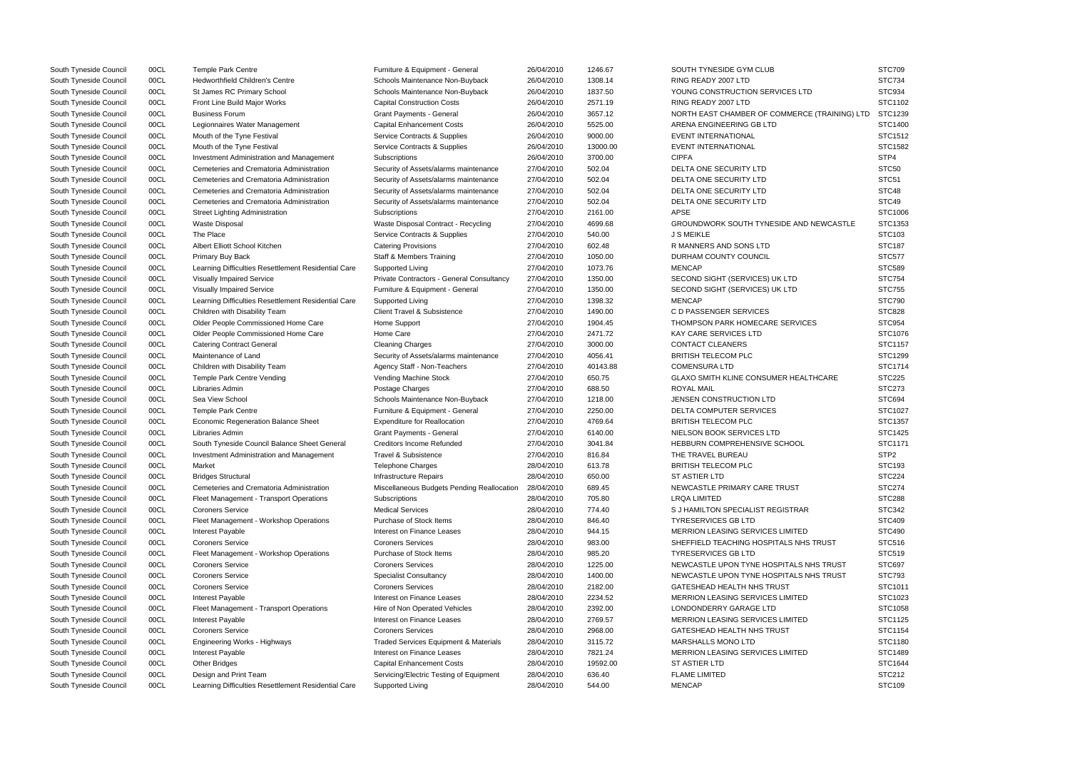| South Tyneside Council | 00CL | <b>Temple Park Centre</b>                           | Furniture & Equipment - General            | 26/04/2010 | 1246.67  | SOUTH TYNESIDE GYM CLUB                       | <b>STC709</b>     |
|------------------------|------|-----------------------------------------------------|--------------------------------------------|------------|----------|-----------------------------------------------|-------------------|
| South Tyneside Council | 00CL | <b>Hedworthfield Children's Centre</b>              | Schools Maintenance Non-Buyback            | 26/04/2010 | 1308.14  | RING READY 2007 LTD                           | <b>STC734</b>     |
| South Tyneside Council | 00CL | St James RC Primary School                          | Schools Maintenance Non-Buyback            | 26/04/2010 | 1837.50  | YOUNG CONSTRUCTION SERVICES LTD               | STC934            |
| South Tyneside Council | 00CL | Front Line Build Major Works                        | <b>Capital Construction Costs</b>          | 26/04/2010 | 2571.19  | RING READY 2007 LTD                           | STC1102           |
| South Tyneside Council | 00CL | <b>Business Forum</b>                               | <b>Grant Payments - General</b>            | 26/04/2010 | 3657.12  | NORTH EAST CHAMBER OF COMMERCE (TRAINING) LTD | STC1239           |
| South Tyneside Council | 00CL | Legionnaires Water Management                       | <b>Capital Enhancement Costs</b>           | 26/04/2010 | 5525.00  | ARENA ENGINEERING GB LTD                      | <b>STC1400</b>    |
| South Tyneside Council | 00CL | Mouth of the Tyne Festival                          | Service Contracts & Supplies               | 26/04/2010 | 9000.00  | <b>EVENT INTERNATIONAL</b>                    | STC1512           |
| South Tyneside Council | 00CL | Mouth of the Tyne Festival                          | Service Contracts & Supplies               | 26/04/2010 | 13000.00 | <b>EVENT INTERNATIONAL</b>                    | STC1582           |
| South Tyneside Council | 00CL | Investment Administration and Management            | Subscriptions                              | 26/04/2010 | 3700.00  | <b>CIPFA</b>                                  | STP4              |
| South Tyneside Council | 00CL | Cemeteries and Crematoria Administration            | Security of Assets/alarms maintenance      | 27/04/2010 | 502.04   | DELTA ONE SECURITY LTD                        | STC50             |
| South Tyneside Council | 00CL | Cemeteries and Crematoria Administration            | Security of Assets/alarms maintenance      | 27/04/2010 | 502.04   | DELTA ONE SECURITY LTD                        | STC <sub>51</sub> |
| South Tyneside Council | 00CL | Cemeteries and Crematoria Administration            | Security of Assets/alarms maintenance      | 27/04/2010 | 502.04   | DELTA ONE SECURITY LTD                        | STC48             |
| South Tyneside Council | 00CL | Cemeteries and Crematoria Administration            | Security of Assets/alarms maintenance      | 27/04/2010 | 502.04   | DELTA ONE SECURITY LTD                        | STC49             |
| South Tyneside Council | 00CL | <b>Street Lighting Administration</b>               | Subscriptions                              | 27/04/2010 | 2161.00  | <b>APSE</b>                                   | STC1006           |
| South Tyneside Council | 00CL | <b>Waste Disposal</b>                               | Waste Disposal Contract - Recycling        | 27/04/2010 | 4699.68  | GROUNDWORK SOUTH TYNESIDE AND NEWCASTLE       | STC1353           |
| South Tyneside Council | 00CL | The Place                                           | Service Contracts & Supplies               | 27/04/2010 | 540.00   | <b>J S MEIKLE</b>                             | STC103            |
| South Tyneside Council | 00CL | Albert Elliott School Kitchen                       | <b>Catering Provisions</b>                 | 27/04/2010 | 602.48   | R MANNERS AND SONS LTD                        | <b>STC187</b>     |
| South Tyneside Council | 00CL | Primary Buy Back                                    | <b>Staff &amp; Members Training</b>        | 27/04/2010 | 1050.00  | DURHAM COUNTY COUNCIL                         | STC577            |
|                        | 00CL |                                                     | Supported Living                           | 27/04/2010 | 1073.76  | <b>MENCAP</b>                                 | <b>STC589</b>     |
| South Tyneside Council | 00CL | Learning Difficulties Resettlement Residential Care | Private Contractors - General Consultancy  | 27/04/2010 | 1350.00  | SECOND SIGHT (SERVICES) UK LTD                | <b>STC754</b>     |
| South Tyneside Council |      | Visually Impaired Service                           |                                            |            |          |                                               |                   |
| South Tyneside Council | 00CL | <b>Visually Impaired Service</b>                    | Furniture & Equipment - General            | 27/04/2010 | 1350.00  | SECOND SIGHT (SERVICES) UK LTD                | <b>STC755</b>     |
| South Tyneside Council | 00CL | Learning Difficulties Resettlement Residential Care | Supported Living                           | 27/04/2010 | 1398.32  | <b>MENCAP</b>                                 | <b>STC790</b>     |
| South Tyneside Council | 00CL | Children with Disability Team                       | <b>Client Travel &amp; Subsistence</b>     | 27/04/2010 | 1490.00  | C D PASSENGER SERVICES                        | <b>STC828</b>     |
| South Tyneside Council | 00CL | Older People Commissioned Home Care                 | Home Support                               | 27/04/2010 | 1904.45  | THOMPSON PARK HOMECARE SERVICES               | <b>STC954</b>     |
| South Tyneside Council | 00CL | Older People Commissioned Home Care                 | Home Care                                  | 27/04/2010 | 2471.72  | KAY CARE SERVICES LTD                         | STC1076           |
| South Tyneside Council | 00CL | <b>Catering Contract General</b>                    | <b>Cleaning Charges</b>                    | 27/04/2010 | 3000.00  | <b>CONTACT CLEANERS</b>                       | STC1157           |
| South Tyneside Council | 00CL | Maintenance of Land                                 | Security of Assets/alarms maintenance      | 27/04/2010 | 4056.41  | <b>BRITISH TELECOM PLC</b>                    | STC1299           |
| South Tyneside Council | 00CL | Children with Disability Team                       | Agency Staff - Non-Teachers                | 27/04/2010 | 40143.88 | <b>COMENSURA LTD</b>                          | STC1714           |
| South Tyneside Council | 00CL | Temple Park Centre Vending                          | Vending Machine Stock                      | 27/04/2010 | 650.75   | GLAXO SMITH KLINE CONSUMER HEALTHCARE         | <b>STC225</b>     |
| South Tyneside Council | 00CL | Libraries Admin                                     | Postage Charges                            | 27/04/2010 | 688.50   | <b>ROYAL MAIL</b>                             | <b>STC273</b>     |
| South Tyneside Council | 00CL | Sea View School                                     | Schools Maintenance Non-Buyback            | 27/04/2010 | 1218.00  | JENSEN CONSTRUCTION LTD                       | STC694            |
| South Tyneside Council | 00CL | <b>Temple Park Centre</b>                           | Furniture & Equipment - General            | 27/04/2010 | 2250.00  | DELTA COMPUTER SERVICES                       | STC1027           |
| South Tyneside Council | 00CL | <b>Economic Regeneration Balance Sheet</b>          | <b>Expenditure for Reallocation</b>        | 27/04/2010 | 4769.64  | <b>BRITISH TELECOM PLC</b>                    | STC1357           |
| South Tyneside Council | 00CL | Libraries Admin                                     | <b>Grant Payments - General</b>            | 27/04/2010 | 6140.00  | NIELSON BOOK SERVICES LTD                     | STC1425           |
| South Tyneside Council | 00CL | South Tyneside Council Balance Sheet General        | <b>Creditors Income Refunded</b>           | 27/04/2010 | 3041.84  | HEBBURN COMPREHENSIVE SCHOOL                  | STC1171           |
| South Tyneside Council | 00CL | Investment Administration and Management            | Travel & Subsistence                       | 27/04/2010 | 816.84   | THE TRAVEL BUREAU                             | STP <sub>2</sub>  |
| South Tyneside Council | 00CL | Market                                              | <b>Telephone Charges</b>                   | 28/04/2010 | 613.78   | <b>BRITISH TELECOM PLC</b>                    | STC193            |
| South Tyneside Council | 00CL | <b>Bridges Structural</b>                           | <b>Infrastructure Repairs</b>              | 28/04/2010 | 650.00   | <b>ST ASTIER LTD</b>                          | <b>STC224</b>     |
| South Tyneside Council | 00CL | Cemeteries and Crematoria Administration            | Miscellaneous Budgets Pending Reallocation | 28/04/2010 | 689.45   | NEWCASTLE PRIMARY CARE TRUST                  | <b>STC274</b>     |
| South Tyneside Council | 00CL | Fleet Management - Transport Operations             | Subscriptions                              | 28/04/2010 | 705.80   | <b>LRQA LIMITED</b>                           | <b>STC288</b>     |
| South Tyneside Council | 00CL | <b>Coroners Service</b>                             | <b>Medical Services</b>                    | 28/04/2010 | 774.40   | S J HAMILTON SPECIALIST REGISTRAR             | <b>STC342</b>     |
| South Tyneside Council | 00CL | Fleet Management - Workshop Operations              | Purchase of Stock Items                    | 28/04/2010 | 846.40   | <b>TYRESERVICES GB LTD</b>                    | <b>STC409</b>     |
| South Tyneside Council | 00CL | Interest Payable                                    | Interest on Finance Leases                 | 28/04/2010 | 944.15   | MERRION LEASING SERVICES LIMITED              | <b>STC490</b>     |
| South Tyneside Council | 00CL | <b>Coroners Service</b>                             | <b>Coroners Services</b>                   | 28/04/2010 | 983.00   | SHEFFIELD TEACHING HOSPITALS NHS TRUST        | STC516            |
| South Tyneside Council | 00CL | Fleet Management - Workshop Operations              | Purchase of Stock Items                    | 28/04/2010 | 985.20   | <b>TYRESERVICES GB LTD</b>                    | <b>STC519</b>     |
| South Tyneside Council | 00CL | <b>Coroners Service</b>                             | <b>Coroners Services</b>                   | 28/04/2010 | 1225.00  | NEWCASTLE UPON TYNE HOSPITALS NHS TRUST       | <b>STC697</b>     |
| South Tyneside Council | 00CL | <b>Coroners Service</b>                             | <b>Specialist Consultancy</b>              | 28/04/2010 | 1400.00  | NEWCASTLE UPON TYNE HOSPITALS NHS TRUST       | <b>STC793</b>     |
| South Tyneside Council | 00CL | <b>Coroners Service</b>                             | <b>Coroners Services</b>                   | 28/04/2010 | 2182.00  | <b>GATESHEAD HEALTH NHS TRUST</b>             | STC1011           |
| South Tyneside Council | 00CL | Interest Payable                                    | Interest on Finance Leases                 | 28/04/2010 | 2234.52  | MERRION LEASING SERVICES LIMITED              | STC1023           |
| South Tyneside Council | 00CL | Fleet Management - Transport Operations             | Hire of Non Operated Vehicles              | 28/04/2010 | 2392.00  | LONDONDERRY GARAGE LTD                        | STC1058           |
| South Tyneside Council | 00CL | Interest Payable                                    | Interest on Finance Leases                 | 28/04/2010 | 2769.57  | <b>MERRION LEASING SERVICES LIMITED</b>       | STC1125           |
| South Tyneside Council | 00CL | <b>Coroners Service</b>                             | <b>Coroners Services</b>                   | 28/04/2010 | 2968.00  | <b>GATESHEAD HEALTH NHS TRUST</b>             | STC1154           |
| South Tyneside Council | 00CL | Engineering Works - Highways                        | Traded Services Equipment & Materials      | 28/04/2010 | 3115.72  | <b>MARSHALLS MONO LTD</b>                     | <b>STC1180</b>    |
| South Tyneside Council | 00CL | Interest Payable                                    | Interest on Finance Leases                 | 28/04/2010 | 7821.24  | <b>MERRION LEASING SERVICES LIMITED</b>       | STC1489           |
| South Tyneside Council | 00CL | <b>Other Bridges</b>                                | <b>Capital Enhancement Costs</b>           | 28/04/2010 | 19592.00 | <b>ST ASTIER LTD</b>                          | STC1644           |
|                        | 00CL | Design and Print Team                               |                                            | 28/04/2010 | 636.40   | <b>FLAME LIMITED</b>                          | <b>STC212</b>     |
| South Tyneside Council | 00CL |                                                     | Servicing/Electric Testing of Equipment    |            |          | <b>MENCAP</b>                                 | STC109            |
| South Tyneside Council |      | Learning Difficulties Resettlement Residential Care | Supported Living                           | 28/04/2010 | 544.00   |                                               |                   |

|                  | <b>STC709</b> |
|------------------|---------------|
|                  | STC734        |
| ⊃                | STC934        |
|                  | STC1102       |
| E (TRAINING) LTD | STC1239       |
|                  | STC1400       |
|                  | STC1512       |
|                  | STC1582       |
|                  | STP4          |
|                  |               |
|                  | STC50         |
|                  | STC51         |
|                  | STC48         |
|                  | STC49         |
|                  | STC1006       |
| NEWCASTLE        | STC1353       |
|                  | STC103        |
|                  | <b>STC187</b> |
|                  | <b>STC577</b> |
|                  | <b>STC589</b> |
|                  | <b>STC754</b> |
|                  | <b>STC755</b> |
|                  | <b>STC790</b> |
|                  | <b>STC828</b> |
| ΞS               | STC954        |
|                  | STC1076       |
|                  | STC1157       |
|                  | STC1299       |
|                  | STC1714       |
| THCARE           | <b>STC225</b> |
|                  | <b>STC273</b> |
|                  | <b>STC694</b> |
|                  |               |
|                  | STC1027       |
|                  | STC1357       |
|                  | STC1425       |
|                  | STC1171       |
|                  | STP2          |
|                  | STC193        |
|                  | STC224        |
|                  | <b>STC274</b> |
|                  | <b>STC288</b> |
|                  | STC342        |
|                  | STC409        |
|                  | STC490        |
| <b>TRUST</b>     | STC516        |
|                  | STC519        |
| IHS TRUST        | STC697        |
| IHS TRUST        | STC793        |
|                  | STC1011       |
|                  | STC1023       |
|                  | STC1058       |
|                  | STC1125       |
|                  | STC1154       |
|                  | STC1180       |
|                  | STC1489       |
|                  | STC1644       |
|                  | STC212        |
|                  | STC109        |
|                  |               |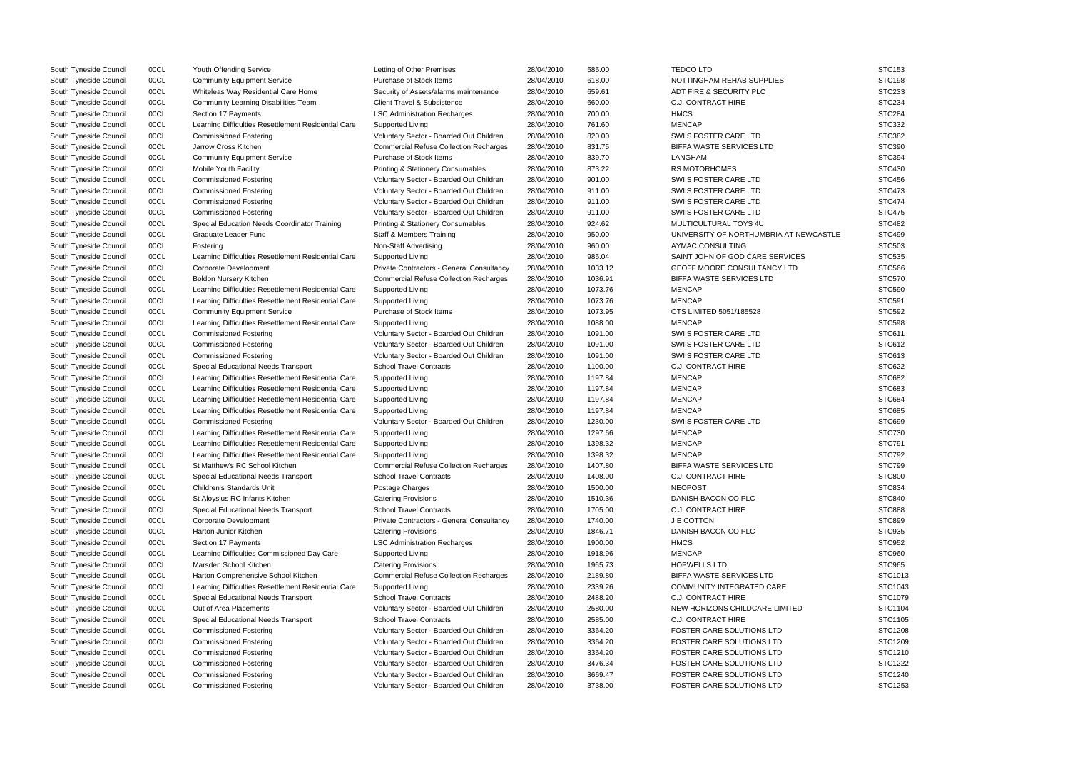| South Tyneside Council | 00CL | Youth Offending Service                             | Letting of Other Premises                     | 28/04/2010               | 585.00  | <b>TEDCOLTD</b>                        | <b>STC153</b>  |
|------------------------|------|-----------------------------------------------------|-----------------------------------------------|--------------------------|---------|----------------------------------------|----------------|
| South Tyneside Council | 00CL | <b>Community Equipment Service</b>                  | Purchase of Stock Items                       | 28/04/2010               | 618.00  | NOTTINGHAM REHAB SUPPLIES              | <b>STC198</b>  |
| South Tyneside Council | 00CL | Whiteleas Way Residential Care Home                 | Security of Assets/alarms maintenance         | 28/04/2010               | 659.61  | ADT FIRE & SECURITY PLC                | <b>STC233</b>  |
| South Tyneside Council | 00CL | Community Learning Disabilities Team                | <b>Client Travel &amp; Subsistence</b>        | 28/04/2010               | 660.00  | <b>C.J. CONTRACT HIRE</b>              | <b>STC234</b>  |
| South Tyneside Council | 00CL | Section 17 Payments                                 | <b>LSC Administration Recharges</b>           | 28/04/2010               | 700.00  | <b>HMCS</b>                            | <b>STC284</b>  |
| South Tyneside Council | 00CL | Learning Difficulties Resettlement Residential Care | Supported Living                              | 28/04/2010               | 761.60  | <b>MENCAP</b>                          | <b>STC332</b>  |
| South Tyneside Council | 00CL | <b>Commissioned Fostering</b>                       | Voluntary Sector - Boarded Out Children       | 28/04/2010               | 820.00  | SWIIS FOSTER CARE LTD                  | <b>STC382</b>  |
| South Tyneside Council | 00CL | Jarrow Cross Kitchen                                | <b>Commercial Refuse Collection Recharges</b> | 28/04/2010               | 831.75  | <b>BIFFA WASTE SERVICES LTD</b>        | <b>STC390</b>  |
| South Tyneside Council | 00CL | <b>Community Equipment Service</b>                  | Purchase of Stock Items                       | 28/04/2010               | 839.70  | LANGHAM                                | STC394         |
| South Tyneside Council | 00CL | Mobile Youth Facility                               | <b>Printing &amp; Stationery Consumables</b>  | 28/04/2010               | 873.22  | <b>RS MOTORHOMES</b>                   | <b>STC430</b>  |
| South Tyneside Council | 00CL | <b>Commissioned Fostering</b>                       | Voluntary Sector - Boarded Out Children       | 28/04/2010               | 901.00  | SWIIS FOSTER CARE LTD                  | <b>STC456</b>  |
| South Tyneside Council | 00CL | <b>Commissioned Fostering</b>                       | Voluntary Sector - Boarded Out Children       | 28/04/2010               | 911.00  | SWIIS FOSTER CARE LTD                  | <b>STC473</b>  |
| South Tyneside Council | 00CL | <b>Commissioned Fostering</b>                       | Voluntary Sector - Boarded Out Children       | 28/04/2010               | 911.00  | SWIIS FOSTER CARE LTD                  | <b>STC474</b>  |
| South Tyneside Council | 00CL | <b>Commissioned Fostering</b>                       | Voluntary Sector - Boarded Out Children       | 28/04/2010               | 911.00  | SWIIS FOSTER CARE LTD                  | <b>STC475</b>  |
| South Tyneside Council | 00CL | Special Education Needs Coordinator Training        | <b>Printing &amp; Stationery Consumables</b>  | 28/04/2010               | 924.62  | MULTICULTURAL TOYS 4U                  | <b>STC482</b>  |
| South Tyneside Council | 00CL | Graduate Leader Fund                                | <b>Staff &amp; Members Training</b>           | 28/04/2010               | 950.00  | UNIVERSITY OF NORTHUMBRIA AT NEWCASTLE | <b>STC499</b>  |
| South Tyneside Council | 00CL | Fostering                                           | Non-Staff Advertising                         | 28/04/2010               | 960.00  | AYMAC CONSULTING                       | <b>STC503</b>  |
| South Tyneside Council | 00CL | Learning Difficulties Resettlement Residential Care | Supported Living                              | 28/04/2010               | 986.04  | SAINT JOHN OF GOD CARE SERVICES        | <b>STC535</b>  |
| South Tyneside Council | 00CL | Corporate Development                               | Private Contractors - General Consultancy     | 28/04/2010               | 1033.12 | GEOFF MOORE CONSULTANCY LTD            | <b>STC566</b>  |
| South Tyneside Council | 00CL | <b>Boldon Nursery Kitchen</b>                       | <b>Commercial Refuse Collection Recharges</b> | 28/04/2010               | 1036.91 | <b>BIFFA WASTE SERVICES LTD</b>        | <b>STC570</b>  |
| South Tyneside Council | 00CL | Learning Difficulties Resettlement Residential Care | Supported Living                              | 28/04/2010               | 1073.76 | <b>MENCAP</b>                          | <b>STC590</b>  |
| South Tyneside Council | 00CL | Learning Difficulties Resettlement Residential Care | Supported Living                              | 28/04/2010               | 1073.76 | <b>MENCAP</b>                          | <b>STC591</b>  |
| South Tyneside Council | 00CL | <b>Community Equipment Service</b>                  | Purchase of Stock Items                       | 28/04/2010               | 1073.95 | OTS LIMITED 5051/185528                | <b>STC592</b>  |
| South Tyneside Council | 00CL | Learning Difficulties Resettlement Residential Care | Supported Living                              | 28/04/2010               | 1088.00 | <b>MENCAP</b>                          | <b>STC598</b>  |
|                        | 00CL |                                                     |                                               |                          | 1091.00 | SWIIS FOSTER CARE LTD                  | STC611         |
| South Tyneside Council | 00CL | <b>Commissioned Fostering</b>                       | Voluntary Sector - Boarded Out Children       | 28/04/2010<br>28/04/2010 | 1091.00 | SWIIS FOSTER CARE LTD                  | STC612         |
| South Tyneside Council |      | <b>Commissioned Fostering</b>                       | Voluntary Sector - Boarded Out Children       |                          |         |                                        |                |
| South Tyneside Council | 00CL | <b>Commissioned Fostering</b>                       | Voluntary Sector - Boarded Out Children       | 28/04/2010               | 1091.00 | SWIIS FOSTER CARE LTD                  | STC613         |
| South Tyneside Council | 00CL | Special Educational Needs Transport                 | <b>School Travel Contracts</b>                | 28/04/2010               | 1100.00 | C.J. CONTRACT HIRE                     | <b>STC622</b>  |
| South Tyneside Council | 00CL | Learning Difficulties Resettlement Residential Care | Supported Living                              | 28/04/2010               | 1197.84 | <b>MENCAP</b>                          | <b>STC682</b>  |
| South Tyneside Council | 00CL | Learning Difficulties Resettlement Residential Care | Supported Living                              | 28/04/2010               | 1197.84 | <b>MENCAP</b>                          | <b>STC683</b>  |
| South Tyneside Council | 00CL | Learning Difficulties Resettlement Residential Care | Supported Living                              | 28/04/2010               | 1197.84 | <b>MENCAP</b>                          | STC684         |
| South Tyneside Council | 00CL | Learning Difficulties Resettlement Residential Care | Supported Living                              | 28/04/2010               | 1197.84 | <b>MENCAP</b>                          | <b>STC685</b>  |
| South Tyneside Council | 00CL | <b>Commissioned Fostering</b>                       | Voluntary Sector - Boarded Out Children       | 28/04/2010               | 1230.00 | SWIIS FOSTER CARE LTD                  | <b>STC699</b>  |
| South Tyneside Council | 00CL | Learning Difficulties Resettlement Residential Care | Supported Living                              | 28/04/2010               | 1297.66 | <b>MENCAP</b>                          | <b>STC730</b>  |
| South Tyneside Council | 00CL | Learning Difficulties Resettlement Residential Care | Supported Living                              | 28/04/2010               | 1398.32 | <b>MENCAP</b>                          | <b>STC791</b>  |
| South Tyneside Council | 00CL | Learning Difficulties Resettlement Residential Care | Supported Living                              | 28/04/2010               | 1398.32 | <b>MENCAP</b>                          | <b>STC792</b>  |
| South Tyneside Council | 00CL | St Matthew's RC School Kitchen                      | <b>Commercial Refuse Collection Recharges</b> | 28/04/2010               | 1407.80 | BIFFA WASTE SERVICES LTD               | <b>STC799</b>  |
| South Tyneside Council | 00CL | Special Educational Needs Transport                 | <b>School Travel Contracts</b>                | 28/04/2010               | 1408.00 | C.J. CONTRACT HIRE                     | <b>STC800</b>  |
| South Tyneside Council | 00CL | <b>Children's Standards Unit</b>                    | Postage Charges                               | 28/04/2010               | 1500.00 | <b>NEOPOST</b>                         | <b>STC834</b>  |
| South Tyneside Council | 00CL | St Aloysius RC Infants Kitchen                      | <b>Catering Provisions</b>                    | 28/04/2010               | 1510.36 | DANISH BACON CO PLC                    | <b>STC840</b>  |
| South Tyneside Council | 00CL | Special Educational Needs Transport                 | <b>School Travel Contracts</b>                | 28/04/2010               | 1705.00 | C.J. CONTRACT HIRE                     | <b>STC888</b>  |
| South Tyneside Council | 00CL | Corporate Development                               | Private Contractors - General Consultancy     | 28/04/2010               | 1740.00 | J E COTTON                             | <b>STC899</b>  |
| South Tyneside Council | 00CL | Harton Junior Kitchen                               | <b>Catering Provisions</b>                    | 28/04/2010               | 1846.71 | DANISH BACON CO PLC                    | <b>STC935</b>  |
| South Tyneside Council | 00CL | Section 17 Payments                                 | <b>LSC Administration Recharges</b>           | 28/04/2010               | 1900.00 | <b>HMCS</b>                            | <b>STC952</b>  |
| South Tyneside Council | 00CL | Learning Difficulties Commissioned Day Care         | Supported Living                              | 28/04/2010               | 1918.96 | <b>MENCAP</b>                          | STC960         |
| South Tyneside Council | 00CL | Marsden School Kitchen                              | <b>Catering Provisions</b>                    | 28/04/2010               | 1965.73 | HOPWELLS LTD.                          | STC965         |
| South Tyneside Council | 00CL | Harton Comprehensive School Kitchen                 | <b>Commercial Refuse Collection Recharges</b> | 28/04/2010               | 2189.80 | <b>BIFFA WASTE SERVICES LTD</b>        | STC1013        |
| South Tyneside Council | 00CL | Learning Difficulties Resettlement Residential Care | Supported Living                              | 28/04/2010               | 2339.26 | COMMUNITY INTEGRATED CARE              | STC1043        |
| South Tyneside Council | 00CL | Special Educational Needs Transport                 | <b>School Travel Contracts</b>                | 28/04/2010               | 2488.20 | C.J. CONTRACT HIRE                     | STC1079        |
| South Tyneside Council | 00CL | Out of Area Placements                              | Voluntary Sector - Boarded Out Children       | 28/04/2010               | 2580.00 | NEW HORIZONS CHILDCARE LIMITED         | STC1104        |
| South Tyneside Council | 00CL | Special Educational Needs Transport                 | <b>School Travel Contracts</b>                | 28/04/2010               | 2585.00 | C.J. CONTRACT HIRE                     | STC1105        |
| South Tyneside Council | 00CL | <b>Commissioned Fostering</b>                       | Voluntary Sector - Boarded Out Children       | 28/04/2010               | 3364.20 | FOSTER CARE SOLUTIONS LTD              | STC1208        |
| South Tyneside Council | 00CL | <b>Commissioned Fostering</b>                       | Voluntary Sector - Boarded Out Children       | 28/04/2010               | 3364.20 | FOSTER CARE SOLUTIONS LTD              | STC1209        |
| South Tyneside Council | 00CL | <b>Commissioned Fostering</b>                       | Voluntary Sector - Boarded Out Children       | 28/04/2010               | 3364.20 | FOSTER CARE SOLUTIONS LTD              | STC1210        |
| South Tyneside Council | 00CL | <b>Commissioned Fostering</b>                       | Voluntary Sector - Boarded Out Children       | 28/04/2010               | 3476.34 | FOSTER CARE SOLUTIONS LTD              | STC1222        |
| South Tyneside Council | 00CL | <b>Commissioned Fostering</b>                       | Voluntary Sector - Boarded Out Children       | 28/04/2010               | 3669.47 | FOSTER CARE SOLUTIONS LTD              | <b>STC1240</b> |
| South Tyneside Council | 00CL | <b>Commissioned Fostering</b>                       | Voluntary Sector - Boarded Out Children       | 28/04/2010               | 3738.00 | FOSTER CARE SOLUTIONS LTD              | STC1253        |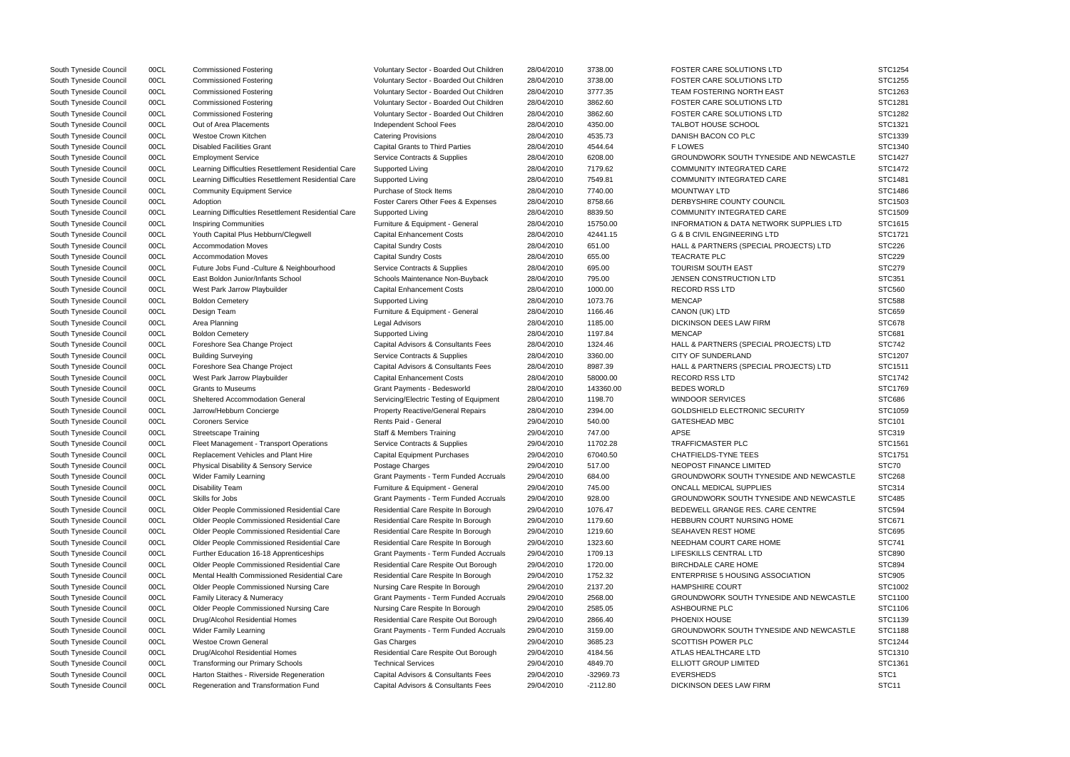| South Tyneside Council | 00CL | <b>Commissioned Fostering</b>                       | Voluntary Sector - Boarded Out Children      | 28/04/2010 | 3738.00     | <b>FOSTER CARE SOLUTIONS LTD</b>               | STC1254           |
|------------------------|------|-----------------------------------------------------|----------------------------------------------|------------|-------------|------------------------------------------------|-------------------|
| South Tyneside Council | 00CL | <b>Commissioned Fostering</b>                       | Voluntary Sector - Boarded Out Children      | 28/04/2010 | 3738.00     | FOSTER CARE SOLUTIONS LTD                      | STC1255           |
| South Tyneside Council | 00CL | <b>Commissioned Fostering</b>                       | Voluntary Sector - Boarded Out Children      | 28/04/2010 | 3777.35     | TEAM FOSTERING NORTH EAST                      | STC1263           |
| South Tyneside Council | 00CL | <b>Commissioned Fostering</b>                       | Voluntary Sector - Boarded Out Children      | 28/04/2010 | 3862.60     | <b>FOSTER CARE SOLUTIONS LTD</b>               | STC1281           |
| South Tyneside Council | 00CL | <b>Commissioned Fostering</b>                       | Voluntary Sector - Boarded Out Children      | 28/04/2010 | 3862.60     | <b>FOSTER CARE SOLUTIONS LTD</b>               | STC1282           |
| South Tyneside Council | 00CL | Out of Area Placements                              | Independent School Fees                      | 28/04/2010 | 4350.00     | <b>TALBOT HOUSE SCHOOL</b>                     | STC1321           |
| South Tyneside Council | 00CL | <b>Westoe Crown Kitchen</b>                         | <b>Catering Provisions</b>                   | 28/04/2010 | 4535.73     | DANISH BACON CO PLC                            | STC1339           |
| South Tyneside Council | 00CL | <b>Disabled Facilities Grant</b>                    | <b>Capital Grants to Third Parties</b>       | 28/04/2010 | 4544.64     | <b>FLOWES</b>                                  | STC1340           |
| South Tyneside Council | 00CL | <b>Employment Service</b>                           | Service Contracts & Supplies                 | 28/04/2010 | 6208.00     | <b>GROUNDWORK SOUTH TYNESIDE AND NEWCASTLE</b> | STC1427           |
| South Tyneside Council | 00CL | Learning Difficulties Resettlement Residential Care | Supported Living                             | 28/04/2010 | 7179.62     | <b>COMMUNITY INTEGRATED CARE</b>               | STC1472           |
| South Tyneside Council | 00CL | Learning Difficulties Resettlement Residential Care | Supported Living                             | 28/04/2010 | 7549.81     | COMMUNITY INTEGRATED CARE                      | STC1481           |
| South Tyneside Council | 00CL | <b>Community Equipment Service</b>                  | Purchase of Stock Items                      | 28/04/2010 | 7740.00     | <b>MOUNTWAY LTD</b>                            | STC1486           |
| South Tyneside Council | 00CL | Adoption                                            | Foster Carers Other Fees & Expenses          | 28/04/2010 | 8758.66     | DERBYSHIRE COUNTY COUNCIL                      | STC1503           |
| South Tyneside Council | 00CL | Learning Difficulties Resettlement Residential Care | Supported Living                             | 28/04/2010 | 8839.50     | COMMUNITY INTEGRATED CARE                      | STC1509           |
| South Tyneside Council | 00CL | <b>Inspiring Communities</b>                        | Furniture & Equipment - General              | 28/04/2010 | 15750.00    | INFORMATION & DATA NETWORK SUPPLIES LTD        | STC1615           |
| South Tyneside Council | 00CL | Youth Capital Plus Hebburn/Clegwell                 | <b>Capital Enhancement Costs</b>             | 28/04/2010 | 42441.15    | <b>G &amp; B CIVIL ENGINEERING LTD</b>         | STC1721           |
| South Tyneside Council | 00CL | <b>Accommodation Moves</b>                          | <b>Capital Sundry Costs</b>                  | 28/04/2010 | 651.00      | HALL & PARTNERS (SPECIAL PROJECTS) LTD         | <b>STC226</b>     |
| South Tyneside Council |      | <b>Accommodation Moves</b>                          | <b>Capital Sundry Costs</b>                  | 28/04/2010 | 655.00      | <b>TEACRATE PLC</b>                            | <b>STC229</b>     |
|                        | 00CL |                                                     |                                              |            |             | <b>TOURISM SOUTH EAST</b>                      | <b>STC279</b>     |
| South Tyneside Council | 00CL | Future Jobs Fund - Culture & Neighbourhood          | Service Contracts & Supplies                 | 28/04/2010 | 695.00      |                                                |                   |
| South Tyneside Council | 00CL | East Boldon Junior/Infants School                   | Schools Maintenance Non-Buyback              | 28/04/2010 | 795.00      | <b>JENSEN CONSTRUCTION LTD</b>                 | <b>STC351</b>     |
| South Tyneside Council | 00CL | West Park Jarrow Playbuilder                        | <b>Capital Enhancement Costs</b>             | 28/04/2010 | 1000.00     | <b>RECORD RSS LTD</b>                          | <b>STC560</b>     |
| South Tyneside Council | 00CL | <b>Boldon Cemetery</b>                              | Supported Living                             | 28/04/2010 | 1073.76     | <b>MENCAP</b>                                  | <b>STC588</b>     |
| South Tyneside Council | 00CL | Design Team                                         | Furniture & Equipment - General              | 28/04/2010 | 1166.46     | CANON (UK) LTD                                 | <b>STC659</b>     |
| South Tyneside Council | 00CL | Area Planning                                       | <b>Legal Advisors</b>                        | 28/04/2010 | 1185.00     | DICKINSON DEES LAW FIRM                        | STC678            |
| South Tyneside Council | 00CL | <b>Boldon Cemetery</b>                              | Supported Living                             | 28/04/2010 | 1197.84     | <b>MENCAP</b>                                  | <b>STC681</b>     |
| South Tyneside Council | 00CL | Foreshore Sea Change Project                        | Capital Advisors & Consultants Fees          | 28/04/2010 | 1324.46     | HALL & PARTNERS (SPECIAL PROJECTS) LTD         | <b>STC742</b>     |
| South Tyneside Council | 00CL | <b>Building Surveying</b>                           | Service Contracts & Supplies                 | 28/04/2010 | 3360.00     | <b>CITY OF SUNDERLAND</b>                      | STC1207           |
| South Tyneside Council | 00CL | Foreshore Sea Change Project                        | Capital Advisors & Consultants Fees          | 28/04/2010 | 8987.39     | HALL & PARTNERS (SPECIAL PROJECTS) LTD         | STC1511           |
| South Tyneside Council | 00CL | West Park Jarrow Playbuilder                        | <b>Capital Enhancement Costs</b>             | 28/04/2010 | 58000.00    | <b>RECORD RSS LTD</b>                          | STC1742           |
| South Tyneside Council | 00CL | <b>Grants to Museums</b>                            | Grant Payments - Bedesworld                  | 28/04/2010 | 143360.00   | <b>BEDES WORLD</b>                             | STC1769           |
| South Tyneside Council | 00CL | <b>Sheltered Accommodation General</b>              | Servicing/Electric Testing of Equipment      | 28/04/2010 | 1198.70     | <b>WINDOOR SERVICES</b>                        | <b>STC686</b>     |
| South Tyneside Council | 00CL | Jarrow/Hebburn Concierge                            | <b>Property Reactive/General Repairs</b>     | 28/04/2010 | 2394.00     | GOLDSHIELD ELECTRONIC SECURITY                 | STC1059           |
| South Tyneside Council | 00CL | <b>Coroners Service</b>                             | Rents Paid - General                         | 29/04/2010 | 540.00      | GATESHEAD MBC                                  | STC101            |
| South Tyneside Council | 00CL | <b>Streetscape Training</b>                         | Staff & Members Training                     | 29/04/2010 | 747.00      | <b>APSE</b>                                    | STC319            |
| South Tyneside Council | 00CL | Fleet Management - Transport Operations             | Service Contracts & Supplies                 | 29/04/2010 | 11702.28    | <b>TRAFFICMASTER PLC</b>                       | STC1561           |
| South Tyneside Council | 00CL | Replacement Vehicles and Plant Hire                 | <b>Capital Equipment Purchases</b>           | 29/04/2010 | 67040.50    | <b>CHATFIELDS-TYNE TEES</b>                    | STC1751           |
| South Tyneside Council | 00CL | Physical Disability & Sensory Service               | Postage Charges                              | 29/04/2010 | 517.00      | NEOPOST FINANCE LIMITED                        | STC70             |
| South Tyneside Council | 00CL | <b>Wider Family Learning</b>                        | <b>Grant Payments - Term Funded Accruals</b> | 29/04/2010 | 684.00      | GROUNDWORK SOUTH TYNESIDE AND NEWCASTLE        | <b>STC268</b>     |
| South Tyneside Council | 00CL | <b>Disability Team</b>                              | Furniture & Equipment - General              | 29/04/2010 | 745.00      | ONCALL MEDICAL SUPPLIES                        | STC314            |
| South Tyneside Council | 00CL | Skills for Jobs                                     | Grant Payments - Term Funded Accruals        | 29/04/2010 | 928.00      | GROUNDWORK SOUTH TYNESIDE AND NEWCASTLE        | <b>STC485</b>     |
| South Tyneside Council | 00CL | <b>Older People Commissioned Residential Care</b>   | Residential Care Respite In Borough          | 29/04/2010 | 1076.47     | BEDEWELL GRANGE RES. CARE CENTRE               | <b>STC594</b>     |
| South Tyneside Council | 00CL | Older People Commissioned Residential Care          | Residential Care Respite In Borough          | 29/04/2010 | 1179.60     | HEBBURN COURT NURSING HOME                     | <b>STC671</b>     |
| South Tyneside Council | 00CL | Older People Commissioned Residential Care          | Residential Care Respite In Borough          | 29/04/2010 | 1219.60     | SEAHAVEN REST HOME                             | <b>STC695</b>     |
| South Tyneside Council | 00CL | Older People Commissioned Residential Care          | Residential Care Respite In Borough          | 29/04/2010 | 1323.60     | NEEDHAM COURT CARE HOME                        | <b>STC741</b>     |
| South Tyneside Council | 00CL | Further Education 16-18 Apprenticeships             | Grant Payments - Term Funded Accruals        | 29/04/2010 | 1709.13     | LIFESKILLS CENTRAL LTD                         | <b>STC890</b>     |
| South Tyneside Council | 00CL | Older People Commissioned Residential Care          | Residential Care Respite Out Borough         | 29/04/2010 | 1720.00     | <b>BIRCHDALE CARE HOME</b>                     | <b>STC894</b>     |
| South Tyneside Council | 00CL | Mental Health Commissioned Residential Care         | Residential Care Respite In Borough          | 29/04/2010 | 1752.32     | <b>ENTERPRISE 5 HOUSING ASSOCIATION</b>        | <b>STC905</b>     |
| South Tyneside Council | 00CL | Older People Commissioned Nursing Care              | Nursing Care Respite In Borough              | 29/04/2010 | 2137.20     | <b>HAMPSHIRE COURT</b>                         | STC1002           |
| South Tyneside Council | 00CL | Family Literacy & Numeracy                          | Grant Payments - Term Funded Accruals        | 29/04/2010 | 2568.00     | GROUNDWORK SOUTH TYNESIDE AND NEWCASTLE        | STC1100           |
| South Tyneside Council | 00CL | Older People Commissioned Nursing Care              | Nursing Care Respite In Borough              | 29/04/2010 | 2585.05     | ASHBOURNE PLC                                  | STC1106           |
| South Tyneside Council | 00CL | Drug/Alcohol Residential Homes                      | Residential Care Respite Out Borough         | 29/04/2010 | 2866.40     | PHOENIX HOUSE                                  | STC1139           |
| South Tyneside Council | 00CL | Wider Family Learning                               | Grant Payments - Term Funded Accruals        | 29/04/2010 | 3159.00     | GROUNDWORK SOUTH TYNESIDE AND NEWCASTLE        | STC1188           |
| South Tyneside Council | 00CL | <b>Westoe Crown General</b>                         | <b>Gas Charges</b>                           | 29/04/2010 | 3685.23     | SCOTTISH POWER PLC                             | STC1244           |
| South Tyneside Council | 00CL | Drug/Alcohol Residential Homes                      | Residential Care Respite Out Borough         | 29/04/2010 | 4184.56     | ATLAS HEALTHCARE LTD                           | STC1310           |
| South Tyneside Council | 00CL | Transforming our Primary Schools                    | <b>Technical Services</b>                    | 29/04/2010 | 4849.70     | ELLIOTT GROUP LIMITED                          | STC1361           |
| South Tyneside Council | 00CL | Harton Staithes - Riverside Regeneration            | Capital Advisors & Consultants Fees          | 29/04/2010 | $-32969.73$ | <b>EVERSHEDS</b>                               | STC <sub>1</sub>  |
| South Tyneside Council | 00CL | Regeneration and Transformation Fund                | Capital Advisors & Consultants Fees          | 29/04/2010 | $-2112.80$  | DICKINSON DEES LAW FIRM                        | STC <sub>11</sub> |
|                        |      |                                                     |                                              |            |             |                                                |                   |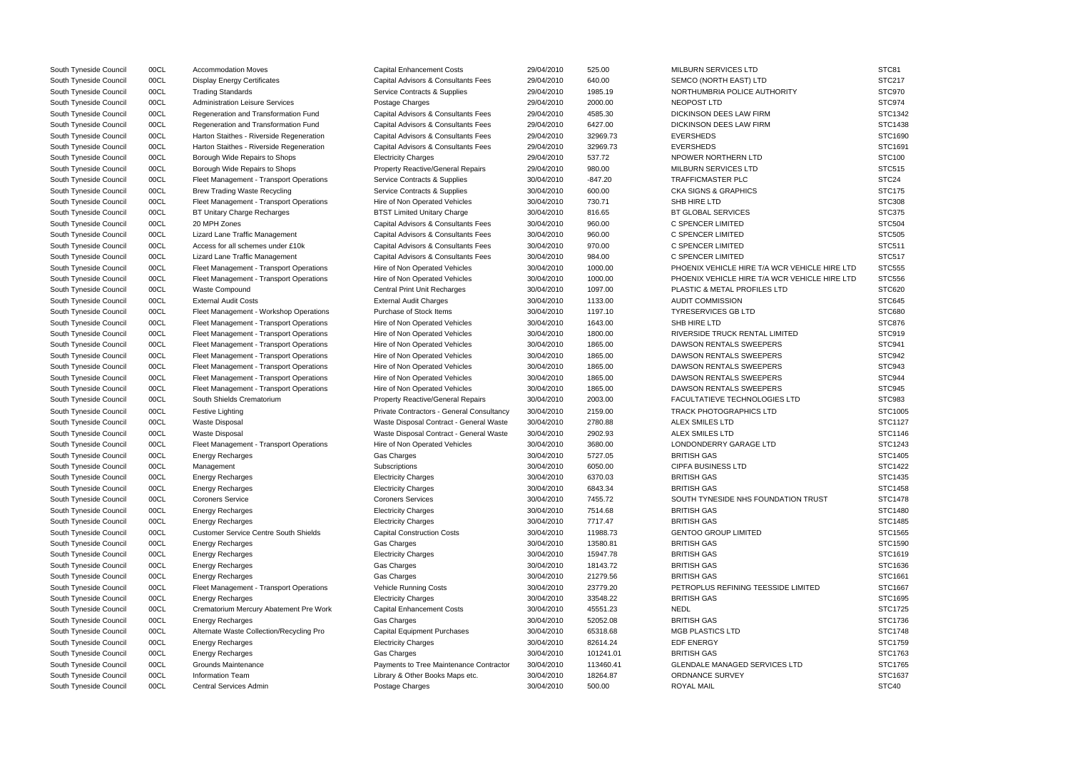| South Tyneside Council | 00CL         | <b>Accommodation Moves</b>                                         | <b>Capital Enhancement Costs</b>                       | 29/04/2010 | 525.00    | <b>MILBURN SERVICES LTD</b>                   | STC81                    |
|------------------------|--------------|--------------------------------------------------------------------|--------------------------------------------------------|------------|-----------|-----------------------------------------------|--------------------------|
| South Tyneside Council | 00CL         |                                                                    | Capital Advisors & Consultants Fees                    | 29/04/2010 | 640.00    | SEMCO (NORTH EAST) LTD                        | <b>STC217</b>            |
|                        | 00CL         | <b>Display Energy Certificates</b>                                 | Service Contracts & Supplies                           | 29/04/2010 | 1985.19   | NORTHUMBRIA POLICE AUTHORITY                  | STC970                   |
| South Tyneside Council | 00CL         | <b>Trading Standards</b><br><b>Administration Leisure Services</b> |                                                        | 29/04/2010 | 2000.00   | NEOPOST LTD                                   | STC974                   |
| South Tyneside Council | 00CL         | Regeneration and Transformation Fund                               | Postage Charges<br>Capital Advisors & Consultants Fees | 29/04/2010 | 4585.30   | <b>DICKINSON DEES LAW FIRM</b>                | STC1342                  |
| South Tyneside Council | 00CL         |                                                                    | Capital Advisors & Consultants Fees                    | 29/04/2010 | 6427.00   | DICKINSON DEES LAW FIRM                       | STC1438                  |
| South Tyneside Council | 00CL         | Regeneration and Transformation Fund                               |                                                        |            |           |                                               | STC1690                  |
| South Tyneside Council |              | Harton Staithes - Riverside Regeneration                           | Capital Advisors & Consultants Fees                    | 29/04/2010 | 32969.73  | <b>EVERSHEDS</b>                              |                          |
| South Tyneside Council | 00CL<br>00CL | Harton Staithes - Riverside Regeneration                           | Capital Advisors & Consultants Fees                    | 29/04/2010 | 32969.73  | <b>EVERSHEDS</b><br>NPOWER NORTHERN LTD       | STC1691<br><b>STC100</b> |
| South Tyneside Council |              | Borough Wide Repairs to Shops                                      | <b>Electricity Charges</b>                             | 29/04/2010 | 537.72    |                                               |                          |
| South Tyneside Council | 00CL         | Borough Wide Repairs to Shops                                      | <b>Property Reactive/General Repairs</b>               | 29/04/2010 | 980.00    | <b>MILBURN SERVICES LTD</b>                   | <b>STC515</b>            |
| South Tyneside Council | 00CL         | Fleet Management - Transport Operations                            | Service Contracts & Supplies                           | 30/04/2010 | $-847.20$ | <b>TRAFFICMASTER PLC</b>                      | STC <sub>24</sub>        |
| South Tyneside Council | 00CL         | <b>Brew Trading Waste Recycling</b>                                | Service Contracts & Supplies                           | 30/04/2010 | 600.00    | <b>CKA SIGNS &amp; GRAPHICS</b>               | <b>STC175</b>            |
| South Tyneside Council | 00CL         | Fleet Management - Transport Operations                            | Hire of Non Operated Vehicles                          | 30/04/2010 | 730.71    | SHB HIRE LTD                                  | <b>STC308</b>            |
| South Tyneside Council | 00CL         | <b>BT Unitary Charge Recharges</b>                                 | <b>BTST Limited Unitary Charge</b>                     | 30/04/2010 | 816.65    | <b>BT GLOBAL SERVICES</b>                     | <b>STC375</b>            |
| South Tyneside Council | 00CL         | 20 MPH Zones                                                       | Capital Advisors & Consultants Fees                    | 30/04/2010 | 960.00    | C SPENCER LIMITED                             | <b>STC504</b>            |
| South Tyneside Council | 00CL         | Lizard Lane Traffic Management                                     | Capital Advisors & Consultants Fees                    | 30/04/2010 | 960.00    | C SPENCER LIMITED                             | <b>STC505</b>            |
| South Tyneside Council | 00CL         | Access for all schemes under £10k                                  | Capital Advisors & Consultants Fees                    | 30/04/2010 | 970.00    | C SPENCER LIMITED                             | <b>STC511</b>            |
| South Tyneside Council | 00CL         | Lizard Lane Traffic Management                                     | Capital Advisors & Consultants Fees                    | 30/04/2010 | 984.00    | C SPENCER LIMITED                             | <b>STC517</b>            |
| South Tyneside Council | 00CL         | Fleet Management - Transport Operations                            | Hire of Non Operated Vehicles                          | 30/04/2010 | 1000.00   | PHOENIX VEHICLE HIRE T/A WCR VEHICLE HIRE LTD | <b>STC555</b>            |
| South Tyneside Council | 00CL         | Fleet Management - Transport Operations                            | Hire of Non Operated Vehicles                          | 30/04/2010 | 1000.00   | PHOENIX VEHICLE HIRE T/A WCR VEHICLE HIRE LTD | <b>STC556</b>            |
| South Tyneside Council | 00CL         | Waste Compound                                                     | <b>Central Print Unit Recharges</b>                    | 30/04/2010 | 1097.00   | PLASTIC & METAL PROFILES LTD                  | STC620                   |
| South Tyneside Council | 00CL         | <b>External Audit Costs</b>                                        | <b>External Audit Charges</b>                          | 30/04/2010 | 1133.00   | <b>AUDIT COMMISSION</b>                       | <b>STC645</b>            |
| South Tyneside Council | 00CL         | Fleet Management - Workshop Operations                             | Purchase of Stock Items                                | 30/04/2010 | 1197.10   | <b>TYRESERVICES GB LTD</b>                    | <b>STC680</b>            |
| South Tyneside Council | 00CL         | Fleet Management - Transport Operations                            | Hire of Non Operated Vehicles                          | 30/04/2010 | 1643.00   | SHB HIRE LTD                                  | <b>STC876</b>            |
| South Tyneside Council | 00CL         | Fleet Management - Transport Operations                            | Hire of Non Operated Vehicles                          | 30/04/2010 | 1800.00   | RIVERSIDE TRUCK RENTAL LIMITED                | STC919                   |
| South Tyneside Council | 00CL         | Fleet Management - Transport Operations                            | Hire of Non Operated Vehicles                          | 30/04/2010 | 1865.00   | DAWSON RENTALS SWEEPERS                       | STC941                   |
| South Tyneside Council | 00CL         | Fleet Management - Transport Operations                            | Hire of Non Operated Vehicles                          | 30/04/2010 | 1865.00   | DAWSON RENTALS SWEEPERS                       | STC942                   |
| South Tyneside Council | 00CL         | Fleet Management - Transport Operations                            | Hire of Non Operated Vehicles                          | 30/04/2010 | 1865.00   | DAWSON RENTALS SWEEPERS                       | STC943                   |
| South Tyneside Council | 00CL         | Fleet Management - Transport Operations                            | Hire of Non Operated Vehicles                          | 30/04/2010 | 1865.00   | DAWSON RENTALS SWEEPERS                       | STC944                   |
| South Tyneside Council | 00CL         | Fleet Management - Transport Operations                            | Hire of Non Operated Vehicles                          | 30/04/2010 | 1865.00   | DAWSON RENTALS SWEEPERS                       | STC945                   |
| South Tyneside Council | 00CL         | South Shields Crematorium                                          | Property Reactive/General Repairs                      | 30/04/2010 | 2003.00   | FACULTATIEVE TECHNOLOGIES LTD                 | STC983                   |
| South Tyneside Council | 00CL         | <b>Festive Lighting</b>                                            | Private Contractors - General Consultancy              | 30/04/2010 | 2159.00   | <b>TRACK PHOTOGRAPHICS LTD</b>                | STC1005                  |
| South Tyneside Council | 00CL         | <b>Waste Disposal</b>                                              | Waste Disposal Contract - General Waste                | 30/04/2010 | 2780.88   | <b>ALEX SMILES LTD</b>                        | STC1127                  |
| South Tyneside Council | 00CL         | <b>Waste Disposal</b>                                              | Waste Disposal Contract - General Waste                | 30/04/2010 | 2902.93   | ALEX SMILES LTD                               | STC1146                  |
| South Tyneside Council | 00CL         | Fleet Management - Transport Operations                            | Hire of Non Operated Vehicles                          | 30/04/2010 | 3680.00   | LONDONDERRY GARAGE LTD                        | STC1243                  |
| South Tyneside Council | 00CL         | <b>Energy Recharges</b>                                            | Gas Charges                                            | 30/04/2010 | 5727.05   | <b>BRITISH GAS</b>                            | STC1405                  |
| South Tyneside Council | 00CL         | Management                                                         | Subscriptions                                          | 30/04/2010 | 6050.00   | <b>CIPFA BUSINESS LTD</b>                     | STC1422                  |
| South Tyneside Council | 00CL         | Energy Recharges                                                   | <b>Electricity Charges</b>                             | 30/04/2010 | 6370.03   | <b>BRITISH GAS</b>                            | STC1435                  |
| South Tyneside Council | 00CL         | <b>Energy Recharges</b>                                            | <b>Electricity Charges</b>                             | 30/04/2010 | 6843.34   | <b>BRITISH GAS</b>                            | STC1458                  |
| South Tyneside Council | 00CL         | <b>Coroners Service</b>                                            | <b>Coroners Services</b>                               | 30/04/2010 | 7455.72   | SOUTH TYNESIDE NHS FOUNDATION TRUST           | <b>STC1478</b>           |
| South Tyneside Council | 00CL         | <b>Energy Recharges</b>                                            | <b>Electricity Charges</b>                             | 30/04/2010 | 7514.68   | <b>BRITISH GAS</b>                            | STC1480                  |
| South Tyneside Council | 00CL         | Energy Recharges                                                   | <b>Electricity Charges</b>                             | 30/04/2010 | 7717.47   | <b>BRITISH GAS</b>                            | STC1485                  |
| South Tyneside Council | 00CL         | <b>Customer Service Centre South Shields</b>                       | <b>Capital Construction Costs</b>                      | 30/04/2010 | 11988.73  | <b>GENTOO GROUP LIMITED</b>                   | STC1565                  |
| South Tyneside Council | 00CL         | Energy Recharges                                                   | Gas Charges                                            | 30/04/2010 | 13580.81  | <b>BRITISH GAS</b>                            | STC1590                  |
| South Tyneside Council | 00CL         | Energy Recharges                                                   | <b>Electricity Charges</b>                             | 30/04/2010 | 15947.78  | <b>BRITISH GAS</b>                            | STC1619                  |
| South Tyneside Council | 00CL         | <b>Energy Recharges</b>                                            | Gas Charges                                            | 30/04/2010 | 18143.72  | <b>BRITISH GAS</b>                            | STC1636                  |
| South Tyneside Council | 00CL         | Energy Recharges                                                   | Gas Charges                                            | 30/04/2010 | 21279.56  | <b>BRITISH GAS</b>                            | STC1661                  |
| South Tyneside Council | 00CL         | Fleet Management - Transport Operations                            | <b>Vehicle Running Costs</b>                           | 30/04/2010 | 23779.20  | PETROPLUS REFINING TEESSIDE LIMITED           | STC1667                  |
| South Tyneside Council | 00CL         | Energy Recharges                                                   | <b>Electricity Charges</b>                             | 30/04/2010 | 33548.22  | <b>BRITISH GAS</b>                            | STC1695                  |
| South Tyneside Council | 00CL         | Crematorium Mercury Abatement Pre Work                             | <b>Capital Enhancement Costs</b>                       | 30/04/2010 | 45551.23  | <b>NEDL</b>                                   | STC1725                  |
| South Tyneside Council | 00CL         | <b>Energy Recharges</b>                                            | Gas Charges                                            | 30/04/2010 | 52052.08  | <b>BRITISH GAS</b>                            | STC1736                  |
| South Tyneside Council | 00CL         | Alternate Waste Collection/Recycling Pro                           | <b>Capital Equipment Purchases</b>                     | 30/04/2010 | 65318.68  | <b>MGB PLASTICS LTD</b>                       | <b>STC1748</b>           |
| South Tyneside Council | 00CL         | <b>Energy Recharges</b>                                            | <b>Electricity Charges</b>                             | 30/04/2010 | 82614.24  | <b>EDF ENERGY</b>                             | STC1759                  |
| South Tyneside Council | 00CL         | Energy Recharges                                                   | Gas Charges                                            | 30/04/2010 | 101241.01 | <b>BRITISH GAS</b>                            | STC1763                  |
| South Tyneside Council | 00CL         | Grounds Maintenance                                                | Payments to Tree Maintenance Contractor                | 30/04/2010 | 113460.41 | <b>GLENDALE MANAGED SERVICES LTD</b>          | STC1765                  |
| South Tyneside Council | 00CL         | <b>Information Team</b>                                            | Library & Other Books Maps etc.                        | 30/04/2010 | 18264.87  | ORDNANCE SURVEY                               | STC1637                  |
| South Tyneside Council | 00CL         | Central Services Admin                                             | Postage Charges                                        | 30/04/2010 | 500.00    | <b>ROYAL MAIL</b>                             | STC40                    |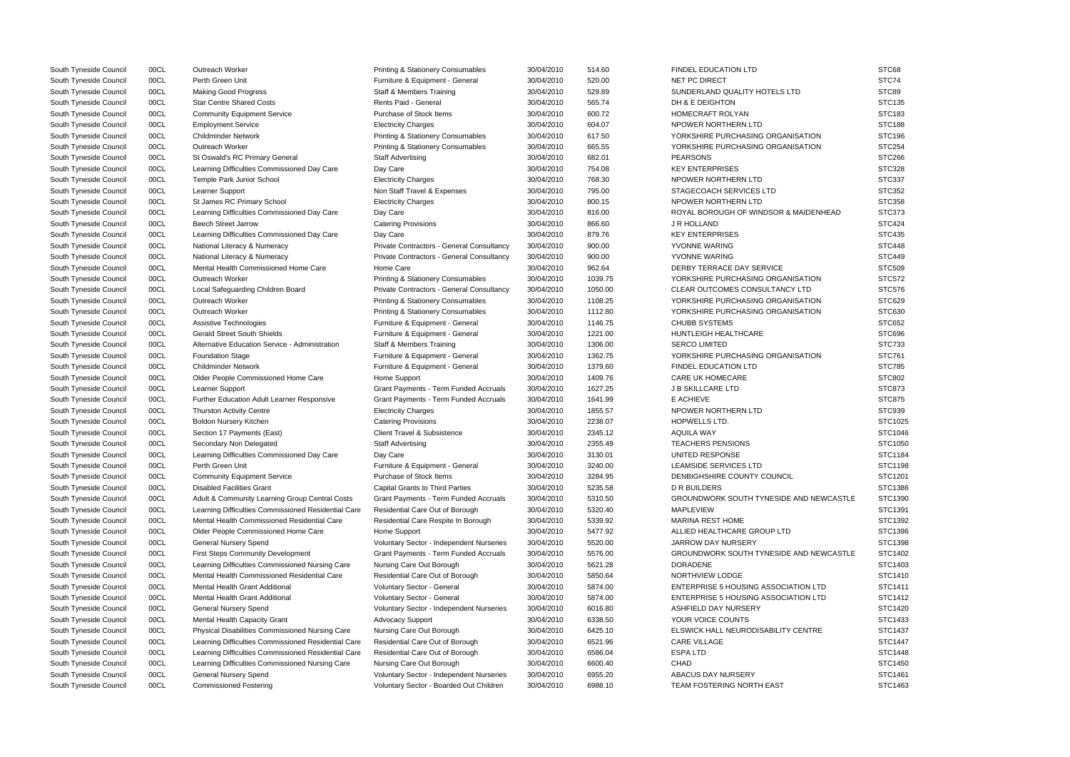| South Tyneside Council | 00CL | Outreach Worker                                     | Printing & Stationery Consumables            | 30/04/2010 | 514.60  | FINDEL EDUCATION LTD                        | STC68         |
|------------------------|------|-----------------------------------------------------|----------------------------------------------|------------|---------|---------------------------------------------|---------------|
| South Tyneside Council | 00CL | Perth Green Unit                                    | Furniture & Equipment - General              | 30/04/2010 | 520.00  | NET PC DIRECT                               | STC74         |
| South Tyneside Council | 00CL | <b>Making Good Progress</b>                         | <b>Staff &amp; Members Training</b>          | 30/04/2010 | 529.89  | SUNDERLAND QUALITY HOTELS LTD               | STC89         |
| South Tyneside Council | 00CL | <b>Star Centre Shared Costs</b>                     | Rents Paid - General                         | 30/04/2010 | 565.74  | DH & E DEIGHTON                             | STC135        |
| South Tyneside Council | 00CL | <b>Community Equipment Service</b>                  | Purchase of Stock Items                      | 30/04/2010 | 600.72  | HOMECRAFT ROLYAN                            | STC183        |
| South Tyneside Council | 00CL | <b>Employment Service</b>                           | <b>Electricity Charges</b>                   | 30/04/2010 | 604.07  | NPOWER NORTHERN LTD                         | <b>STC188</b> |
| South Tyneside Council | 00CL | <b>Childminder Network</b>                          | Printing & Stationery Consumables            | 30/04/2010 | 617.50  | YORKSHIRE PURCHASING ORGANISATION           | <b>STC196</b> |
| South Tyneside Council | 00CL | Outreach Worker                                     | <b>Printing &amp; Stationery Consumables</b> | 30/04/2010 | 665.55  | YORKSHIRE PURCHASING ORGANISATION           | <b>STC254</b> |
| South Tyneside Council | 00CL | St Oswald's RC Primary General                      | <b>Staff Advertising</b>                     | 30/04/2010 | 682.01  | <b>PEARSONS</b>                             | <b>STC266</b> |
| South Tyneside Council | 00CL | Learning Difficulties Commissioned Day Care         | Day Care                                     | 30/04/2010 | 754.08  | <b>KEY ENTERPRISES</b>                      | STC328        |
| South Tyneside Council | 00CL | Temple Park Junior School                           | <b>Electricity Charges</b>                   | 30/04/2010 | 768.30  | NPOWER NORTHERN LTD                         | <b>STC337</b> |
| South Tyneside Council | 00CL | Learner Support                                     | Non Staff Travel & Expenses                  | 30/04/2010 | 795.00  | STAGECOACH SERVICES LTD                     | <b>STC352</b> |
| South Tyneside Council | 00CL | St James RC Primary School                          | <b>Electricity Charges</b>                   | 30/04/2010 | 800.15  | NPOWER NORTHERN LTD                         | <b>STC358</b> |
| South Tyneside Council | 00CL | Learning Difficulties Commissioned Day Care         | Day Care                                     | 30/04/2010 | 816.00  | ROYAL BOROUGH OF WINDSOR & MAIDENHEAD       | <b>STC373</b> |
| South Tyneside Council | 00CL | <b>Beech Street Jarrow</b>                          | <b>Catering Provisions</b>                   | 30/04/2010 | 866.60  | J R HOLLAND                                 | <b>STC424</b> |
| South Tyneside Council | 00CL | Learning Difficulties Commissioned Day Care         | Day Care                                     | 30/04/2010 | 879.76  | <b>KEY ENTERPRISES</b>                      | <b>STC435</b> |
| South Tyneside Council | 00CL | National Literacy & Numeracy                        | Private Contractors - General Consultancy    | 30/04/2010 | 900.00  | YVONNE WARING                               | <b>STC448</b> |
| South Tyneside Council | 00CL | National Literacy & Numeracy                        | Private Contractors - General Consultancy    | 30/04/2010 | 900.00  | YVONNE WARING                               | <b>STC449</b> |
|                        | 00CL | Mental Health Commissioned Home Care                | Home Care                                    | 30/04/2010 | 962.64  | DERBY TERRACE DAY SERVICE                   | <b>STC509</b> |
| South Tyneside Council | 00CL | Outreach Worker                                     | <b>Printing &amp; Stationery Consumables</b> | 30/04/2010 | 1039.75 | YORKSHIRE PURCHASING ORGANISATION           | <b>STC572</b> |
| South Tyneside Council |      |                                                     | Private Contractors - General Consultancy    |            | 1050.00 | <b>CLEAR OUTCOMES CONSULTANCY LTD</b>       |               |
| South Tyneside Council | 00CL | Local Safeguarding Children Board                   |                                              | 30/04/2010 |         |                                             | <b>STC576</b> |
| South Tyneside Council | 00CL | Outreach Worker                                     | <b>Printing &amp; Stationery Consumables</b> | 30/04/2010 | 1108.25 | YORKSHIRE PURCHASING ORGANISATION           | <b>STC629</b> |
| South Tyneside Council | 00CL | Outreach Worker                                     | Printing & Stationery Consumables            | 30/04/2010 | 1112.80 | YORKSHIRE PURCHASING ORGANISATION           | <b>STC630</b> |
| South Tyneside Council | 00CL | Assistive Technologies                              | Furniture & Equipment - General              | 30/04/2010 | 1146.75 | <b>CHUBB SYSTEMS</b>                        | <b>STC652</b> |
| South Tyneside Council | 00CL | <b>Gerald Street South Shields</b>                  | Furniture & Equipment - General              | 30/04/2010 | 1221.00 | HUNTLEIGH HEALTHCARE                        | <b>STC696</b> |
| South Tyneside Council | 00CL | Alternative Education Service - Administration      | <b>Staff &amp; Members Training</b>          | 30/04/2010 | 1306.00 | <b>SERCO LIMITED</b>                        | <b>STC733</b> |
| South Tyneside Council | 00CL | <b>Foundation Stage</b>                             | Furniture & Equipment - General              | 30/04/2010 | 1362.75 | YORKSHIRE PURCHASING ORGANISATION           | <b>STC761</b> |
| South Tyneside Council | 00CL | <b>Childminder Network</b>                          | Furniture & Equipment - General              | 30/04/2010 | 1379.60 | FINDEL EDUCATION LTD                        | <b>STC785</b> |
| South Tyneside Council | 00CL | Older People Commissioned Home Care                 | Home Support                                 | 30/04/2010 | 1409.76 | <b>CARE UK HOMECARE</b>                     | <b>STC802</b> |
| South Tyneside Council | 00CL | Learner Support                                     | Grant Payments - Term Funded Accruals        | 30/04/2010 | 1627.25 | J B SKILLCARE LTD                           | <b>STC873</b> |
| South Tyneside Council | 00CL | Further Education Adult Learner Responsive          | <b>Grant Payments - Term Funded Accruals</b> | 30/04/2010 | 1641.99 | E ACHIEVE                                   | <b>STC875</b> |
| South Tyneside Council | 00CL | <b>Thurston Activity Centre</b>                     | <b>Electricity Charges</b>                   | 30/04/2010 | 1855.57 | NPOWER NORTHERN LTD                         | <b>STC939</b> |
| South Tyneside Council | 00CL | <b>Boldon Nursery Kitchen</b>                       | <b>Catering Provisions</b>                   | 30/04/2010 | 2238.07 | <b>HOPWELLS LTD.</b>                        | STC1025       |
| South Tyneside Council | 00CL | Section 17 Payments (East)                          | Client Travel & Subsistence                  | 30/04/2010 | 2345.12 | AQUILA WAY                                  | STC1046       |
| South Tyneside Council | 00CL | Secondary Non Delegated                             | <b>Staff Advertising</b>                     | 30/04/2010 | 2355.49 | <b>TEACHERS PENSIONS</b>                    | STC1050       |
| South Tyneside Council | 00CL | Learning Difficulties Commissioned Day Care         | Day Care                                     | 30/04/2010 | 3130.01 | UNITED RESPONSE                             | STC1184       |
| South Tyneside Council | 00CL | Perth Green Unit                                    | Furniture & Equipment - General              | 30/04/2010 | 3240.00 | LEAMSIDE SERVICES LTD                       | STC1198       |
| South Tyneside Council | 00CL | <b>Community Equipment Service</b>                  | Purchase of Stock Items                      | 30/04/2010 | 3284.95 | DENBIGHSHIRE COUNTY COUNCIL                 | STC1201       |
| South Tyneside Council | 00CL | <b>Disabled Facilities Grant</b>                    | <b>Capital Grants to Third Parties</b>       | 30/04/2010 | 5235.58 | <b>D R BUILDERS</b>                         | STC1386       |
| South Tyneside Council | 00CL | Adult & Community Learning Group Central Costs      | Grant Payments - Term Funded Accruals        | 30/04/2010 | 5310.50 | GROUNDWORK SOUTH TYNESIDE AND NEWCASTLE     | STC1390       |
| South Tyneside Council | 00CL | Learning Difficulties Commissioned Residential Care | Residential Care Out of Borough              | 30/04/2010 | 5320.40 | <b>MAPLEVIEW</b>                            | STC1391       |
| South Tyneside Council | 00CL | Mental Health Commissioned Residential Care         | Residential Care Respite In Borough          | 30/04/2010 | 5339.92 | <b>MARINA REST HOME</b>                     | STC1392       |
| South Tyneside Council | 00CL | Older People Commissioned Home Care                 | Home Support                                 | 30/04/2010 | 5477.92 | ALLIED HEALTHCARE GROUP LTD                 | STC1396       |
| South Tyneside Council | 00CL | General Nursery Spend                               | Voluntary Sector - Independent Nurseries     | 30/04/2010 | 5520.00 | <b>JARROW DAY NURSERY</b>                   | STC1398       |
| South Tyneside Council | 00CL | <b>First Steps Community Development</b>            | <b>Grant Payments - Term Funded Accruals</b> | 30/04/2010 | 5576.00 | GROUNDWORK SOUTH TYNESIDE AND NEWCASTLE     | STC1402       |
| South Tyneside Council | 00CL | Learning Difficulties Commissioned Nursing Care     | Nursing Care Out Borough                     | 30/04/2010 | 5621.28 | <b>DORADENE</b>                             | STC1403       |
| South Tyneside Council | 00CL | Mental Health Commissioned Residential Care         | Residential Care Out of Borough              | 30/04/2010 | 5850.64 | NORTHVIEW LODGE                             | STC1410       |
| South Tyneside Council | 00CL | Mental Health Grant Additional                      | Voluntary Sector - General                   | 30/04/2010 | 5874.00 | <b>ENTERPRISE 5 HOUSING ASSOCIATION LTD</b> | STC1411       |
| South Tyneside Council | 00CL | Mental Health Grant Additional                      | Voluntary Sector - General                   | 30/04/2010 | 5874.00 | <b>ENTERPRISE 5 HOUSING ASSOCIATION LTD</b> | STC1412       |
|                        | 00CL |                                                     |                                              | 30/04/2010 | 6016.80 | ASHFIELD DAY NURSERY                        | STC1420       |
| South Tyneside Council | 00CL | General Nursery Spend                               | Voluntary Sector - Independent Nurseries     |            |         |                                             |               |
| South Tyneside Council |      | Mental Health Capacity Grant                        | <b>Advocacy Support</b>                      | 30/04/2010 | 6338.50 | YOUR VOICE COUNTS                           | STC1433       |
| South Tyneside Council | 00CL | Physical Disabilities Commissioned Nursing Care     | Nursing Care Out Borough                     | 30/04/2010 | 6425.10 | ELSWICK HALL NEURODISABILITY CENTRE         | STC1437       |
| South Tyneside Council | 00CL | Learning Difficulties Commissioned Residential Care | Residential Care Out of Borough              | 30/04/2010 | 6521.96 | CARE VILLAGE                                | STC1447       |
| South Tyneside Council | 00CL | Learning Difficulties Commissioned Residential Care | Residential Care Out of Borough              | 30/04/2010 | 6586.04 | <b>ESPALTD</b>                              | STC1448       |
| South Tyneside Council | 00CL | Learning Difficulties Commissioned Nursing Care     | Nursing Care Out Borough                     | 30/04/2010 | 6600.40 | CHAD                                        | STC1450       |
| South Tyneside Council | 00CL | General Nursery Spend                               | Voluntary Sector - Independent Nurseries     | 30/04/2010 | 6955.20 | ABACUS DAY NURSERY                          | STC1461       |
| South Tyneside Council | 00CL | <b>Commissioned Fostering</b>                       | Voluntary Sector - Boarded Out Children      | 30/04/2010 | 6988.10 | TEAM FOSTERING NORTH EAST                   | STC1463       |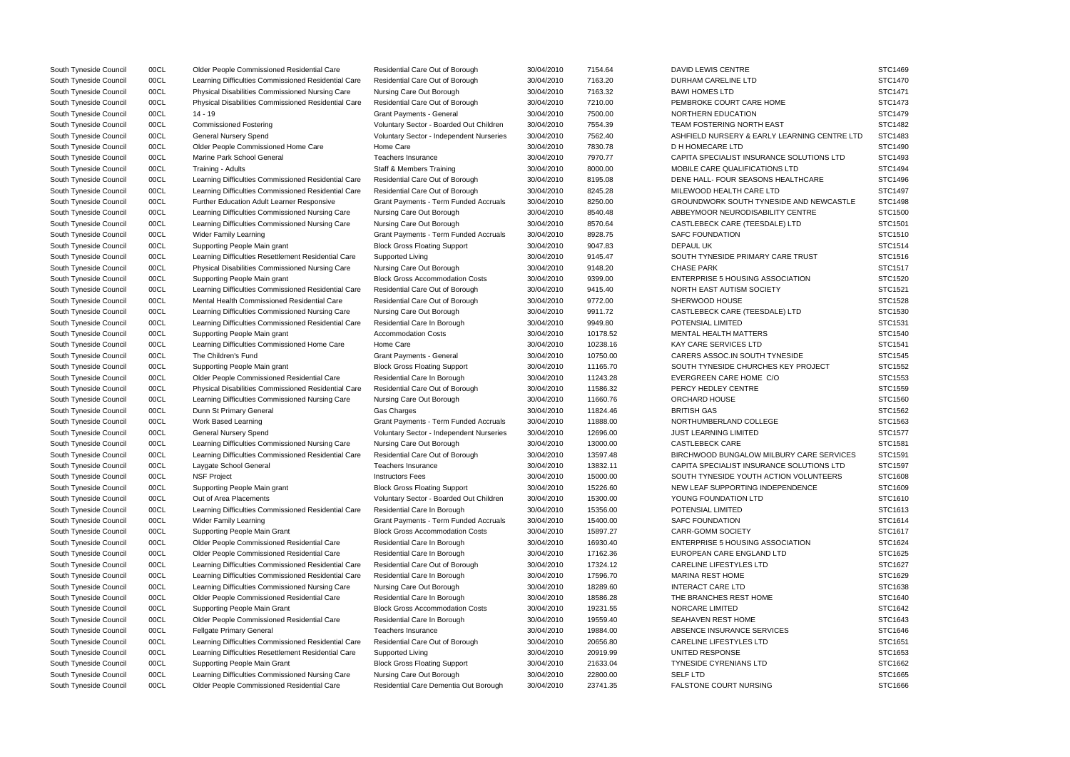| South Tyneside Council | 00CL | Older People Commissioned Residential Care          | Residential Care Out of Borough                 | 30/04/2010 | 7154.64  | DAVID LEWIS CENTRE                           | STC1469        |
|------------------------|------|-----------------------------------------------------|-------------------------------------------------|------------|----------|----------------------------------------------|----------------|
| South Tyneside Council | 00CL | Learning Difficulties Commissioned Residential Care | Residential Care Out of Borough                 | 30/04/2010 | 7163.20  | DURHAM CARELINE LTD                          | <b>STC1470</b> |
| South Tyneside Council | 00CL | Physical Disabilities Commissioned Nursing Care     | Nursing Care Out Borough                        | 30/04/2010 | 7163.32  | <b>BAWI HOMES LTD</b>                        | STC1471        |
| South Tyneside Council | 00CL | Physical Disabilities Commissioned Residential Care | Residential Care Out of Borough                 | 30/04/2010 | 7210.00  | PEMBROKE COURT CARE HOME                     | STC1473        |
| South Tyneside Council | 00CL | 14 - 19                                             | <b>Grant Payments - General</b>                 | 30/04/2010 | 7500.00  | NORTHERN EDUCATION                           | STC1479        |
| South Tyneside Council | 00CL | <b>Commissioned Fostering</b>                       | Voluntary Sector - Boarded Out Children         | 30/04/2010 | 7554.39  | <b>TEAM FOSTERING NORTH EAST</b>             | STC1482        |
| South Tyneside Council | 00CL | General Nursery Spend                               | <b>Voluntary Sector - Independent Nurseries</b> | 30/04/2010 | 7562.40  | ASHFIELD NURSERY & EARLY LEARNING CENTRE LTD | STC1483        |
| South Tyneside Council | 00CL | Older People Commissioned Home Care                 | Home Care                                       | 30/04/2010 | 7830.78  | D H HOMECARE LTD                             | STC1490        |
| South Tyneside Council | 00CL | Marine Park School General                          | Teachers Insurance                              | 30/04/2010 | 7970.77  | CAPITA SPECIALIST INSURANCE SOLUTIONS LTD    | STC1493        |
| South Tyneside Council | 00CL | Training - Adults                                   | <b>Staff &amp; Members Training</b>             | 30/04/2010 | 8000.00  | MOBILE CARE QUALIFICATIONS LTD               | STC1494        |
| South Tyneside Council | 00CL | Learning Difficulties Commissioned Residential Care | Residential Care Out of Borough                 | 30/04/2010 | 8195.08  | DENE HALL- FOUR SEASONS HEALTHCARE           | STC1496        |
| South Tyneside Council | 00CL | Learning Difficulties Commissioned Residential Care | Residential Care Out of Borough                 | 30/04/2010 | 8245.28  | MILEWOOD HEALTH CARE LTD                     | STC1497        |
| South Tyneside Council | 00CL | Further Education Adult Learner Responsive          | <b>Grant Payments - Term Funded Accruals</b>    | 30/04/2010 | 8250.00  | GROUNDWORK SOUTH TYNESIDE AND NEWCASTLE      | STC1498        |
| South Tyneside Council | 00CL | Learning Difficulties Commissioned Nursing Care     | Nursing Care Out Borough                        | 30/04/2010 | 8540.48  | ABBEYMOOR NEURODISABILITY CENTRE             | <b>STC1500</b> |
| South Tyneside Council | 00CL | Learning Difficulties Commissioned Nursing Care     | Nursing Care Out Borough                        | 30/04/2010 | 8570.64  | CASTLEBECK CARE (TEESDALE) LTD               | STC1501        |
| South Tyneside Council | 00CL | <b>Wider Family Learning</b>                        | Grant Payments - Term Funded Accruals           | 30/04/2010 | 8928.75  | <b>SAFC FOUNDATION</b>                       | STC1510        |
| South Tyneside Council | 00CL | Supporting People Main grant                        | <b>Block Gross Floating Support</b>             | 30/04/2010 | 9047.83  | <b>DEPAUL UK</b>                             | STC1514        |
| South Tyneside Council | 00CL | Learning Difficulties Resettlement Residential Care | Supported Living                                | 30/04/2010 | 9145.47  | SOUTH TYNESIDE PRIMARY CARE TRUST            | STC1516        |
| South Tyneside Council | 00CL | Physical Disabilities Commissioned Nursing Care     | Nursing Care Out Borough                        | 30/04/2010 | 9148.20  | <b>CHASE PARK</b>                            | STC1517        |
| South Tyneside Council | 00CL | Supporting People Main grant                        | <b>Block Gross Accommodation Costs</b>          | 30/04/2010 | 9399.00  | <b>ENTERPRISE 5 HOUSING ASSOCIATION</b>      | STC1520        |
|                        |      |                                                     |                                                 |            |          |                                              | STC1521        |
| South Tyneside Council | 00CL | Learning Difficulties Commissioned Residential Care | Residential Care Out of Borough                 | 30/04/2010 | 9415.40  | NORTH EAST AUTISM SOCIETY                    |                |
| South Tyneside Council | 00CL | Mental Health Commissioned Residential Care         | Residential Care Out of Borough                 | 30/04/2010 | 9772.00  | SHERWOOD HOUSE                               | STC1528        |
| South Tyneside Council | 00CL | Learning Difficulties Commissioned Nursing Care     | Nursing Care Out Borough                        | 30/04/2010 | 9911.72  | CASTLEBECK CARE (TEESDALE) LTD               | STC1530        |
| South Tyneside Council | 00CL | Learning Difficulties Commissioned Residential Care | Residential Care In Borough                     | 30/04/2010 | 9949.80  | POTENSIAL LIMITED                            | STC1531        |
| South Tyneside Council | 00CL | Supporting People Main grant                        | <b>Accommodation Costs</b>                      | 30/04/2010 | 10178.52 | <b>MENTAL HEALTH MATTERS</b>                 | <b>STC1540</b> |
| South Tyneside Council | 00CL | Learning Difficulties Commissioned Home Care        | Home Care                                       | 30/04/2010 | 10238.16 | KAY CARE SERVICES LTD                        | STC1541        |
| South Tyneside Council | 00CL | The Children's Fund                                 | <b>Grant Payments - General</b>                 | 30/04/2010 | 10750.00 | CARERS ASSOC.IN SOUTH TYNESIDE               | STC1545        |
| South Tyneside Council | 00CL | Supporting People Main grant                        | <b>Block Gross Floating Support</b>             | 30/04/2010 | 11165.70 | SOUTH TYNESIDE CHURCHES KEY PROJECT          | STC1552        |
| South Tyneside Council | 00CL | Older People Commissioned Residential Care          | Residential Care In Borough                     | 30/04/2010 | 11243.28 | EVERGREEN CARE HOME C/O                      | STC1553        |
| South Tyneside Council | 00CL | Physical Disabilities Commissioned Residential Care | Residential Care Out of Borough                 | 30/04/2010 | 11586.32 | PERCY HEDLEY CENTRE                          | STC1559        |
| South Tyneside Council | 00CL | Learning Difficulties Commissioned Nursing Care     | Nursing Care Out Borough                        | 30/04/2010 | 11660.76 | ORCHARD HOUSE                                | <b>STC1560</b> |
| South Tyneside Council | 00CL | Dunn St Primary General                             | Gas Charges                                     | 30/04/2010 | 11824.46 | <b>BRITISH GAS</b>                           | STC1562        |
| South Tyneside Council | 00CL | Work Based Learning                                 | Grant Payments - Term Funded Accruals           | 30/04/2010 | 11888.00 | NORTHUMBERLAND COLLEGE                       | STC1563        |
| South Tyneside Council | 00CL | General Nursery Spend                               | Voluntary Sector - Independent Nurseries        | 30/04/2010 | 12696.00 | <b>JUST LEARNING LIMITED</b>                 | STC1577        |
| South Tyneside Council | 00CL | Learning Difficulties Commissioned Nursing Care     | Nursing Care Out Borough                        | 30/04/2010 | 13000.00 | <b>CASTLEBECK CARE</b>                       | STC1581        |
| South Tyneside Council | 00CL | Learning Difficulties Commissioned Residential Care | Residential Care Out of Borough                 | 30/04/2010 | 13597.48 | BIRCHWOOD BUNGALOW MILBURY CARE SERVICES     | STC1591        |
| South Tyneside Council | 00CL | Laygate School General                              | Teachers Insurance                              | 30/04/2010 | 13832.11 | CAPITA SPECIALIST INSURANCE SOLUTIONS LTD    | STC1597        |
| South Tyneside Council | 00CL | <b>NSF Project</b>                                  | <b>Instructors Fees</b>                         | 30/04/2010 | 15000.00 | SOUTH TYNESIDE YOUTH ACTION VOLUNTEERS       | STC1608        |
| South Tyneside Council | 00CL | Supporting People Main grant                        | <b>Block Gross Floating Support</b>             | 30/04/2010 | 15226.60 | NEW LEAF SUPPORTING INDEPENDENCE             | STC1609        |
| South Tyneside Council | 00CL | Out of Area Placements                              | Voluntary Sector - Boarded Out Children         | 30/04/2010 | 15300.00 | YOUNG FOUNDATION LTD                         | STC1610        |
| South Tyneside Council | 00CL | Learning Difficulties Commissioned Residential Care | Residential Care In Borough                     | 30/04/2010 | 15356.00 | POTENSIAL LIMITED                            | STC1613        |
| South Tyneside Council | 00CL | <b>Wider Family Learning</b>                        | Grant Payments - Term Funded Accruals           | 30/04/2010 | 15400.00 | <b>SAFC FOUNDATION</b>                       | STC1614        |
| South Tyneside Council | 00CL | Supporting People Main Grant                        | <b>Block Gross Accommodation Costs</b>          | 30/04/2010 | 15897.27 | <b>CARR-GOMM SOCIETY</b>                     | STC1617        |
| South Tyneside Council | 00CL | Older People Commissioned Residential Care          | Residential Care In Borough                     | 30/04/2010 | 16930.40 | <b>ENTERPRISE 5 HOUSING ASSOCIATION</b>      | STC1624        |
| South Tyneside Council | 00CL | Older People Commissioned Residential Care          | Residential Care In Borough                     | 30/04/2010 | 17162.36 | EUROPEAN CARE ENGLAND LTD                    | STC1625        |
| South Tyneside Council | 00CL | Learning Difficulties Commissioned Residential Care | Residential Care Out of Borough                 | 30/04/2010 | 17324.12 | CARELINE LIFESTYLES LTD                      | STC1627        |
| South Tyneside Council | 00CL | Learning Difficulties Commissioned Residential Care | Residential Care In Borough                     | 30/04/2010 | 17596.70 | <b>MARINA REST HOME</b>                      | STC1629        |
| South Tyneside Council | 00CL | Learning Difficulties Commissioned Nursing Care     | Nursing Care Out Borough                        | 30/04/2010 | 18289.60 | <b>INTERACT CARE LTD</b>                     | STC1638        |
| South Tyneside Council | 00CL | Older People Commissioned Residential Care          | Residential Care In Borough                     | 30/04/2010 | 18586.28 | THE BRANCHES REST HOME                       | STC1640        |
| South Tyneside Council | 00CL | Supporting People Main Grant                        | <b>Block Gross Accommodation Costs</b>          | 30/04/2010 | 19231.55 | NORCARE LIMITED                              | STC1642        |
| South Tyneside Council | 00CL | Older People Commissioned Residential Care          | Residential Care In Borough                     | 30/04/2010 | 19559.40 | <b>SEAHAVEN REST HOME</b>                    | STC1643        |
| South Tyneside Council | 00CL | <b>Fellgate Primary General</b>                     | Teachers Insurance                              | 30/04/2010 | 19884.00 | ABSENCE INSURANCE SERVICES                   | STC1646        |
| South Tyneside Council | 00CL | Learning Difficulties Commissioned Residential Care | Residential Care Out of Borough                 | 30/04/2010 | 20656.80 | CARELINE LIFESTYLES LTD                      | STC1651        |
| South Tyneside Council | 00CL | Learning Difficulties Resettlement Residential Care | Supported Living                                | 30/04/2010 | 20919.99 | UNITED RESPONSE                              | STC1653        |
| South Tyneside Council | 00CL | Supporting People Main Grant                        | <b>Block Gross Floating Support</b>             | 30/04/2010 | 21633.04 | <b>TYNESIDE CYRENIANS LTD</b>                | STC1662        |
| South Tyneside Council | 00CL | Learning Difficulties Commissioned Nursing Care     | Nursing Care Out Borough                        | 30/04/2010 | 22800.00 | <b>SELF LTD</b>                              | STC1665        |
| South Tyneside Council | 00CL | Older People Commissioned Residential Care          | Residential Care Dementia Out Borough           | 30/04/2010 | 23741.35 | <b>FALSTONE COURT NURSING</b>                | STC1666        |
|                        |      |                                                     |                                                 |            |          |                                              |                |

|                    | STC1469        |
|--------------------|----------------|
|                    | STC1470        |
|                    | STC1471        |
|                    | STC1473        |
|                    | STC1479        |
|                    | STC1482        |
| G CENTRE LTD       | STC1483        |
|                    | STC1490        |
| <b>TIONS LTD</b>   | STC1493        |
|                    | STC1494        |
| ARE                | STC1496        |
|                    | STC1497        |
| <b>NEWCASTLE</b>   | <b>STC1498</b> |
| RЕ                 | STC1500        |
|                    | STC1501        |
|                    | STC1510        |
|                    | STC1514        |
| SТ                 | STC1516        |
|                    | <b>STC1517</b> |
|                    | STC1520        |
| I                  |                |
|                    | STC1521        |
|                    | <b>STC1528</b> |
|                    | STC1530        |
|                    | STC1531        |
|                    | STC1540        |
|                    | STC1541        |
|                    | STC1545        |
| <b>DJECT</b>       | STC1552        |
|                    | STC1553        |
|                    | STC1559        |
|                    | STC1560        |
|                    | STC1562        |
|                    | STC1563        |
|                    | STC1577        |
|                    | STC1581        |
| <b>RE SERVICES</b> | STC1591        |
| <b>FIONS LTD</b>   | STC1597        |
| <b>JNTEERS</b>     | STC1608        |
| СË                 | STC1609        |
|                    | STC1610        |
|                    | STC1613        |
|                    | STC1614        |
|                    | STC1617        |
| I                  | STC1624        |
|                    | STC1625        |
|                    | STC1627        |
|                    | STC1629        |
|                    | STC1638        |
|                    | STC1640        |
|                    | STC1642        |
|                    | STC1643        |
|                    | STC1646        |
|                    | STC1651        |
|                    | STC1653        |
|                    | STC1662        |
|                    | STC1665        |
|                    |                |
|                    | STC1666        |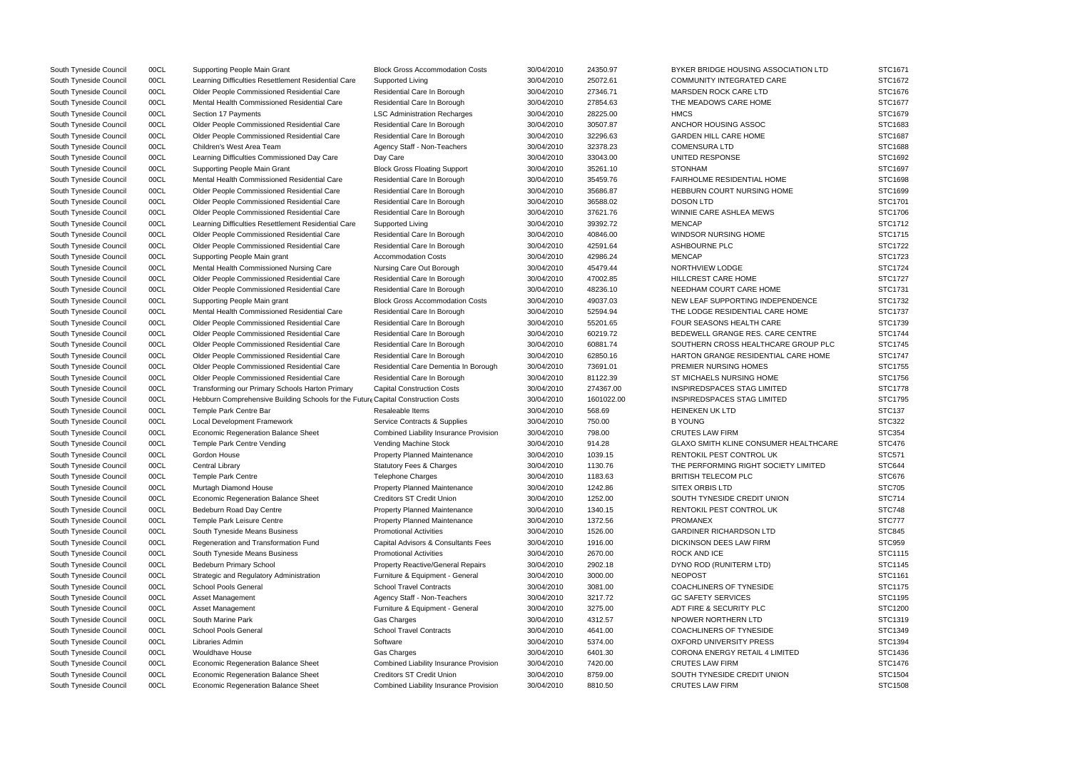| South Tyneside Council | 00CL | Supporting People Main Grant                                                     | <b>Block Gross Accommodation Costs</b>        | 30/04/2010 | 24350.97   | BYKER BRIDGE HOUSING ASSOCIATION LTD         | STC1671        |
|------------------------|------|----------------------------------------------------------------------------------|-----------------------------------------------|------------|------------|----------------------------------------------|----------------|
| South Tyneside Council | 00CL | Learning Difficulties Resettlement Residential Care                              | Supported Living                              | 30/04/2010 | 25072.61   | <b>COMMUNITY INTEGRATED CARE</b>             | STC1672        |
| South Tyneside Council | 00CL | Older People Commissioned Residential Care                                       | Residential Care In Borough                   | 30/04/2010 | 27346.71   | MARSDEN ROCK CARE LTD                        | STC1676        |
| South Tyneside Council | 00CL | Mental Health Commissioned Residential Care                                      | Residential Care In Borough                   | 30/04/2010 | 27854.63   | THE MEADOWS CARE HOME                        | STC1677        |
| South Tyneside Council | 00CL | Section 17 Payments                                                              | <b>LSC Administration Recharges</b>           | 30/04/2010 | 28225.00   | <b>HMCS</b>                                  | STC1679        |
| South Tyneside Council | 00CL | Older People Commissioned Residential Care                                       | Residential Care In Borough                   | 30/04/2010 | 30507.87   | ANCHOR HOUSING ASSOC                         | STC1683        |
| South Tyneside Council | 00CL | Older People Commissioned Residential Care                                       | Residential Care In Borough                   | 30/04/2010 | 32296.63   | <b>GARDEN HILL CARE HOME</b>                 | STC1687        |
| South Tyneside Council | 00CL | Children's West Area Team                                                        | Agency Staff - Non-Teachers                   | 30/04/2010 | 32378.23   | <b>COMENSURA LTD</b>                         | STC1688        |
| South Tyneside Council | 00CL | Learning Difficulties Commissioned Day Care                                      | Day Care                                      | 30/04/2010 | 33043.00   | UNITED RESPONSE                              | STC1692        |
| South Tyneside Council | 00CL | Supporting People Main Grant                                                     | <b>Block Gross Floating Support</b>           | 30/04/2010 | 35261.10   | <b>STONHAM</b>                               | STC1697        |
| South Tyneside Council | 00CL | Mental Health Commissioned Residential Care                                      | Residential Care In Borough                   | 30/04/2010 | 35459.76   | <b>FAIRHOLME RESIDENTIAL HOME</b>            | STC1698        |
| South Tyneside Council | 00CL | Older People Commissioned Residential Care                                       | Residential Care In Borough                   | 30/04/2010 | 35686.87   | <b>HEBBURN COURT NURSING HOME</b>            | STC1699        |
| South Tyneside Council | 00CL | Older People Commissioned Residential Care                                       | Residential Care In Borough                   | 30/04/2010 | 36588.02   | <b>DOSON LTD</b>                             | STC1701        |
| South Tyneside Council | 00CL | Older People Commissioned Residential Care                                       | Residential Care In Borough                   | 30/04/2010 | 37621.76   | WINNIE CARE ASHLEA MEWS                      | STC1706        |
| South Tyneside Council | 00CL | Learning Difficulties Resettlement Residential Care                              | Supported Living                              | 30/04/2010 | 39392.72   | <b>MENCAP</b>                                | STC1712        |
| South Tyneside Council | 00CL | Older People Commissioned Residential Care                                       | Residential Care In Borough                   | 30/04/2010 | 40846.00   | WINDSOR NURSING HOME                         | STC1715        |
| South Tyneside Council | 00CL | Older People Commissioned Residential Care                                       | Residential Care In Borough                   | 30/04/2010 | 42591.64   | ASHBOURNE PLC                                | STC1722        |
| South Tyneside Council | 00CL | Supporting People Main grant                                                     | <b>Accommodation Costs</b>                    | 30/04/2010 | 42986.24   | <b>MENCAP</b>                                | STC1723        |
| South Tyneside Council | 00CL | Mental Health Commissioned Nursing Care                                          | Nursing Care Out Borough                      | 30/04/2010 | 45479.44   | NORTHVIEW LODGE                              | STC1724        |
| South Tyneside Council | 00CL | Older People Commissioned Residential Care                                       | Residential Care In Borough                   | 30/04/2010 | 47002.85   | <b>HILLCREST CARE HOME</b>                   | STC1727        |
| South Tyneside Council | 00CL | Older People Commissioned Residential Care                                       | Residential Care In Borough                   | 30/04/2010 | 48236.10   | NEEDHAM COURT CARE HOME                      | STC1731        |
| South Tyneside Council | 00CL | Supporting People Main grant                                                     | <b>Block Gross Accommodation Costs</b>        | 30/04/2010 | 49037.03   | NEW LEAF SUPPORTING INDEPENDENCE             | STC1732        |
| South Tyneside Council | 00CL | Mental Health Commissioned Residential Care                                      | Residential Care In Borough                   | 30/04/2010 | 52594.94   | THE LODGE RESIDENTIAL CARE HOME              | STC1737        |
| South Tyneside Council | 00CL | Older People Commissioned Residential Care                                       | Residential Care In Borough                   | 30/04/2010 | 55201.65   | <b>FOUR SEASONS HEALTH CARE</b>              | STC1739        |
| South Tyneside Council | 00CL | Older People Commissioned Residential Care                                       | Residential Care In Borough                   | 30/04/2010 | 60219.72   | BEDEWELL GRANGE RES. CARE CENTRE             | <b>STC1744</b> |
| South Tyneside Council | 00CL | Older People Commissioned Residential Care                                       | Residential Care In Borough                   | 30/04/2010 | 60881.74   | SOUTHERN CROSS HEALTHCARE GROUP PLC          | STC1745        |
| South Tyneside Council | 00CL | Older People Commissioned Residential Care                                       | Residential Care In Borough                   | 30/04/2010 | 62850.16   | HARTON GRANGE RESIDENTIAL CARE HOME          | <b>STC1747</b> |
|                        |      |                                                                                  |                                               |            |            |                                              | STC1755        |
| South Tyneside Council | 00CL | Older People Commissioned Residential Care                                       | Residential Care Dementia In Borough          | 30/04/2010 | 73691.01   | PREMIER NURSING HOMES                        | STC1756        |
| South Tyneside Council | 00CL | Older People Commissioned Residential Care                                       | Residential Care In Borough                   | 30/04/2010 | 81122.39   | ST MICHAELS NURSING HOME                     |                |
| South Tyneside Council | 00CL | Transforming our Primary Schools Harton Primary                                  | <b>Capital Construction Costs</b>             | 30/04/2010 | 274367.00  | INSPIREDSPACES STAG LIMITED                  | STC1778        |
| South Tyneside Council | 00CL | Hebburn Comprehensive Building Schools for the Future Capital Construction Costs |                                               | 30/04/2010 | 1601022.00 | INSPIREDSPACES STAG LIMITED                  | STC1795        |
| South Tyneside Council | 00CL | Temple Park Centre Bar                                                           | Resaleable Items                              | 30/04/2010 | 568.69     | <b>HEINEKEN UK LTD</b>                       | <b>STC137</b>  |
| South Tyneside Council | 00CL | Local Development Framework                                                      | Service Contracts & Supplies                  | 30/04/2010 | 750.00     | <b>B YOUNG</b>                               | <b>STC322</b>  |
| South Tyneside Council | 00CL | <b>Economic Regeneration Balance Sheet</b>                                       | <b>Combined Liability Insurance Provision</b> | 30/04/2010 | 798.00     | <b>CRUTES LAW FIRM</b>                       | <b>STC354</b>  |
| South Tyneside Council | 00CL | Temple Park Centre Vending                                                       | Vending Machine Stock                         | 30/04/2010 | 914.28     | <b>GLAXO SMITH KLINE CONSUMER HEALTHCARE</b> | <b>STC476</b>  |
| South Tyneside Council | 00CL | Gordon House                                                                     | <b>Property Planned Maintenance</b>           | 30/04/2010 | 1039.15    | RENTOKIL PEST CONTROL UK                     | <b>STC571</b>  |
| South Tyneside Council | 00CL | Central Library                                                                  | <b>Statutory Fees &amp; Charges</b>           | 30/04/2010 | 1130.76    | THE PERFORMING RIGHT SOCIETY LIMITED         | <b>STC644</b>  |
| South Tyneside Council | 00CL | <b>Temple Park Centre</b>                                                        | <b>Telephone Charges</b>                      | 30/04/2010 | 1183.63    | <b>BRITISH TELECOM PLC</b>                   | STC676         |
| South Tyneside Council | 00CL | Murtagh Diamond House                                                            | <b>Property Planned Maintenance</b>           | 30/04/2010 | 1242.86    | SITEX ORBIS LTD                              | <b>STC705</b>  |
| South Tyneside Council | 00CL | Economic Regeneration Balance Sheet                                              | <b>Creditors ST Credit Union</b>              | 30/04/2010 | 1252.00    | SOUTH TYNESIDE CREDIT UNION                  | <b>STC714</b>  |
| South Tyneside Council | 00CL | Bedeburn Road Day Centre                                                         | Property Planned Maintenance                  | 30/04/2010 | 1340.15    | RENTOKIL PEST CONTROL UK                     | <b>STC748</b>  |
| South Tyneside Council | 00CL | Temple Park Leisure Centre                                                       | <b>Property Planned Maintenance</b>           | 30/04/2010 | 1372.56    | <b>PROMANEX</b>                              | <b>STC777</b>  |
| South Tyneside Council | 00CL | South Tyneside Means Business                                                    | <b>Promotional Activities</b>                 | 30/04/2010 | 1526.00    | <b>GARDINER RICHARDSON LTD</b>               | <b>STC845</b>  |
| South Tyneside Council | 00CL | Regeneration and Transformation Fund                                             | Capital Advisors & Consultants Fees           | 30/04/2010 | 1916.00    | DICKINSON DEES LAW FIRM                      | <b>STC959</b>  |
| South Tyneside Council | 00CL | South Tyneside Means Business                                                    | <b>Promotional Activities</b>                 | 30/04/2010 | 2670.00    | ROCK AND ICE                                 | STC1115        |
| South Tyneside Council | 00CL | <b>Bedeburn Primary School</b>                                                   | <b>Property Reactive/General Repairs</b>      | 30/04/2010 | 2902.18    | DYNO ROD (RUNITERM LTD)                      | STC1145        |
| South Tyneside Council | 00CL | Strategic and Regulatory Administration                                          | Furniture & Equipment - General               | 30/04/2010 | 3000.00    | <b>NEOPOST</b>                               | STC1161        |
| South Tyneside Council | 00CL | School Pools General                                                             | <b>School Travel Contracts</b>                | 30/04/2010 | 3081.00    | COACHLINERS OF TYNESIDE                      | STC1175        |
| South Tyneside Council | 00CL | Asset Management                                                                 | Agency Staff - Non-Teachers                   | 30/04/2010 | 3217.72    | <b>GC SAFETY SERVICES</b>                    | STC1195        |
| South Tyneside Council | 00CL | Asset Management                                                                 | Furniture & Equipment - General               | 30/04/2010 | 3275.00    | ADT FIRE & SECURITY PLC                      | STC1200        |
| South Tyneside Council | 00CL | South Marine Park                                                                | Gas Charges                                   | 30/04/2010 | 4312.57    | NPOWER NORTHERN LTD                          | STC1319        |
| South Tyneside Council | 00CL | School Pools General                                                             | <b>School Travel Contracts</b>                | 30/04/2010 | 4641.00    | COACHLINERS OF TYNESIDE                      | STC1349        |
| South Tyneside Council | 00CL | Libraries Admin                                                                  | Software                                      | 30/04/2010 | 5374.00    | <b>OXFORD UNIVERSITY PRESS</b>               | STC1394        |
| South Tyneside Council | 00CL | <b>Wouldhave House</b>                                                           | Gas Charges                                   | 30/04/2010 | 6401.30    | <b>CORONA ENERGY RETAIL 4 LIMITED</b>        | STC1436        |
| South Tyneside Council | 00CL | Economic Regeneration Balance Sheet                                              | Combined Liability Insurance Provision        | 30/04/2010 | 7420.00    | <b>CRUTES LAW FIRM</b>                       | STC1476        |
| South Tyneside Council | 00CL | <b>Economic Regeneration Balance Sheet</b>                                       | <b>Creditors ST Credit Union</b>              | 30/04/2010 | 8759.00    | SOUTH TYNESIDE CREDIT UNION                  | STC1504        |
| South Tyneside Council | 00CL | <b>Economic Regeneration Balance Sheet</b>                                       | Combined Liability Insurance Provision        | 30/04/2010 | 8810.50    | <b>CRUTES LAW FIRM</b>                       | STC1508        |